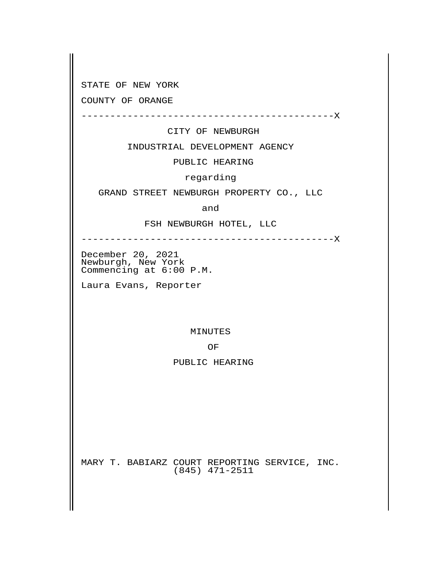STATE OF NEW YORK

COUNTY OF ORANGE

--------------------------------------------X

CITY OF NEWBURGH

INDUSTRIAL DEVELOPMENT AGENCY

PUBLIC HEARING

regarding

GRAND STREET NEWBURGH PROPERTY CO., LLC

**and** and the set of  $\mathbf{a}$  and  $\mathbf{a}$ 

FSH NEWBURGH HOTEL, LLC

--------------------------------------------X

 December 20, 2021 Newburgh, New York Commencing at 6:00 P.M.

Laura Evans, Reporter

MINUTES

**Solution in the contract of the contract of the contract of the contract of the contract of the contract of th** 

PUBLIC HEARING

 MARY T. BABIARZ COURT REPORTING SERVICE, INC. (845) 471-2511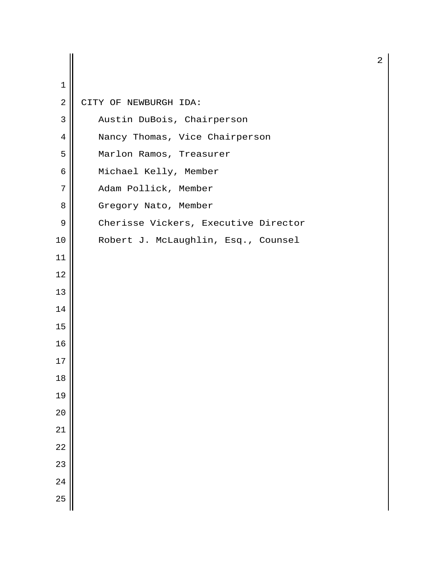| $\mathbf 1$<br>$\sqrt{2}$ |                                      |
|---------------------------|--------------------------------------|
|                           | CITY OF NEWBURGH IDA:                |
| 3                         | Austin DuBois, Chairperson           |
| 4                         | Nancy Thomas, Vice Chairperson       |
| 5                         | Marlon Ramos, Treasurer              |
| 6                         | Michael Kelly, Member                |
| 7                         | Adam Pollick, Member                 |
| 8                         | Gregory Nato, Member                 |
| 9                         | Cherisse Vickers, Executive Director |
| 10                        | Robert J. McLaughlin, Esq., Counsel  |
| 11                        |                                      |
| 12                        |                                      |
| 13                        |                                      |
| 14                        |                                      |
| 15                        |                                      |
| 16                        |                                      |
| 17                        |                                      |
| $18\,$                    |                                      |
| 19                        |                                      |
| 20                        |                                      |
| 21                        |                                      |
| 22                        |                                      |
| 23                        |                                      |
| 24                        |                                      |
| 25                        |                                      |
|                           |                                      |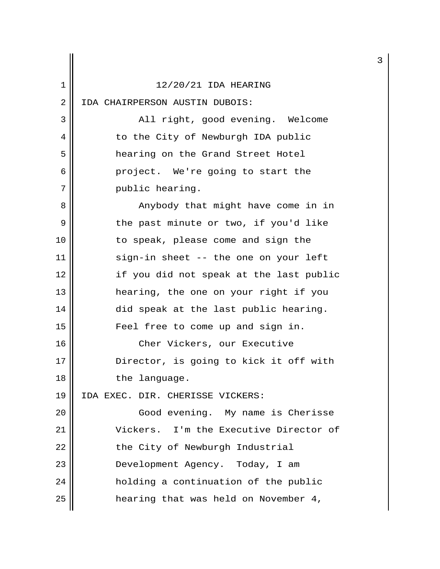| 1              | 12/20/21 IDA HEARING                    |
|----------------|-----------------------------------------|
| $\overline{2}$ | IDA CHAIRPERSON AUSTIN DUBOIS:          |
| 3              | All right, good evening. Welcome        |
| 4              | to the City of Newburgh IDA public      |
| 5              | hearing on the Grand Street Hotel       |
| 6              | project. We're going to start the       |
| 7              | public hearing.                         |
| 8              | Anybody that might have come in in      |
| 9              | the past minute or two, if you'd like   |
| 10             | to speak, please come and sign the      |
| 11             | sign-in sheet -- the one on your left   |
| 12             | if you did not speak at the last public |
| 13             | hearing, the one on your right if you   |
| 14             | did speak at the last public hearing.   |
| 15             | Feel free to come up and sign in.       |
| 16             | Cher Vickers, our Executive             |
| 17             | Director, is going to kick it off with  |
| 18             | the language.                           |
| 19             | IDA EXEC. DIR. CHERISSE VICKERS:        |
| 20             | Good evening. My name is Cherisse       |
| 21             | Vickers. I'm the Executive Director of  |
| 22             | the City of Newburgh Industrial         |
| 23             | Development Agency. Today, I am         |
| 24             | holding a continuation of the public    |
| 25             | hearing that was held on November 4,    |

3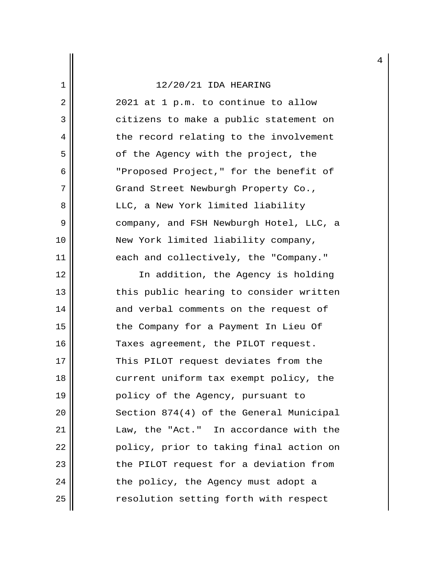# $\left| \frac{1}{2}\right|$  12/20/21 IDA HEARING

| 2  | 2021 at 1 p.m. to continue to allow     |
|----|-----------------------------------------|
| 3  | citizens to make a public statement on  |
| 4  | the record relating to the involvement  |
| 5  | of the Agency with the project, the     |
| 6  | "Proposed Project," for the benefit of  |
| 7  | Grand Street Newburgh Property Co.,     |
| 8  | LLC, a New York limited liability       |
| 9  | company, and FSH Newburgh Hotel, LLC, a |
| 10 | New York limited liability company,     |
| 11 | each and collectively, the "Company."   |
| 12 | In addition, the Agency is holding      |
| 13 | this public hearing to consider written |
| 14 | and verbal comments on the request of   |
| 15 | the Company for a Payment In Lieu Of    |
| 16 | Taxes agreement, the PILOT request.     |
| 17 | This PILOT request deviates from the    |
| 18 | current uniform tax exempt policy, the  |
| 19 | policy of the Agency, pursuant to       |
| 20 | Section 874(4) of the General Municipal |
| 21 | Law, the "Act." In accordance with the  |
| 22 | policy, prior to taking final action on |
| 23 | the PILOT request for a deviation from  |
| 24 | the policy, the Agency must adopt a     |
| 25 | resolution setting forth with respect   |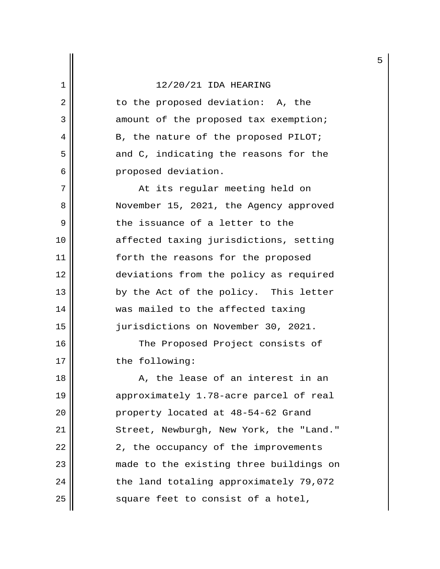2 || to the proposed deviation: A, the 3 || amount of the proposed tax exemption;  $4 \parallel$  B, the nature of the proposed PILOT;  $5 \parallel$  and C, indicating the reasons for the 6 | proposed deviation.

 7 At its regular meeting held on 8 November 15, 2021, the Agency approved  $9 \parallel$  the issuance of a letter to the 10 affected taxing jurisdictions, setting 11 || forth the reasons for the proposed 12 deviations from the policy as required 13 || by the Act of the policy. This letter 14 || was mailed to the affected taxing 15 jurisdictions on November 30, 2021.

16 || The Proposed Project consists of 17 || the following:

 $18$  ||  $\,$  A, the lease of an interest in an 19 || approximately 1.78-acre parcel of real 20 || property located at 48-54-62 Grand 21 || Street, Newburgh, New York, the "Land."  $22$  ||  $2$ , the occupancy of the improvements 23 made to the existing three buildings on 24 | the land totaling approximately 79,072  $25$   $\parallel$  square feet to consist of a hotel,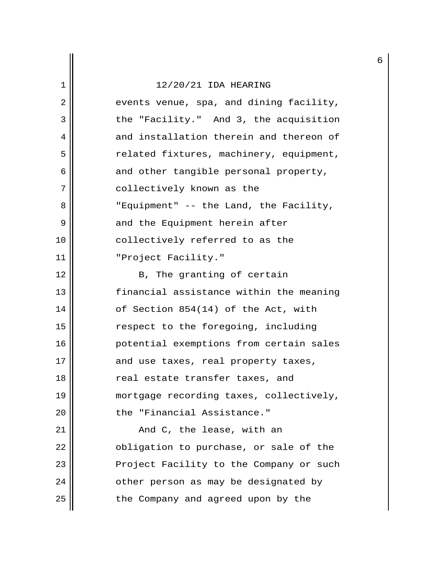## $\left| \frac{1}{2}\right|$  12/20/21 IDA HEARING

| 2  | events venue, spa, and dining facility, |
|----|-----------------------------------------|
| 3  | the "Facility." And 3, the acquisition  |
| 4  | and installation therein and thereon of |
| 5  | related fixtures, machinery, equipment, |
| 6  | and other tangible personal property,   |
| 7  | collectively known as the               |
| 8  | "Equipment" -- the Land, the Facility,  |
| 9  | and the Equipment herein after          |
| 10 | collectively referred to as the         |
| 11 | "Project Facility."                     |
| 12 | B, The granting of certain              |
| 13 | financial assistance within the meaning |
| 14 | of Section 854(14) of the Act, with     |
| 15 | respect to the foregoing, including     |
| 16 | potential exemptions from certain sales |
| 17 | and use taxes, real property taxes,     |
| 18 | real estate transfer taxes, and         |
| 19 | mortgage recording taxes, collectively, |
| 20 | the "Financial Assistance."             |
| 21 | And C, the lease, with an               |
| 22 | obligation to purchase, or sale of the  |
| 23 | Project Facility to the Company or such |
| 24 | other person as may be designated by    |
| 25 | the Company and agreed upon by the      |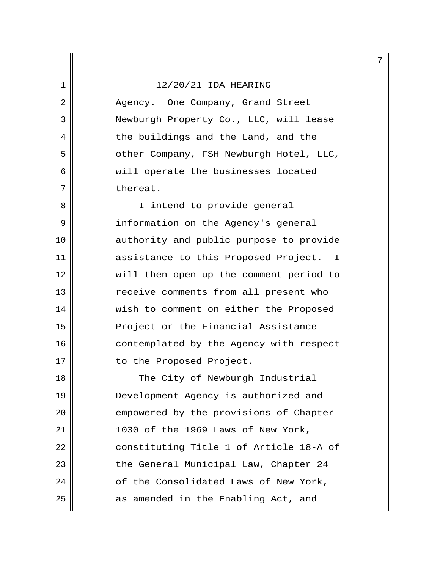2 Agency. One Company, Grand Street 3 Newburgh Property Co., LLC, will lease 4 || the buildings and the Land, and the 5 || other Company, FSH Newburgh Hotel, LLC, 6 || will operate the businesses located 7 ll thereat.

8 || I intend to provide general 9 | information on the Agency's general 10 || authority and public purpose to provide 11 assistance to this Proposed Project. I 12 will then open up the comment period to 13 || The receive comments from all present who 14 | wish to comment on either the Proposed 15 || Project or the Financial Assistance 16 || contemplated by the Agency with respect 17 || to the Proposed Project.

18 || The City of Newburgh Industrial 19 || Development Agency is authorized and 20 || empowered by the provisions of Chapter 21 1030 of the 1969 Laws of New York, 22 || constituting Title 1 of Article 18-A of 23 || the General Municipal Law, Chapter 24 24 | cf the Consolidated Laws of New York,  $25$  as amended in the Enabling Act, and

7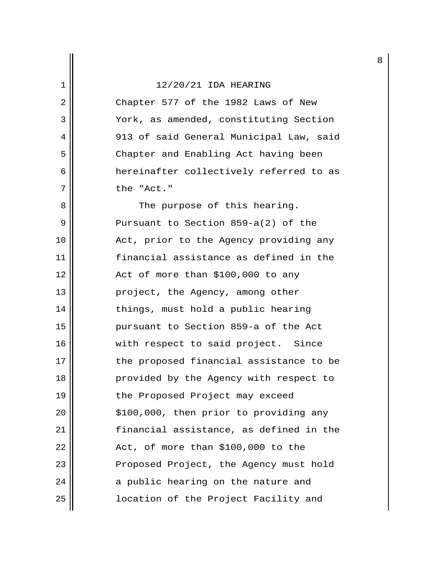2 || Chapter 577 of the 1982 Laws of New 3 | York, as amended, constituting Section 4 913 of said General Municipal Law, said 5 || Chapter and Enabling Act having been 6 hereinafter collectively referred to as 7 || the "Act."

8 || The purpose of this hearing. 9 Pursuant to Section 859-a(2) of the 10 Act, prior to the Agency providing any 11 financial assistance as defined in the  $12 \parallel$  Act of more than \$100,000 to any 13 || project, the Agency, among other 14 || things, must hold a public hearing 15 pursuant to Section 859-a of the Act 16 || with respect to said project. Since 17 || The proposed financial assistance to be 18 || provided by the Agency with respect to 19 || the Proposed Project may exceed  $20$  ||  $\frac{100}{100}$ , 000, then prior to providing any 21 financial assistance, as defined in the  $22$  || Act, of more than \$100,000 to the 23 || Proposed Project, the Agency must hold  $24$  || a public hearing on the nature and 25 location of the Project Facility and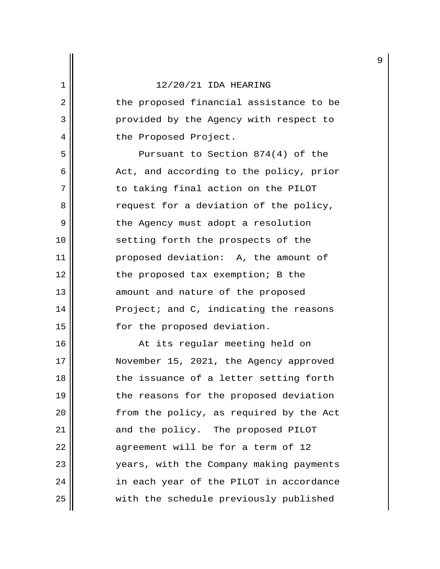2 || the proposed financial assistance to be 3 | provided by the Agency with respect to 4 | the Proposed Project.

 5 Pursuant to Section 874(4) of the  $6 \parallel$  Act, and according to the policy, prior 7 || The to taking final action on the PILOT 8 a request for a deviation of the policy, 9 || the Agency must adopt a resolution 10 || setting forth the prospects of the 11 proposed deviation: A, the amount of 12 || the proposed tax exemption; B the 13 || amount and nature of the proposed 14 | Project; and C, indicating the reasons 15 || for the proposed deviation.

16 || At its regular meeting held on 17 November 15, 2021, the Agency approved  $18$  || the issuance of a letter setting forth 19 || the reasons for the proposed deviation 20 || from the policy, as required by the Act 21 || and the policy. The proposed PILOT  $22$  || agreement will be for a term of 12 23 years, with the Company making payments 24 || in each year of the PILOT in accordance 25 | with the schedule previously published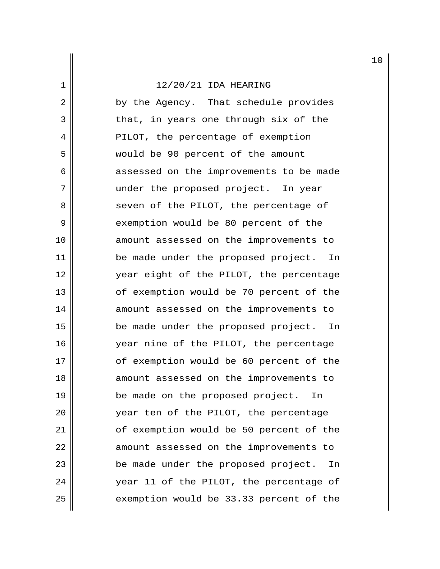2 by the Agency. That schedule provides 3 || that, in years one through six of the 4 || PILOT, the percentage of exemption 5 would be 90 percent of the amount 6 assessed on the improvements to be made 7 || under the proposed project. In year 8 || seven of the PILOT, the percentage of 9 || exemption would be 80 percent of the 10 || amount assessed on the improvements to 11 || be made under the proposed project. In 12 year eight of the PILOT, the percentage 13 || of exemption would be 70 percent of the 14 || amount assessed on the improvements to 15 be made under the proposed project. In 16 year nine of the PILOT, the percentage 17 || of exemption would be 60 percent of the 18 || amount assessed on the improvements to 19 || be made on the proposed project. In 20 year ten of the PILOT, the percentage 21 || of exemption would be 50 percent of the 22 | amount assessed on the improvements to 23 || be made under the proposed project. In 24 || vear 11 of the PILOT, the percentage of 25 | exemption would be 33.33 percent of the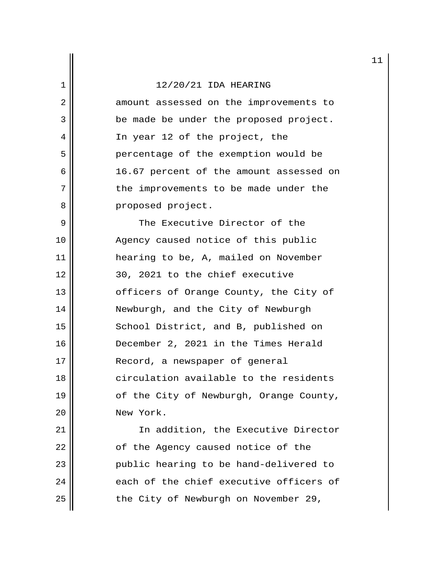2 amount assessed on the improvements to 3 | be made be under the proposed project. 4 || In year 12 of the project, the 5 || percentage of the exemption would be 6 || 16.67 percent of the amount assessed on 7 || the improvements to be made under the 8 || Proposed project.

9 || The Executive Director of the 10 || Agency caused notice of this public 11 || || || hearing to be, A, mailed on November  $12 \parallel$  30, 2021 to the chief executive 13 || cfficers of Orange County, the City of 14 || Newburgh, and the City of Newburgh 15 || School District, and B, published on 16 December 2, 2021 in the Times Herald 17 || Record, a newspaper of general 18 **circulation** available to the residents 19 || of the City of Newburgh, Orange County, 20 New York.

21 | The addition, the Executive Director 22 | of the Agency caused notice of the 23 public hearing to be hand-delivered to  $24$   $\parallel$  each of the chief executive officers of 25 | the City of Newburgh on November 29,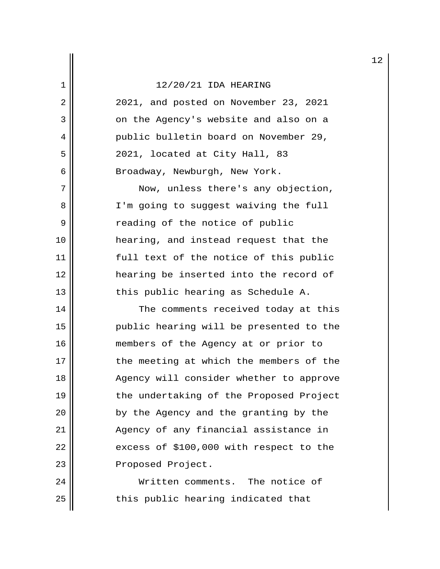2 2021, and posted on November 23, 2021 3 || on the Agency's website and also on a 4 || public bulletin board on November 29, 5 2021, located at City Hall, 83 6 | Broadway, Newburgh, New York.

 7 Now, unless there's any objection, 8 || I'm going to suggest waiving the full 9 || Treading of the notice of public 10 hearing, and instead request that the 11 || full text of the notice of this public 12 hearing be inserted into the record of  $13$  || this public hearing as Schedule A.

14 The comments received today at this 15 public hearing will be presented to the 16 || members of the Agency at or prior to 17 || the meeting at which the members of the 18 || Agency will consider whether to approve 19 || the undertaking of the Proposed Project 20 || by the Agency and the granting by the 21 || Agency of any financial assistance in  $22$  || excess of \$100,000 with respect to the 23 || Proposed Project.

24 Written comments. The notice of  $25$   $\parallel$  this public hearing indicated that

12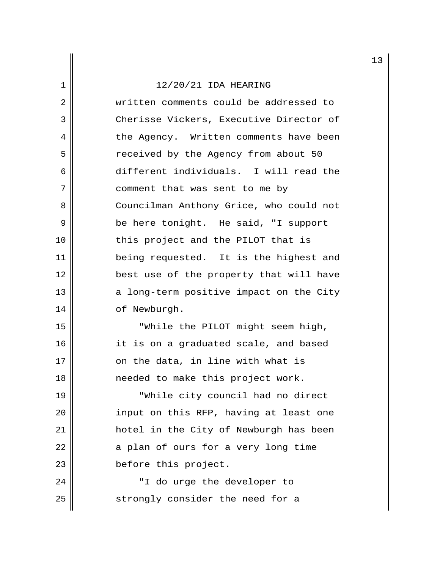2 || written comments could be addressed to 3 Cherisse Vickers, Executive Director of 4 | the Agency. Written comments have been 5 | The Preceived by the Agency from about 50 6 different individuals. I will read the 7 || comment that was sent to me by 8 Councilman Anthony Grice, who could not 9 || be here tonight. He said, "I support 10 || this project and the PILOT that is 11 || being requested. It is the highest and 12 best use of the property that will have 13  $\parallel$  a long-term positive impact on the City 14 | of Newburgh.

15 || While the PILOT might seem high, 16 || it is on a graduated scale, and based  $17$  || on the data, in line with what is 18 || meeded to make this project work.

19 || TWhile city council had no direct 20 || input on this RFP, having at least one 21 hotel in the City of Newburgh has been  $22$  || a plan of ours for a very long time 23 || before this project.

24 || T do urge the developer to  $25$  strongly consider the need for a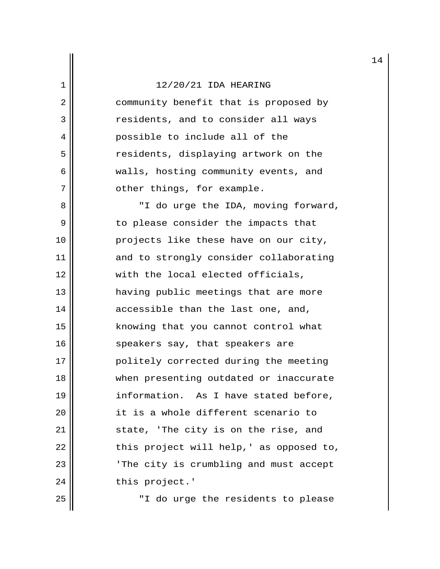2 | community benefit that is proposed by 3 || enriconts, and to consider all ways 4 || possible to include all of the 5 || residents, displaying artwork on the 6 || walls, hosting community events, and 7 || other things, for example.

8 || "I do urge the IDA, moving forward, 9 || to please consider the impacts that 10 || projects like these have on our city, 11 || and to strongly consider collaborating 12 || with the local elected officials, 13 having public meetings that are more  $14$  ||  $\alpha$  accessible than the last one, and, 15 || knowing that you cannot control what 16 || speakers say, that speakers are 17 || politely corrected during the meeting 18 || when presenting outdated or inaccurate 19 || information. As I have stated before, 20 it is a whole different scenario to 21 || state, 'The city is on the rise, and  $22$  || this project will help, ' as opposed to, 23 || The city is crumbling and must accept 24 | this project.'

25 || T do urge the residents to please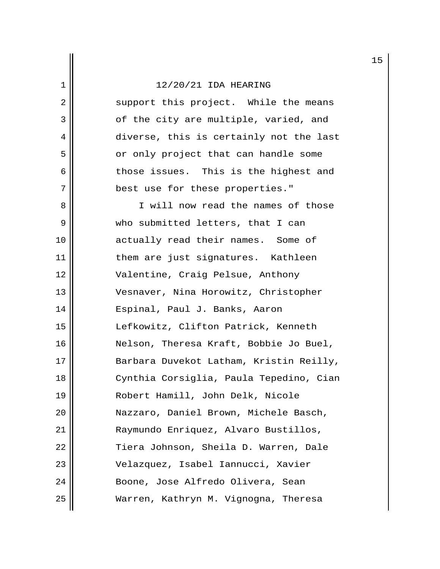2 || support this project. While the means 3 || of the city are multiple, varied, and 4 diverse, this is certainly not the last 5 || or only project that can handle some  $6 \parallel$  those issues. This is the highest and 7 || best use for these properties."

8 || I will now read the names of those 9 Who submitted letters, that I can 10 || actually read their names. Some of 11 || them are just signatures. Kathleen 12 Valentine, Craig Pelsue, Anthony 13 Vesnaver, Nina Horowitz, Christopher 14 || Espinal, Paul J. Banks, Aaron 15 Lefkowitz, Clifton Patrick, Kenneth 16 Nelson, Theresa Kraft, Bobbie Jo Buel, 17 || Barbara Duvekot Latham, Kristin Reilly, 18 Cynthia Corsiglia, Paula Tepedino, Cian 19 Robert Hamill, John Delk, Nicole 20 Nazzaro, Daniel Brown, Michele Basch, 21 Raymundo Enriquez, Alvaro Bustillos, 22 | Tiera Johnson, Sheila D. Warren, Dale 23 Velazquez, Isabel Iannucci, Xavier 24 || Boone, Jose Alfredo Olivera, Sean 25 Warren, Kathryn M. Vignogna, Theresa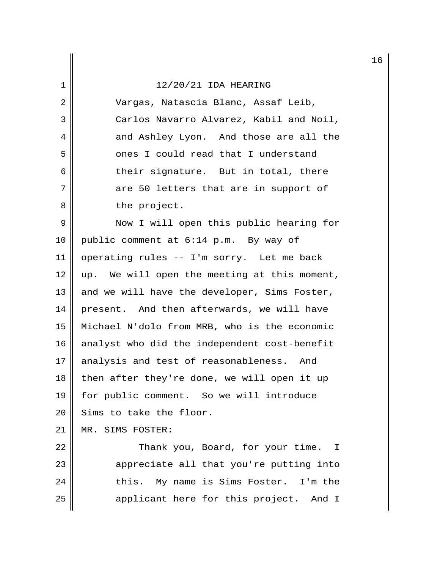2 Vargas, Natascia Blanc, Assaf Leib, 3 || Carlos Navarro Alvarez, Kabil and Noil, 4 and Ashley Lyon. And those are all the 5 || ones I could read that I understand  $6$  their signature. But in total, there  $7$  are 50 letters that are in support of 8 || the project.

9 || Now I will open this public hearing for 10 public comment at 6:14 p.m. By way of 11 | operating rules  $-$  I'm sorry. Let me back  $12 \parallel$  up. We will open the meeting at this moment, 13  $\parallel$  and we will have the developer, Sims Foster, 14 | present. And then afterwards, we will have 15 Michael N'dolo from MRB, who is the economic 16  $\parallel$  analyst who did the independent cost-benefit  $17$  analysis and test of reasonableness. And 18 then after they're done, we will open it up 19 for public comment. So we will introduce  $20$  Sims to take the floor.

21 MR. SIMS FOSTER:

22 | Thank you, Board, for your time. I 23 || appreciate all that you're putting into 24 || this. My name is Sims Foster. I'm the 25 || applicant here for this project. And I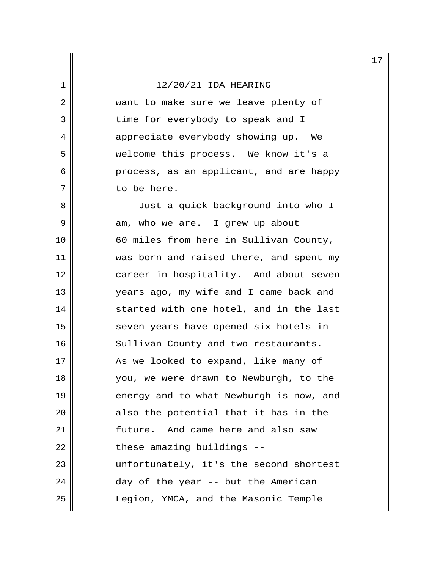2 || want to make sure we leave plenty of 3 || time for everybody to speak and I 4 appreciate everybody showing up. We 5 welcome this process. We know it's a 6 process, as an applicant, and are happy 7 to be here.

8 || Just a quick background into who I  $9 \parallel$  am, who we are. I grew up about 10 60 miles from here in Sullivan County, 11 || was born and raised there, and spent my 12 career in hospitality. And about seven 13 || vears ago, my wife and I came back and 14 started with one hotel, and in the last 15 || seven years have opened six hotels in 16 || Sullivan County and two restaurants. 17 As we looked to expand, like many of 18 you, we were drawn to Newburgh, to the 19  $\parallel$  energy and to what Newburgh is now, and 20 || also the potential that it has in the 21 | Tuture. And came here and also saw  $22$  || these amazing buildings  $-$ 23 || unfortunately, it's the second shortest  $24$  ||  $24$  day of the year -- but the American 25 Legion, YMCA, and the Masonic Temple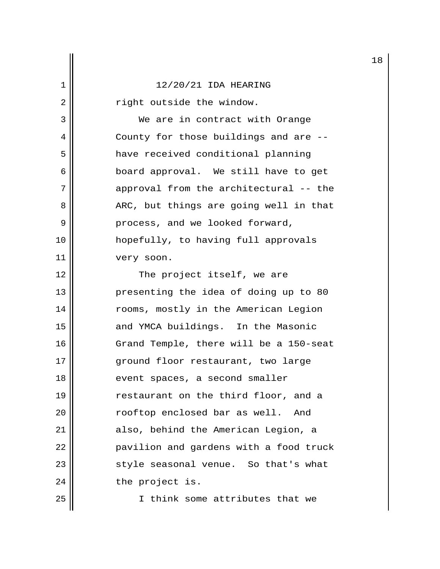2 | Tight outside the window.

3 We are in contract with Orange 4 || County for those buildings and are --5 | have received conditional planning 6 || board approval. We still have to get 7 || approval from the architectural -- the 8 || ARC, but things are going well in that 9 || Process, and we looked forward, 10 hopefully, to having full approvals 11 || very soon.

12 || The project itself, we are 13 || presenting the idea of doing up to 80 14 || rooms, mostly in the American Legion 15 || and YMCA buildings. In the Masonic 16 | Grand Temple, there will be a 150-seat 17 ground floor restaurant, two large 18 || event spaces, a second smaller 19 || estaurant on the third floor, and a 20 || rooftop enclosed bar as well. And 21 || also, behind the American Legion, a 22 | pavilion and gardens with a food truck 23 || style seasonal venue. So that's what  $24$  | the project is.

25 I think some attributes that we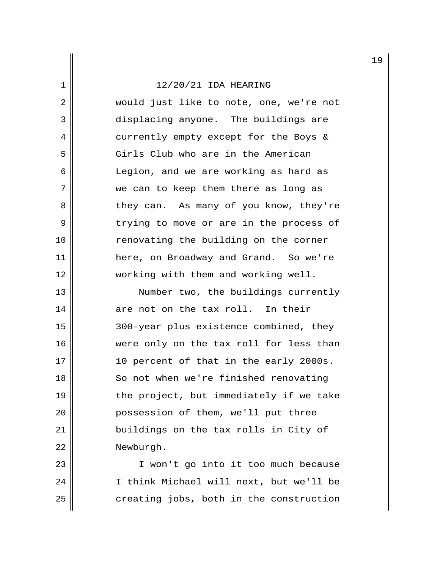2 || would just like to note, one, we're not 3 displacing anyone. The buildings are 4 currently empty except for the Boys & 5 Girls Club who are in the American 6 Legion, and we are working as hard as 7 || we can to keep them there as long as 8 || they can. As many of you know, they're 9 trying to move or are in the process of 10 || renovating the building on the corner 11 here, on Broadway and Grand. So we're 12 working with them and working well.

13 || Number two, the buildings currently  $14$  are not on the tax roll. In their 15 300-year plus existence combined, they 16 were only on the tax roll for less than  $17$  || 10 percent of that in the early 2000s. 18 || So not when we're finished renovating 19  $\parallel$  the project, but immediately if we take 20 || possession of them, we'll put three 21 buildings on the tax rolls in City of 22 Newburgh.

23 || I won't go into it too much because 24 || I think Michael will next, but we'll be  $25$   $\parallel$  creating jobs, both in the construction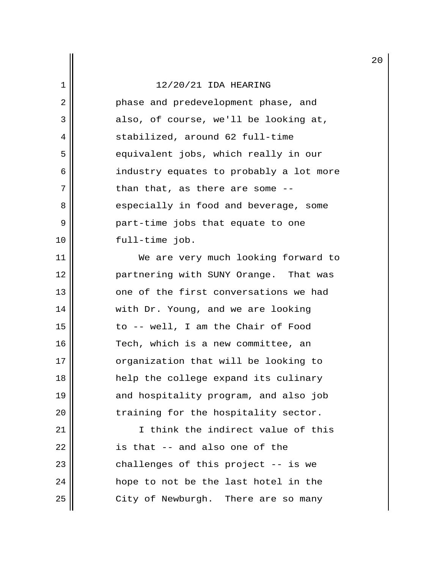2 || Phase and predevelopment phase, and  $3 \parallel$  also, of course, we'll be looking at, 4 || stabilized, around 62 full-time 5 || equivalent jobs, which really in our 6 || industry equates to probably a lot more  $7$  | than that, as there are some  $-$ -8 || especially in food and beverage, some 9 part-time jobs that equate to one 10 || full-time job.

11 || We are very much looking forward to 12 partnering with SUNY Orange. That was 13 0 one of the first conversations we had 14 || with Dr. Young, and we are looking 15 || to -- well, I am the Chair of Food 16 || Tech, which is a new committee, an 17 || organization that will be looking to 18 help the college expand its culinary 19 || and hospitality program, and also job  $20$   $\parallel$  training for the hospitality sector.

21 I think the indirect value of this  $22$   $\parallel$  is that -- and also one of the  $23$  || challenges of this project  $-$  is we 24 || hope to not be the last hotel in the  $25$  | City of Newburgh. There are so many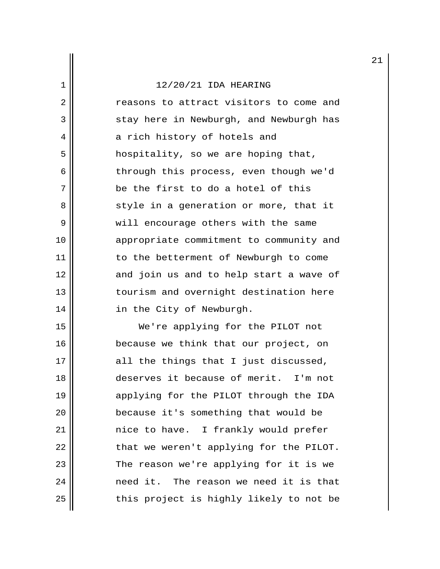2 reasons to attract visitors to come and  $3 \parallel$  stay here in Newburgh, and Newburgh has 4 || a rich history of hotels and 5 || hospitality, so we are hoping that, 6 || through this process, even though we'd 7 || be the first to do a hotel of this 8 || style in a generation or more, that it 9 || will encourage others with the same 10 appropriate commitment to community and 11 | to the betterment of Newburgh to come 12 and join us and to help start a wave of 13 || tourism and overnight destination here 14 || in the City of Newburgh.

15 We're applying for the PILOT not 16 || because we think that our project, on  $17$  all the things that I just discussed, 18 deserves it because of merit. I'm not 19 applying for the PILOT through the IDA 20 || because it's something that would be 21 nice to have. I frankly would prefer  $22$  || that we weren't applying for the PILOT. 23 || The reason we're applying for it is we 24 || The reason we need it is that  $25$  this project is highly likely to not be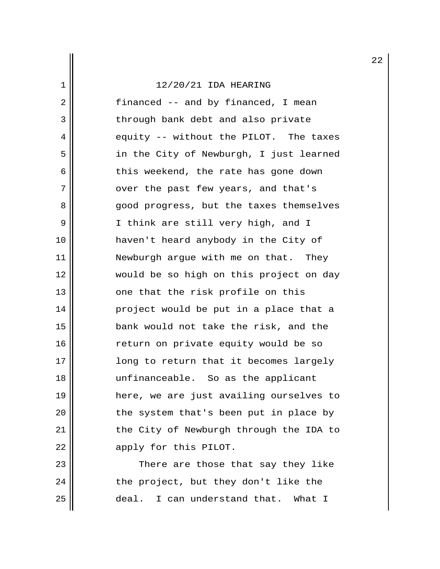$2 \parallel$  financed -- and by financed, I mean 3 || through bank debt and also private  $4 \parallel$  equity -- without the PILOT. The taxes 5 || in the City of Newburgh, I just learned  $6$  | this weekend, the rate has gone down 7 || over the past few years, and that's 8 good progress, but the taxes themselves 9 || I think are still very high, and I 10 haven't heard anybody in the City of 11 || Newburgh argue with me on that. They 12 would be so high on this project on day 13 || one that the risk profile on this 14 project would be put in a place that a 15 bank would not take the risk, and the 16 || return on private equity would be so 17 || || || || || long to return that it becomes largely 18 unfinanceable. So as the applicant 19 here, we are just availing ourselves to 20 || the system that's been put in place by 21 || the City of Newburgh through the IDA to 22 || apply for this PILOT.

23 There are those that say they like  $24$  || the project, but they don't like the 25 deal. I can understand that. What I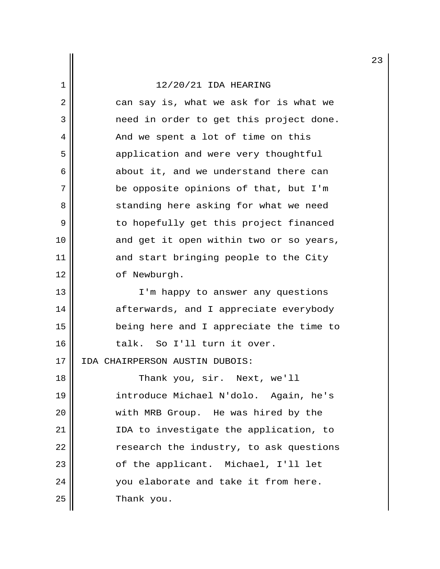2 || can say is, what we ask for is what we 3 need in order to get this project done. 4 || And we spent a lot of time on this 5 | application and were very thoughtful  $6 \parallel$  about it, and we understand there can 7 || be opposite opinions of that, but I'm 8 || standing here asking for what we need 9 || The body of this project financed 10 || and get it open within two or so years, 11 and start bringing people to the City 12 | of Newburgh. 13 || I'm happy to answer any questions 14 afterwards, and I appreciate everybody 15 being here and I appreciate the time to 16 || talk. So I'll turn it over. 17 IDA CHAIRPERSON AUSTIN DUBOIS: 18 || Thank you, sir. Next, we'll 19 introduce Michael N'dolo. Again, he's 20 || with MRB Group. He was hired by the 21 IDA to investigate the application, to  $22$   $\parallel$  research the industry, to ask questions 23 || cf the applicant. Michael, I'll let 24 || vou elaborate and take it from here.  $25$   $\parallel$  Thank you.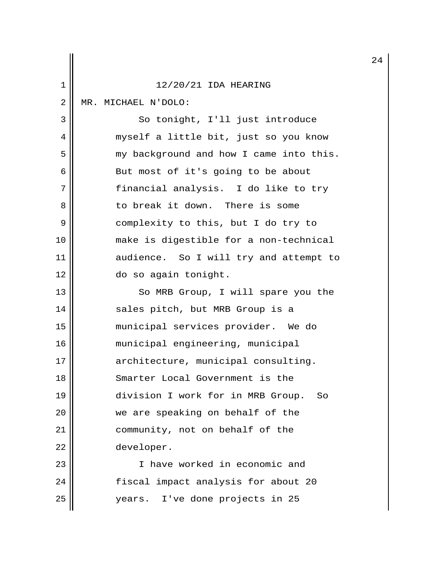|    |                                           | 24 |
|----|-------------------------------------------|----|
| 1  | 12/20/21 IDA HEARING                      |    |
| 2  | MR. MICHAEL N'DOLO:                       |    |
| 3  | So tonight, I'll just introduce           |    |
| 4  | myself a little bit, just so you know     |    |
| 5  | my background and how I came into this.   |    |
| 6  | But most of it's going to be about        |    |
| 7  | financial analysis. I do like to try      |    |
| 8  | to break it down. There is some           |    |
| 9  | complexity to this, but I do try to       |    |
| 10 | make is digestible for a non-technical    |    |
| 11 | audience. So I will try and attempt to    |    |
| 12 | do so again tonight.                      |    |
| 13 | So MRB Group, I will spare you the        |    |
| 14 | sales pitch, but MRB Group is a           |    |
| 15 | municipal services provider. We do        |    |
| 16 | municipal engineering, municipal          |    |
| 17 | architecture, municipal consulting.       |    |
| 18 | Smarter Local Government is the           |    |
| 19 | division I work for in MRB Group.<br>- So |    |
| 20 | we are speaking on behalf of the          |    |
| 21 | community, not on behalf of the           |    |
| 22 | developer.                                |    |
| 23 | I have worked in economic and             |    |
| 24 | fiscal impact analysis for about 20       |    |
| 25 | years. I've done projects in 25           |    |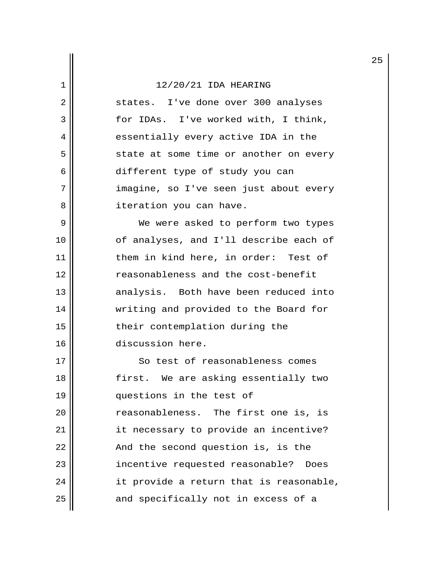2 || states. I've done over 300 analyses 3 || for IDAs. I've worked with, I think, 4 || essentially every active IDA in the 5 | state at some time or another on every 6 different type of study you can 7 || imagine, so I've seen just about every 8 | iteration you can have.

9 || We were asked to perform two types 10 || of analyses, and I'll describe each of 11 | them in kind here, in order: Test of 12 reasonableness and the cost-benefit 13 || analysis. Both have been reduced into 14 writing and provided to the Board for 15 || their contemplation during the 16 discussion here.

17 So test of reasonableness comes 18 first. We are asking essentially two 19 || questions in the test of 20 | Teasonableness. The first one is, is 21 | it necessary to provide an incentive?  $22$  || And the second question is, is the 23 || incentive requested reasonable? Does  $24$  || it provide a return that is reasonable,  $25$  and specifically not in excess of a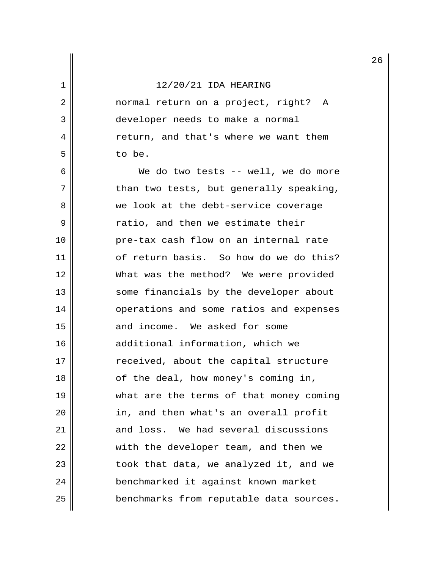2 || normal return on a project, right? A 3 developer needs to make a normal 4 || return, and that's where we want them 5 to be.

 6 We do two tests -- well, we do more  $7$  || than two tests, but generally speaking, 8 we look at the debt-service coverage  $9 \parallel$  ratio, and then we estimate their 10 pre-tax cash flow on an internal rate 11 | of return basis. So how do we do this? 12 What was the method? We were provided 13 || some financials by the developer about 14 || operations and some ratios and expenses 15 || and income. We asked for some 16 | additional information, which we 17 || received, about the capital structure 18 || of the deal, how money's coming in, 19 what are the terms of that money coming 20 in, and then what's an overall profit 21 || and loss. We had several discussions 22 || with the developer team, and then we  $23$  || took that data, we analyzed it, and we 24 | benchmarked it against known market 25 benchmarks from reputable data sources.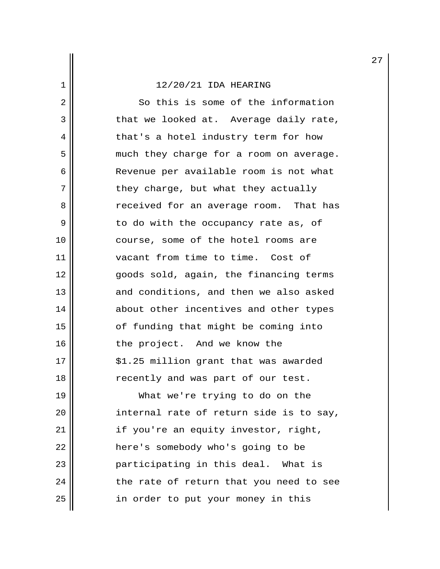2 So this is some of the information 3 that we looked at. Average daily rate, 4 || that's a hotel industry term for how 5 || much they charge for a room on average. 6 Revenue per available room is not what 7 || they charge, but what they actually 8 and Secreef received for an average room. That has  $9 \parallel$  to do with the occupancy rate as, of 10 || course, some of the hotel rooms are 11 vacant from time to time. Cost of 12 goods sold, again, the financing terms 13 || and conditions, and then we also asked 14 || about other incentives and other types 15 || cf funding that might be coming into 16 || the project. And we know the 17 || \$1.25 million grant that was awarded 18 || recently and was part of our test. 19 What we're trying to do on the 20 || internal rate of return side is to say, 21 | if you're an equity investor, right, 22 | here's somebody who's going to be

23 || Participating in this deal. What is  $24$  || the rate of return that you need to see 25 | in order to put your money in this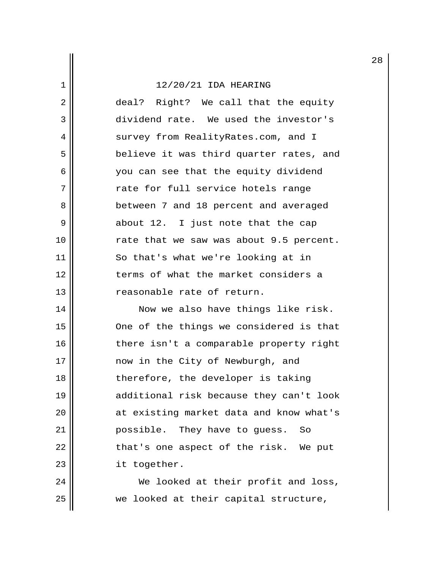2 deal? Right? We call that the equity 3 dividend rate. We used the investor's 4 || survey from RealityRates.com, and I 5 | believe it was third quarter rates, and 6 you can see that the equity dividend 7 || The rate for full service hotels range 8 **between** 7 and 18 percent and averaged 9 about 12. I just note that the cap 10 || rate that we saw was about 9.5 percent. 11 || So that's what we're looking at in 12 terms of what the market considers a 13 || Treasonable rate of return.

14 || Now we also have things like risk. 15 || One of the things we considered is that 16 || there isn't a comparable property right 17 || mow in the City of Newburgh, and 18 || therefore, the developer is taking 19 additional risk because they can't look 20 || at existing market data and know what's 21 || Possible. They have to guess. So  $22$  || that's one aspect of the risk. We put 23 | it together.

24 || We looked at their profit and loss, 25 we looked at their capital structure,

28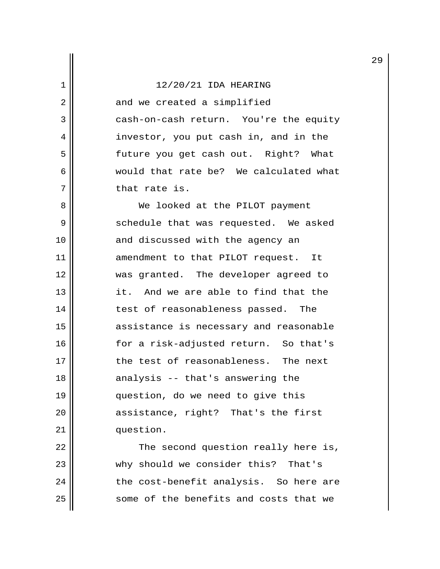$2 \parallel$  and we created a simplified 3 | cash-on-cash return. You're the equity 4 || investor, you put cash in, and in the 5 || future you get cash out. Right? What 6 would that rate be? We calculated what 7 || that rate is.

8 || We looked at the PILOT payment 9 Schedule that was requested. We asked 10 || and discussed with the agency an 11 || amendment to that PILOT request. It 12 was granted. The developer agreed to 13 it. And we are able to find that the 14 || test of reasonableness passed. The 15 assistance is necessary and reasonable 16 || for a risk-adjusted return. So that's 17 the test of reasonableness. The next 18 || analysis -- that's answering the 19 question, do we need to give this 20 || assistance, right? That's the first 21 | question.

 $22$  || The second question really here is, 23 || why should we consider this? That's  $24$  || the cost-benefit analysis. So here are 25 | Some of the benefits and costs that we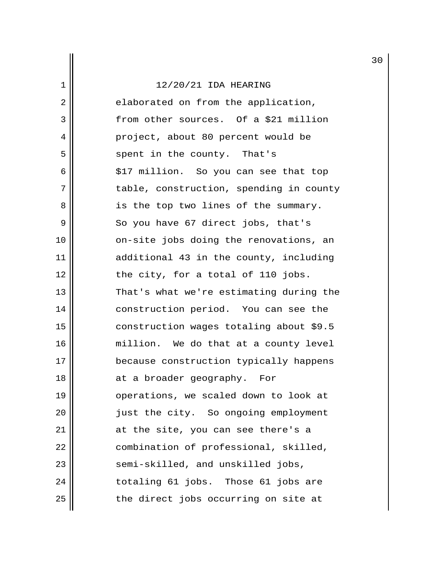|             |                                         | 3 |
|-------------|-----------------------------------------|---|
| $\mathbf 1$ | 12/20/21 IDA HEARING                    |   |
| 2           | elaborated on from the application,     |   |
| 3           | from other sources. Of a \$21 million   |   |
| 4           | project, about 80 percent would be      |   |
| 5           | spent in the county. That's             |   |
| 6           | \$17 million. So you can see that top   |   |
| 7           | table, construction, spending in county |   |
| 8           | is the top two lines of the summary.    |   |
| 9           | So you have 67 direct jobs, that's      |   |
| 10          | on-site jobs doing the renovations, an  |   |
| 11          | additional 43 in the county, including  |   |
| 12          | the city, for a total of 110 jobs.      |   |
| 13          | That's what we're estimating during the |   |
| 14          | construction period. You can see the    |   |
| 15          | construction wages totaling about \$9.5 |   |
| 16          | million. We do that at a county level   |   |
| 17          | because construction typically happens  |   |
| 18          | at a broader geography. For             |   |
| 19          | operations, we scaled down to look at   |   |
| 20          | just the city. So ongoing employment    |   |
| 21          | at the site, you can see there's a      |   |
| 22          | combination of professional, skilled,   |   |
| 23          | semi-skilled, and unskilled jobs,       |   |
| 24          | totaling 61 jobs. Those 61 jobs are     |   |
| 25          | the direct jobs occurring on site at    |   |

30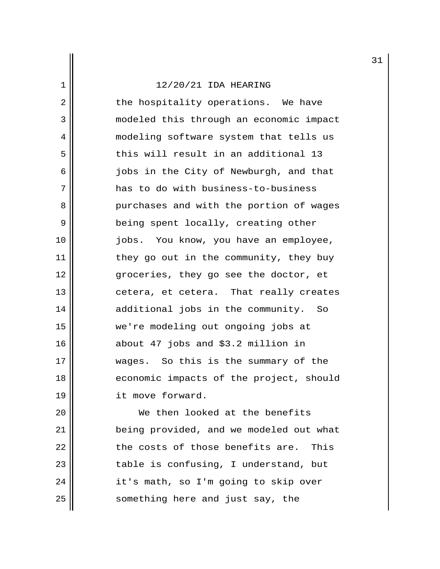2 || the hospitality operations. We have 3 modeled this through an economic impact 4 | modeling software system that tells us  $5$  this will result in an additional 13 6 || jobs in the City of Newburgh, and that 7 || has to do with business-to-business 8 purchases and with the portion of wages 9 || being spent locally, creating other 10 jobs. You know, you have an employee, 11 | they go out in the community, they buy 12 || groceries, they go see the doctor, et 13 || cetera, et cetera. That really creates 14 || additional jobs in the community. So 15 we're modeling out ongoing jobs at 16 about 47 jobs and \$3.2 million in 17 || wages. So this is the summary of the 18 || economic impacts of the project, should 19 || it move forward.

20 || We then looked at the benefits 21 being provided, and we modeled out what  $22$   $\parallel$  the costs of those benefits are. This 23 || table is confusing, I understand, but 24 | it's math, so I'm going to skip over 25 | something here and just say, the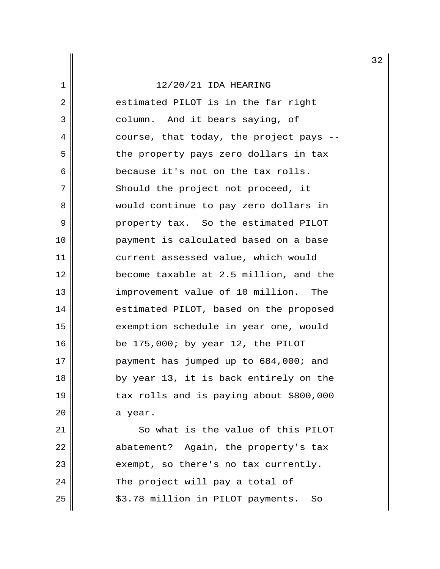2 estimated PILOT is in the far right 3 || column. And it bears saying, of  $4 \parallel$  course, that today, the project pays --5 || the property pays zero dollars in tax 6 because it's not on the tax rolls. 7 || Should the project not proceed, it 8 would continue to pay zero dollars in 9 || Property tax. So the estimated PILOT 10 payment is calculated based on a base 11 current assessed value, which would 12 become taxable at 2.5 million, and the 13 || improvement value of 10 million. The 14 | estimated PILOT, based on the proposed 15 || exemption schedule in year one, would 16 be 175,000; by year 12, the PILOT 17 || payment has jumped up to 684,000; and 18 by year 13, it is back entirely on the 19 || tax rolls and is paying about \$800,000  $20$  a year.

21 | So what is the value of this PILOT 22 | abatement? Again, the property's tax  $23$  || exempt, so there's no tax currently.  $24$  || The project will pay a total of  $25$   $\parallel$   $\frac{25}{10}$   $\frac{1}{20}$   $\frac{25}{10}$   $\frac{25}{10}$   $\frac{25}{10}$   $\frac{25}{10}$   $\frac{25}{10}$   $\frac{25}{10}$   $\frac{25}{10}$   $\frac{25}{10}$   $\frac{25}{10}$   $\frac{25}{10}$   $\frac{25}{10}$   $\frac{25}{10}$   $\frac{25}{10}$   $\frac{25}{10}$   $\frac{25}{10}$   $\frac{25}{1$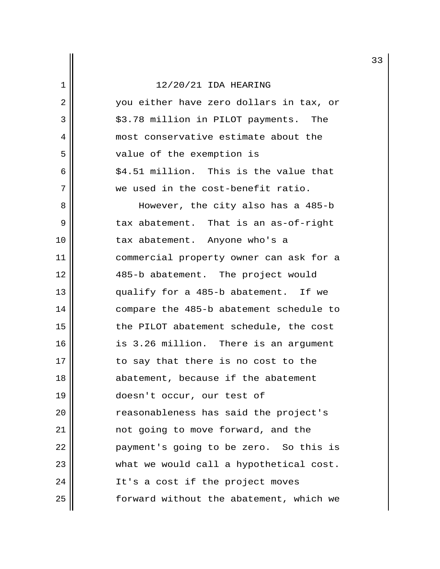### $\frac{1}{1}$  12/20/21 IDA HEARING

| ᅩ  | IZ/ZV/ZI IDA MEARING                    |
|----|-----------------------------------------|
| 2  | you either have zero dollars in tax, or |
| 3  | \$3.78 million in PILOT payments. The   |
| 4  | most conservative estimate about the    |
| 5  | value of the exemption is               |
| 6  | \$4.51 million. This is the value that  |
| 7  | we used in the cost-benefit ratio.      |
| 8  | However, the city also has a 485-b      |
| 9  | tax abatement. That is an as-of-right   |
| 10 | tax abatement. Anyone who's a           |
| 11 | commercial property owner can ask for a |
| 12 | 485-b abatement. The project would      |
| 13 | qualify for a 485-b abatement. If we    |
| 14 | compare the 485-b abatement schedule to |
| 15 | the PILOT abatement schedule, the cost  |
| 16 | is 3.26 million. There is an argument   |
| 17 | to say that there is no cost to the     |
| 18 | abatement, because if the abatement     |
| 19 | doesn't occur, our test of              |
| 20 | reasonableness has said the project's   |
| 21 | not going to move forward, and the      |
| 22 | payment's going to be zero. So this is  |
| 23 | what we would call a hypothetical cost. |
| 24 | It's a cost if the project moves        |
| 25 | forward without the abatement, which we |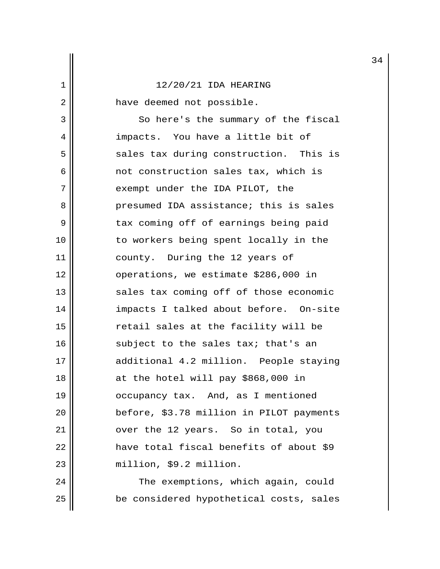2 have deemed not possible.

3 || So here's the summary of the fiscal 4 || impacts. You have a little bit of  $5$  sales tax during construction. This is 6 not construction sales tax, which is 7 || exempt under the IDA PILOT, the 8 presumed IDA assistance; this is sales 9 || tax coming off of earnings being paid 10 || to workers being spent locally in the 11 || county. During the 12 years of 12 operations, we estimate \$286,000 in 13 || sales tax coming off of those economic 14 impacts I talked about before. On-site 15 || The retail sales at the facility will be 16  $\parallel$  subject to the sales tax; that's an 17 || additional 4.2 million. People staying  $18$  || at the hotel will pay \$868,000 in 19 || occupancy tax. And, as I mentioned 20 | before, \$3.78 million in PILOT payments 21 || over the 12 years. So in total, you 22 || Thave total fiscal benefits of about \$9 23 | million, \$9.2 million.

24 | The exemptions, which again, could 25 || be considered hypothetical costs, sales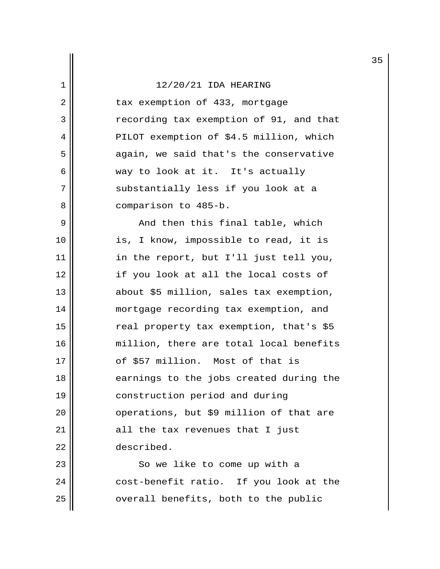2 | tax exemption of 433, mortgage 3 | The recording tax exemption of 91, and that 4 | PILOT exemption of \$4.5 million, which 5 | again, we said that's the conservative 6 way to look at it. It's actually 7 || substantially less if you look at a 8 | comparison to 485-b.

 $9 \parallel$  and then this final table, which 10 || is, I know, impossible to read, it is 11 || in the report, but I'll just tell you, 12 if you look at all the local costs of 13 about \$5 million, sales tax exemption, 14 mortgage recording tax exemption, and 15 || real property tax exemption, that's \$5 16 || million, there are total local benefits 17 || cf \$57 million. Most of that is 18 **e**arnings to the jobs created during the 19 construction period and during 20 | coperations, but \$9 million of that are  $21$  || all the tax revenues that I just 22 described.

23 || So we like to come up with a  $24$  || cost-benefit ratio. If you look at the  $25$   $\parallel$  overall benefits, both to the public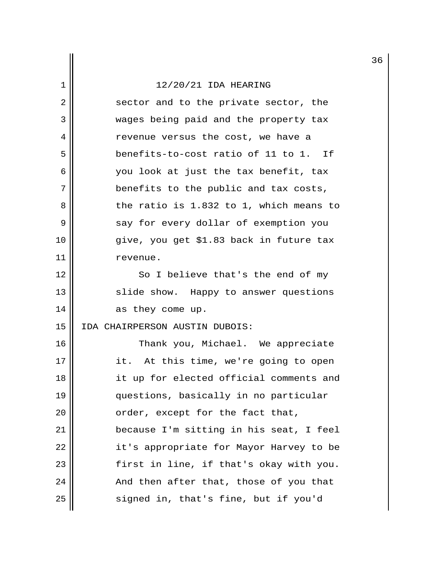2 || sector and to the private sector, the 3 Wages being paid and the property tax 4 revenue versus the cost, we have a 5 benefits-to-cost ratio of 11 to 1. If 6 you look at just the tax benefit, tax 7 || benefits to the public and tax costs,  $8 \parallel$  the ratio is 1.832 to 1, which means to 9 || say for every dollar of exemption you 10 give, you get \$1.83 back in future tax 11 | revenue.

12 || So I believe that's the end of my 13 || slide show. Happy to answer questions 14 || as they come up.

15 IDA CHAIRPERSON AUSTIN DUBOIS:

16 || Thank you, Michael. We appreciate 17 || it. At this time, we're going to open 18 || it up for elected official comments and 19 questions, basically in no particular 20 | crder, except for the fact that, 21 because I'm sitting in his seat, I feel 22 || it's appropriate for Mayor Harvey to be 23 first in line, if that's okay with you.  $24$  || And then after that, those of you that 25 || signed in, that's fine, but if you'd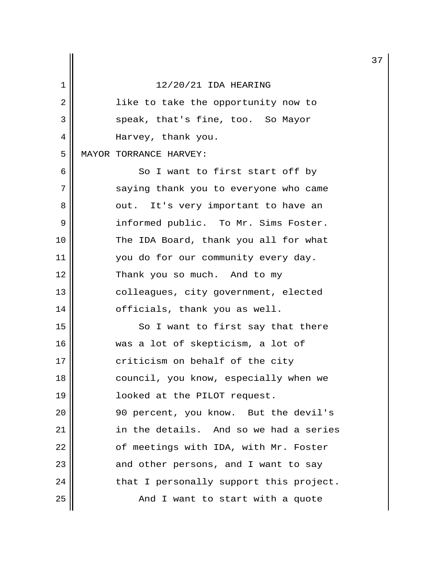|    |                                         | 3 |
|----|-----------------------------------------|---|
| 1  | 12/20/21 IDA HEARING                    |   |
| 2  | like to take the opportunity now to     |   |
| 3  | speak, that's fine, too. So Mayor       |   |
| 4  | Harvey, thank you.                      |   |
| 5  | MAYOR TORRANCE HARVEY:                  |   |
| 6  | So I want to first start off by         |   |
| 7  | saying thank you to everyone who came   |   |
| 8  | out. It's very important to have an     |   |
| 9  | informed public. To Mr. Sims Foster.    |   |
| 10 | The IDA Board, thank you all for what   |   |
| 11 | you do for our community every day.     |   |
| 12 | Thank you so much. And to my            |   |
| 13 | colleagues, city government, elected    |   |
| 14 | officials, thank you as well.           |   |
| 15 | So I want to first say that there       |   |
| 16 | was a lot of skepticism, a lot of       |   |
| 17 | criticism on behalf of the city         |   |
| 18 | council, you know, especially when we   |   |
| 19 | looked at the PILOT request.            |   |
| 20 | 90 percent, you know. But the devil's   |   |
| 21 | in the details. And so we had a series  |   |
| 22 | of meetings with IDA, with Mr. Foster   |   |
| 23 | and other persons, and I want to say    |   |
| 24 | that I personally support this project. |   |
| 25 | And I want to start with a quote        |   |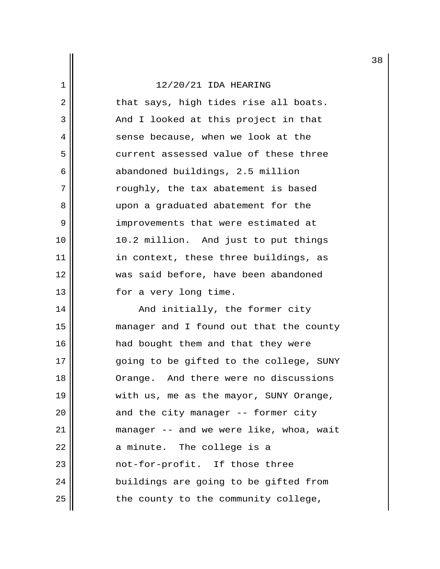2 || that says, high tides rise all boats. 3 || And I looked at this project in that 4 || sense because, when we look at the 5 **6** current assessed value of these three 6 abandoned buildings, 2.5 million 7 || roughly, the tax abatement is based 8 upon a graduated abatement for the 9 || improvements that were estimated at 10 10.2 million. And just to put things 11 || in context, these three buildings, as 12 was said before, have been abandoned 13 || for a very long time.

14 || And initially, the former city 15 manager and I found out that the county 16 || had bought them and that they were 17 || ending to be gifted to the college, SUNY 18 Orange. And there were no discussions 19 || with us, me as the mayor, SUNY Orange,  $20$  || and the city manager -- former city 21 manager -- and we were like, whoa, wait  $22$  || a minute. The college is a 23 || mot-for-profit. If those three 24 || buildings are going to be gifted from  $25$  || the county to the community college,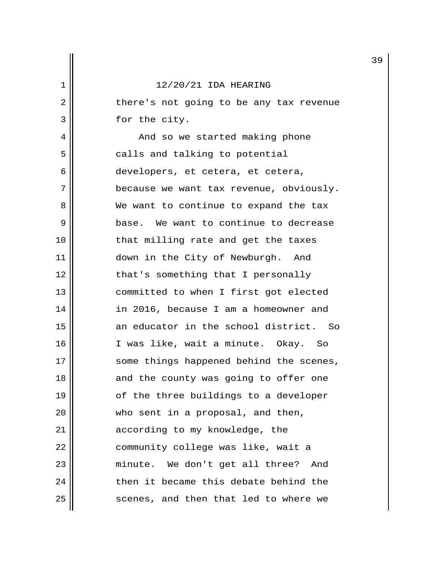2 || there's not going to be any tax revenue 3 || for the city.

 4 And so we started making phone 5 || calls and talking to potential 6 || developers, et cetera, et cetera, 7 || because we want tax revenue, obviously. 8 We want to continue to expand the tax 9 base. We want to continue to decrease 10 || that milling rate and get the taxes 11 || down in the City of Newburgh. And 12 || that's something that I personally 13 || committed to when I first got elected 14 in 2016, because I am a homeowner and 15 an educator in the school district. So 16 || I was like, wait a minute. Okay. So 17 || some things happened behind the scenes, 18 || and the county was going to offer one 19 || of the three buildings to a developer 20 || who sent in a proposal, and then, 21 | according to my knowledge, the 22 | community college was like, wait a 23 || minute. We don't get all three? And  $24$   $\parallel$  then it became this debate behind the 25 || scenes, and then that led to where we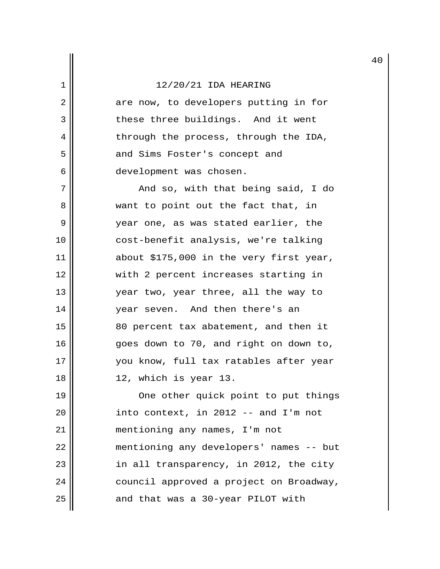2 || are now, to developers putting in for 3 || These three buildings. And it went 4 || through the process, through the IDA, 5 || and Sims Foster's concept and 6 development was chosen.

 7 And so, with that being said, I do 8 want to point out the fact that, in 9 year one, as was stated earlier, the 10 cost-benefit analysis, we're talking 11 about \$175,000 in the very first year, 12 with 2 percent increases starting in 13 year two, year three, all the way to 14 || vear seven. And then there's an 15 80 percent tax abatement, and then it 16 || goes down to 70, and right on down to, 17 you know, full tax ratables after year 18 12, which is year 13.

19 || One other quick point to put things  $20$  || into context, in 2012 -- and I'm not 21 mentioning any names, I'm not 22 mentioning any developers' names -- but 23 || in all transparency, in 2012, the city 24 | council approved a project on Broadway, 25 || and that was a 30-year PILOT with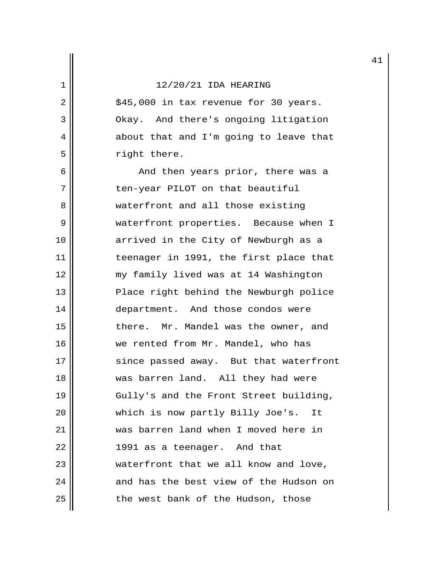$2 \parallel$  \$45,000 in tax revenue for 30 years. 3 | Okay. And there's ongoing litigation 4 about that and I'm going to leave that 5 | Tight there.

6 || And then years prior, there was a 7 || ten-year PILOT on that beautiful 8 || waterfront and all those existing 9 || waterfront properties. Because when I 10 || arrived in the City of Newburgh as a 11 || teenager in 1991, the first place that 12 my family lived was at 14 Washington 13 || Place right behind the Newburgh police 14 || department. And those condos were 15 || there. Mr. Mandel was the owner, and 16 || we rented from Mr. Mandel, who has 17 || since passed away. But that waterfront 18 was barren land. All they had were 19 || Gully's and the Front Street building, 20 || which is now partly Billy Joe's. It 21 was barren land when I moved here in  $22$  ||  $1991$  as a teenager. And that 23 || waterfront that we all know and love,  $24$   $\parallel$  and has the best view of the Hudson on 25 | the west bank of the Hudson, those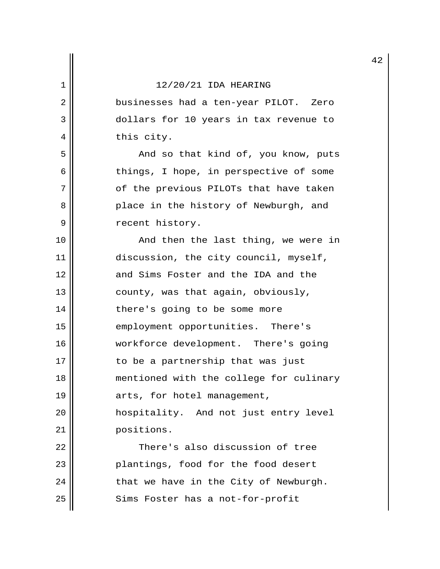2 || businesses had a ten-year PILOT. Zero 3 dollars for 10 years in tax revenue to 4 || this city.

 5 And so that kind of, you know, puts  $6$  | things, I hope, in perspective of some 7 | of the previous PILOTs that have taken 8 || Place in the history of Newburgh, and 9 || Tecent history.

10 || The Rand then the last thing, we were in 11 | discussion, the city council, myself, 12 and Sims Foster and the IDA and the 13  $\parallel$  county, was that again, obviously, 14 || there's going to be some more 15 || employment opportunities. There's 16 | workforce development. There's going 17 || to be a partnership that was just 18 mentioned with the college for culinary 19 | arts, for hotel management, 20 hospitality. And not just entry level 21 | positions. 22 || There's also discussion of tree 23 || Plantings, food for the food desert  $24$  | that we have in the City of Newburgh.

25 || Sims Foster has a not-for-profit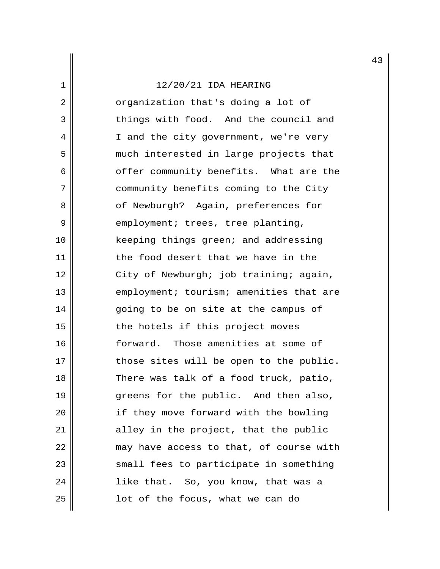2 || crganization that's doing a lot of 3 things with food. And the council and 4 || I and the city government, we're very 5 || much interested in large projects that 6 || offer community benefits. What are the 7 | community benefits coming to the City 8 || cf Newburgh? Again, preferences for 9 || employment; trees, tree planting, 10 || keeping things green; and addressing 11 || the food desert that we have in the 12 || City of Newburgh; job training; again, 13 || employment; tourism; amenities that are 14 || going to be on site at the campus of 15 || the hotels if this project moves 16 || forward. Those amenities at some of  $17$   $\parallel$  those sites will be open to the public. 18 || There was talk of a food truck, patio, 19 greens for the public. And then also, 20 || if they move forward with the bowling 21 | alley in the project, that the public  $22$  || may have access to that, of course with 23 || small fees to participate in something 24 || like that. So, you know, that was a  $25$  ||  $1$  ot of the focus, what we can do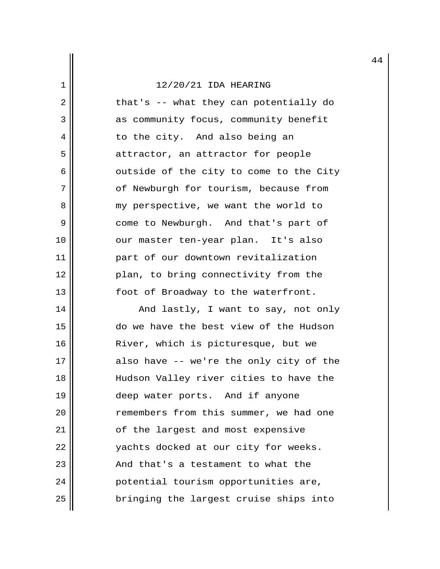$2 \parallel$  that's -- what they can potentially do 3 | as community focus, community benefit 4 || to the city. And also being an 5 || attractor, an attractor for people  $6 \parallel$  outside of the city to come to the City 7 | of Newburgh for tourism, because from 8 || my perspective, we want the world to 9 || come to Newburgh. And that's part of 10 || our master ten-year plan. It's also 11 part of our downtown revitalization 12 || plan, to bring connectivity from the 13 || foot of Broadway to the waterfront.

14 And lastly, I want to say, not only 15 do we have the best view of the Hudson 16 || River, which is picturesque, but we  $17$  || also have -- we're the only city of the 18 || Hudson Valley river cities to have the 19 deep water ports. And if anyone 20 | The remembers from this summer, we had one 21 | of the largest and most expensive 22 | vachts docked at our city for weeks. 23 || The Rand that's a testament to what the 24 || potential tourism opportunities are, 25 bringing the largest cruise ships into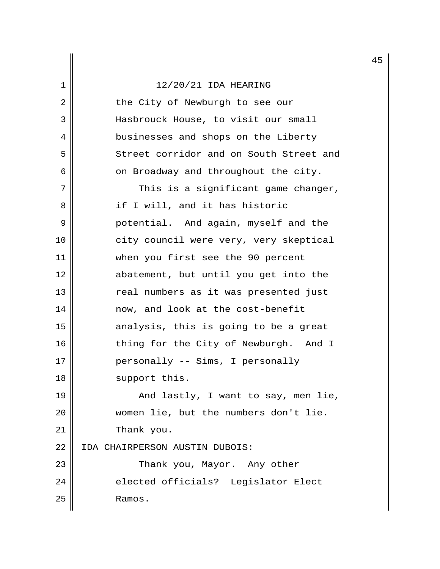| 2  | the City of Newburgh to see our         |
|----|-----------------------------------------|
| 3  | Hasbrouck House, to visit our small     |
| 4  | businesses and shops on the Liberty     |
| 5  | Street corridor and on South Street and |
| 6  | on Broadway and throughout the city.    |
| 7  | This is a significant game changer,     |
| 8  | if I will, and it has historic          |
| 9  | potential. And again, myself and the    |
| 10 | city council were very, very skeptical  |
| 11 | when you first see the 90 percent       |
| 12 | abatement, but until you get into the   |
| 13 | real numbers as it was presented just   |
| 14 | now, and look at the cost-benefit       |
| 15 | analysis, this is going to be a great   |
| 16 | thing for the City of Newburgh. And I   |
| 17 | personally -- Sims, I personally        |
| 18 | support this.                           |
| 19 | And lastly, I want to say, men lie,     |
| 20 | women lie, but the numbers don't lie.   |
| 21 | Thank you.                              |
| 22 | IDA CHAIRPERSON AUSTIN DUBOIS:          |
| 23 | Thank you, Mayor. Any other             |
| 24 | elected officials? Legislator Elect     |
| 25 | Ramos.                                  |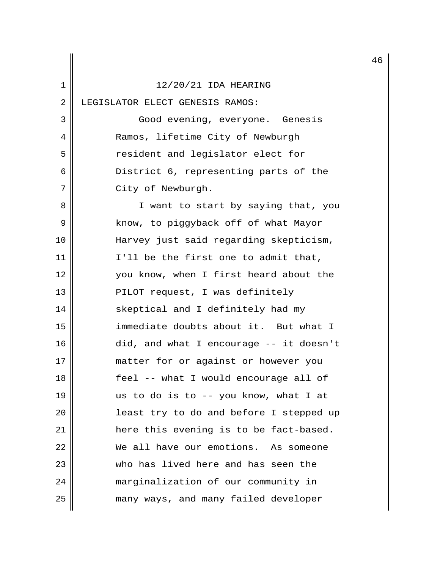|    |                                         | 4 |
|----|-----------------------------------------|---|
| 1  | 12/20/21 IDA HEARING                    |   |
| 2  | LEGISLATOR ELECT GENESIS RAMOS:         |   |
| 3  | Good evening, everyone. Genesis         |   |
| 4  | Ramos, lifetime City of Newburgh        |   |
| 5  | resident and legislator elect for       |   |
| 6  | District 6, representing parts of the   |   |
| 7  | City of Newburgh.                       |   |
| 8  | I want to start by saying that, you     |   |
| 9  | know, to piggyback off of what Mayor    |   |
| 10 | Harvey just said regarding skepticism,  |   |
| 11 | I'll be the first one to admit that,    |   |
| 12 | you know, when I first heard about the  |   |
| 13 | PILOT request, I was definitely         |   |
| 14 | skeptical and I definitely had my       |   |
| 15 | immediate doubts about it. But what I   |   |
| 16 | did, and what I encourage -- it doesn't |   |
| 17 | matter for or against or however you    |   |
| 18 | feel -- what I would encourage all of   |   |
| 19 | us to do is to -- you know, what I at   |   |
| 20 | least try to do and before I stepped up |   |
| 21 | here this evening is to be fact-based.  |   |
| 22 | We all have our emotions. As someone    |   |
| 23 | who has lived here and has seen the     |   |
| 24 | marginalization of our community in     |   |
| 25 | many ways, and many failed developer    |   |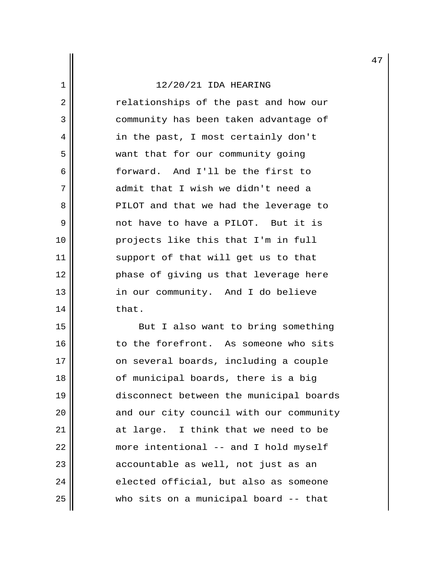2 || The Past and how our 3 || community has been taken advantage of 4 || in the past, I most certainly don't 5 | want that for our community going 6 forward. And I'll be the first to 7 admit that I wish we didn't need a 8 || PILOT and that we had the leverage to 9 not have to have a PILOT. But it is 10 projects like this that I'm in full 11 || support of that will get us to that 12 || Phase of giving us that leverage here 13 || in our community. And I do believe  $14$   $\parallel$  that.

15 || But I also want to bring something 16 | to the forefront. As someone who sits 17 | on several boards, including a couple 18 || of municipal boards, there is a big 19 disconnect between the municipal boards  $20$  || and our city council with our community 21 at large. I think that we need to be 22 | more intentional -- and I hold myself 23 || accountable as well, not just as an  $24$  elected official, but also as someone 25 who sits on a municipal board -- that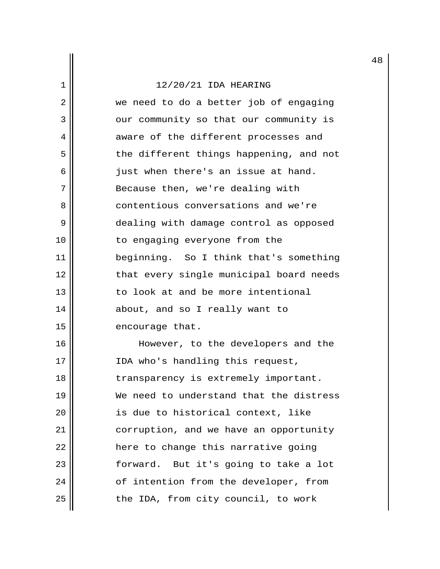2 we need to do a better job of engaging 3 | our community so that our community is 4 || aware of the different processes and 5 || the different things happening, and not  $6 \parallel$  just when there's an issue at hand. 7 Because then, we're dealing with 8 || contentious conversations and we're 9 dealing with damage control as opposed 10 || to engaging everyone from the 11 beginning. So I think that's something 12 || that every single municipal board needs 13  $\parallel$  to look at and be more intentional 14 || about, and so I really want to 15 | encourage that.

16 || However, to the developers and the 17 || IDA who's handling this request, 18 || transparency is extremely important. 19 We need to understand that the distress 20 is due to historical context, like 21 | corruption, and we have an opportunity 22 | here to change this narrative going 23 || forward. But it's going to take a lot 24 | cf intention from the developer, from  $25$  | the IDA, from city council, to work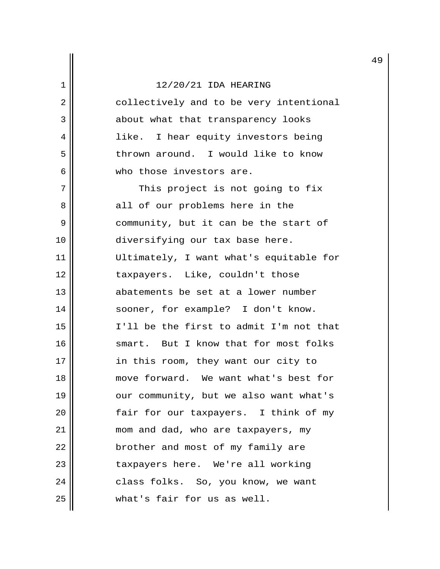2 | collectively and to be very intentional 3 || about what that transparency looks 4 || like. I hear equity investors being 5 thrown around. I would like to know 6 who those investors are.

7 || This project is not going to fix 8 all of our problems here in the 9 || community, but it can be the start of 10 || diversifying our tax base here. 11 Ultimately, I want what's equitable for 12 || taxpayers. Like, couldn't those 13 abatements be set at a lower number 14 || sooner, for example? I don't know. 15 I'll be the first to admit I'm not that 16 || smart. But I know that for most folks 17 || in this room, they want our city to 18 move forward. We want what's best for 19 || our community, but we also want what's 20 | Fair for our taxpayers. I think of my 21 | mom and dad, who are taxpayers, my 22 | brother and most of my family are 23 || taxpayers here. We're all working 24 || class folks. So, you know, we want 25 what's fair for us as well.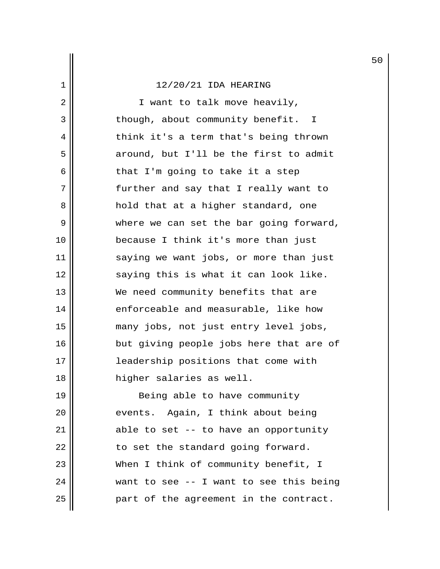2 || I want to talk move heavily, 3 || though, about community benefit. I 4 || think it's a term that's being thrown  $5$  around, but I'll be the first to admit  $6 \parallel$  that I'm going to take it a step 7 further and say that I really want to 8 hold that at a higher standard, one 9 where we can set the bar going forward, 10 because I think it's more than just 11 || saying we want jobs, or more than just 12 || saying this is what it can look like. 13 We need community benefits that are 14 || enforceable and measurable, like how 15 many jobs, not just entry level jobs, 16 || but giving people jobs here that are of 17 leadership positions that come with 18 higher salaries as well. 19 || Being able to have community 20 || events. Again, I think about being 21 | able to set -- to have an opportunity

 || to set the standard going forward. 23 || When I think of community benefit, I || want to see -- I want to see this being || part of the agreement in the contract.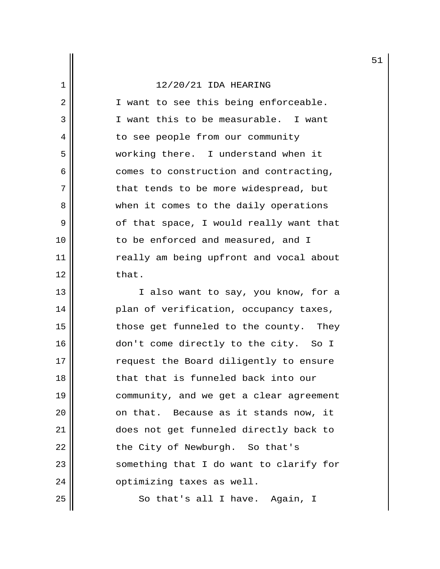2 || I want to see this being enforceable. 3 I want this to be measurable. I want 4 || to see people from our community 5 working there. I understand when it 6 comes to construction and contracting, 7 || that tends to be more widespread, but 8 || when it comes to the daily operations  $9 \parallel$  of that space, I would really want that 10 || to be enforced and measured, and I 11 || really am being upfront and vocal about 12 that.

13 || I also want to say, you know, for a 14 || Plan of verification, occupancy taxes, 15 || those get funneled to the county. They 16 don't come directly to the city. So I 17 || request the Board diligently to ensure 18 decryption that is funneled back into our 19 community, and we get a clear agreement 20 || conthat. Because as it stands now, it 21 does not get funneled directly back to 22 | the City of Newburgh. So that's 23 || something that I do want to clarify for 24 | optimizing taxes as well. 25 || So that's all I have. Again, I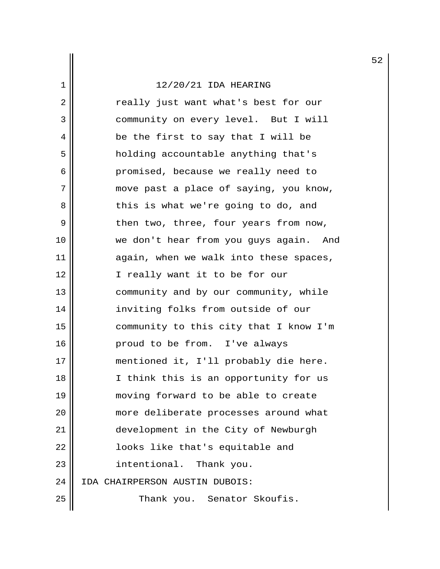2 || The really just want what's best for our 3 || community on every level. But I will 4 || be the first to say that I will be 5 || holding accountable anything that's 6 promised, because we really need to 7 || move past a place of saying, you know, 8 d basis what we're going to do, and  $9 \parallel$  then two, three, four years from now, 10 we don't hear from you guys again. And  $11$  || again, when we walk into these spaces, 12 || I really want it to be for our 13 | community and by our community, while 14 inviting folks from outside of our 15 community to this city that I know I'm 16 proud to be from. I've always 17 mentioned it, I'll probably die here. 18 || I think this is an opportunity for us 19 moving forward to be able to create 20 || more deliberate processes around what 21 development in the City of Newburgh 22 || looks like that's equitable and 23 || intentional. Thank you. 24 IDA CHAIRPERSON AUSTIN DUBOIS: 25 | Thank you. Senator Skoufis.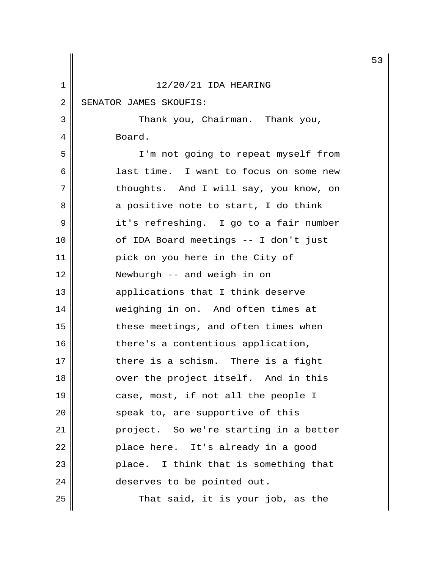|    |                                        | 5 |
|----|----------------------------------------|---|
| 1  | 12/20/21 IDA HEARING                   |   |
| 2  | SENATOR JAMES SKOUFIS:                 |   |
| 3  | Thank you, Chairman. Thank you,        |   |
| 4  | Board.                                 |   |
| 5  | I'm not going to repeat myself from    |   |
| 6  | last time. I want to focus on some new |   |
| 7  | thoughts. And I will say, you know, on |   |
| 8  | a positive note to start, I do think   |   |
| 9  | it's refreshing. I go to a fair number |   |
| 10 | of IDA Board meetings -- I don't just  |   |
| 11 | pick on you here in the City of        |   |
| 12 | Newburgh -- and weigh in on            |   |
| 13 | applications that I think deserve      |   |
| 14 | weighing in on. And often times at     |   |
| 15 | these meetings, and often times when   |   |
| 16 | there's a contentious application,     |   |
| 17 | there is a schism. There is a fight    |   |
| 18 | over the project itself. And in this   |   |
| 19 | case, most, if not all the people I    |   |
| 20 | speak to, are supportive of this       |   |
| 21 | project. So we're starting in a better |   |
| 22 | place here. It's already in a good     |   |
| 23 | place. I think that is something that  |   |
| 24 | deserves to be pointed out.            |   |
| 25 | That said, it is your job, as the      |   |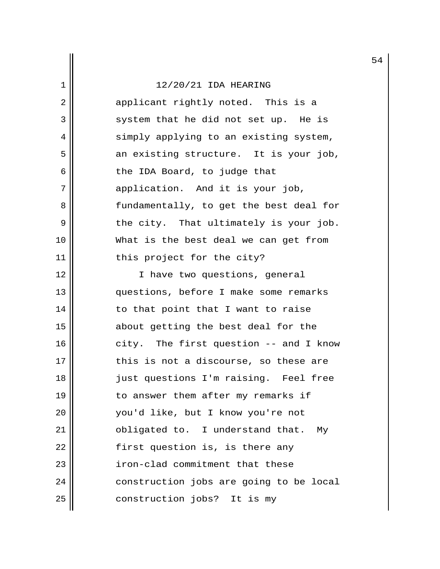|    |                                         | 5 |
|----|-----------------------------------------|---|
| 1  | 12/20/21 IDA HEARING                    |   |
| 2  | applicant rightly noted. This is a      |   |
| 3  | system that he did not set up. He is    |   |
| 4  | simply applying to an existing system,  |   |
| 5  | an existing structure. It is your job,  |   |
| 6  | the IDA Board, to judge that            |   |
| 7  | application. And it is your job,        |   |
| 8  | fundamentally, to get the best deal for |   |
| 9  | the city. That ultimately is your job.  |   |
| 10 | What is the best deal we can get from   |   |
| 11 | this project for the city?              |   |
| 12 | I have two questions, general           |   |
| 13 | questions, before I make some remarks   |   |
| 14 | to that point that I want to raise      |   |
| 15 | about getting the best deal for the     |   |
| 16 | city. The first question -- and I know  |   |
| 17 | this is not a discourse, so these are   |   |
| 18 | just questions I'm raising. Feel free   |   |
| 19 | to answer them after my remarks if      |   |
| 20 | you'd like, but I know you're not       |   |
| 21 | obligated to. I understand that. My     |   |
| 22 | first question is, is there any         |   |
| 23 | iron-clad commitment that these         |   |
| 24 | construction jobs are going to be local |   |

 $25$  construction jobs? It is my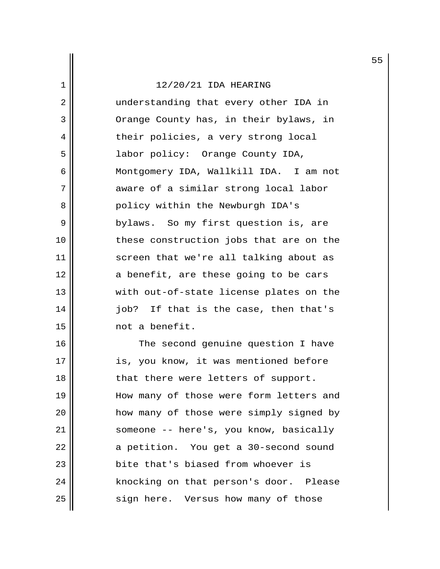2 || understanding that every other IDA in 3 | Orange County has, in their bylaws, in 4 || their policies, a very strong local 5 labor policy: Orange County IDA, 6 Montgomery IDA, Wallkill IDA. I am not 7 aware of a similar strong local labor 8 || Policy within the Newburgh IDA's 9 || bylaws. So my first question is, are 10 || these construction jobs that are on the 11 || screen that we're all talking about as 12 || a benefit, are these going to be cars 13 || with out-of-state license plates on the 14 job? If that is the case, then that's 15 not a benefit.

16 || The second genuine question I have 17 || is, you know, it was mentioned before 18 || that there were letters of support. 19 || How many of those were form letters and 20 || how many of those were simply signed by 21 | someone -- here's, you know, basically 22 | a petition. You get a 30-second sound 23 **bite that's biased from whoever is** 24 | knocking on that person's door. Please 25 | sign here. Versus how many of those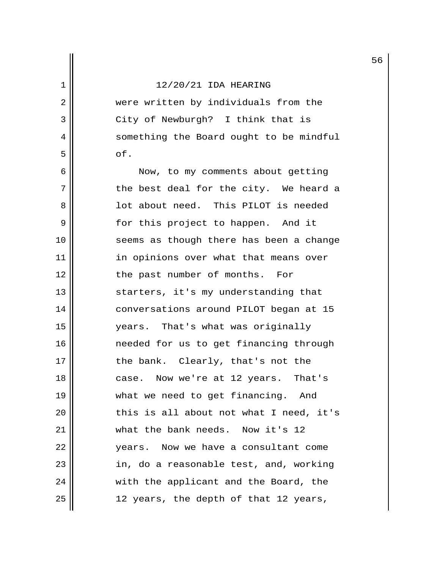2 were written by individuals from the 3 || City of Newburgh? I think that is 4 | something the Board ought to be mindful  $5 \parallel$  of.

6 || Now, to my comments about getting  $7$  || the best deal for the city. We heard a 8 lot about need. This PILOT is needed 9 || for this project to happen. And it 10 || seems as though there has been a change 11 | in opinions over what that means over 12 || the past number of months. For 13 || starters, it's my understanding that 14 conversations around PILOT began at 15 15 years. That's what was originally 16 needed for us to get financing through 17 || the bank. Clearly, that's not the 18 case. Now we're at 12 years. That's 19 || what we need to get financing. And  $20$   $\parallel$  this is all about not what I need, it's 21 | what the bank needs. Now it's 12 22 || vears. Now we have a consultant come 23 || in, do a reasonable test, and, working 24 || with the applicant and the Board, the  $25$  || 12 years, the depth of that 12 years,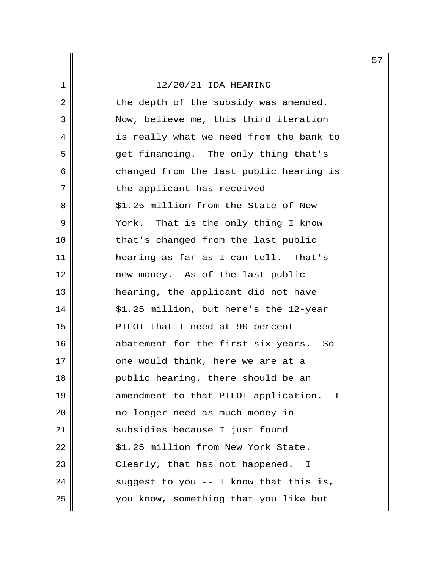$2 \parallel$  the depth of the subsidy was amended. 3 Now, believe me, this third iteration 4 || is really what we need from the bank to 5 get financing. The only thing that's 6 changed from the last public hearing is 7 || the applicant has received 8 || \$1.25 million from the State of New 9 || York. That is the only thing I know 10 || that's changed from the last public 11 hearing as far as I can tell. That's 12 || mew money. As of the last public 13 hearing, the applicant did not have 14 || \$1.25 million, but here's the 12-year 15 || PILOT that I need at 90-percent 16 || abatement for the first six years. So 17 || one would think, here we are at a 18 public hearing, there should be an 19 || amendment to that PILOT application. I 20 no longer need as much money in 21 || subsidies because I just found  $22$  ||  $$1.25$  million from New York State. 23 || Clearly, that has not happened. I 24  $\parallel$  suggest to you -- I know that this is, 25 you know, something that you like but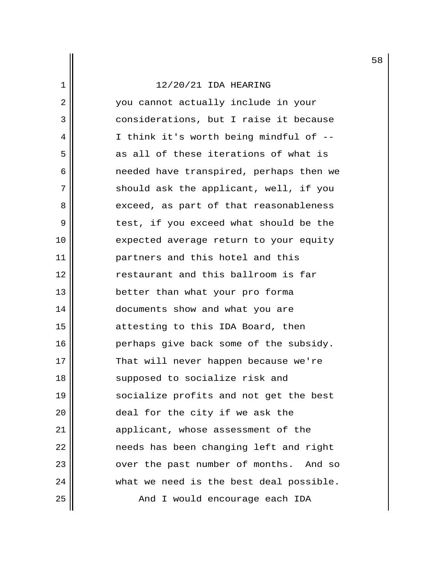2 you cannot actually include in your 3 considerations, but I raise it because 4 I think it's worth being mindful of --  $5$  as all of these iterations of what is 6 needed have transpired, perhaps then we 7 || should ask the applicant, well, if you 8 exceed, as part of that reasonableness 9 || test, if you exceed what should be the 10 || expected average return to your equity 11 partners and this hotel and this 12 **d 12 restaurant and this ballroom is far** 13 better than what your pro forma 14 | documents show and what you are 15 || attesting to this IDA Board, then 16 || Perhaps give back some of the subsidy. 17 || That will never happen because we're 18 || supposed to socialize risk and 19 || socialize profits and not get the best 20 || deal for the city if we ask the 21 applicant, whose assessment of the 22 || The needs has been changing left and right 23 || over the past number of months. And so  $24$   $\parallel$  what we need is the best deal possible. 25 || And I would encourage each IDA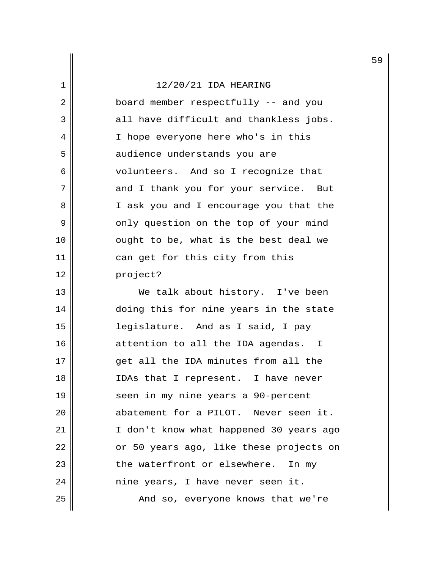| 1  | 12/20/21 IDA HEARING                   |
|----|----------------------------------------|
| 2  | board member respectfully -- and you   |
| 3  | all have difficult and thankless jobs. |
| 4  | I hope everyone here who's in this     |
| 5  | audience understands you are           |
| 6  | volunteers. And so I recognize that    |
| 7  | and I thank you for your service. But  |
| 8  | I ask you and I encourage you that the |
| 9  | only question on the top of your mind  |
| 10 | ought to be, what is the best deal we  |
| 11 | can get for this city from this        |
| 12 | project?                               |

13 || We talk about history. I've been 14 || doing this for nine years in the state 15 legislature. And as I said, I pay 16 attention to all the IDA agendas. I 17 || get all the IDA minutes from all the 18 || IDAs that I represent. I have never 19 || seen in my nine years a 90-percent 20 || abatement for a PILOT. Never seen it. 21 || I don't know what happened 30 years ago  $22$  || or 50 years ago, like these projects on  $23$  || the waterfront or elsewhere. In my 24 nine years, I have never seen it. 25 | And so, everyone knows that we're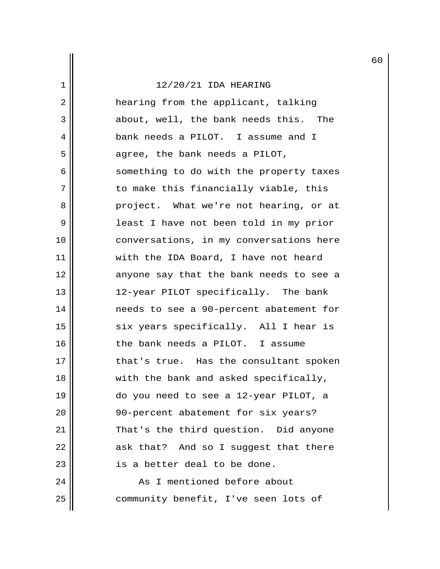2 || **hearing from the applicant, talking** 3 about, well, the bank needs this. The 4 bank needs a PILOT. I assume and I  $5 \parallel$  agree, the bank needs a PILOT, 6 something to do with the property taxes 7 || to make this financially viable, this 8 project. What we're not hearing, or at 9 || least I have not been told in my prior 10 || conversations, in my conversations here 11 || with the IDA Board, I have not heard 12 || anyone say that the bank needs to see a 13 12-year PILOT specifically. The bank 14 needs to see a 90-percent abatement for 15 || six years specifically. All I hear is 16 || the bank needs a PILOT. I assume 17 || that's true. Has the consultant spoken 18 || with the bank and asked specifically, 19 do you need to see a 12-year PILOT, a 20 || 90-percent abatement for six years? 21 || That's the third question. Did anyone  $22$   $\parallel$  ask that? And so I suggest that there 23 || is a better deal to be done. 24 || The Mas I mentioned before about

25 | community benefit, I've seen lots of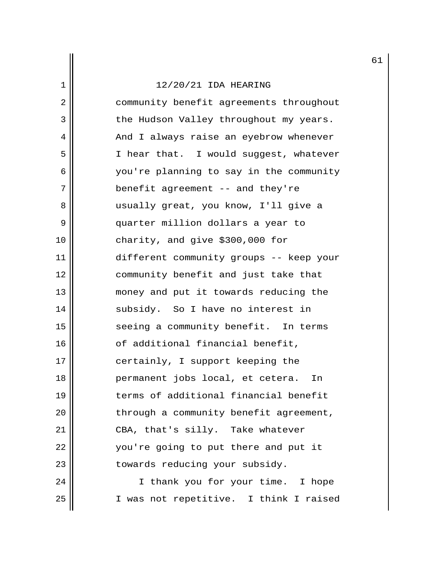2 | community benefit agreements throughout 3 | the Hudson Valley throughout my years. 4 | And I always raise an eyebrow whenever 5 || I hear that. I would suggest, whatever 6 you're planning to say in the community 7 || benefit agreement -- and they're 8 usually great, you know, I'll give a 9 quarter million dollars a year to 10 charity, and give \$300,000 for 11 different community groups -- keep your 12 community benefit and just take that 13 || money and put it towards reducing the 14 || subsidy. So I have no interest in 15 || seeing a community benefit. In terms 16 | cf additional financial benefit, 17 || certainly, I support keeping the 18 permanent jobs local, et cetera. In 19 terms of additional financial benefit 20 || through a community benefit agreement, 21 || CBA, that's silly. Take whatever 22 || vou're going to put there and put it 23 || towards reducing your subsidy. 24 || I thank you for your time. I hope

25 I was not repetitive. I think I raised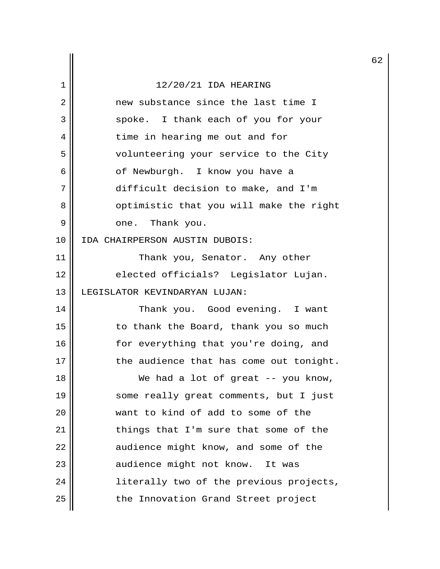|    |                                         | 6 |
|----|-----------------------------------------|---|
| 1  | 12/20/21 IDA HEARING                    |   |
| 2  | new substance since the last time I     |   |
| 3  | spoke. I thank each of you for your     |   |
| 4  | time in hearing me out and for          |   |
| 5  | volunteering your service to the City   |   |
| 6  | of Newburgh. I know you have a          |   |
| 7  | difficult decision to make, and I'm     |   |
| 8  | optimistic that you will make the right |   |
| 9  | one. Thank you.                         |   |
| 10 | IDA CHAIRPERSON AUSTIN DUBOIS:          |   |
| 11 | Thank you, Senator. Any other           |   |
| 12 | elected officials? Legislator Lujan.    |   |
| 13 | LEGISLATOR KEVINDARYAN LUJAN:           |   |
| 14 | Thank you. Good evening. I want         |   |
| 15 | to thank the Board, thank you so much   |   |
| 16 | for everything that you're doing, and   |   |
| 17 | the audience that has come out tonight. |   |
| 18 | We had a lot of great -- you know,      |   |
| 19 | some really great comments, but I just  |   |
| 20 | want to kind of add to some of the      |   |
| 21 | things that I'm sure that some of the   |   |
| 22 | audience might know, and some of the    |   |
| 23 | audience might not know. It was         |   |
| 24 | literally two of the previous projects, |   |
| 25 | the Innovation Grand Street project     |   |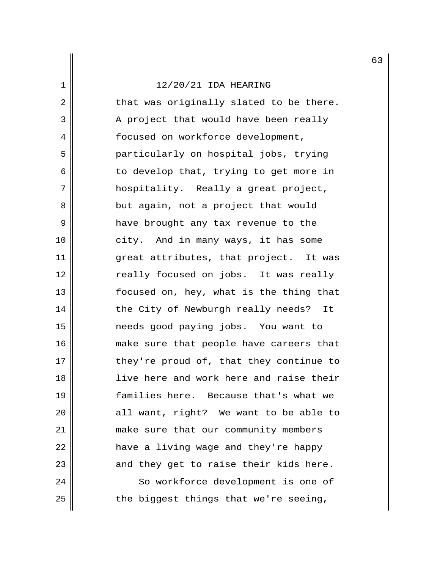$2 \parallel$  that was originally slated to be there.  $3$  |  $\blacksquare$  A project that would have been really 4 | focused on workforce development, 5 particularly on hospital jobs, trying  $6 \parallel$  to develop that, trying to get more in 7 || hospitality. Really a great project, 8 || but again, not a project that would 9 have brought any tax revenue to the 10 || city. And in many ways, it has some 11 || great attributes, that project. It was 12 || Treally focused on jobs. It was really 13 || focused on, hey, what is the thing that 14 || the City of Newburgh really needs? It 15 needs good paying jobs. You want to 16 || make sure that people have careers that  $17$   $\parallel$  they're proud of, that they continue to 18 live here and work here and raise their 19 families here. Because that's what we 20 || all want, right? We want to be able to 21 make sure that our community members  $22$  || have a living wage and they're happy  $23$   $\parallel$  and they get to raise their kids here. 24 | So workforce development is one of

 $25$  | the biggest things that we're seeing,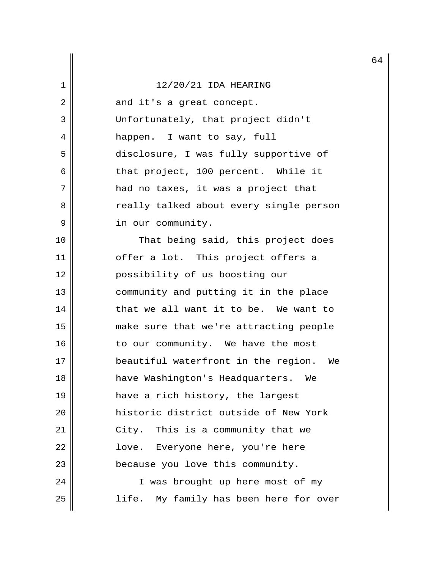|    |                                           | 6 |
|----|-------------------------------------------|---|
| 1  | 12/20/21 IDA HEARING                      |   |
| 2  | and it's a great concept.                 |   |
| 3  | Unfortunately, that project didn't        |   |
| 4  | happen. I want to say, full               |   |
| 5  | disclosure, I was fully supportive of     |   |
| 6  | that project, 100 percent. While it       |   |
| 7  | had no taxes, it was a project that       |   |
| 8  | really talked about every single person   |   |
| 9  | in our community.                         |   |
| 10 | That being said, this project does        |   |
| 11 | offer a lot. This project offers a        |   |
| 12 | possibility of us boosting our            |   |
| 13 | community and putting it in the place     |   |
| 14 | that we all want it to be. We want to     |   |
| 15 | make sure that we're attracting people    |   |
| 16 | to our community. We have the most        |   |
| 17 | beautiful waterfront in the region.<br>We |   |
| 18 | have Washington's Headquarters.<br>We     |   |
| 19 | have a rich history, the largest          |   |
| 20 | historic district outside of New York     |   |
| 21 | City. This is a community that we         |   |
| 22 | love. Everyone here, you're here          |   |
| 23 | because you love this community.          |   |
| 24 | I was brought up here most of my          |   |
| 25 | life. My family has been here for over    |   |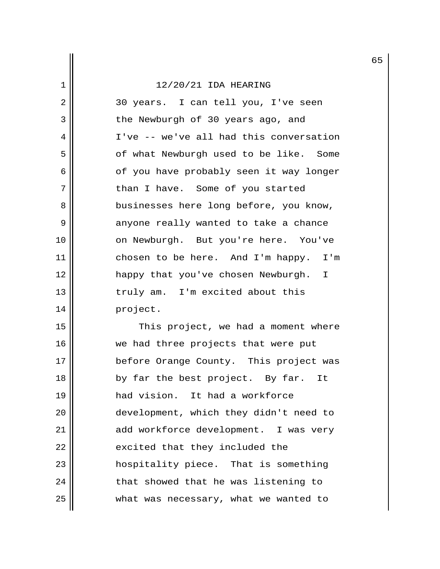2 || 30 years. I can tell you, I've seen 3 || the Newburgh of 30 years ago, and 4 I've -- we've all had this conversation 5 | cf what Newburgh used to be like. Some 6 | Oct you have probably seen it way longer 7 || than I have. Some of you started 8 || businesses here long before, you know, 9 || anyone really wanted to take a chance 10 || on Newburgh. But you're here. You've 11 || chosen to be here. And I'm happy. I'm 12 happy that you've chosen Newburgh. I 13 truly am. I'm excited about this 14 || project.

15 || This project, we had a moment where 16 || we had three projects that were put 17 || before Orange County. This project was 18 || by far the best project. By far. It 19 had vision. It had a workforce 20 development, which they didn't need to 21 | add workforce development. I was very  $22$  || excited that they included the 23 hospitality piece. That is something  $24$  || that showed that he was listening to 25 | what was necessary, what we wanted to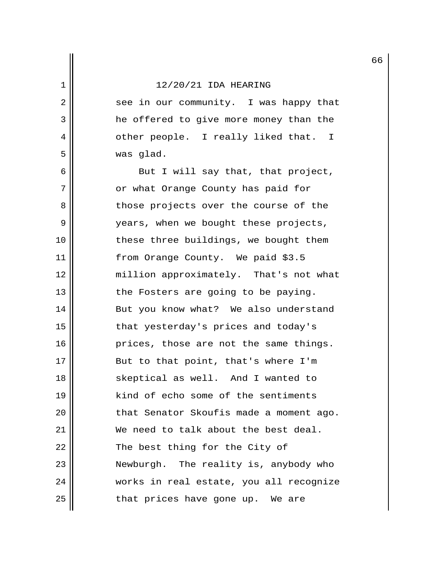2 || see in our community. I was happy that 3 a he offered to give more money than the 4 || other people. I really liked that. I 5 was glad.

 $6 \parallel$  But I will say that, that project, 7 || or what Orange County has paid for 8 || Those projects over the course of the 9 || vears, when we bought these projects, 10 || these three buildings, we bought them 11 from Orange County. We paid \$3.5 12 million approximately. That's not what  $13$  || the Fosters are going to be paying. 14 But you know what? We also understand 15 || that yesterday's prices and today's  $16$  || prices, those are not the same things. 17 || But to that point, that's where I'm 18 || Skeptical as well. And I wanted to 19 || kind of echo some of the sentiments 20 || that Senator Skoufis made a moment ago. 21 We need to talk about the best deal. 22 || The best thing for the City of 23 Newburgh. The reality is, anybody who 24 | works in real estate, you all recognize  $25$   $\parallel$  that prices have gone up. We are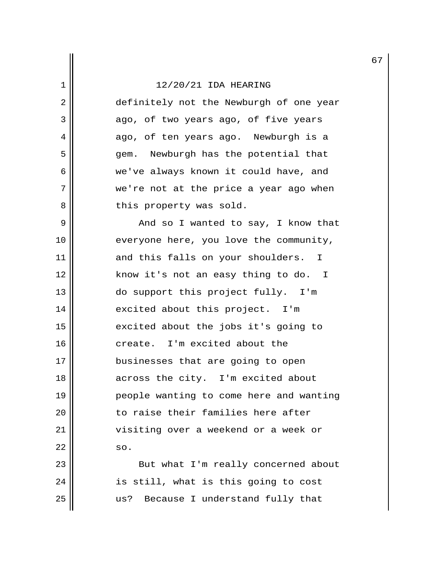2 || definitely not the Newburgh of one year  $3 \parallel$  ago, of two years ago, of five years 4 ago, of ten years ago. Newburgh is a 5 gem. Newburgh has the potential that 6 we've always known it could have, and 7 we're not at the price a year ago when 8 || this property was sold.

 9 And so I wanted to say, I know that 10 || everyone here, you love the community, 11 and this falls on your shoulders. I 12 || know it's not an easy thing to do. I 13 || do support this project fully. I'm 14 || excited about this project. I'm 15 || excited about the jobs it's going to 16 create. I'm excited about the 17 || businesses that are going to open 18 || across the city. I'm excited about 19 people wanting to come here and wanting 20  $\parallel$  to raise their families here after 21 || visiting over a weekend or a week or  $22$  so.

23 || But what I'm really concerned about  $24$  || is still, what is this going to cost 25 || us? Because I understand fully that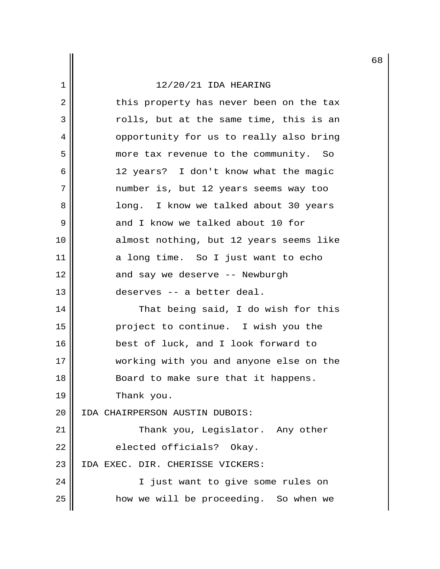2 || this property has never been on the tax  $3 \parallel$  rolls, but at the same time, this is an 4 | Opportunity for us to really also bring 5 | more tax revenue to the community. So 6 12 years? I don't know what the magic 7 number is, but 12 years seems way too 8 long. I know we talked about 30 years 9 || and I know we talked about 10 for 10 almost nothing, but 12 years seems like 11 a long time. So I just want to echo 12 || and say we deserve -- Newburgh 13 deserves -- a better deal. 14 That being said, I do wish for this 15 || project to continue. I wish you the 16 || best of luck, and I look forward to 17 Working with you and anyone else on the 18 || Board to make sure that it happens. 19 Thank you. 20 IDA CHAIRPERSON AUSTIN DUBOIS: 21 Thank you, Legislator. Any other  $22$  || elected officials? Okay. 23 IDA EXEC. DIR. CHERISSE VICKERS: 24 || I just want to give some rules on 25 | how we will be proceeding. So when we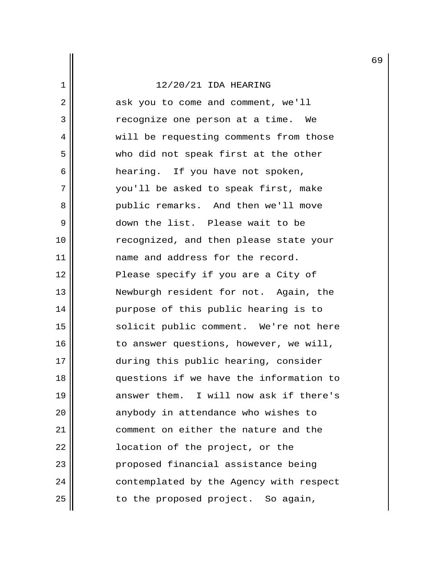2 || ask you to come and comment, we'll 3 || The recognize one person at a time. We 4 | will be requesting comments from those 5 who did not speak first at the other 6 || hearing. If you have not spoken, 7 you'll be asked to speak first, make 8 || Public remarks. And then we'll move 9 down the list. Please wait to be 10 || recognized, and then please state your 11 name and address for the record. 12 || Please specify if you are a City of 13 || Newburgh resident for not. Again, the 14 || purpose of this public hearing is to 15 || solicit public comment. We're not here  $16$  || to answer questions, however, we will, 17 || during this public hearing, consider 18 questions if we have the information to 19 || answer them. I will now ask if there's 20 || anybody in attendance who wishes to 21 || comment on either the nature and the 22 || cation of the project, or the 23 || Proposed financial assistance being 24 | contemplated by the Agency with respect  $25$  || to the proposed project. So again,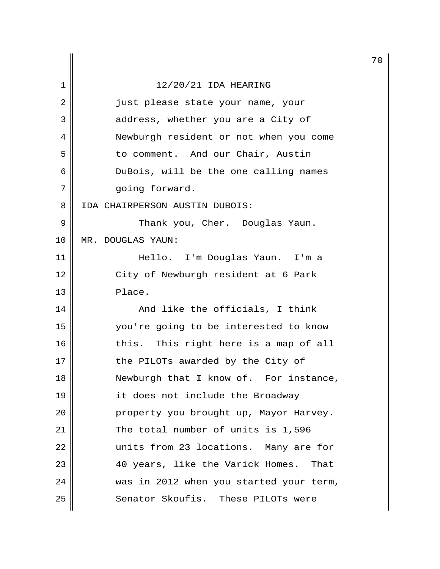|    |                                         | 7 |
|----|-----------------------------------------|---|
| 1  | 12/20/21 IDA HEARING                    |   |
| 2  | just please state your name, your       |   |
| 3  | address, whether you are a City of      |   |
| 4  | Newburgh resident or not when you come  |   |
| 5  | to comment. And our Chair, Austin       |   |
| 6  | DuBois, will be the one calling names   |   |
| 7  | going forward.                          |   |
| 8  | IDA CHAIRPERSON AUSTIN DUBOIS:          |   |
| 9  | Thank you, Cher. Douglas Yaun.          |   |
| 10 | MR. DOUGLAS YAUN:                       |   |
| 11 | Hello. I'm Douglas Yaun. I'm a          |   |
| 12 | City of Newburgh resident at 6 Park     |   |
| 13 | Place.                                  |   |
| 14 | And like the officials, I think         |   |
| 15 | you're going to be interested to know   |   |
| 16 | this. This right here is a map of all   |   |
| 17 | the PILOTs awarded by the City of       |   |
| 18 | Newburgh that I know of. For instance,  |   |
| 19 | it does not include the Broadway        |   |
| 20 | property you brought up, Mayor Harvey.  |   |
| 21 | The total number of units is 1,596      |   |
| 22 | units from 23 locations. Many are for   |   |
| 23 | 40 years, like the Varick Homes. That   |   |
| 24 | was in 2012 when you started your term, |   |
| 25 | Senator Skoufis. These PILOTs were      |   |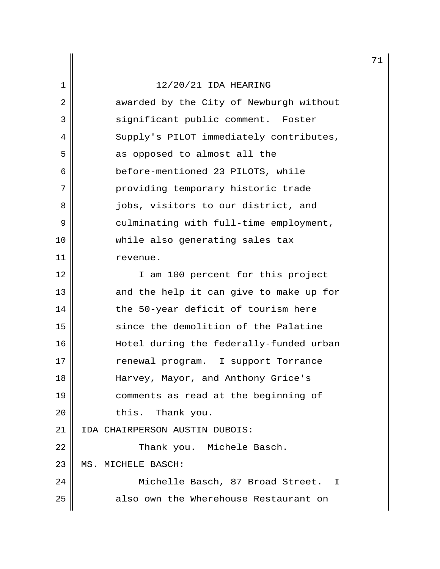|                |                                         | 7 |
|----------------|-----------------------------------------|---|
| 1              | 12/20/21 IDA HEARING                    |   |
| $\overline{2}$ | awarded by the City of Newburgh without |   |
| 3              | significant public comment. Foster      |   |
| 4              | Supply's PILOT immediately contributes, |   |
| 5              | as opposed to almost all the            |   |
| 6              | before-mentioned 23 PILOTS, while       |   |
| 7              | providing temporary historic trade      |   |
| 8              | jobs, visitors to our district, and     |   |
| 9              | culminating with full-time employment,  |   |
| 10             | while also generating sales tax         |   |
| 11             | revenue.                                |   |
| 12             | I am 100 percent for this project       |   |
| 13             | and the help it can give to make up for |   |
| 14             | the 50-year deficit of tourism here     |   |
| 15             | since the demolition of the Palatine    |   |
| 16             | Hotel during the federally-funded urban |   |
| 17             | renewal program. I support Torrance     |   |
| 18             | Harvey, Mayor, and Anthony Grice's      |   |
| 19             | comments as read at the beginning of    |   |
| 20             | this. Thank you.                        |   |
| 21             | IDA CHAIRPERSON AUSTIN DUBOIS:          |   |
| 22             | Thank you. Michele Basch.               |   |
| 23             | MS. MICHELE BASCH:                      |   |
| 24             | Michelle Basch, 87 Broad Street. I      |   |
| 25             | also own the Wherehouse Restaurant on   |   |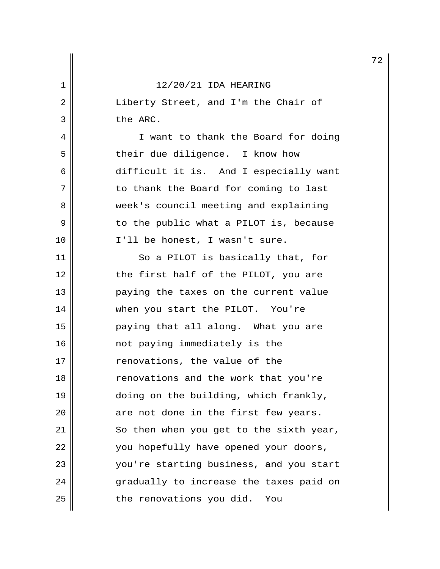2 || Liberty Street, and I'm the Chair of 3 the ARC.

4 | I want to thank the Board for doing 5 || their due diligence. I know how 6 difficult it is. And I especially want 7 || to thank the Board for coming to last 8 week's council meeting and explaining 9 || The public what a PILOT is, because 10 || I'll be honest, I wasn't sure.

11 || So a PILOT is basically that, for 12 || the first half of the PILOT, you are 13 paying the taxes on the current value 14 when you start the PILOT. You're 15 paying that all along. What you are 16 not paying immediately is the 17 || renovations, the value of the 18 || renovations and the work that you're 19 || doing on the building, which frankly,  $20$  || are not done in the first few years.  $21$  So then when you get to the sixth year, 22 | vou hopefully have opened your doors, 23 || vou're starting business, and you start 24 || gradually to increase the taxes paid on  $25$  | the renovations you did. You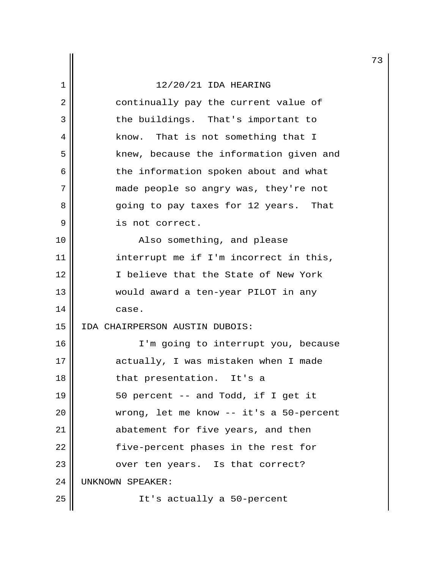# $\begin{array}{c|c} 1 & 12/20/21 & \text{IDA HERING} \end{array}$

| 2  | continually pay the current value of    |
|----|-----------------------------------------|
| 3  | the buildings. That's important to      |
| 4  | know. That is not something that I      |
| 5  | knew, because the information given and |
| 6  | the information spoken about and what   |
| 7  | made people so angry was, they're not   |
| 8  | going to pay taxes for 12 years. That   |
| 9  | is not correct.                         |
| 10 | Also something, and please              |
| 11 | interrupt me if I'm incorrect in this,  |
| 12 | I believe that the State of New York    |
| 13 | would award a ten-year PILOT in any     |
| 14 | case.                                   |
| 15 | IDA CHAIRPERSON AUSTIN DUBOIS:          |
| 16 | I'm going to interrupt you, because     |
| 17 | actually, I was mistaken when I made    |
| 18 | that presentation. It's a               |
| 19 | 50 percent -- and Todd, if I get it     |
| 20 | wrong, let me know -- it's a 50-percent |
| 21 | abatement for five years, and then      |
| 22 | five-percent phases in the rest for     |
| 23 | over ten years. Is that correct?        |
| 24 | UNKNOWN SPEAKER:                        |
| 25 | It's actually a 50-percent              |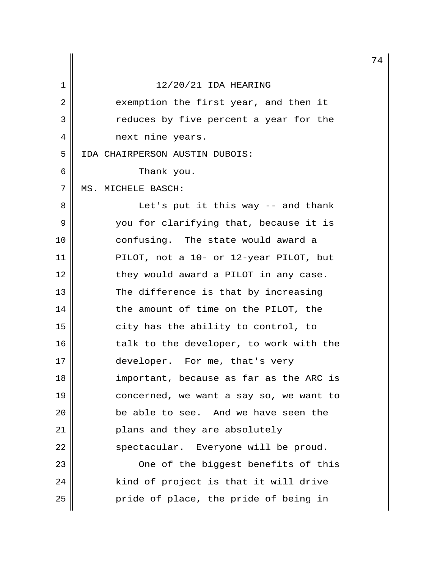| 12/20/21 IDA HEARING<br>1<br>2<br>exemption the first year, and then it<br>3<br>reduces by five percent a year for the<br>4<br>next nine years.<br>5<br>IDA CHAIRPERSON AUSTIN DUBOIS:<br>6<br>Thank you.<br>7<br>MS. MICHELE BASCH:<br>8<br>Let's put it this way $-$ and thank<br>9<br>you for clarifying that, because it is<br>10<br>confusing. The state would award a<br>11<br>PILOT, not a 10- or 12-year PILOT, but<br>12<br>they would award a PILOT in any case.<br>13<br>The difference is that by increasing<br>the amount of time on the PILOT, the<br>14<br>15<br>city has the ability to control, to<br>16<br>talk to the developer, to work with the<br>17<br>developer. For me, that's very<br>18<br>important, because as far as the ARC is<br>19<br>concerned, we want a say so, we want to<br>20<br>be able to see. And we have seen the<br>21<br>plans and they are absolutely<br>22<br>spectacular. Everyone will be proud.<br>23<br>One of the biggest benefits of this<br>24<br>kind of project is that it will drive<br>25<br>pride of place, the pride of being in |  | 7 |
|----------------------------------------------------------------------------------------------------------------------------------------------------------------------------------------------------------------------------------------------------------------------------------------------------------------------------------------------------------------------------------------------------------------------------------------------------------------------------------------------------------------------------------------------------------------------------------------------------------------------------------------------------------------------------------------------------------------------------------------------------------------------------------------------------------------------------------------------------------------------------------------------------------------------------------------------------------------------------------------------------------------------------------------------------------------------------------------------|--|---|
|                                                                                                                                                                                                                                                                                                                                                                                                                                                                                                                                                                                                                                                                                                                                                                                                                                                                                                                                                                                                                                                                                              |  |   |
|                                                                                                                                                                                                                                                                                                                                                                                                                                                                                                                                                                                                                                                                                                                                                                                                                                                                                                                                                                                                                                                                                              |  |   |
|                                                                                                                                                                                                                                                                                                                                                                                                                                                                                                                                                                                                                                                                                                                                                                                                                                                                                                                                                                                                                                                                                              |  |   |
|                                                                                                                                                                                                                                                                                                                                                                                                                                                                                                                                                                                                                                                                                                                                                                                                                                                                                                                                                                                                                                                                                              |  |   |
|                                                                                                                                                                                                                                                                                                                                                                                                                                                                                                                                                                                                                                                                                                                                                                                                                                                                                                                                                                                                                                                                                              |  |   |
|                                                                                                                                                                                                                                                                                                                                                                                                                                                                                                                                                                                                                                                                                                                                                                                                                                                                                                                                                                                                                                                                                              |  |   |
|                                                                                                                                                                                                                                                                                                                                                                                                                                                                                                                                                                                                                                                                                                                                                                                                                                                                                                                                                                                                                                                                                              |  |   |
|                                                                                                                                                                                                                                                                                                                                                                                                                                                                                                                                                                                                                                                                                                                                                                                                                                                                                                                                                                                                                                                                                              |  |   |
|                                                                                                                                                                                                                                                                                                                                                                                                                                                                                                                                                                                                                                                                                                                                                                                                                                                                                                                                                                                                                                                                                              |  |   |
|                                                                                                                                                                                                                                                                                                                                                                                                                                                                                                                                                                                                                                                                                                                                                                                                                                                                                                                                                                                                                                                                                              |  |   |
|                                                                                                                                                                                                                                                                                                                                                                                                                                                                                                                                                                                                                                                                                                                                                                                                                                                                                                                                                                                                                                                                                              |  |   |
|                                                                                                                                                                                                                                                                                                                                                                                                                                                                                                                                                                                                                                                                                                                                                                                                                                                                                                                                                                                                                                                                                              |  |   |
|                                                                                                                                                                                                                                                                                                                                                                                                                                                                                                                                                                                                                                                                                                                                                                                                                                                                                                                                                                                                                                                                                              |  |   |
|                                                                                                                                                                                                                                                                                                                                                                                                                                                                                                                                                                                                                                                                                                                                                                                                                                                                                                                                                                                                                                                                                              |  |   |
|                                                                                                                                                                                                                                                                                                                                                                                                                                                                                                                                                                                                                                                                                                                                                                                                                                                                                                                                                                                                                                                                                              |  |   |
|                                                                                                                                                                                                                                                                                                                                                                                                                                                                                                                                                                                                                                                                                                                                                                                                                                                                                                                                                                                                                                                                                              |  |   |
|                                                                                                                                                                                                                                                                                                                                                                                                                                                                                                                                                                                                                                                                                                                                                                                                                                                                                                                                                                                                                                                                                              |  |   |
|                                                                                                                                                                                                                                                                                                                                                                                                                                                                                                                                                                                                                                                                                                                                                                                                                                                                                                                                                                                                                                                                                              |  |   |
|                                                                                                                                                                                                                                                                                                                                                                                                                                                                                                                                                                                                                                                                                                                                                                                                                                                                                                                                                                                                                                                                                              |  |   |
|                                                                                                                                                                                                                                                                                                                                                                                                                                                                                                                                                                                                                                                                                                                                                                                                                                                                                                                                                                                                                                                                                              |  |   |
|                                                                                                                                                                                                                                                                                                                                                                                                                                                                                                                                                                                                                                                                                                                                                                                                                                                                                                                                                                                                                                                                                              |  |   |
|                                                                                                                                                                                                                                                                                                                                                                                                                                                                                                                                                                                                                                                                                                                                                                                                                                                                                                                                                                                                                                                                                              |  |   |
|                                                                                                                                                                                                                                                                                                                                                                                                                                                                                                                                                                                                                                                                                                                                                                                                                                                                                                                                                                                                                                                                                              |  |   |
|                                                                                                                                                                                                                                                                                                                                                                                                                                                                                                                                                                                                                                                                                                                                                                                                                                                                                                                                                                                                                                                                                              |  |   |
|                                                                                                                                                                                                                                                                                                                                                                                                                                                                                                                                                                                                                                                                                                                                                                                                                                                                                                                                                                                                                                                                                              |  |   |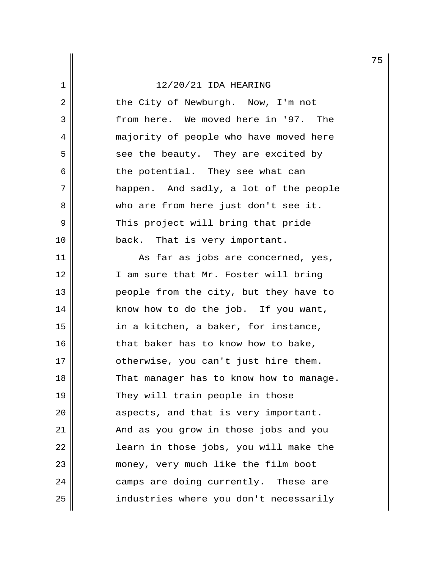2 || the City of Newburgh. Now, I'm not 3 from here. We moved here in '97. The 4 | majority of people who have moved here  $5$  see the beauty. They are excited by  $6 \parallel$  the potential. They see what can 7 || happen. And sadly, a lot of the people 8 who are from here just don't see it. 9 || This project will bring that pride 10 || back. That is very important.

 $11$   $\parallel$  As far as jobs are concerned, yes, 12 || I am sure that Mr. Foster will bring 13 || people from the city, but they have to 14 | know how to do the job. If you want, 15 || in a kitchen, a baker, for instance,  $16$  || that baker has to know how to bake, 17 || otherwise, you can't just hire them. 18 || That manager has to know how to manage. 19 || They will train people in those 20 || aspects, and that is very important. 21 || And as you grow in those jobs and you 22 || learn in those jobs, you will make the 23 money, very much like the film boot 24 camps are doing currently. These are 25 | industries where you don't necessarily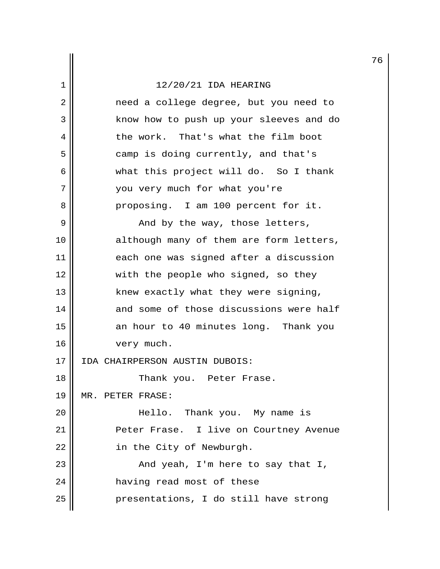2 || meed a college degree, but you need to 3 | know how to push up your sleeves and do 4 the work. That's what the film boot 5 || camp is doing currently, and that's 6 what this project will do. So I thank 7 || You very much for what you're 8 || Proposing. I am 100 percent for it.  $9 \parallel$  and by the way, those letters, 10 || although many of them are form letters, 11 each one was signed after a discussion 12 || with the people who signed, so they 13 || knew exactly what they were signing, 14 and some of those discussions were half 15 || an hour to 40 minutes long. Thank you 16 | very much. 17 IDA CHAIRPERSON AUSTIN DUBOIS: 18 || Thank you. Peter Frase. 19 MR. PETER FRASE: 20 Hello. Thank you. My name is 21 Peter Frase. I live on Courtney Avenue 22 | in the City of Newburgh. 23 || And yeah, I'm here to say that I, 24 | having read most of these 25 presentations, I do still have strong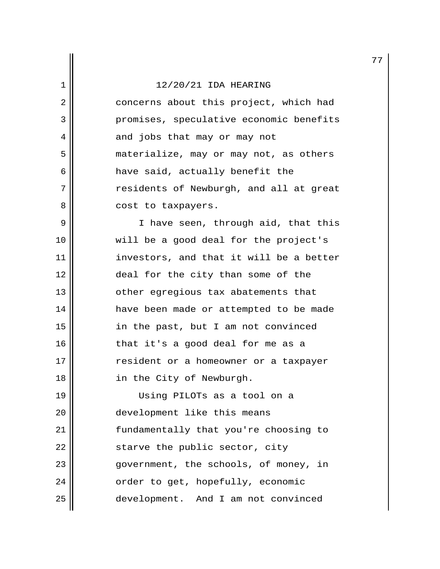2 | concerns about this project, which had 3 promises, speculative economic benefits 4 || and jobs that may or may not 5 | materialize, may or may not, as others 6 || have said, actually benefit the 7 || The Passidents of Newburgh, and all at great 8 || cost to taxpayers.

9 || Thave seen, through aid, that this 10 will be a good deal for the project's 11 || investors, and that it will be a better 12 || deal for the city than some of the 13 || other egregious tax abatements that 14 have been made or attempted to be made 15 in the past, but I am not convinced 16 || that it's a good deal for me as a 17 || resident or a homeowner or a taxpayer 18 || in the City of Newburgh.

19 Using PILOTs as a tool on a 20 | development like this means 21 fundamentally that you're choosing to  $22$   $\parallel$  starve the public sector, city 23 government, the schools, of money, in 24 | crder to get, hopefully, economic 25 development. And I am not convinced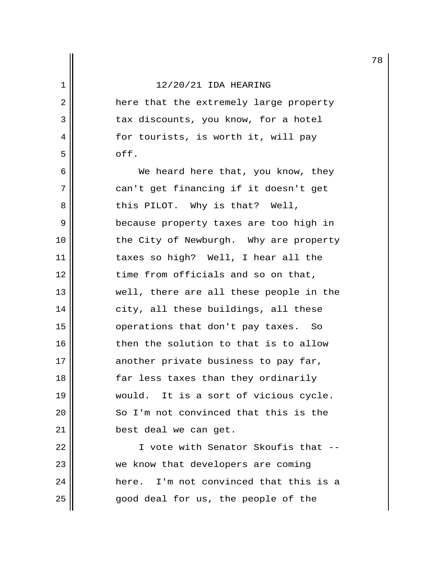2 || here that the extremely large property 3 || tax discounts, you know, for a hotel 4 || for tourists, is worth it, will pay  $5 \parallel$  off.

 6 We heard here that, you know, they 7 || can't get financing if it doesn't get  $8 \parallel$  this PILOT. Why is that? Well, 9 | because property taxes are too high in 10 || the City of Newburgh. Why are property 11 || taxes so high? Well, I hear all the 12 || time from officials and so on that, 13 || well, there are all these people in the 14 || city, all these buildings, all these 15 || operations that don't pay taxes. So 16 then the solution to that is to allow 17 another private business to pay far, 18 || far less taxes than they ordinarily 19 would. It is a sort of vicious cycle. 20 || So I'm not convinced that this is the 21 || best deal we can get.

22 || T vote with Senator Skoufis that --23 || we know that developers are coming 24 here. I'm not convinced that this is a 25 || end deal for us, the people of the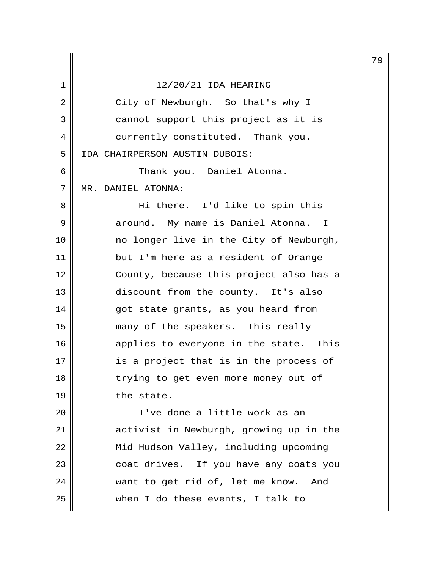|                |                                         | 7 |
|----------------|-----------------------------------------|---|
| 1              | 12/20/21 IDA HEARING                    |   |
| $\overline{2}$ | City of Newburgh. So that's why I       |   |
| 3              | cannot support this project as it is    |   |
| 4              | currently constituted. Thank you.       |   |
| 5              | IDA CHAIRPERSON AUSTIN DUBOIS:          |   |
| 6              | Thank you. Daniel Atonna.               |   |
| 7              | MR. DANIEL ATONNA:                      |   |
| 8              | Hi there. I'd like to spin this         |   |
| 9              | around. My name is Daniel Atonna. I     |   |
| 10             | no longer live in the City of Newburgh, |   |
| 11             | but I'm here as a resident of Orange    |   |
| 12             | County, because this project also has a |   |
| 13             | discount from the county. It's also     |   |
| 14             | got state grants, as you heard from     |   |
| 15             | many of the speakers. This really       |   |
| 16             | applies to everyone in the state. This  |   |
| 17             | is a project that is in the process of  |   |
| 18             | trying to get even more money out of    |   |
| 19             | the state.                              |   |
| 20             | I've done a little work as an           |   |
| 21             | activist in Newburgh, growing up in the |   |
| 22             | Mid Hudson Valley, including upcoming   |   |
| 23             | coat drives. If you have any coats you  |   |

 $25$  when I do these events, I talk to

24 want to get rid of, let me know. And

79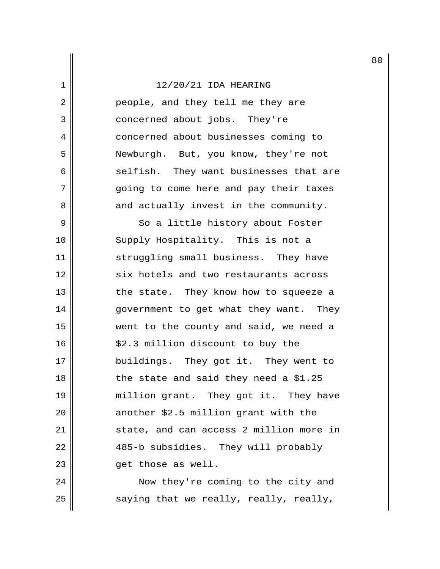2 || people, and they tell me they are 3 || concerned about jobs. They're 4 || concerned about businesses coming to 5 || Newburgh. But, you know, they're not 6 selfish. They want businesses that are 7 going to come here and pay their taxes  $8$   $\parallel$  and actually invest in the community.

9 || So a little history about Foster 10 || Supply Hospitality. This is not a 11 || struggling small business. They have 12 || six hotels and two restaurants across 13 || the state. They know how to squeeze a 14 || government to get what they want. They 15 went to the county and said, we need a 16 || \$2.3 million discount to buy the 17 || buildings. They got it. They went to  $18$  || the state and said they need a \$1.25 19 || million grant. They got it. They have 20 || another \$2.5 million grant with the 21 || state, and can access 2 million more in 22 || 485-b subsidies. They will probably 23 get those as well.

24 || Now they're coming to the city and  $25$  saying that we really, really, really,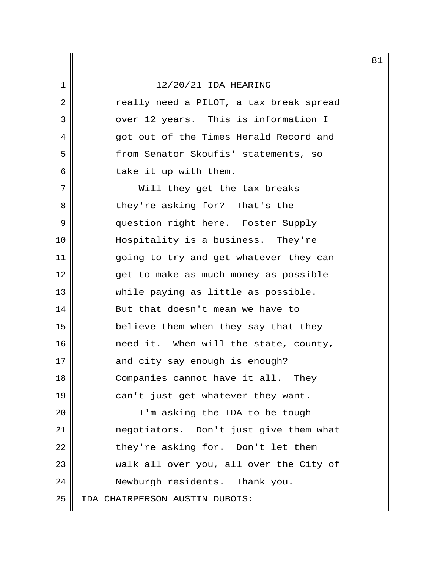2 || Treally need a PILOT, a tax break spread 3 || over 12 years. This is information I 4 got out of the Times Herald Record and 5 || from Senator Skoufis' statements, so  $6$  | take it up with them.

7 || Will they get the tax breaks 8 || they're asking for? That's the 9 || question right here. Foster Supply 10 Hospitality is a business. They're 11 going to try and get whatever they can 12 || get to make as much money as possible 13 while paying as little as possible. 14 || But that doesn't mean we have to 15 || believe them when they say that they 16 need it. When will the state, county, 17 || and city say enough is enough? 18 || Companies cannot have it all. They 19 || can't just get whatever they want. 20 || I'm asking the IDA to be tough

21 negotiators. Don't just give them what  $22$  || they're asking for. Don't let them 23 || walk all over you, all over the City of 24 | Newburgh residents. Thank you. 25 IDA CHAIRPERSON AUSTIN DUBOIS: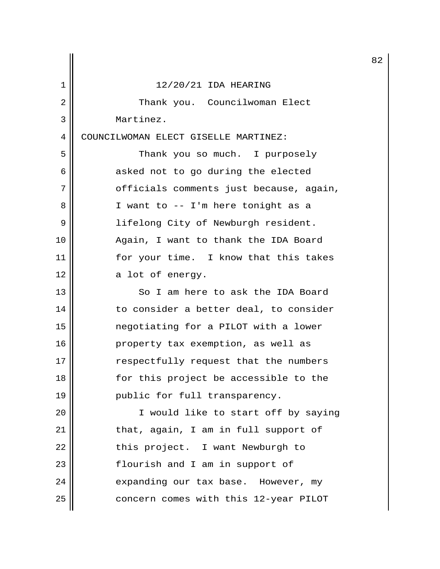|    |                                         | 8 |
|----|-----------------------------------------|---|
| 1  | 12/20/21 IDA HEARING                    |   |
| 2  | Thank you. Councilwoman Elect           |   |
| 3  | Martinez.                               |   |
| 4  | COUNCILWOMAN ELECT GISELLE MARTINEZ:    |   |
| 5  | Thank you so much. I purposely          |   |
| 6  | asked not to go during the elected      |   |
| 7  | officials comments just because, again, |   |
| 8  | I want to -- I'm here tonight as a      |   |
| 9  | lifelong City of Newburgh resident.     |   |
| 10 | Again, I want to thank the IDA Board    |   |
| 11 | for your time. I know that this takes   |   |
| 12 | a lot of energy.                        |   |
| 13 | So I am here to ask the IDA Board       |   |
| 14 | to consider a better deal, to consider  |   |
| 15 | negotiating for a PILOT with a lower    |   |
| 16 | property tax exemption, as well as      |   |
| 17 | respectfully request that the numbers   |   |
| 18 | for this project be accessible to the   |   |
| 19 | public for full transparency.           |   |
| 20 | I would like to start off by saying     |   |
| 21 | that, again, I am in full support of    |   |
| 22 | this project. I want Newburgh to        |   |
| 23 | flourish and I am in support of         |   |
| 24 | expanding our tax base. However, my     |   |
| 25 | concern comes with this 12-year PILOT   |   |

82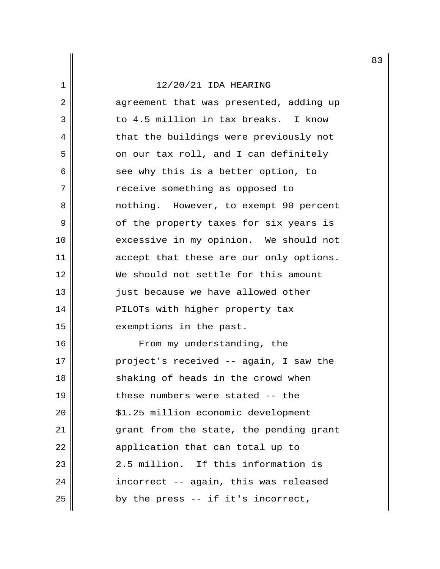2 || agreement that was presented, adding up 3 to 4.5 million in tax breaks. I know 4 | that the buildings were previously not  $5 \parallel$  on our tax roll, and I can definitely  $6 \parallel$  see why this is a better option, to 7 | The receive something as opposed to 8 || mothing. However, to exempt 90 percent 9 || of the property taxes for six years is 10 || excessive in my opinion. We should not 11 || accept that these are our only options. 12 We should not settle for this amount 13 || just because we have allowed other 14 || PILOTs with higher property tax 15 || exemptions in the past. 16 || From my understanding, the 17 || project's received -- again, I saw the 18 || shaking of heads in the crowd when 19 || these numbers were stated -- the 20 | \$1.25 million economic development 21 || grant from the state, the pending grant 22 || application that can total up to 23  $\parallel$  2.5 million. If this information is 24 || incorrect -- again, this was released  $25$  || by the press -- if it's incorrect,

83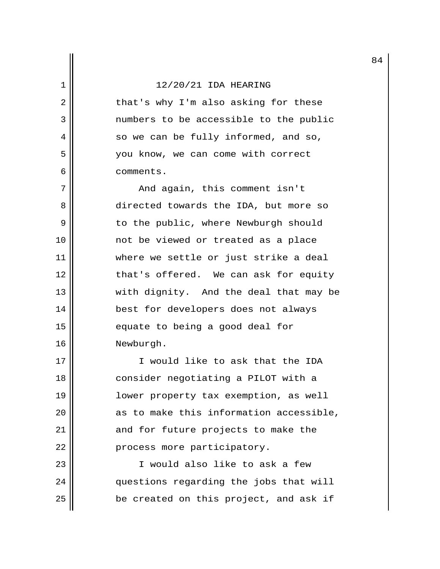2 || that's why I'm also asking for these 3 numbers to be accessible to the public  $4 \parallel$  so we can be fully informed, and so, 5 | vou know, we can come with correct 6 comments.

 7 And again, this comment isn't 8 directed towards the IDA, but more so 9 || to the public, where Newburgh should 10 not be viewed or treated as a place 11 where we settle or just strike a deal 12 || that's offered. We can ask for equity 13 || with dignity. And the deal that may be 14 best for developers does not always 15 || equate to being a good deal for 16 Newburgh.

17 I would like to ask that the IDA 18 || consider negotiating a PILOT with a 19 lower property tax exemption, as well  $20$  || as to make this information accessible, 21 || and for future projects to make the 22 | process more participatory.

23 I would also like to ask a few 24 || questions regarding the jobs that will  $25$  || be created on this project, and ask if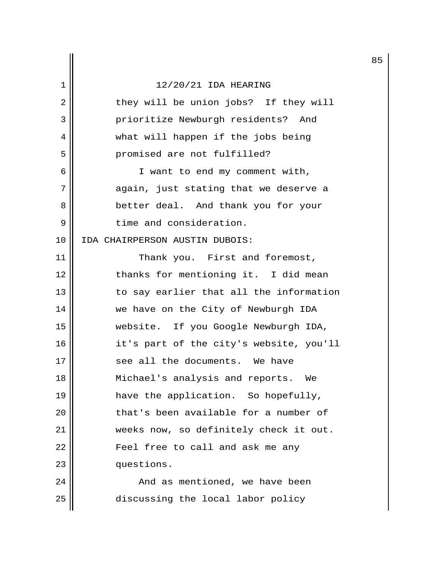|                |                                         | 8 |
|----------------|-----------------------------------------|---|
| 1              | 12/20/21 IDA HEARING                    |   |
| $\overline{2}$ | they will be union jobs? If they will   |   |
| 3              | prioritize Newburgh residents? And      |   |
| 4              | what will happen if the jobs being      |   |
| 5              | promised are not fulfilled?             |   |
| 6              | I want to end my comment with,          |   |
| 7              | again, just stating that we deserve a   |   |
| 8              | better deal. And thank you for your     |   |
| 9              | time and consideration.                 |   |
| 10             | IDA CHAIRPERSON AUSTIN DUBOIS:          |   |
| 11             | Thank you. First and foremost,          |   |
| 12             | thanks for mentioning it. I did mean    |   |
| 13             | to say earlier that all the information |   |
| 14             | we have on the City of Newburgh IDA     |   |
| 15             | website. If you Google Newburgh IDA,    |   |
| 16             | it's part of the city's website, you'll |   |
| 17             | see all the documents. We have          |   |
| 18             | Michael's analysis and reports.<br>We   |   |
| 19             | have the application. So hopefully,     |   |
| 20             | that's been available for a number of   |   |
| 21             | weeks now, so definitely check it out.  |   |
| 22             | Feel free to call and ask me any        |   |
| 23             | questions.                              |   |
| 24             | And as mentioned, we have been          |   |
| 25             | discussing the local labor policy       |   |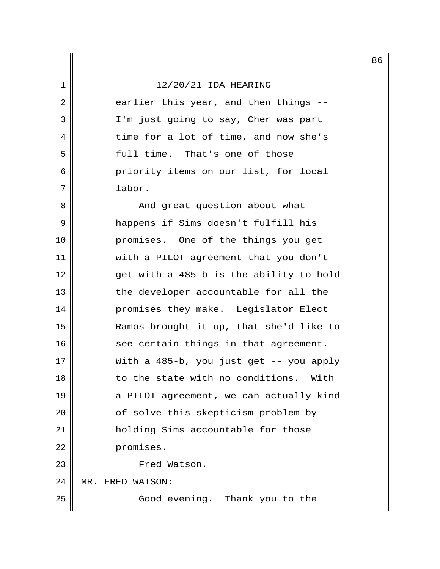$2 \parallel$  earlier this year, and then things --3 || I'm just going to say, Cher was part 4 || time for a lot of time, and now she's 5 || full time. That's one of those 6 priority items on our list, for local 7 labor.

 8 And great question about what 9 happens if Sims doesn't fulfill his 10 promises. One of the things you get 11 with a PILOT agreement that you don't 12 get with a 485-b is the ability to hold 13 || the developer accountable for all the 14 promises they make. Legislator Elect 15 Ramos brought it up, that she'd like to 16 || see certain things in that agreement. 17  $\parallel$  With a 485-b, you just get -- you apply 18  $\parallel$  to the state with no conditions. With 19  $\parallel$  a PILOT agreement, we can actually kind 20 || cf solve this skepticism problem by 21 | holding Sims accountable for those 22 promises. 23 || Fred Watson.

24 MR. FRED WATSON:

25 || Good evening. Thank you to the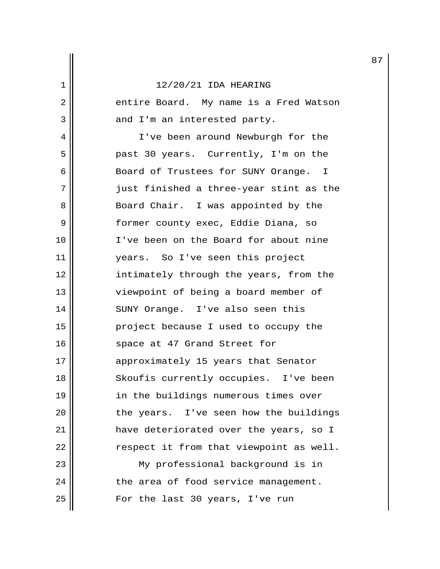2 | entire Board. My name is a Fred Watson  $3 \parallel$  and I'm an interested party. 4 || I've been around Newburgh for the 5 || past 30 years. Currently, I'm on the 6 || Board of Trustees for SUNY Orange. I 7 || just finished a three-year stint as the 8 || Board Chair. I was appointed by the 9 || former county exec, Eddie Diana, so 10 I've been on the Board for about nine 11 || years. So I've seen this project 12 || intimately through the years, from the 13 || viewpoint of being a board member of 14 || SUNY Orange. I've also seen this 15 || project because I used to occupy the 16 || space at 47 Grand Street for 17 || approximately 15 years that Senator 18 || Skoufis currently occupies. I've been 19 || in the buildings numerous times over  $20$  || the years. I've seen how the buildings 21 have deteriorated over the years, so I  $22$   $\parallel$  respect it from that viewpoint as well. 23 My professional background is in  $24$   $\parallel$  the area of food service management. 25 || For the last 30 years, I've run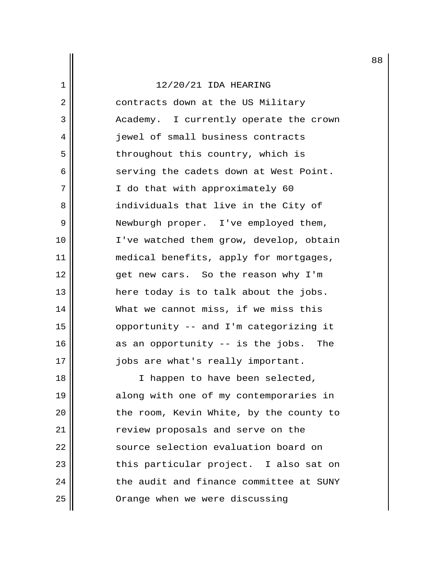2 || contracts down at the US Military 3 | Academy. I currently operate the crown 4 || jewel of small business contracts 5 || throughout this country, which is 6 serving the cadets down at West Point. 7 || I do that with approximately 60 8 || individuals that live in the City of 9 || Newburgh proper. I've employed them, 10 || I've watched them grow, develop, obtain 11 || medical benefits, apply for mortgages, 12 || get new cars. So the reason why I'm 13 || here today is to talk about the jobs. 14 What we cannot miss, if we miss this 15 opportunity -- and I'm categorizing it  $16$  as an opportunity -- is the jobs. The 17 || jobs are what's really important.

18 || I happen to have been selected, 19 || along with one of my contemporaries in  $20$  || the room, Kevin White, by the county to 21 | Teview proposals and serve on the 22 | Source selection evaluation board on 23 || this particular project. I also sat on  $24$   $\parallel$  the audit and finance committee at SUNY 25 | Orange when we were discussing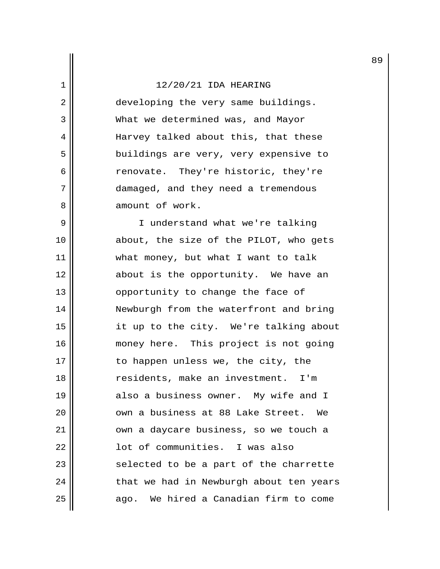2 || developing the very same buildings. 3 What we determined was, and Mayor 4 Harvey talked about this, that these 5 || buildings are very, very expensive to 6 || renovate. They're historic, they're 7 || damaged, and they need a tremendous 8 amount of work.

9 || I understand what we're talking 10 || about, the size of the PILOT, who gets 11 || what money, but what I want to talk 12 || about is the opportunity. We have an 13 || opportunity to change the face of 14 Newburgh from the waterfront and bring 15 it up to the city. We're talking about 16 || money here. This project is not going 17 || to happen unless we, the city, the 18 || residents, make an investment. I'm 19 also a business owner. My wife and I 20 0 vm a business at 88 Lake Street. We 21 || own a daycare business, so we touch a 22 | Communities. I was also 23 || selected to be a part of the charrette  $24$  || that we had in Newburgh about ten years 25 | ago. We hired a Canadian firm to come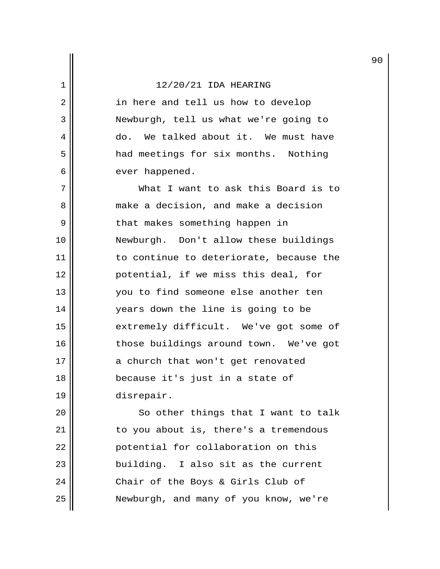2 || in here and tell us how to develop 3 Newburgh, tell us what we're going to 4 do. We talked about it. We must have 5 | had meetings for six months. Nothing 6 | ever happened.

 7 What I want to ask this Board is to 8  $\parallel$  make a decision, and make a decision 9 || that makes something happen in 10 Newburgh. Don't allow these buildings 11 || to continue to deteriorate, because the 12 potential, if we miss this deal, for 13 you to find someone else another ten 14 years down the line is going to be 15 || extremely difficult. We've got some of 16 || those buildings around town. We've got 17 || a church that won't get renovated 18 because it's just in a state of 19 disrepair.

20 || So other things that I want to talk 21 | to you about is, there's a tremendous 22 | potential for collaboration on this 23 || building. I also sit as the current 24  $\parallel$  Chair of the Boys & Girls Club of 25 Newburgh, and many of you know, we're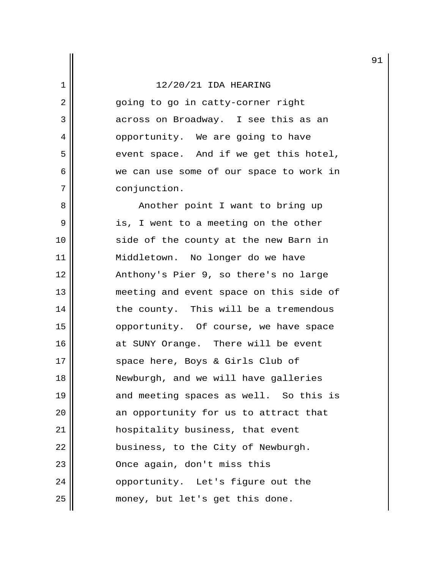2 || equing to go in catty-corner right 3 across on Broadway. I see this as an 4 || opportunity. We are going to have  $5$  event space. And if we get this hotel, 6 we can use some of our space to work in 7 conjunction.

8 || Another point I want to bring up 9 || is, I went to a meeting on the other 10 || side of the county at the new Barn in 11 || Middletown. No longer do we have 12 Anthony's Pier 9, so there's no large 13 || meeting and event space on this side of 14 | the county. This will be a tremendous 15 || opportunity. Of course, we have space 16 || at SUNY Orange. There will be event 17 || space here, Boys & Girls Club of 18 Newburgh, and we will have galleries 19  $\parallel$  and meeting spaces as well. So this is  $20$  || an opportunity for us to attract that 21 || hospitality business, that event 22 || business, to the City of Newburgh. 23 || Once again, don't miss this 24 | opportunity. Let's figure out the 25 || money, but let's get this done.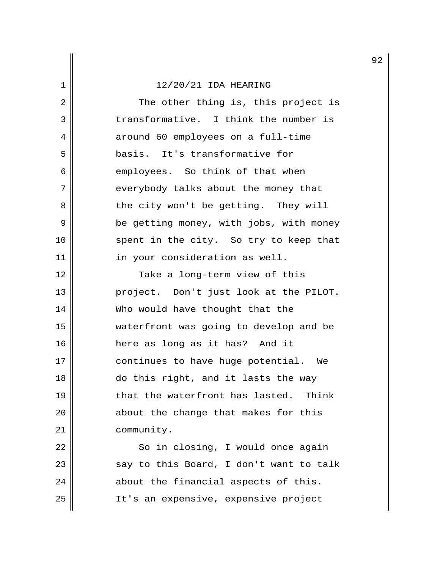2 || The other thing is, this project is 3 transformative. I think the number is 4 around 60 employees on a full-time 5 basis. It's transformative for  $6 \parallel$  employees. So think of that when 7 | everybody talks about the money that 8 || the city won't be getting. They will 9 | be getting money, with jobs, with money 10 || spent in the city. So try to keep that 11 || in your consideration as well. 12 || Take a long-term view of this 13 || project. Don't just look at the PILOT. 14 || Who would have thought that the 15 waterfront was going to develop and be 16 here as long as it has? And it

17 || continues to have huge potential. We 18  $\parallel$  do this right, and it lasts the way 19 || that the waterfront has lasted. Think 20 || about the change that makes for this 21 || community.

22 || So in closing, I would once again  $23$   $\parallel$  say to this Board, I don't want to talk  $24$   $\parallel$  about the financial aspects of this. 25 || It's an expensive, expensive project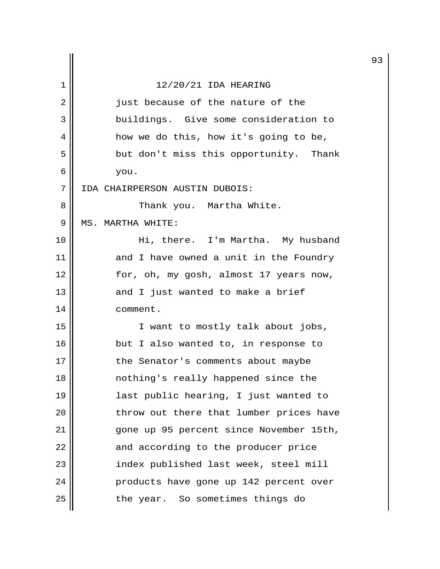|    |                                         | 9 |
|----|-----------------------------------------|---|
| 1  | 12/20/21 IDA HEARING                    |   |
| 2  | just because of the nature of the       |   |
| 3  | buildings. Give some consideration to   |   |
| 4  | how we do this, how it's going to be,   |   |
| 5  | but don't miss this opportunity. Thank  |   |
| 6  | you.                                    |   |
| 7  | IDA CHAIRPERSON AUSTIN DUBOIS:          |   |
| 8  | Thank you. Martha White.                |   |
| 9  | MS. MARTHA WHITE:                       |   |
| 10 | Hi, there. I'm Martha. My husband       |   |
| 11 | and I have owned a unit in the Foundry  |   |
| 12 | for, oh, my gosh, almost 17 years now,  |   |
| 13 | and I just wanted to make a brief       |   |
| 14 | comment.                                |   |
| 15 | I want to mostly talk about jobs,       |   |
| 16 | but I also wanted to, in response to    |   |
| 17 | the Senator's comments about maybe      |   |
| 18 | nothing's really happened since the     |   |
| 19 | last public hearing, I just wanted to   |   |
| 20 | throw out there that lumber prices have |   |
| 21 | gone up 95 percent since November 15th, |   |
| 22 | and according to the producer price     |   |
| 23 | index published last week, steel mill   |   |
| 24 | products have gone up 142 percent over  |   |
| 25 | the year. So sometimes things do        |   |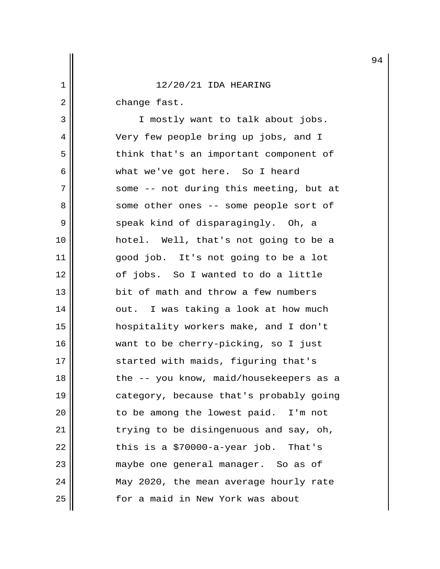2 || change fast.

3 || I mostly want to talk about jobs. 4 Very few people bring up jobs, and I 5 || think that's an important component of 6 what we've got here. So I heard 7 || some -- not during this meeting, but at 8 || some other ones -- some people sort of 9 || speak kind of disparagingly. Oh, a 10 hotel. Well, that's not going to be a 11 good job. It's not going to be a lot 12 || cf jobs. So I wanted to do a little 13 || bit of math and throw a few numbers 14 || out. I was taking a look at how much 15 hospitality workers make, and I don't 16 want to be cherry-picking, so I just 17 || started with maids, figuring that's 18 || the -- you know, maid/housekeepers as a 19 || category, because that's probably going 20 || to be among the lowest paid. I'm not 21 || trying to be disingenuous and say, oh,  $22$  || this is a \$70000-a-year job. That's 23 maybe one general manager. So as of 24 | May 2020, the mean average hourly rate 25 | The state of a maid in New York was about

94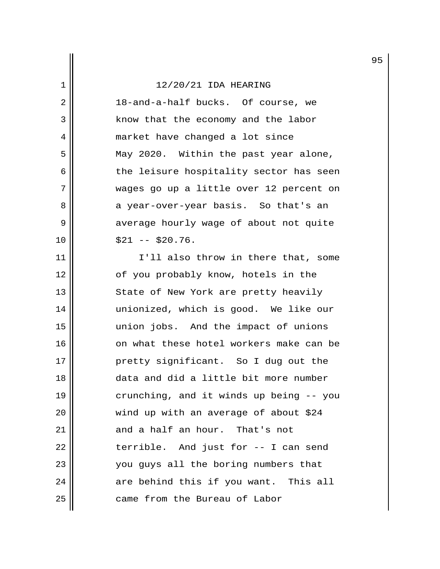2 || 18-and-a-half bucks. Of course, we 3 || Know that the economy and the labor 4 || market have changed a lot since 5 May 2020. Within the past year alone,  $6$  the leisure hospitality sector has seen 7 wages go up a little over 12 percent on 8 a year-over-year basis. So that's an 9 | average hourly wage of about not quite  $10 \parallel$   $$21 -- $20.76.$ 

11 || I'll also throw in there that, some 12 || of you probably know, hotels in the 13 || State of New York are pretty heavily 14 unionized, which is good. We like our 15 union jobs. And the impact of unions 16 on what these hotel workers make can be 17 || pretty significant. So I dug out the 18 data and did a little bit more number 19 || crunching, and it winds up being -- you 20 || wind up with an average of about \$24 21 || and a half an hour. That's not  $22$  || terrible. And just for  $-$  I can send 23 || vou guys all the boring numbers that  $24$  || are behind this if you want. This all 25 | came from the Bureau of Labor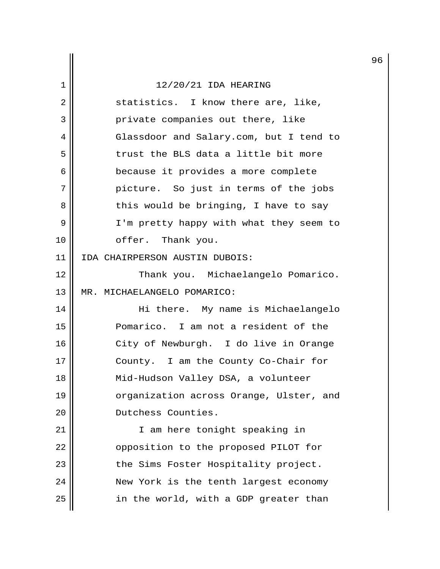|    |                                         | 9 |
|----|-----------------------------------------|---|
| 1  | 12/20/21 IDA HEARING                    |   |
| 2  | statistics. I know there are, like,     |   |
| 3  | private companies out there, like       |   |
| 4  | Glassdoor and Salary.com, but I tend to |   |
| 5  | trust the BLS data a little bit more    |   |
| 6  | because it provides a more complete     |   |
| 7  | picture. So just in terms of the jobs   |   |
| 8  | this would be bringing, I have to say   |   |
| 9  | I'm pretty happy with what they seem to |   |
| 10 | offer. Thank you.                       |   |
| 11 | IDA CHAIRPERSON AUSTIN DUBOIS:          |   |
| 12 | Thank you. Michaelangelo Pomarico.      |   |
| 13 | MR. MICHAELANGELO POMARICO:             |   |
| 14 | Hi there. My name is Michaelangelo      |   |
| 15 | Pomarico. I am not a resident of the    |   |
| 16 | City of Newburgh. I do live in Orange   |   |
| 17 | County. I am the County Co-Chair for    |   |
| 18 | Mid-Hudson Valley DSA, a volunteer      |   |
| 19 | organization across Orange, Ulster, and |   |
| 20 | Dutchess Counties.                      |   |
| 21 | I am here tonight speaking in           |   |
| 22 | opposition to the proposed PILOT for    |   |
| 23 | the Sims Foster Hospitality project.    |   |
| 24 | New York is the tenth largest economy   |   |
| 25 | in the world, with a GDP greater than   |   |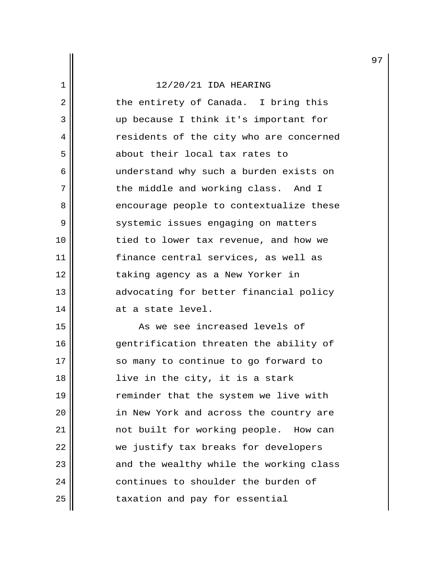2 || the entirety of Canada. I bring this 3 up because I think it's important for 4 | Tesidents of the city who are concerned 5 about their local tax rates to 6 || understand why such a burden exists on 7 || the middle and working class. And I 8 encourage people to contextualize these 9 | Systemic issues engaging on matters 10 || tied to lower tax revenue, and how we 11 finance central services, as well as 12 || taking agency as a New Yorker in 13 | advocating for better financial policy  $14$   $\parallel$  at a state level.

15 As we see increased levels of 16 || entrification threaten the ability of 17 || so many to continue to go forward to 18 || live in the city, it is a stark 19 || reminder that the system we live with 20 || in New York and across the country are 21 || mot built for working people. How can 22 we justify tax breaks for developers 23 || and the wealthy while the working class 24 continues to shoulder the burden of 25 | taxation and pay for essential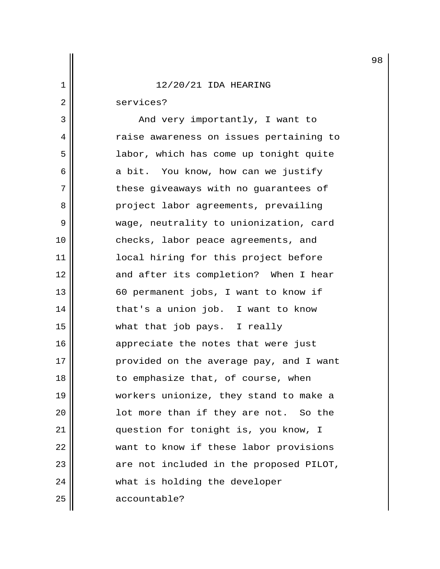|                |                                         | 9 |
|----------------|-----------------------------------------|---|
| $\mathbf 1$    | 12/20/21 IDA HEARING                    |   |
| $\overline{c}$ | services?                               |   |
| 3              | And very importantly, I want to         |   |
| 4              | raise awareness on issues pertaining to |   |
| 5              | labor, which has come up tonight quite  |   |
| 6              | a bit. You know, how can we justify     |   |
| 7              | these giveaways with no guarantees of   |   |
| 8              | project labor agreements, prevailing    |   |
| 9              | wage, neutrality to unionization, card  |   |
| 10             | checks, labor peace agreements, and     |   |
| 11             | local hiring for this project before    |   |
| 12             | and after its completion? When I hear   |   |
| 13             | 60 permanent jobs, I want to know if    |   |
| 14             | that's a union job. I want to know      |   |
| 15             | what that job pays. I really            |   |
| 16             | appreciate the notes that were just     |   |
| 17             | provided on the average pay, and I want |   |
| 18             | to emphasize that, of course, when      |   |
| 19             | workers unionize, they stand to make a  |   |
| 20             | lot more than if they are not. So the   |   |
| 21             | question for tonight is, you know, I    |   |
| 22             | want to know if these labor provisions  |   |
| 23             | are not included in the proposed PILOT, |   |
| 24             | what is holding the developer           |   |
| 25             | accountable?                            |   |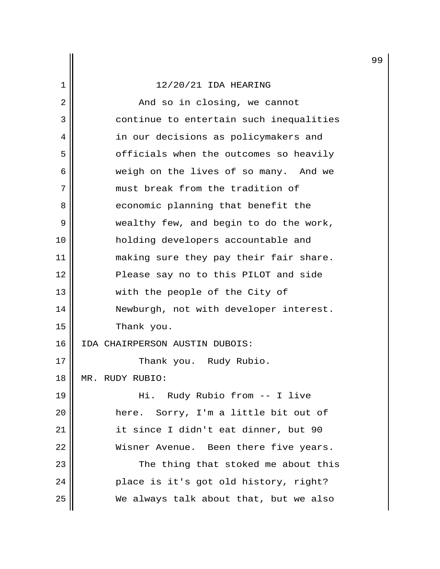2 And so in closing, we cannot 3 | continue to entertain such inequalities 4 || in our decisions as policymakers and  $5$  |  $\vert$  officials when the outcomes so heavily 6 weigh on the lives of so many. And we 7 must break from the tradition of 8 economic planning that benefit the 9 wealthy few, and begin to do the work, 10 holding developers accountable and 11 || making sure they pay their fair share. 12 || Please say no to this PILOT and side 13 || with the people of the City of 14 Newburgh, not with developer interest. 15 || Thank you. 16 IDA CHAIRPERSON AUSTIN DUBOIS: 17 || Thank you. Rudy Rubio. 18 MR. RUDY RUBIO: 19 Hi. Rudy Rubio from -- I live 20 here. Sorry, I'm a little bit out of 21 || it since I didn't eat dinner, but 90 22 || Wisner Avenue. Been there five years. 23 || The thing that stoked me about this 24 | place is it's got old history, right?  $25$  We always talk about that, but we also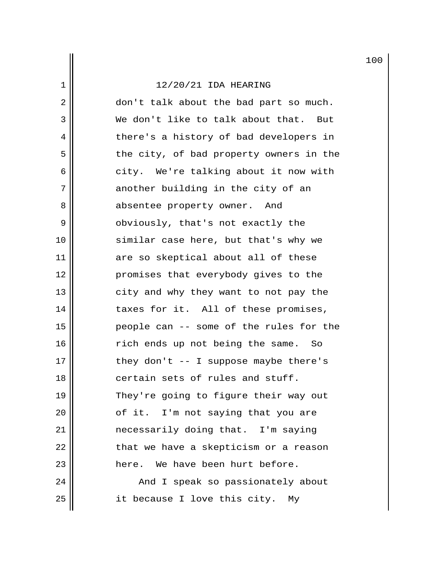2 || don't talk about the bad part so much. 3 We don't like to talk about that. But 4 | there's a history of bad developers in  $5$  the city, of bad property owners in the 6 city. We're talking about it now with  $7$  another building in the city of an 8 || absentee property owner. And 9 || obviously, that's not exactly the 10 || similar case here, but that's why we 11 are so skeptical about all of these 12 || promises that everybody gives to the 13 || city and why they want to not pay the 14 taxes for it. All of these promises, 15 people can -- some of the rules for the 16 rich ends up not being the same. So  $17$  || they don't -- I suppose maybe there's 18 **d** certain sets of rules and stuff. 19 || They're going to figure their way out  $20$  ||  $\sigma$  of it. I'm not saying that you are 21 necessarily doing that. I'm saying  $22$  || that we have a skepticism or a reason 23 || There. We have been hurt before. 24 And I speak so passionately about  $25$  | it because I love this city. My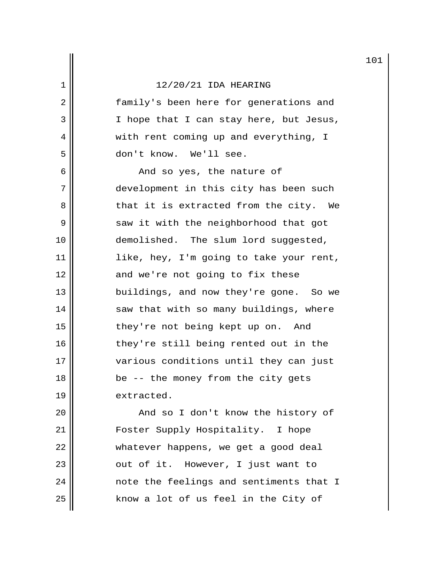|    |                                         | 10 |
|----|-----------------------------------------|----|
| 1  | 12/20/21 IDA HEARING                    |    |
| 2  | family's been here for generations and  |    |
| 3  | I hope that I can stay here, but Jesus, |    |
| 4  | with rent coming up and everything, I   |    |
| 5  | don't know. We'll see.                  |    |
| 6  | And so yes, the nature of               |    |
| 7  | development in this city has been such  |    |
| 8  | that it is extracted from the city. We  |    |
| 9  | saw it with the neighborhood that got   |    |
| 10 | demolished. The slum lord suggested,    |    |
| 11 | like, hey, I'm going to take your rent, |    |
| 12 | and we're not going to fix these        |    |
| 13 | buildings, and now they're gone. So we  |    |
| 14 | saw that with so many buildings, where  |    |
| 15 | they're not being kept up on. And       |    |
| 16 | they're still being rented out in the   |    |
| 17 | various conditions until they can just  |    |
| 18 | be -- the money from the city gets      |    |
| 19 | extracted.                              |    |
| 20 | And so I don't know the history of      |    |
| 21 | Foster Supply Hospitality. I hope       |    |

 whatever happens, we get a good deal |  $\sim$  out of it. However, I just want to note the feelings and sentiments that I know a lot of us feel in the City of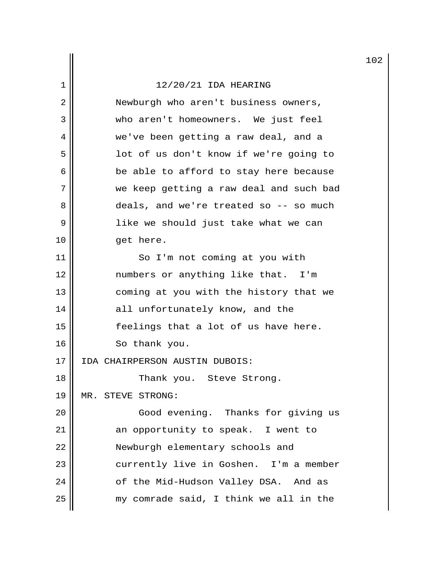|    |                                         | 10 |
|----|-----------------------------------------|----|
| 1  | 12/20/21 IDA HEARING                    |    |
| 2  | Newburgh who aren't business owners,    |    |
| 3  | who aren't homeowners. We just feel     |    |
| 4  | we've been getting a raw deal, and a    |    |
| 5  | lot of us don't know if we're going to  |    |
| 6  | be able to afford to stay here because  |    |
| 7  | we keep getting a raw deal and such bad |    |
| 8  | deals, and we're treated so -- so much  |    |
| 9  | like we should just take what we can    |    |
| 10 | get here.                               |    |
| 11 | So I'm not coming at you with           |    |
| 12 | numbers or anything like that. I'm      |    |
| 13 | coming at you with the history that we  |    |
| 14 | all unfortunately know, and the         |    |
| 15 | feelings that a lot of us have here.    |    |
| 16 | So thank you.                           |    |
| 17 | IDA CHAIRPERSON AUSTIN DUBOIS:          |    |
| 18 | Thank you. Steve Strong.                |    |
| 19 | MR. STEVE STRONG:                       |    |
| 20 | Good evening. Thanks for giving us      |    |
| 21 | an opportunity to speak. I went to      |    |
| 22 | Newburgh elementary schools and         |    |
| 23 | currently live in Goshen. I'm a member  |    |
| 24 | of the Mid-Hudson Valley DSA. And as    |    |
| 25 | my comrade said, I think we all in the  |    |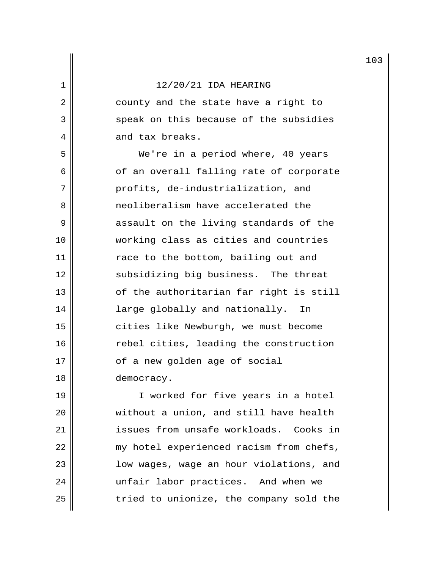2 || county and the state have a right to 3 || speak on this because of the subsidies 4 and tax breaks.

 5 We're in a period where, 40 years  $6$  of an overall falling rate of corporate 7 || profits, de-industrialization, and 8 **a** neoliberalism have accelerated the 9 assault on the living standards of the 10 working class as cities and countries 11 || race to the bottom, bailing out and 12 || subsidizing big business. The threat 13 || of the authoritarian far right is still 14 || large globally and nationally. In 15 || cities like Newburgh, we must become 16 | The rebel cities, leading the construction 17 | of a new golden age of social 18 democracy.

19 || I worked for five years in a hotel 20 without a union, and still have health 21 issues from unsafe workloads. Cooks in 22  $\parallel$  my hotel experienced racism from chefs, 23 || low wages, wage an hour violations, and 24 || unfair labor practices. And when we  $25$   $\parallel$  tried to unionize, the company sold the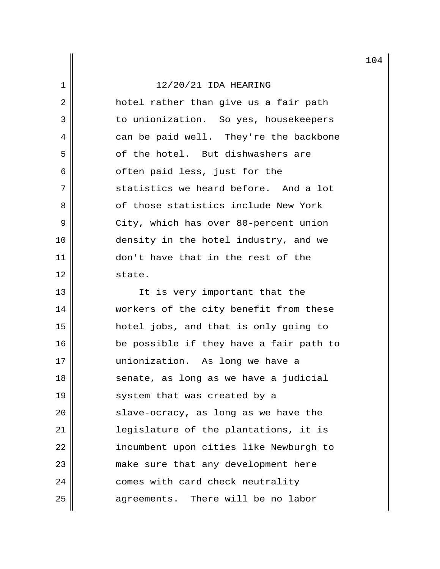$2 \parallel$  hotel rather than give us a fair path 3 || to unionization. So yes, housekeepers 4 can be paid well. They're the backbone 5 section of the hotel. But dishwashers are  $6 \parallel$  often paid less, just for the 7 Statistics we heard before. And a lot 8 || cf those statistics include New York 9 || City, which has over 80-percent union 10 || density in the hotel industry, and we 11 || don't have that in the rest of the 12 | state.

13 || Tt is very important that the 14 | workers of the city benefit from these 15 hotel jobs, and that is only going to 16 || be possible if they have a fair path to 17 || || || unionization. As long we have a 18 || senate, as long as we have a judicial 19 || system that was created by a 20 || slave-ocracy, as long as we have the 21 legislature of the plantations, it is 22 | incumbent upon cities like Newburgh to 23 || make sure that any development here 24 | comes with card check neutrality  $25$  || agreements. There will be no labor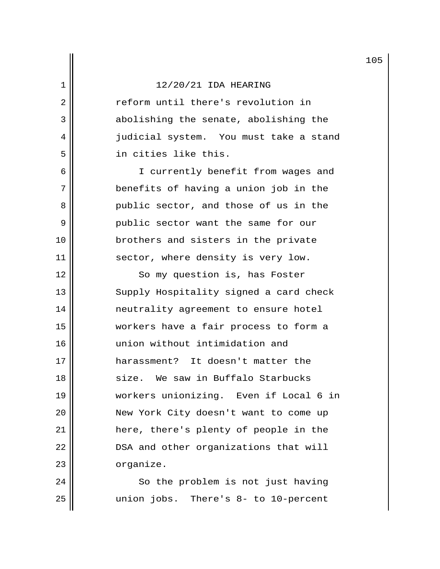2 || Teform until there's revolution in 3 abolishing the senate, abolishing the 4 | judicial system. You must take a stand 5 in cities like this.

6 || I currently benefit from wages and 7 benefits of having a union job in the 8 public sector, and those of us in the 9 | public sector want the same for our 10 || brothers and sisters in the private 11 || sector, where density is very low.

12 || So my question is, has Foster 13 || Supply Hospitality signed a card check 14 || neutrality agreement to ensure hotel 15 workers have a fair process to form a 16 union without intimidation and 17 harassment? It doesn't matter the 18 size. We saw in Buffalo Starbucks 19 workers unionizing. Even if Local 6 in 20 New York City doesn't want to come up 21 here, there's plenty of people in the 22 | DSA and other organizations that will 23 | organize.

24 || So the problem is not just having 25 union jobs. There's 8- to 10-percent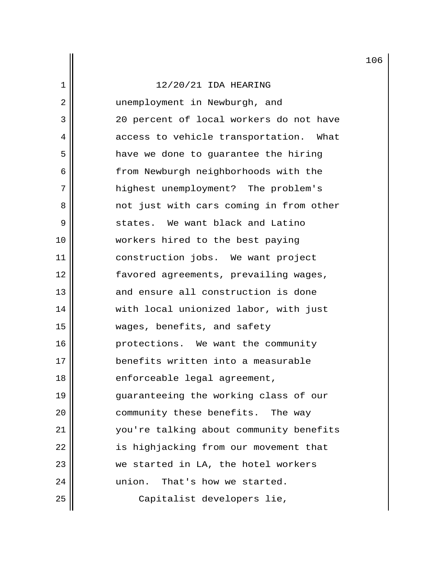2 || unemployment in Newburgh, and 3 20 percent of local workers do not have 4 access to vehicle transportation. What 5 | have we done to guarantee the hiring 6 | from Newburgh neighborhoods with the 7 || highest unemployment? The problem's 8 0 1 and the vith cars coming in from other 9  $\parallel$  states. We want black and Latino 10 workers hired to the best paying 11 construction jobs. We want project 12 favored agreements, prevailing wages, 13 and ensure all construction is done 14 || with local unionized labor, with just 15 wages, benefits, and safety 16 || protections. We want the community 17 || benefits written into a measurable 18 || enforceable legal agreement, 19 guaranteeing the working class of our 20 | community these benefits. The way 21 you're talking about community benefits 22 | is highjacking from our movement that 23 we started in LA, the hotel workers 24 union. That's how we started. 25 || Capitalist developers lie,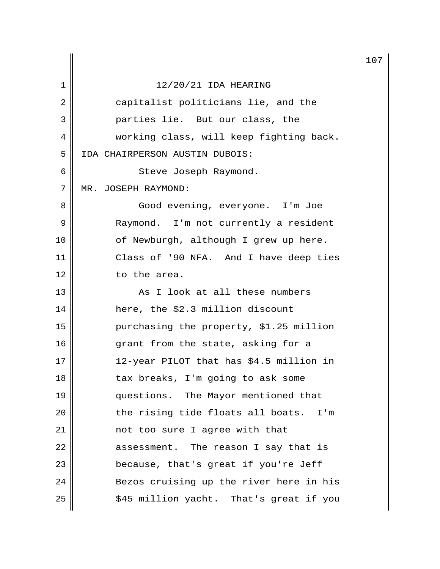|    |                                         | 10 |
|----|-----------------------------------------|----|
| 1  | 12/20/21 IDA HEARING                    |    |
| 2  | capitalist politicians lie, and the     |    |
| 3  | parties lie. But our class, the         |    |
| 4  | working class, will keep fighting back. |    |
| 5  | IDA CHAIRPERSON AUSTIN DUBOIS:          |    |
| 6  | Steve Joseph Raymond.                   |    |
| 7  | MR. JOSEPH RAYMOND:                     |    |
| 8  | Good evening, everyone. I'm Joe         |    |
| 9  | Raymond. I'm not currently a resident   |    |
| 10 | of Newburgh, although I grew up here.   |    |
| 11 | Class of '90 NFA. And I have deep ties  |    |
| 12 | to the area.                            |    |
| 13 | As I look at all these numbers          |    |
| 14 | here, the \$2.3 million discount        |    |
| 15 | purchasing the property, \$1.25 million |    |
| 16 | grant from the state, asking for a      |    |
| 17 | 12-year PILOT that has \$4.5 million in |    |
| 18 | tax breaks, I'm going to ask some       |    |
| 19 | questions. The Mayor mentioned that     |    |
| 20 | the rising tide floats all boats. I'm   |    |
| 21 | not too sure I agree with that          |    |
| 22 | assessment. The reason I say that is    |    |
| 23 | because, that's great if you're Jeff    |    |
| 24 | Bezos cruising up the river here in his |    |
| 25 | \$45 million yacht. That's great if you |    |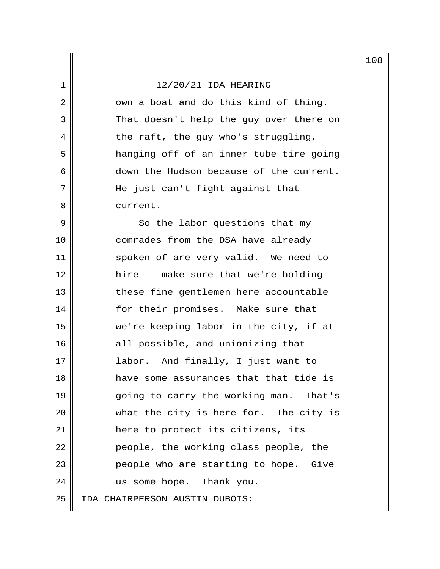$2 \parallel$  own a boat and do this kind of thing. 3 || That doesn't help the guy over there on  $4 \parallel$  the raft, the guy who's struggling, 5 || hanging off of an inner tube tire going 6 down the Hudson because of the current. 7 He just can't fight against that 8 | current.

9 || So the labor questions that my 10 || comrades from the DSA have already 11 || spoken of are very valid. We need to 12 hire -- make sure that we're holding 13 || these fine gentlemen here accountable 14 || for their promises. Make sure that 15 we're keeping labor in the city, if at 16 || all possible, and unionizing that 17 || labor. And finally, I just want to 18 have some assurances that that tide is 19 going to carry the working man. That's 20 what the city is here for. The city is 21 here to protect its citizens, its 22 | people, the working class people, the 23 || People who are starting to hope. Give 24 || us some hope. Thank you. 25 IDA CHAIRPERSON AUSTIN DUBOIS: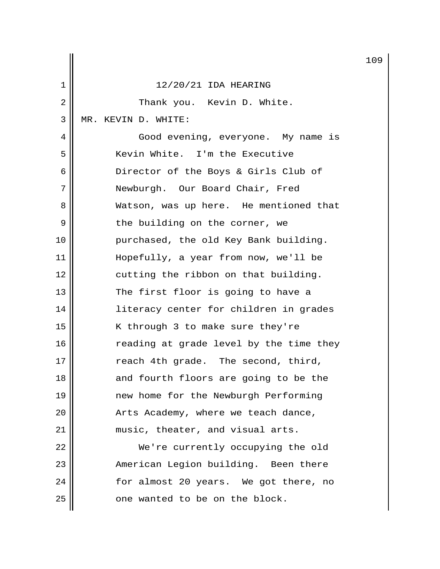|    |                                         | 10 |
|----|-----------------------------------------|----|
| 1  | 12/20/21 IDA HEARING                    |    |
| 2  | Thank you. Kevin D. White.              |    |
| 3  | MR. KEVIN D. WHITE:                     |    |
| 4  | Good evening, everyone. My name is      |    |
| 5  | Kevin White. I'm the Executive          |    |
| 6  | Director of the Boys & Girls Club of    |    |
| 7  | Newburgh. Our Board Chair, Fred         |    |
| 8  | Watson, was up here. He mentioned that  |    |
| 9  | the building on the corner, we          |    |
| 10 | purchased, the old Key Bank building.   |    |
| 11 | Hopefully, a year from now, we'll be    |    |
| 12 | cutting the ribbon on that building.    |    |
| 13 | The first floor is going to have a      |    |
| 14 | literacy center for children in grades  |    |
| 15 | K through 3 to make sure they're        |    |
| 16 | reading at grade level by the time they |    |
| 17 | reach 4th grade. The second, third,     |    |
| 18 | and fourth floors are going to be the   |    |
| 19 | new home for the Newburgh Performing    |    |
| 20 | Arts Academy, where we teach dance,     |    |
| 21 | music, theater, and visual arts.        |    |
| 22 | We're currently occupying the old       |    |
| 23 | American Legion building. Been there    |    |
| 24 | for almost 20 years. We got there, no   |    |
| 25 | one wanted to be on the block.          |    |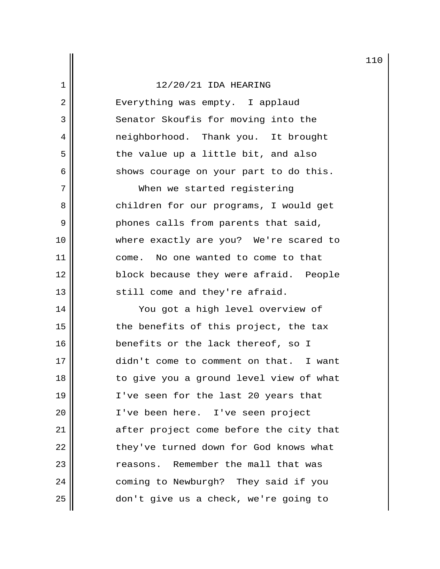2 || Everything was empty. I applaud 3 Senator Skoufis for moving into the 4 || meighborhood. Thank you. It brought  $5$  the value up a little bit, and also  $6 \parallel$  shows courage on your part to do this.

7 || When we started registering 8 || children for our programs, I would get 9 phones calls from parents that said, 10 where exactly are you? We're scared to 11 || come. No one wanted to come to that 12 block because they were afraid. People  $13$   $\parallel$  still come and they're afraid.

14 || You got a high level overview of 15 || the benefits of this project, the tax 16 || benefits or the lack thereof, so I 17 didn't come to comment on that. I want 18 || to give you a ground level view of what 19 I've seen for the last 20 years that 20 || I've been here. I've seen project 21 || after project come before the city that 22 | they've turned down for God knows what 23 || The member the mall that was 24 | coming to Newburgh? They said if you 25 don't give us a check, we're going to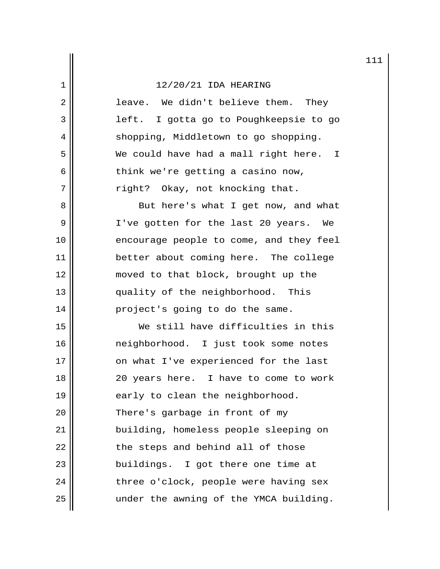2 || leave. We didn't believe them. They 3 || left. I gotta go to Poughkeepsie to go 4 | shopping, Middletown to go shopping. 5 We could have had a mall right here. I  $6 \parallel$  think we're getting a casino now, 7 || right? Okay, not knocking that. 8 But here's what I get now, and what 9 || I've gotten for the last 20 years. We 10 || encourage people to come, and they feel 11 better about coming here. The college 12 || moved to that block, brought up the 13 || quality of the neighborhood. This 14 || project's going to do the same. 15 We still have difficulties in this 16 neighborhood. I just took some notes 17 || on what I've experienced for the last 18 || 20 years here. I have to come to work 19  $\parallel$  early to clean the neighborhood. 20 || There's garbage in front of my 21 building, homeless people sleeping on  $22$  || the steps and behind all of those 23 || buildings. I got there one time at  $24$  || three o'clock, people were having sex  $25$  || under the awning of the YMCA building.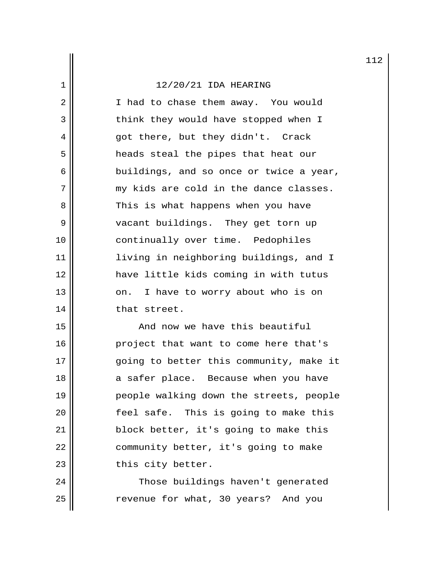2 || I had to chase them away. You would 3 || think they would have stopped when I 4 got there, but they didn't. Crack 5 || heads steal the pipes that heat our  $6 \parallel$  buildings, and so once or twice a year,  $7$  || my kids are cold in the dance classes. 8 || This is what happens when you have 9 || vacant buildings. They get torn up 10 || continually over time. Pedophiles 11 || living in neighboring buildings, and I 12 have little kids coming in with tutus  $13$  |  $\vert$  on. I have to worry about who is on 14 || that street.

15 And now we have this beautiful 16 || project that want to come here that's 17 || ending to better this community, make it 18 a safer place. Because when you have 19 || People walking down the streets, people 20 || [eel safe. This is going to make this 21 | block better, it's going to make this 22 | community better, it's going to make 23 || this city better.

24 | Those buildings haven't generated 25 || Tevenue for what, 30 years? And you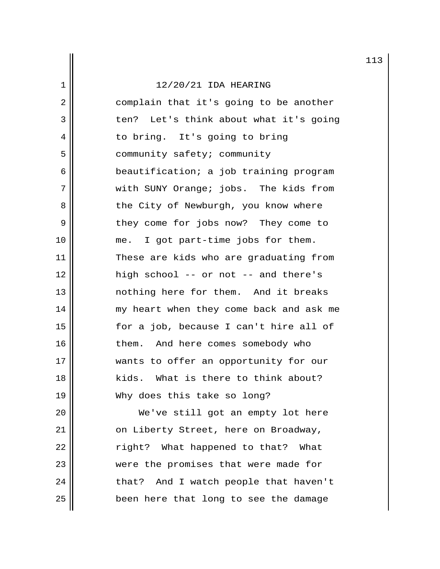| 12/20/21 IDA HEARING                      |  |  |  |  |  |  |
|-------------------------------------------|--|--|--|--|--|--|
| complain that it's going to be another    |  |  |  |  |  |  |
| Let's think about what it's going<br>ten? |  |  |  |  |  |  |
| to bring. It's going to bring             |  |  |  |  |  |  |
| community safety; community               |  |  |  |  |  |  |
| beautification; a job training program    |  |  |  |  |  |  |
| with SUNY Orange; jobs. The kids from     |  |  |  |  |  |  |
| the City of Newburgh, you know where      |  |  |  |  |  |  |
| they come for jobs now? They come to      |  |  |  |  |  |  |
| I got part-time jobs for them.<br>me.     |  |  |  |  |  |  |
| These are kids who are graduating from    |  |  |  |  |  |  |
| high school -- or not -- and there's      |  |  |  |  |  |  |
| nothing here for them. And it breaks      |  |  |  |  |  |  |
| my heart when they come back and ask me   |  |  |  |  |  |  |
| for a job, because I can't hire all of    |  |  |  |  |  |  |
| them. And here comes somebody who         |  |  |  |  |  |  |
| wants to offer an opportunity for our     |  |  |  |  |  |  |
| kids. What is there to think about?       |  |  |  |  |  |  |
| Why does this take so long?               |  |  |  |  |  |  |
| We've still got an empty lot here         |  |  |  |  |  |  |
|                                           |  |  |  |  |  |  |

 $\frac{1}{2}$ 

21 | On Liberty Street, here on Broadway,  $22$   $\parallel$  right? What happened to that? What 23 were the promises that were made for  $24$  | that? And I watch people that haven't  $25$  been here that long to see the damage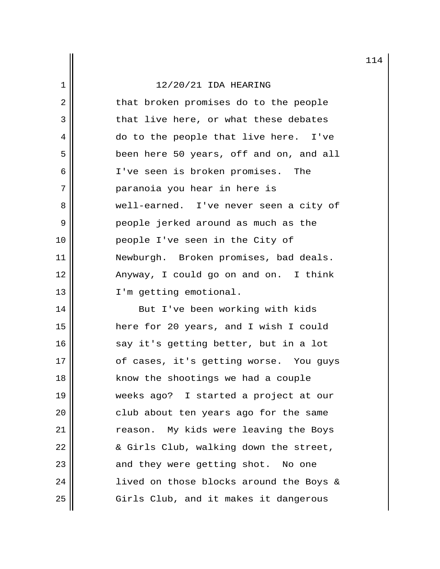|             |                                         | 11 |
|-------------|-----------------------------------------|----|
| $\mathbf 1$ | $12/20/21$ IDA HEARING                  |    |
| $\sqrt{2}$  | that broken promises do to the people   |    |
| 3           | that live here, or what these debates   |    |
| 4           | do to the people that live here. I've   |    |
| 5           | been here 50 years, off and on, and all |    |
| 6           | I've seen is broken promises. The       |    |
| 7           | paranoia you hear in here is            |    |
| 8           | well-earned. I've never seen a city of  |    |
| 9           | people jerked around as much as the     |    |
| 10          | people I've seen in the City of         |    |
| 11          | Newburgh. Broken promises, bad deals.   |    |
| 12          | Anyway, I could go on and on. I think   |    |
| 13          | I'm getting emotional.                  |    |
| 14          | But I've been working with kids         |    |
| 15          | here for 20 years, and I wish I could   |    |
| 16          | say it's getting better, but in a lot   |    |
| 17          | of cases, it's getting worse. You guys  |    |
| 18          | know the shootings we had a couple      |    |
| 19          | weeks ago? I started a project at our   |    |
| 20          | club about ten years ago for the same   |    |
| 21          | reason. My kids were leaving the Boys   |    |
| 22          | & Girls Club, walking down the street,  |    |
| 23          | and they were getting shot.<br>No one   |    |
| 24          | lived on those blocks around the Boys & |    |
| 25          | Girls Club, and it makes it dangerous   |    |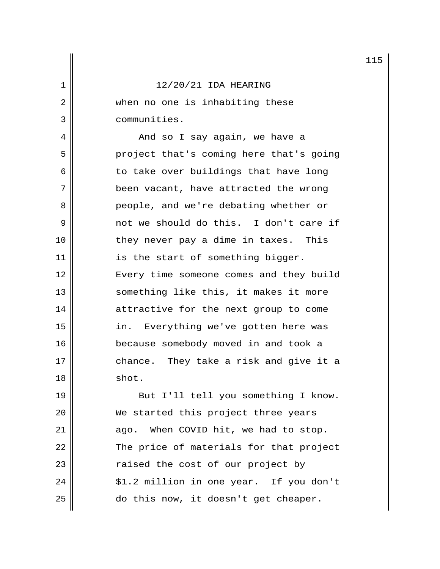2 || when no one is inhabiting these 3 communities.

 4 And so I say again, we have a 5 || project that's coming here that's going  $6$  to take over buildings that have long 7 || been vacant, have attracted the wrong 8 people, and we're debating whether or 9 not we should do this. I don't care if 10 || they never pay a dime in taxes. This 11 || is the start of something bigger. 12 || Every time someone comes and they build 13 || something like this, it makes it more 14 | attractive for the next group to come 15 || in. Everything we've gotten here was 16 || because somebody moved in and took a 17 || chance. They take a risk and give it a 18 shot.

19 || But I'll tell you something I know. 20 || We started this project three years 21 | ago. When COVID hit, we had to stop.  $22$   $\parallel$  The price of materials for that project 23 || raised the cost of our project by  $24$  ||  $$1.2$  million in one year. If you don't 25 do this now, it doesn't get cheaper.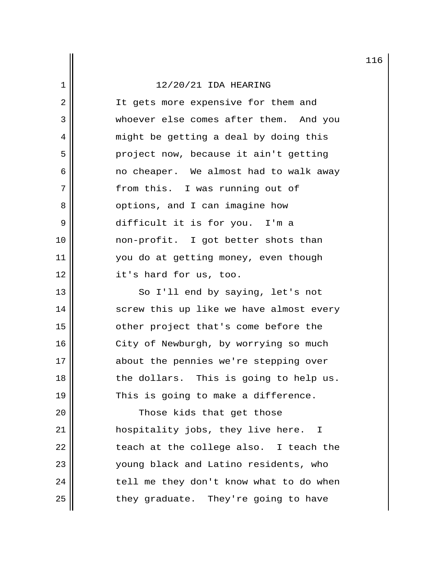2 || It gets more expensive for them and 3 whoever else comes after them. And you 4 || might be getting a deal by doing this 5 || project now, because it ain't getting  $6 \parallel$  no cheaper. We almost had to walk away 7 || from this. I was running out of 8 | Options, and I can imagine how 9 difficult it is for you. I'm a 10 non-profit. I got better shots than 11 || you do at getting money, even though 12 it's hard for us, too.

13 || So I'll end by saying, let's not 14 || screw this up like we have almost every 15 || cther project that's come before the 16 || City of Newburgh, by worrying so much 17 || about the pennies we're stepping over 18 || the dollars. This is going to help us. 19  $\parallel$  This is going to make a difference.

20 || Those kids that get those 21 hospitality jobs, they live here. I  $22$   $\parallel$  teach at the college also. I teach the 23 young black and Latino residents, who  $24$  || tell me they don't know what to do when  $25$  they graduate. They're going to have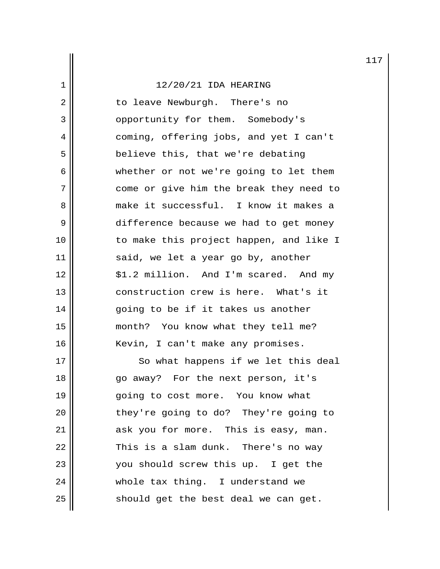2 || to leave Newburgh. There's no 3 || opportunity for them. Somebody's 4 coming, offering jobs, and yet I can't 5 || believe this, that we're debating 6 whether or not we're going to let them 7 || come or give him the break they need to 8 make it successful. I know it makes a 9 difference because we had to get money 10 to make this project happen, and like I 11 || said, we let a year go by, another 12 || \$1.2 million. And I'm scared. And my 13 construction crew is here. What's it  $14$  ||  $\qquad$  going to be if it takes us another 15 month? You know what they tell me? 16 || Kevin, I can't make any promises. 17 || So what happens if we let this deal 18 go away? For the next person, it's 19 || qoing to cost more. You know what

20 || they're going to do? They're going to 21 || ask you for more. This is easy, man.  $22$  || This is a slam dunk. There's no way 23 || vou should screw this up. I get the  $24$   $\parallel$  whole tax thing. I understand we  $25$  should get the best deal we can get.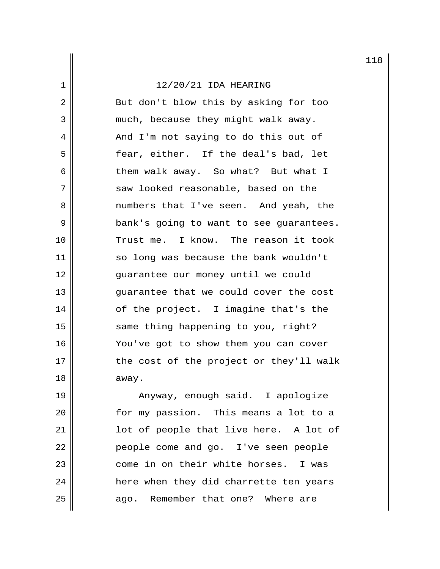2 || But don't blow this by asking for too 3 || much, because they might walk away. 4 || And I'm not saying to do this out of 5 fear, either. If the deal's bad, let 6 || them walk away. So what? But what I 7 || saw looked reasonable, based on the 8 **a** numbers that I've seen. And yeah, the 9 | bank's going to want to see guarantees. 10 || Trust me. I know. The reason it took 11 || so long was because the bank wouldn't 12 guarantee our money until we could 13 **quarantee that we could cover the cost** 14 || of the project. I imagine that's the 15 || same thing happening to you, right? 16 | You've got to show them you can cover  $17$   $\parallel$  the cost of the project or they'll walk 18 away.

19 || Anyway, enough said. I apologize 20 for my passion. This means a lot to a 21 || lot of people that live here. A lot of 22 | People come and go. I've seen people 23  $\parallel$  come in on their white horses. I was 24 | here when they did charrette ten years 25 || ago. Remember that one? Where are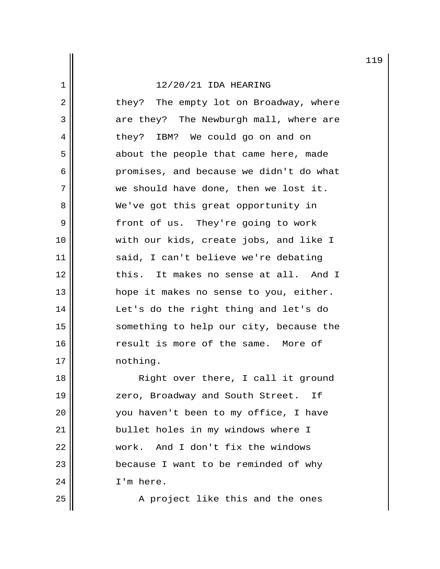2 || they? The empty lot on Broadway, where 3 are they? The Newburgh mall, where are 4 || they? IBM? We could go on and on 5 || about the people that came here, made 6 | promises, and because we didn't do what 7 || we should have done, then we lost it. 8 || We've got this great opportunity in 9 || front of us. They're going to work 10 with our kids, create jobs, and like I 11 || said, I can't believe we're debating 12 decrement in this. It makes no sense at all. And I 13 hope it makes no sense to you, either. 14 Let's do the right thing and let's do 15 || something to help our city, because the 16 || Tesult is more of the same. More of 17 | nothing.

18 || Right over there, I call it ground 19 || zero, Broadway and South Street. If 20 you haven't been to my office, I have 21 bullet holes in my windows where I 22 work. And I don't fix the windows 23 || because I want to be reminded of why  $24$  |  $\sqrt{I/m}$  here.

 $25$   $\parallel$  A project like this and the ones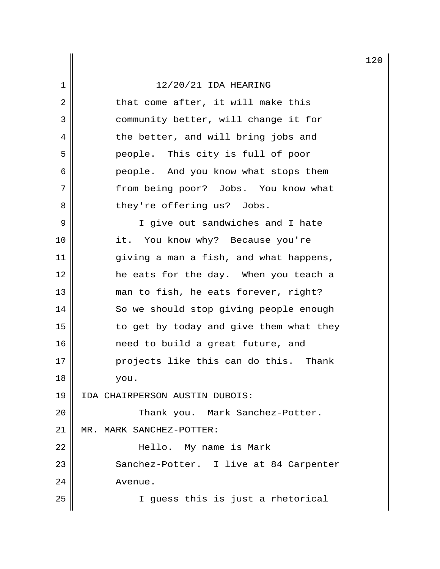$2 \parallel$  that come after, it will make this 3 || community better, will change it for 4 || the better, and will bring jobs and 5 people. This city is full of poor 6 people. And you know what stops them 7 || from being poor? Jobs. You know what 8 || they're offering us? Jobs.

9 || I give out sandwiches and I hate 10 || it. You know why? Because you're 11 || giving a man a fish, and what happens, 12 he eats for the day. When you teach a 13 || man to fish, he eats forever, right? 14 So we should stop giving people enough  $15$   $\parallel$  to get by today and give them what they 16 need to build a great future, and 17 || projects like this can do this. Thank 18 you. 19 IDA CHAIRPERSON AUSTIN DUBOIS: 20 || Thank you. Mark Sanchez-Potter.

21 | MR. MARK SANCHEZ-POTTER:

22 Hello. My name is Mark 23 || Sanchez-Potter. I live at 84 Carpenter 24 Avenue.

25 I guess this is just a rhetorical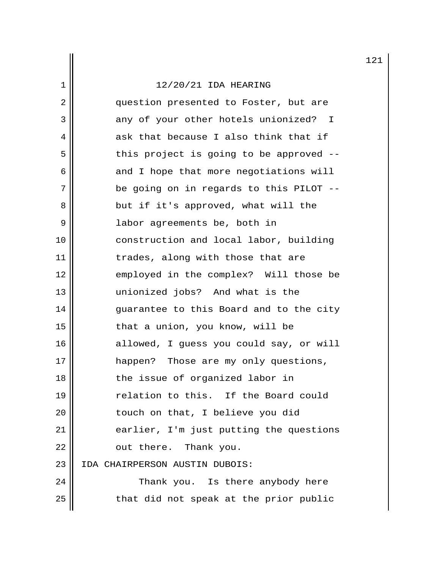# $\left| \frac{1}{2}\right|$  12/20/21 IDA HEARING

| 2  | question presented to Foster, but are   |
|----|-----------------------------------------|
| 3  | any of your other hotels unionized? I   |
| 4  | ask that because I also think that if   |
| 5  | this project is going to be approved -- |
| 6  | and I hope that more negotiations will  |
| 7  | be going on in regards to this PILOT -- |
| 8  | but if it's approved, what will the     |
| 9  | labor agreements be, both in            |
| 10 | construction and local labor, building  |
| 11 | trades, along with those that are       |
| 12 | employed in the complex? Will those be  |
| 13 | unionized jobs? And what is the         |
| 14 | guarantee to this Board and to the city |
| 15 | that a union, you know, will be         |
| 16 | allowed, I guess you could say, or will |
| 17 | happen? Those are my only questions,    |
| 18 | the issue of organized labor in         |
| 19 | relation to this. If the Board could    |
| 20 | touch on that, I believe you did        |
| 21 | earlier, I'm just putting the questions |
| 22 | out there. Thank you.                   |
| 23 | IDA CHAIRPERSON AUSTIN DUBOIS:          |
| 24 | Thank you. Is there anybody here        |
| 25 | that did not speak at the prior public  |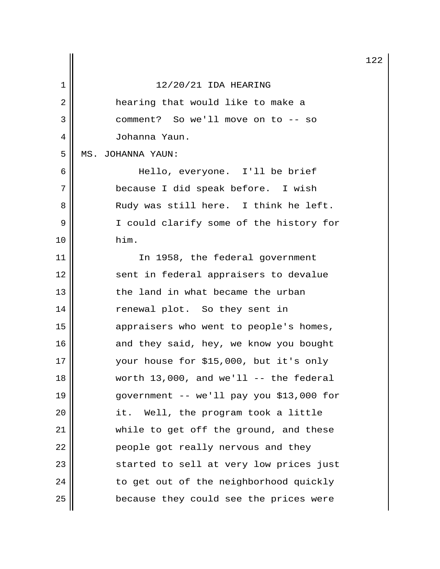|    |                                           | 12 |
|----|-------------------------------------------|----|
| 1  | 12/20/21 IDA HEARING                      |    |
| 2  | hearing that would like to make a         |    |
| 3  | comment? So we'll move on to -- so        |    |
| 4  | Johanna Yaun.                             |    |
| 5  | MS. JOHANNA YAUN:                         |    |
| 6  | Hello, everyone. I'll be brief            |    |
| 7  | because I did speak before. I wish        |    |
| 8  | Rudy was still here. I think he left.     |    |
| 9  | I could clarify some of the history for   |    |
| 10 | him.                                      |    |
| 11 | In 1958, the federal government           |    |
| 12 | sent in federal appraisers to devalue     |    |
| 13 | the land in what became the urban         |    |
| 14 | renewal plot. So they sent in             |    |
| 15 | appraisers who went to people's homes,    |    |
| 16 | and they said, hey, we know you bought    |    |
| 17 | your house for \$15,000, but it's only    |    |
| 18 | worth $13,000$ , and we'll -- the federal |    |
| 19 | government -- we'll pay you \$13,000 for  |    |
| 20 | it. Well, the program took a little       |    |
| 21 | while to get off the ground, and these    |    |
| 22 | people got really nervous and they        |    |
| 23 | started to sell at very low prices just   |    |
| 24 | to get out of the neighborhood quickly    |    |
| 25 | because they could see the prices were    |    |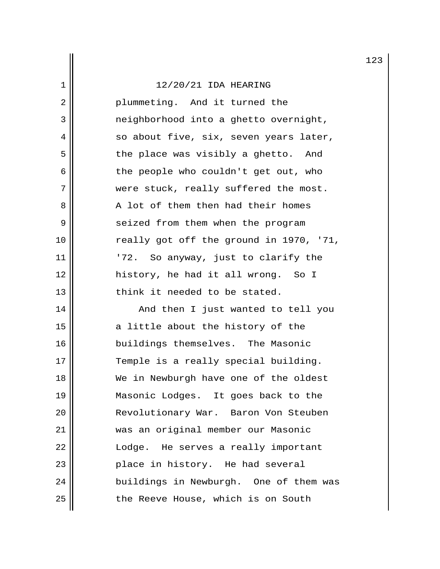| $\overline{2}$ | plummeting. And it turned the           |
|----------------|-----------------------------------------|
| 3              | neighborhood into a ghetto overnight,   |
| 4              | so about five, six, seven years later,  |
| 5              | the place was visibly a ghetto. And     |
| 6              | the people who couldn't get out, who    |
| 7              | were stuck, really suffered the most.   |
| 8              | A lot of them then had their homes      |
| 9              | seized from them when the program       |
| 10             | really got off the ground in 1970, '71, |
| 11             | So anyway, just to clarify the<br>'72.  |
| 12             | history, he had it all wrong. So I      |
| 13             | think it needed to be stated.           |
| 14             | And then I just wanted to tell you      |
| 15             | a little about the history of the       |
| 16             | buildings themselves. The Masonic       |
| 17             | Temple is a really special building.    |
| 18             | We in Newburgh have one of the oldest   |
| 19             | Masonic Lodges. It goes back to the     |
| 20             | Revolutionary War. Baron Von Steuben    |
| 21             | was an original member our Masonic      |

22 | Lodge. He serves a really important

24 buildings in Newburgh. One of them was

 $23$  place in history. He had several

25 | the Reeve House, which is on South

123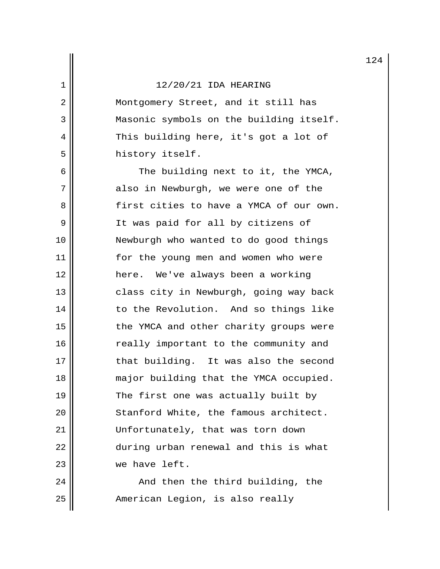2 || Montgomery Street, and it still has 3 Masonic symbols on the building itself. 4 || This building here, it's got a lot of 5 history itself.

 $6 \parallel$  The building next to it, the YMCA, 7 also in Newburgh, we were one of the 8 | First cities to have a YMCA of our own. 9 || It was paid for all by citizens of 10 Newburgh who wanted to do good things 11 || for the young men and women who were 12 here. We've always been a working 13 | class city in Newburgh, going way back 14 || to the Revolution. And so things like 15 || The YMCA and other charity groups were 16 || really important to the community and 17 || that building. It was also the second 18 || major building that the YMCA occupied. 19  $\parallel$  The first one was actually built by 20 | Stanford White, the famous architect. 21 Unfortunately, that was torn down 22 during urban renewal and this is what 23 we have left.

 $24$   $\parallel$  and then the third building, the 25 | Rmerican Legion, is also really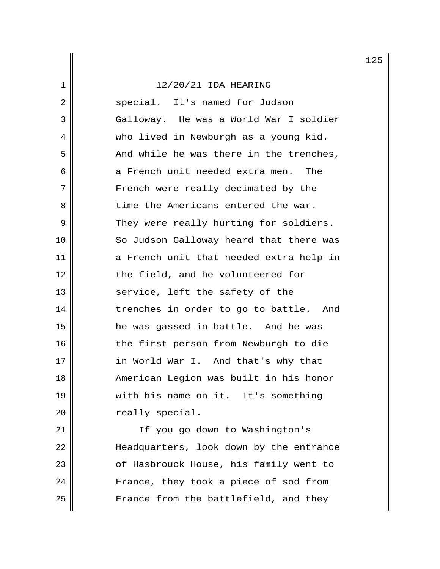2 || special. It's named for Judson 3 Galloway. He was a World War I soldier 4 || who lived in Newburgh as a young kid.  $5$  |  $\blacksquare$  And while he was there in the trenches,  $6$  ||  $\alpha$  French unit needed extra men. The 7 || French were really decimated by the 8 || time the Americans entered the war. 9 They were really hurting for soldiers. 10 || So Judson Galloway heard that there was 11 a French unit that needed extra help in 12 || the field, and he volunteered for  $13$  service, left the safety of the 14 trenches in order to go to battle. And 15 he was gassed in battle. And he was 16 || the first person from Newburgh to die 17 || in World War I. And that's why that 18 American Legion was built in his honor 19 with his name on it. It's something 20 | Treally special.

21 || If you go down to Washington's 22 || Headquarters, look down by the entrance 23 || cf Hasbrouck House, his family went to 24 || France, they took a piece of sod from  $25$   $\parallel$  France from the battlefield, and they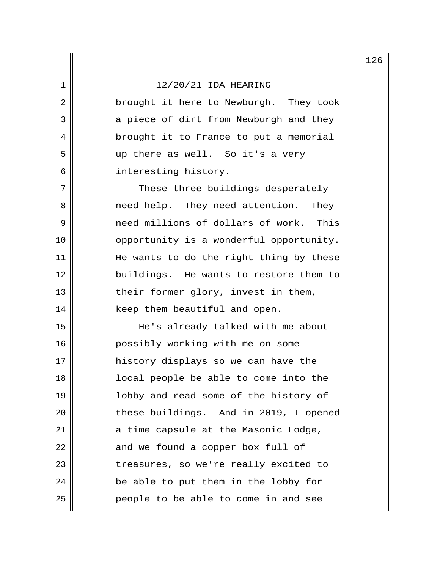2 || brought it here to Newburgh. They took 3 a piece of dirt from Newburgh and they 4 | brought it to France to put a memorial 5 up there as well. So it's a very 6 interesting history.

7 || These three buildings desperately 8 and incred help. They need attention. They 9 need millions of dollars of work. This 10 || opportunity is a wonderful opportunity. 11 || He wants to do the right thing by these 12 buildings. He wants to restore them to  $13$  || their former glory, invest in them, 14 || keep them beautiful and open.

15 He's already talked with me about 16 | possibly working with me on some 17 || history displays so we can have the 18 local people be able to come into the 19 || || || || || lobby and read some of the history of 20 || these buildings. And in 2019, I opened  $21$  ||  $\alpha$  time capsule at the Masonic Lodge,  $22$   $\parallel$  and we found a copper box full of 23 || treasures, so we're really excited to  $24$  || be able to put them in the lobby for 25 || People to be able to come in and see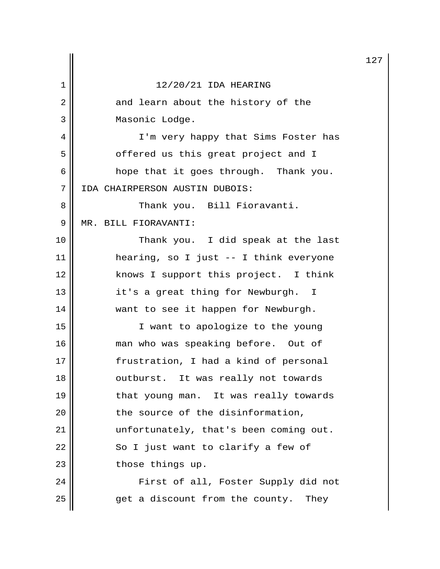|    |                                        | 12 |
|----|----------------------------------------|----|
| 1  | 12/20/21 IDA HEARING                   |    |
| 2  | and learn about the history of the     |    |
| 3  | Masonic Lodge.                         |    |
| 4  | I'm very happy that Sims Foster has    |    |
| 5  | offered us this great project and I    |    |
| 6  | hope that it goes through. Thank you.  |    |
| 7  | IDA CHAIRPERSON AUSTIN DUBOIS:         |    |
| 8  | Thank you. Bill Fioravanti.            |    |
| 9  | MR. BILL FIORAVANTI:                   |    |
| 10 | Thank you. I did speak at the last     |    |
| 11 | hearing, so I just -- I think everyone |    |
| 12 | knows I support this project. I think  |    |
| 13 | it's a great thing for Newburgh. I     |    |
| 14 | want to see it happen for Newburgh.    |    |
| 15 | I want to apologize to the young       |    |
| 16 | man who was speaking before. Out of    |    |
| 17 | frustration, I had a kind of personal  |    |
| 18 | outburst. It was really not towards    |    |
| 19 | that young man. It was really towards  |    |
| 20 | the source of the disinformation,      |    |
| 21 | unfortunately, that's been coming out. |    |
| 22 | So I just want to clarify a few of     |    |
| 23 | those things up.                       |    |
| 24 | First of all, Foster Supply did not    |    |
| 25 | get a discount from the county. They   |    |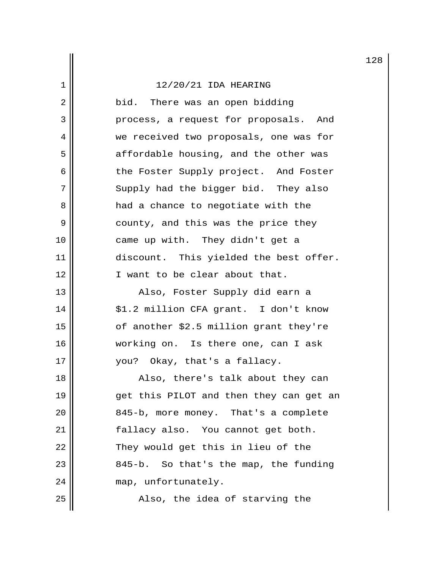# $\left| \frac{1}{2}\right|$  12/20/21 IDA HEARING

| $\overline{2}$ | bid. There was an open bidding          |  |  |  |  |  |  |
|----------------|-----------------------------------------|--|--|--|--|--|--|
| 3              | process, a request for proposals. And   |  |  |  |  |  |  |
| 4              | we received two proposals, one was for  |  |  |  |  |  |  |
| 5              | affordable housing, and the other was   |  |  |  |  |  |  |
| 6              | the Foster Supply project. And Foster   |  |  |  |  |  |  |
| 7              | Supply had the bigger bid. They also    |  |  |  |  |  |  |
| 8              | had a chance to negotiate with the      |  |  |  |  |  |  |
| 9              | county, and this was the price they     |  |  |  |  |  |  |
| 10             | came up with. They didn't get a         |  |  |  |  |  |  |
| 11             | discount. This yielded the best offer.  |  |  |  |  |  |  |
| 12             | I want to be clear about that.          |  |  |  |  |  |  |
| 13             | Also, Foster Supply did earn a          |  |  |  |  |  |  |
| 14             | \$1.2 million CFA grant. I don't know   |  |  |  |  |  |  |
| 15             | of another \$2.5 million grant they're  |  |  |  |  |  |  |
| 16             | working on. Is there one, can I ask     |  |  |  |  |  |  |
| 17             | you? Okay, that's a fallacy.            |  |  |  |  |  |  |
| 18             | Also, there's talk about they can       |  |  |  |  |  |  |
| 19             | get this PILOT and then they can get an |  |  |  |  |  |  |
| 20             | 845-b, more money. That's a complete    |  |  |  |  |  |  |
| 21             | fallacy also. You cannot get both.      |  |  |  |  |  |  |
| 22             | They would get this in lieu of the      |  |  |  |  |  |  |
| 23             | 845-b. So that's the map, the funding   |  |  |  |  |  |  |
| 24             | map, unfortunately.                     |  |  |  |  |  |  |
| 25             | Also, the idea of starving the          |  |  |  |  |  |  |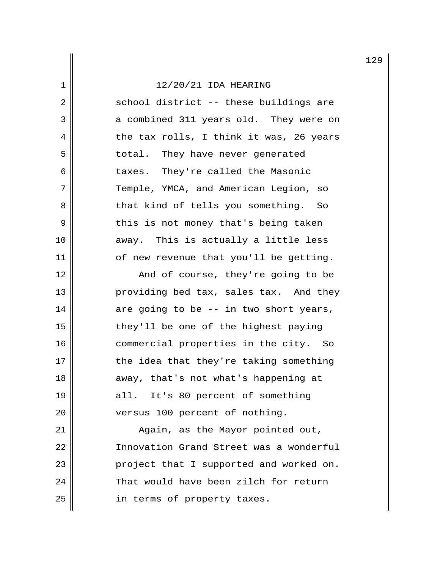$2 \parallel$  school district -- these buildings are 3 a combined 311 years old. They were on  $4 \parallel$  the tax rolls, I think it was, 26 years 5 || total. They have never generated 6 || taxes. They're called the Masonic 7 || Temple, YMCA, and American Legion, so 8 || That kind of tells you something. So 9 || this is not money that's being taken 10 away. This is actually a little less  $11$  || of new revenue that you'll be getting.

12 || And of course, they're going to be 13 || providing bed tax, sales tax. And they  $14$   $\parallel$  are going to be -- in two short years, 15 || they'll be one of the highest paying 16 || commercial properties in the city. So 17 || the idea that they're taking something 18 || away, that's not what's happening at 19 all. It's 80 percent of something 20 || versus 100 percent of nothing.

21 || Again, as the Mayor pointed out, 22 Innovation Grand Street was a wonderful 23 || project that I supported and worked on. 24 That would have been zilch for return 25 | in terms of property taxes.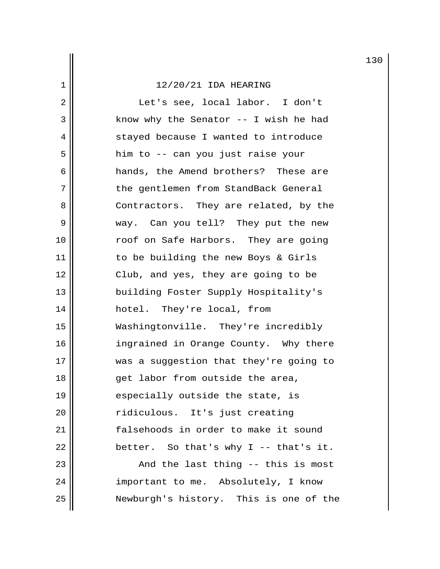2 || Let's see, local labor. I don't  $3 \parallel$  know why the Senator -- I wish he had 4 || stayed because I wanted to introduce 5 him to -- can you just raise your 6 || hands, the Amend brothers? These are 7 || the gentlemen from StandBack General 8 || Contractors. They are related, by the 9 || way. Can you tell? They put the new 10 roof on Safe Harbors. They are going 11 || to be building the new Boys & Girls 12 || Club, and yes, they are going to be 13 building Foster Supply Hospitality's 14 hotel. They're local, from 15 Washingtonville. They're incredibly 16 || ingrained in Orange County. Why there 17 was a suggestion that they're going to 18 || get labor from outside the area, 19  $\parallel$  especially outside the state, is 20 ridiculous. It's just creating 21 | falsehoods in order to make it sound  $22 \parallel$  better. So that's why I -- that's it.  $23$   $\parallel$  23  $\parallel$  23 And the last thing  $-$  this is most 24 | important to me. Absolutely, I know 25 Newburgh's history. This is one of the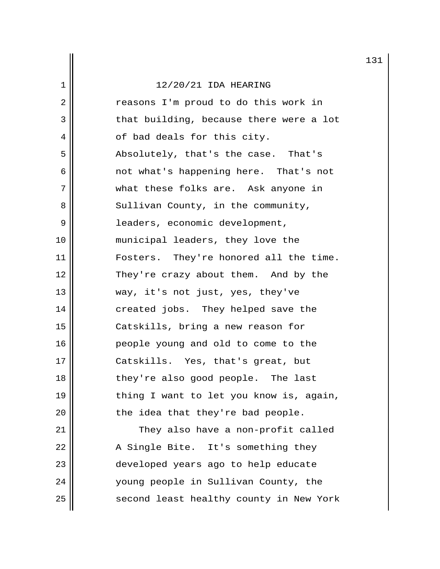2 || The reasons I'm proud to do this work in  $3 \parallel$  that building, because there were a lot  $4 \parallel$  of bad deals for this city. 5 Absolutely, that's the case. That's 6 not what's happening here. That's not 7 what these folks are. Ask anyone in 8 || Sullivan County, in the community, 9 leaders, economic development, 10 municipal leaders, they love the 11 Fosters. They're honored all the time. 12 || They're crazy about them. And by the 13 || way, it's not just, yes, they've 14 || created jobs. They helped save the 15 Catskills, bring a new reason for 16 people young and old to come to the 17 || Catskills. Yes, that's great, but 18 || they're also good people. The last 19  $\parallel$  thing I want to let you know is, again,  $20$  || the idea that they're bad people. 21 | They also have a non-profit called 22 || A Single Bite. It's something they 23 || developed years ago to help educate 24 || voung people in Sullivan County, the

25 || second least healthy county in New York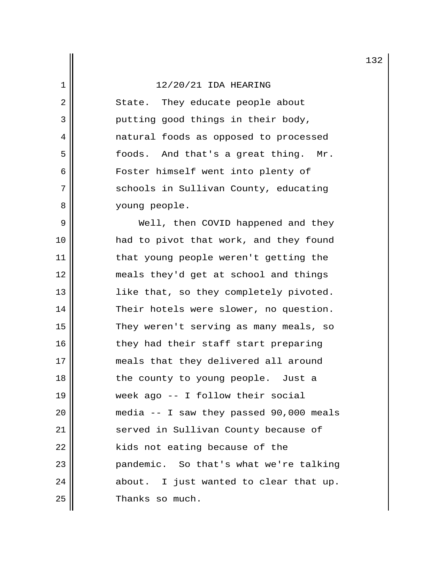2 || State. They educate people about 3 putting good things in their body, 4 natural foods as opposed to processed 5 || foods. And that's a great thing. Mr. 6 || Foster himself went into plenty of 7 || schools in Sullivan County, educating 8 || voung people.

 9 Well, then COVID happened and they 10 had to pivot that work, and they found 11 || that young people weren't getting the 12 meals they'd get at school and things 13 || like that, so they completely pivoted. 14 Their hotels were slower, no question. 15 || They weren't serving as many meals, so 16 || they had their staff start preparing 17 || meals that they delivered all around 18 || the county to young people. Just a 19 week ago -- I follow their social 20 media -- I saw they passed 90,000 meals 21 || served in Sullivan County because of  $22$  || kids not eating because of the 23 || Pandemic. So that's what we're talking  $24$  || about. I just wanted to clear that up. 25 **I** Thanks so much.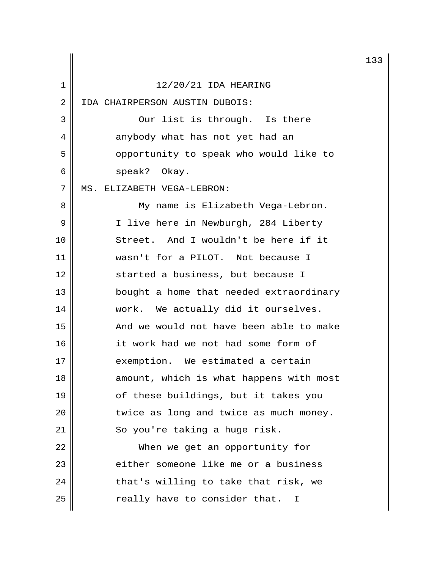|    |                                         | 13 |
|----|-----------------------------------------|----|
| 1  | 12/20/21 IDA HEARING                    |    |
| 2  | IDA CHAIRPERSON AUSTIN DUBOIS:          |    |
| 3  | Our list is through. Is there           |    |
| 4  | anybody what has not yet had an         |    |
| 5  | opportunity to speak who would like to  |    |
| 6  | speak? Okay.                            |    |
| 7  | MS. ELIZABETH VEGA-LEBRON:              |    |
| 8  | My name is Elizabeth Vega-Lebron.       |    |
| 9  | I live here in Newburgh, 284 Liberty    |    |
| 10 | Street. And I wouldn't be here if it    |    |
| 11 | wasn't for a PILOT. Not because I       |    |
| 12 | started a business, but because I       |    |
| 13 | bought a home that needed extraordinary |    |
| 14 | work. We actually did it ourselves.     |    |
| 15 | And we would not have been able to make |    |
| 16 | it work had we not had some form of     |    |
| 17 | exemption. We estimated a certain       |    |
| 18 | amount, which is what happens with most |    |
| 19 | of these buildings, but it takes you    |    |
| 20 | twice as long and twice as much money.  |    |
| 21 | So you're taking a huge risk.           |    |
| 22 | When we get an opportunity for          |    |
| 23 | either someone like me or a business    |    |
| 24 | that's willing to take that risk, we    |    |
| 25 | really have to consider that.<br>T      |    |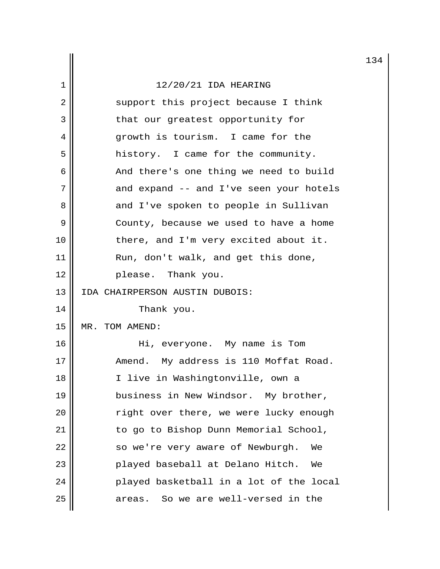|    |                                         | 13 |  |  |  |  |
|----|-----------------------------------------|----|--|--|--|--|
| 1  | 12/20/21 IDA HEARING                    |    |  |  |  |  |
| 2  | support this project because I think    |    |  |  |  |  |
| 3  | that our greatest opportunity for       |    |  |  |  |  |
| 4  | growth is tourism. I came for the       |    |  |  |  |  |
| 5  | history. I came for the community.      |    |  |  |  |  |
| 6  | And there's one thing we need to build  |    |  |  |  |  |
| 7  | and expand -- and I've seen your hotels |    |  |  |  |  |
| 8  | and I've spoken to people in Sullivan   |    |  |  |  |  |
| 9  | County, because we used to have a home  |    |  |  |  |  |
| 10 | there, and I'm very excited about it.   |    |  |  |  |  |
| 11 | Run, don't walk, and get this done,     |    |  |  |  |  |
| 12 | please. Thank you.                      |    |  |  |  |  |
| 13 | IDA CHAIRPERSON AUSTIN DUBOIS:          |    |  |  |  |  |
| 14 | Thank you.                              |    |  |  |  |  |
| 15 | MR. TOM AMEND:                          |    |  |  |  |  |
| 16 | Hi, everyone. My name is Tom            |    |  |  |  |  |
| 17 | Amend. My address is 110 Moffat Road.   |    |  |  |  |  |
| 18 | I live in Washingtonville, own a        |    |  |  |  |  |
| 19 | business in New Windsor. My brother,    |    |  |  |  |  |
| 20 | right over there, we were lucky enough  |    |  |  |  |  |
| 21 | to go to Bishop Dunn Memorial School,   |    |  |  |  |  |
| 22 | so we're very aware of Newburgh.<br>We  |    |  |  |  |  |
| 23 | played baseball at Delano Hitch.<br>We  |    |  |  |  |  |
| 24 | played basketball in a lot of the local |    |  |  |  |  |
| 25 | areas. So we are well-versed in the     |    |  |  |  |  |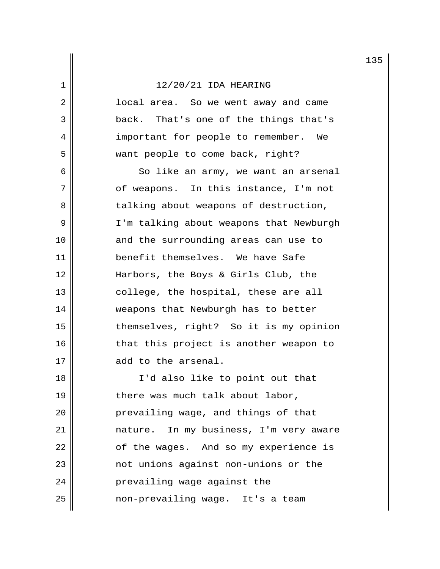2 || local area. So we went away and came 3 back. That's one of the things that's 4 || important for people to remember. We 5 || want people to come back, right?

 6 So like an army, we want an arsenal 7 || of weapons. In this instance, I'm not 8 || talking about weapons of destruction, 9 | I'm talking about weapons that Newburgh 10 || and the surrounding areas can use to 11 || benefit themselves. We have Safe 12 Harbors, the Boys & Girls Club, the 13 || college, the hospital, these are all 14 || weapons that Newburgh has to better 15 themselves, right? So it is my opinion 16 || that this project is another weapon to 17 || add to the arsenal.

18 I'd also like to point out that 19 || there was much talk about labor, 20 || prevailing wage, and things of that 21 nature. In my business, I'm very aware 22 | cf the wages. And so my experience is 23 || mot unions against non-unions or the 24 | Prevailing wage against the 25 non-prevailing wage. It's a team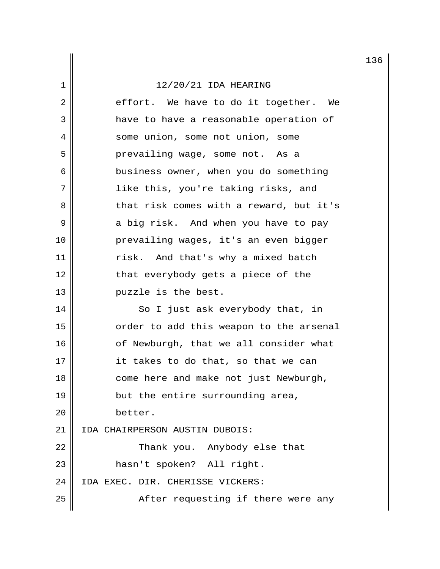$2 \parallel$  effort. We have to do it together. We 3 a have to have a reasonable operation of 4 || some union, some not union, some 5 | Prevailing wage, some not. As a 6 || business owner, when you do something 7 || like this, you're taking risks, and 8 but hat risk comes with a reward, but it's 9 a big risk. And when you have to pay 10 prevailing wages, it's an even bigger 11 || risk. And that's why a mixed batch 12 || that everybody gets a piece of the 13 || puzzle is the best. 14 || So I just ask everybody that, in 15 || order to add this weapon to the arsenal 16 || of Newburgh, that we all consider what 17 || it takes to do that, so that we can 18 || come here and make not just Newburgh, 19  $\parallel$  but the entire surrounding area,

20 better.

21 IDA CHAIRPERSON AUSTIN DUBOIS:

22 || Thank you. Anybody else that 23 || hasn't spoken? All right. 24 | IDA EXEC. DIR. CHERISSE VICKERS: 25 || After requesting if there were any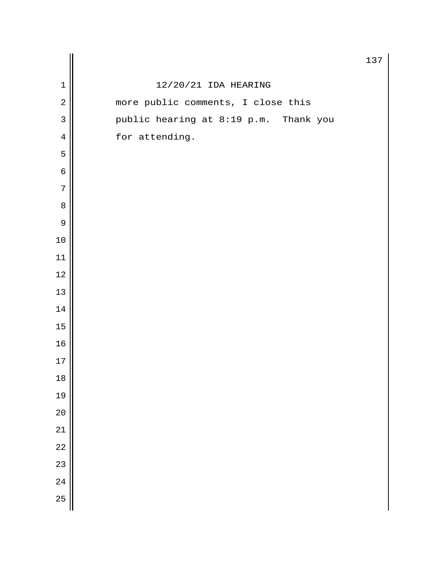|                 |                                       | 13 <sup>7</sup> |
|-----------------|---------------------------------------|-----------------|
| $\mathbf 1$     | 12/20/21 IDA HEARING                  |                 |
| $\sqrt{2}$      | more public comments, I close this    |                 |
| $\overline{3}$  | public hearing at 8:19 p.m. Thank you |                 |
| $\bf 4$         | for attending.                        |                 |
| 5               |                                       |                 |
| $\epsilon$      |                                       |                 |
| 7               |                                       |                 |
| 8               |                                       |                 |
| $\mathsf 9$     |                                       |                 |
| $10$            |                                       |                 |
| $11\,$          |                                       |                 |
| $12\,$          |                                       |                 |
| $13\,$          |                                       |                 |
| $14\,$          |                                       |                 |
| $15\,$          |                                       |                 |
| 16              |                                       |                 |
| $17$            |                                       |                 |
| 18              |                                       |                 |
| 19              |                                       |                 |
| 20              |                                       |                 |
| 21              |                                       |                 |
| $\overline{22}$ |                                       |                 |
| $\overline{23}$ |                                       |                 |
| 24              |                                       |                 |
| 25              |                                       |                 |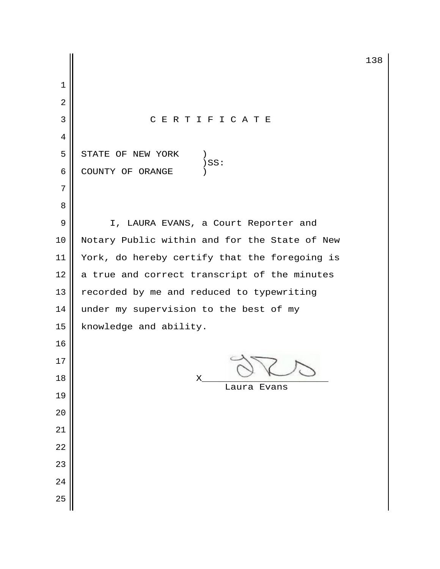3 C E R T I F I C A T E  $5 \parallel$  STATE OF NEW YORK ) SS:  $\parallel$   $)$  SS: 6 COUNTY OF ORANGE 9 | I, LAURA EVANS, a Court Reporter and 10 || Notary Public within and for the State of New 11 | York, do hereby certify that the foregoing is a true and correct transcript of the minutes  $\parallel$  recorded by me and reduced to typewriting 14  $\parallel$  under my supervision to the best of my 15 | knowledge and ability.  $\mathsf{18} \parallel \qquad \qquad \mathsf{X} \qquad \qquad \sqrt{2} \qquad \qquad \sqrt{2}$  Laura Evans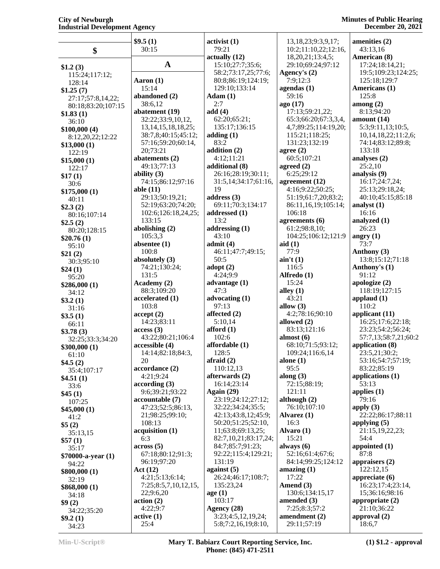## **City of Newburgh Industrial Development Agency**

#### **Minutes of Public Hearing December 20, 2021**

|                          | \$9.5(1)                                  | $\text{activity}(\mathbf{1})$      | 13, 18, 23; 9: 3, 9, 17;      | amenities (2)                         |
|--------------------------|-------------------------------------------|------------------------------------|-------------------------------|---------------------------------------|
| \$                       | 30:15                                     | 79:21                              | 10:2;11:10,22;12:16,          | 43:13,16                              |
|                          |                                           | actually (12)                      | 18,20,21;13:4,5;              | American (8)                          |
| \$1.2(3)                 | $\mathbf{A}$                              | 15:10;27:7;35:6;                   | 29:10;69:24;97:12             | 17:24;18:14,21;                       |
| 115:24;117:12;           |                                           | 58:2;73:17,25;77:6;                | Agency's $(2)$                | 19:5;109:23;124:25;                   |
| 128:14                   | Aaron (1)                                 | 80:8;86:19;124:19;                 | 7:9;12:3                      | 125:18;129:7                          |
| \$1.25(7)                | 15:14                                     | 129:10;133:14                      | agendas $(1)$<br>59:16        | Americans (1)<br>125:8                |
| 27:17;57:8,14,22;        | abandoned (2)<br>38:6,12                  | Adam(1)<br>2:7                     | ago (17)                      | among $(2)$                           |
| 80:18;83:20;107:15       | abatement (19)                            | add(4)                             | 17:13;59:21,22;               | 8:13;94:20                            |
| \$1.83(1)                | 32:22;33:9,10,12,                         | 62:20;65:21;                       | 65:3;66:20;67:3,3,4,          | amount $(14)$                         |
| 36:10<br>\$100,000(4)    | 13, 14, 15, 18, 18, 25;                   | 135:17;136:15                      | 4,7;89:25;114:19,20;          | 5:3;9:11,13;10:5,                     |
| 8:12,20,22;12:22         | 38:7,8;40:15;45:12;                       | adding(1)                          | 115:21;118:25;                | 10,14,18,22;11:2,6;                   |
| \$13,000(1)              | 57:16;59:20;60:14,                        | 83:2                               | 131:23;132:19                 | 74:14;83:12;89:8;                     |
| 122:19                   | 20;73:21                                  | addition (2)                       | agree $(2)$                   | 133:18                                |
| \$15,000(1)              | abatements (2)                            | 4:12;11:21                         | 60:5;107:21                   | analyses (2)                          |
| 122:17                   | 49:13;77:13                               | additional (8)                     | agreed $(2)$                  | 25:2,10                               |
| \$17(1)                  | ability $(3)$                             | 26:16;28:19;30:11;                 | 6:25;29:12                    | analysis (9)                          |
| 30:6                     | 74:15;86:12;97:16                         | 31:5,14;34:17;61:16,               | agreement (12)                | 16:17;24:7,24;                        |
| \$175,000(1)             | able $(11)$                               | 19                                 | 4:16;9:22;50:25;              | 25:13;29:18,24;                       |
| 40:11                    | 29:13;50:19,21;                           | address $(3)$<br>69:11:70:3:134:17 | 51:19;61:7,20;83:2;           | 40:10;45:15;85:18                     |
| \$2.3(2)                 | 52:19;63:20;74:20;<br>102:6;126:18,24,25; | addressed (1)                      | 86:11,16,19;105:14;<br>106:18 | analyst $(1)$<br>16:16                |
| 80:16;107:14             | 133:15                                    | 13:2                               | agreements $(6)$              | analyzed (1)                          |
| \$2.5(2)<br>80:20;128:15 | abolishing (2)                            | addressing $(1)$                   | 61:2;98:8,10;                 | 26:23                                 |
| \$20.76(1)               | 105:3,3                                   | 43:10                              | 104:25;106:12;121:9           | angry $(1)$                           |
| 95:10                    | absentee $(1)$                            | admit(4)                           | aid(1)                        | 73:7                                  |
| \$21(2)                  | 100:8                                     | 46:11;47:7;49:15;                  | 77:9                          | Anthony (3)                           |
| 30:3;95:10               | absolutely (3)                            | 50:5                               | $\sin' t(1)$                  | 13:8;15:12;71:18                      |
| \$24(1)                  | 74:21;130:24;                             | adopt $(2)$                        | 116:5                         | Anthony's (1)                         |
| 95:20                    | 131:5                                     | 4:24;9:9                           | Alfredo (1)                   | 91:12                                 |
| \$286,000 (1)            | Academy (2)                               | advantage $(1)$                    | 15:24                         | apologize (2)                         |
| 34:12                    | 88:3;109:20                               | 47:3<br>advocating (1)             | alley $(1)$<br>43:21          | 118:19;127:15                         |
| \$3.2(1)                 | accelerated (1)<br>103:8                  | 97:13                              | allow $(3)$                   | applaud $(1)$<br>110:2                |
| 31:16                    | accept(2)                                 | affected $(2)$                     | 4:2;78:16;90:10               | applicant (11)                        |
| \$3.5(1)<br>66:11        | 14:23;83:11                               | 5:10,14                            | allowed (2)                   | 16:25;17:6;22:18;                     |
| \$3.78(3)                | access(3)                                 | afford $(1)$                       | 83:13;121:16                  | 23:23;54:2;56:24;                     |
| 32:25;33:3;34:20         | 43:22;80:21;106:4                         | 102:6                              | almost $(6)$                  | 57:7,13;58:7,21;60:2                  |
| \$300,000(1)             | accessible (4)                            | affordable (1)                     | 68:10;71:5;93:12;             | application (8)                       |
| 61:10                    | 14:14;82:18;84:3,                         | 128:5                              | 109:24;116:6,14               | 23:5,21;30:2;                         |
| \$4.5(2)                 | 20                                        | afraid $(2)$                       | alone $(1)$                   | 53:16;54:7;57:19;                     |
| 35:4;107:17              | accordance (2)                            | 110:12,13                          | 95:5                          | 83:22;85:19                           |
| \$4.51(1)                | 4:21;9:24                                 | afterwards (2)                     | along $(3)$                   | applications $(1)$                    |
| 33:6                     | according(3)<br>9:6;39:21;93:22           | 16:14;23:14<br>Again $(29)$        | 72:15;88:19;<br>121:11        | 53:13<br>applies $(1)$                |
| \$45(1)                  | accountable (7)                           | 23:19;24:12;27:12;                 | although $(2)$                | 79:16                                 |
| 107:25                   | 47:23;52:5;86:13,                         | 32:22;34:24;35:5;                  | 76:10;107:10                  | apply $(3)$                           |
| \$45,000(1)<br>41:2      | 21;98:25;99:10;                           | 42:13;43:8,12;45:9;                | Alvarez (1)                   | 22:22;86:17;88:11                     |
| \$5(2)                   | 108:13                                    | 50:20;51:25;52:10,                 | 16:3                          | applying $(5)$                        |
| 35:13,15                 | acquisition (1)                           | 11;63:8;69:13,25;                  | Alvaro $(1)$                  | 21:15,19,22,23;                       |
| \$57(1)                  | 6:3                                       | 82:7,10,21;83:17,24;               | 15:21                         | 54:4                                  |
| 35:17                    | across(5)                                 | 84:7;85:7;91:23;                   | always $(6)$                  | appointed $(1)$                       |
| \$70000-a-year (1)       | 67:18;80:12;91:3;                         | 92:22;115:4;129:21;                | 52:16;61:4;67:6;              | 87:8                                  |
| 94:22                    | 96:19;97:20                               | 131:19                             | 84:14;99:25;124:12            | appraisers $(2)$                      |
| \$800,000(1)             | Act(12)                                   | against $(5)$                      | amazing $(1)$                 | 122:12,15                             |
| 32:19                    | 4:21;5:13;6:14;                           | 26:24;46:17;108:7;<br>135:23,24    | 17:22                         | appreciate $(6)$<br>16:23;17:4;23:14, |
| \$868,000(1)             | 7:25;8:5,7,10,12,15,<br>22,9:6,20         | age(1)                             | Amend (3)<br>130:6;134:15,17  | 15;36:16;98:16                        |
| 34:18                    | action(2)                                 | 103:17                             | amended $(3)$                 | appropriate $(2)$                     |
| \$9(2)                   | 4:22;9:7                                  | Agency (28)                        | 7:25;8:3;57:2                 | 21:10;36:22                           |
| 34:22;35:20<br>\$9.2(1)  | active(1)                                 | 3:23;4:5,12,19,24;                 | amendment (2)                 | approval $(2)$                        |
| 34:23                    | 25:4                                      | 5:8;7:2,16,19;8:10,                | 29:11;57:19                   | 18:6,7                                |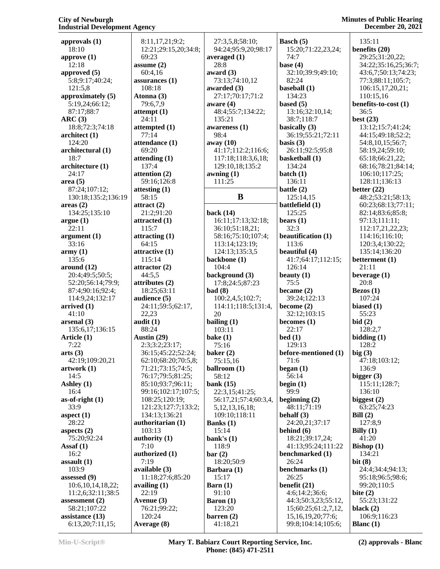#### **City of Newburgh Industrial Development Agency**

| approvals (1)                        | 8:11            |
|--------------------------------------|-----------------|
| 18:10                                | 12:2<br>69:2    |
| approve (1)<br>12:18                 | assum           |
| approved (5)                         | 60:4            |
| 5:8;9:17;40:24;                      | assura          |
| 121:5,8<br>approximately (5)         | 108:<br>Atonn   |
| 5:19,24;66:12;                       | 79:6            |
| 87:17;88:7                           | attemp          |
| ARC(3)<br>18:8;72:3;74:18            | 24:1<br>attemp  |
| architect (1)                        | 77:1            |
| 124:20                               | attend          |
| architectural (1)<br>18:7            | 69:2<br>attend  |
| architecture (1)                     | 137:            |
| 24:17                                | attenti         |
| area(5)<br>87:24;107:12;             | 59:1<br>attesti |
| 130:18;135:2;136:19                  | 58:1            |
| areas(2)                             | attract         |
| 134:25;135:10<br>argue(1)            | 21:2<br>attract |
| 22:11                                | 115:            |
| argument(1)                          | attract         |
| 33:16<br>army(1)                     | 64:1<br>attract |
| 135:6                                | 115:            |
| around (12)                          | attract         |
| 20:4;49:5;50:5;<br>52:20;56:14;79:9; | 44:5<br>attribı |
|                                      |                 |
| 87:4;90:16;92:4;                     | 18:2            |
| 114:9,24;132:17                      | audier          |
| arrived (1)                          | 24:1            |
| 41:10<br>arsenal (3)                 | 22,2<br>audit ( |
| 135:6,17;136:15                      | 88:2            |
| Article (1)                          | <b>Austin</b>   |
| 7:22<br>arts(3)                      | 2:3;<br>36:1    |
| 42:19;109:20,21                      | 62:1            |
| artwork (1)                          | 71:2            |
| 14:5<br>Ashley (1)                   | 76:1<br>85:1    |
| 16:4                                 | 99:1            |
| $as-of-right(1)$                     | 108:            |
| 33:9<br>aspect $(1)$                 | 121:<br>134:    |
| 28:22                                | author          |
| aspects $(2)$                        | 103:            |
| 75:20;92:24<br>$\text{Assaf}(1)$     | author<br>7:10  |
| 16:2                                 | author          |
| assault (1)                          | 7:19            |
| 103:9<br>assessed (9)                | availal<br>11:1 |
| 10:6, 10, 14, 18, 22;                | availir         |
| 11:2,6;32:11;38:5                    | 22:1            |
| assessment (2)<br>58:21;107:22       | Avenu<br>76:2   |
| assistance (13)<br>6:13,20;7:11,15;  | 120:<br>Avera   |

| 8:11,17,21;9:2;       | 27:3,5             |
|-----------------------|--------------------|
| 12:21;29:15,20;34:8;  | 94:24;             |
| 69:23                 | averageo           |
| assume (2)            | 28:8               |
| 60:4,16               | award (3           |
| assurances (1)        | 73:13;             |
| 108:18                | awarded            |
| Atonna (3)            | 27:17;             |
|                       |                    |
| 79:6,7,9              | aware (4           |
| attempt (1)           | 48:4;5             |
| 24:11                 | 135:21             |
| attempted (1)         | awarene            |
| 77:14                 | 98:4               |
| attendance (1)        | away (10           |
| 69:20                 | 41:17;             |
| attending (1)         | 117:18             |
| 137:4                 | 129:10             |
| attention (2)         | awning (           |
| 59:16;126:8           | 111:25             |
| attesting (1)         |                    |
| 58:15                 |                    |
| attract (2)           |                    |
| 21:2;91:20            | back (14           |
| attracted (1)         |                    |
|                       | 16:11;             |
| 115:7                 | 36:10;             |
| attracting (1)        | 58:16;             |
| 64:15                 | 113:14             |
| attractive (1)        | 124:13             |
| 115:14                | backbon            |
| attractor (2)         | 104:4              |
| 44:5,5                | backgro            |
| attributes (2)        | 17:8;2             |
| 18:25;63:11           | bad(8)             |
| audience (5)          | 100:2,             |
| 24:11;59:5;62:17,     | 114:11             |
| 22,23                 | 20                 |
| audit (1)             | bailing (          |
| 88:24                 | 103:11             |
| Austin (29)           | bake $(1)$         |
| 2:3;3:2;23:17;        |                    |
|                       |                    |
|                       | 75:16              |
| 36:15;45:22;52:24;    | baker (2           |
| 62:10;68:20;70:5,8;   | 75:15,             |
| 71:21;73:15;74:5;     | ballroon           |
| 76:17;79:5;81:25;     | 58:12              |
| 85:10;93:7;96:11;     | bank (15           |
| 99:16;102:17;107:5;   | 22:3,1             |
| 108:25;120:19;        | 56:17,2            |
| 121:23;127:7;133:2;   | 5, 12, 1           |
| 134:13;136:21         | 109:10             |
| authoritarian (1)     | <b>Banks</b> (1    |
| 103:13                |                    |
|                       | 15:14              |
| authority (1)         | bank's (           |
| 7:10                  | 118:9              |
| authorized (1)        | bar(2)             |
| 7:19                  | 18:20;             |
| available (3)         | Barbara            |
| 11:18;27:6;85:20      | 15:17              |
| availing (1)          | Barn $(1)$         |
| 22:19                 | 91:10              |
| Avenue (3)            | <b>Baron</b> (1    |
| 76:21;99:22;          | 123:20             |
| 120:24<br>Average (8) | barren (<br>41:18, |

| 27:3,5,8;58:10;                       | Basch (5)                           |             |
|---------------------------------------|-------------------------------------|-------------|
| 94:24;95:9,20;98:17                   | 15:20;71:22,23,24;                  | $\mathbf b$ |
| averaged (1)                          | 74:7                                |             |
| 28:8                                  | base $(4)$                          |             |
| award (3)                             | 32:10;39:9;49:10;                   |             |
| 73:13;74:10,12<br>awarded (3)         | 82:24<br>baseball (1)               |             |
| 27:17;70:17;71:2                      | 134:23                              |             |
| aware (4)                             | based $(5)$                         | $\mathbf b$ |
| 48:4;55:7;134:22;                     | 13:16;32:10,14;                     |             |
| 135:21                                | 38:7;118:7                          | $\mathbf b$ |
| awareness (1)                         | basically (3)                       |             |
| 98:4                                  | 36:19;55:21;72:11                   |             |
| away (10)                             | basis $(3)$                         |             |
| 41:17;112:2;116:6;                    | 26:11;92:5;95:8                     |             |
| 117:18;118:3,6,18;<br>129:10,18;135:2 | basketball (1)<br>134:24            |             |
| awning (1)                            | batch $(1)$                         |             |
| 111:25                                | 136:11                              |             |
|                                       | battle $(2)$                        | $\mathbf b$ |
| B                                     | 125:14,15                           |             |
|                                       | battlefield (1)                     |             |
| back (14)                             | 125:25                              |             |
| 16:11;17:13;32:18;                    | bears $(1)$                         |             |
| 36:10;51:18,21;                       | 32:3                                |             |
| 58:16;75:10;107:4;                    | beautification (1)                  |             |
| 113:14;123:19;                        | 113:6                               |             |
| 124:13;135:3,5                        | beautiful (4)<br>41:7;64:17;112:15; |             |
| backbone (1)<br>104:4                 | 126:14                              | $\mathbf b$ |
| background (3)                        | beauty $(1)$                        | b           |
| 17:8;24:5;87:23                       | 75:5                                |             |
| <b>bad</b> (8)                        | became $(2)$                        | E           |
| 100:2,4,5;102:7;                      | 39:24;122:13                        |             |
| 114:11;118:5;131:4,                   | become (2)                          | $\mathbf b$ |
| 20                                    | 32:12;103:15                        |             |
| bailing (1)                           | becomes (1)                         | $\mathbf b$ |
| 103:11                                | 22:17                               |             |
| bake (1)                              | bed(1)                              | $\mathbf b$ |
| 75:16                                 | 129:13                              | $\mathbf b$ |
| baker (2)<br>75:15,16                 | before-mentioned (1)<br>71:6        |             |
| ballroom (1)                          | began $(1)$                         |             |
| 58:12                                 | 56:14                               | b           |
| bank (15)                             | begin $(1)$                         |             |
| 22:3,15;41:25;                        | 99:9                                |             |
| 56:17,21;57:4;60:3,4,                 | beginning $(2)$                     | $\mathbf b$ |
| 5, 12, 13, 16, 18;                    | 48:11;71:19                         |             |
| 109:10;118:11                         | behalf $(3)$                        | E           |
| <b>Banks</b> (1)                      | 24:20,21;37:17                      |             |
| 15:14                                 | behind (6)<br>18:21;39:17,24;       | E           |
| bank's (1)<br>118:9                   | 41:13;95:24;111:22                  | E           |
| bar (2)                               | benchmarked (1)                     |             |
| 18:20;50:9                            | 26:24                               | $\mathbf b$ |
| Barbara (1)                           | benchmarks (1)                      |             |
| 15:17                                 | 26:25                               |             |
| Barn (1)                              | benefit (21)                        |             |
| 91:10                                 | 4:6;14:2;36:6;                      | $\mathbf b$ |
| <b>Baron</b> (1)                      | 44:3;50:3,23;55:12,                 |             |
| 123:20                                | 15;60:25;61:2,7,12,                 | $\mathbf b$ |
| barren (2)                            | 15, 16, 19, 20; 77: 6;              |             |
| 41:18,21                              | 99:8;104:14;105:6;                  | E           |

 135:11 **benefits (20)** 29:25;31:20,22; 34:22;35:16,25;36:7; 43:6,7;50:13;74:23; 77:3;88:11;105:7; 106:15,17,20,21; 110:15,16 **benefits-to-cost (1)** 36:5 **best (23)** 13:12;15:7;41:24; 44:15;49:18;52:2; 54:8,10,15;56:7; 58:19,24;59:10; 65:18;66:21,22; 68:16;78:21;84:14; 106:10;117:25; 128:11;136:13 **better (22)** 48:2;53:21;58:13; 60:23;68:13;77:11; 82:14;83:6;85:8; 97:13;111:11; 112:17,21,22,23; 114:16;116:10; 120:3,4;130:22; 135:14;136:20 **betterment (1)** 21:11 **beverage (1)** 20:8 **Bezos (1)** 107:24 **biased (1)** 55:23 **bid (2)** 128:2,7 **bidding (1)** 128:2 **big (3)** 47:18;103:12; 136:9 **bigger (3)** 115:11;128:7; 136:10 **biggest (2)** 63:25;74:23 **Bill (2)** 127:8,9 **Billy (1)** 41:20 **Bishop (1)** 134:21 **bit (8)** 24:4;34:4;94:13; 95:18;96:5;98:6; 99:20;110:5 **bite (2)** 55:23;131:22 **black (2)** 106:9;116:23 **Blanc (1)**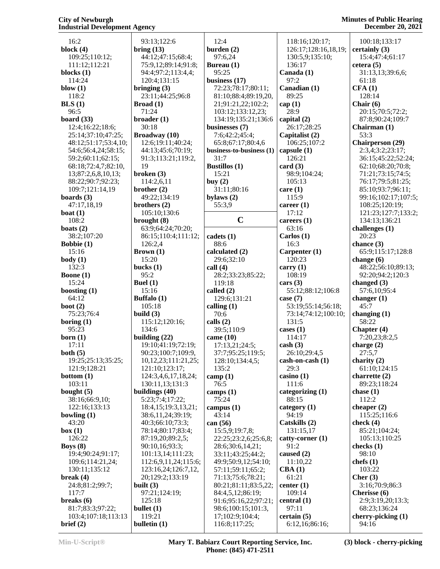| 16:2                 | 93:13;122:6            | 12:4                     | 118:16;120:17;             | 100:18;133:17           |
|----------------------|------------------------|--------------------------|----------------------------|-------------------------|
| block $(4)$          | bring (13)             | burden $(2)$             | 126:17;128:16,18,19;       | certainly (3)           |
|                      |                        |                          |                            |                         |
| 109:25;110:12;       | 44:12;47:15;68:4;      | 97:6,24                  | 130:5,9;135:10;            | 15:4;47:4;61:17         |
| 111:12;112:21        | 75:9,12;89:14;91:8;    | Bureau (1)               | 136:17                     | cetera(5)               |
| blocks $(1)$         | 94:4;97:2;113:4,4;     | 95:25                    | Canada (1)                 | 31:13,13;39:6,6;        |
| 114:24               | 120:4;131:15           | business $(17)$          | 97:2                       | 61:18                   |
| blow $(1)$           | bringing $(3)$         | 72:23;78:17;80:11;       | Canadian (1)               | CFA(1)                  |
| 118:2                | 23:11;44:25;96:8       | 81:10;88:4;89:19,20,     | 89:25                      | 128:14                  |
| BLS(1)               | Broad(1)               | 21;91:21,22;102:2;       | cap(1)                     | Chair $(6)$             |
| 96:5                 | 71:24                  | 103:12;133:12,23;        | 28:9                       | 20:15;70:5;72:2;        |
| board $(33)$         | broader(1)             | 134:19;135:21;136:6      | capital $(2)$              | 87:8;90:24;109:7        |
| 12:4;16:22;18:6;     | 30:18                  | businesses (7)           | 26:17;28:25                | Chairman (1)            |
| 25:14;37:10;47:25;   | Broadway (10)          | 7:6;42:2;45:4;           | Capitalist (2)             | 53:3                    |
| 48:12;51:17;53:4,10; | 12:6;19:11;40:24;      | 65:8;67:17;80:4,6        | 106:25;107:2               | <b>Chairperson (29)</b> |
| 54:6;56:4,24;58:15;  | 44:13;45:6;70:19;      |                          | capsule $(1)$              | 2:3,4;3:2;23:17;        |
|                      |                        | business-to-business (1) |                            |                         |
| 59:2;60:11;62:15;    | 91:3;113:21;119:2,     | 31:7                     | 126:21                     | 36:15;45:22;52:24;      |
| 68:18;72:4,7;82:10,  | 19                     | <b>Bustillos</b> (1)     | card $(3)$                 | 62:10;68:20;70:8;       |
| 13;87:2,6,8,10,13;   | broken $(3)$           | 15:21                    | 98:9;104:24;               | 71:21;73:15;74:5;       |
| 88:22;90:7;92:23;    | 114:2,6,11             | buy $(2)$                | 105:13                     | 76:17;79:5;81:25;       |
| 109:7;121:14,19      | brother $(2)$          | 31:11;80:16              | care(1)                    | 85:10;93:7;96:11;       |
| boards $(3)$         | 49:22;134:19           | bylaws $(2)$             | 115:9                      | 99:16;102:17;107:5;     |
| 47:17,18,19          | brothers $(2)$         | 55:3,9                   | career $(1)$               | 108:25;120:19;          |
| boat $(1)$           | 105:10;130:6           |                          | 17:12                      | 121:23;127:7;133:2;     |
| 108:2                | brought $(8)$          | $\mathbf C$              | careers $(1)$              | 134:13;136:21           |
| boats $(2)$          | 63:9;64:24;70:20;      |                          | 63:16                      | challenges (1)          |
|                      |                        |                          | Carlos $(1)$               | 20:23                   |
| 38:2;107:20          | 86:15;110:4;111:12;    | cadets (1)               |                            |                         |
| Bobbie $(1)$         | 126:2,4                | 88:6                     | 16:3                       | chance $(3)$            |
| 15:16                | Brown(1)               | calculated (2)           | Carpenter (1)              | 65:9;115:17;128:8       |
| body(1)              | 15:20                  | 29:6;32:10               | 120:23                     | change $(6)$            |
| 132:3                | bucks $(1)$            | call $(4)$               | carry $(1)$                | 48:22;56:10;89:13;      |
| Boone $(1)$          | 95:2                   | 28:2;33:23;85:22;        | 108:19                     | 92:20;94:2;120:3        |
| 15:24                | Buel $(1)$             | 119:18                   | cars $(3)$                 | changed $(3)$           |
| boosting $(1)$       | 15:16                  | called (2)               | 55:12;88:12;106:8          | 57:6,10;95:4            |
| 64:12                | Buffalo (1)            | 129:6;131:21             | case $(7)$                 | changer $(1)$           |
| boot $(2)$           | 105:18                 | calling $(1)$            | 53:19;55:14;56:18;         | 45:7                    |
| 75:23;76:4           | build $(3)$            | 70:6                     | 73:14;74:12;100:10;        | changing $(1)$          |
| boring $(1)$         | 115:12;120:16;         | calls $(2)$              | 131:5                      | 58:22                   |
| 95:23                | 134:6                  | 39:5;110:9               | cases $(1)$                | Chapter (4)             |
|                      |                        |                          | 114:17                     |                         |
| born (1)             | building $(22)$        | came $(10)$              |                            | 7:20,23;8:2,5           |
| 17:11                | 19:10;41:19;72:19;     | 17:13,21;24:5;           | $\cosh(3)$                 | charge $(2)$            |
| both $(5)$           | 90:23;100:7;109:9,     | 37:7;95:25;119:5;        | 26:10;29:4,5               | 27:5,7                  |
| 19:25;25:13;35:25;   | 10,12,23;111:21,25;    | 128:10;134:4,5;          | cash-on-cash (1)           | charity $(2)$           |
| 121:9;128:21         | 121:10;123:17;         | 135:2                    | 29:3                       | 61:10;124:15            |
| bottom $(1)$         | 124:3,4,6,17,18,24;    | $\text{camp (1)}$        | $\operatorname{casino}(1)$ | charrette $(2)$         |
| 103:11               | 130:11,13;131:3        | 76:5                     | 111:6                      | 89:23;118:24            |
| bought $(5)$         | buildings $(40)$       | camps $(1)$              | categorizing (1)           | chase $(1)$             |
| 38:16;66:9,10;       | 5:23;7:4;17:22;        | 75:24                    | 88:15                      | 112:2                   |
| 122:16;133:13        | 18:4, 15:19:3, 13, 21; | campus $(1)$             | category $(1)$             | cheaper $(2)$           |
| bowling $(1)$        | 38:6, 11, 24; 39: 19;  | 43:14                    | 94:19                      | 115:25;116:6            |
| 43:20                | 40:3;66:10;73:3;       | can (56)                 | Catskills (2)              | check (4)               |
| box(1)               | 78:14;80:17;83:4;      | 15:5,9;19:7,8;           | 131:15,17                  | 85:21;104:24;           |
| 126:22               | 87:19,20;89:2,5;       | 22:25;23:2,6;25:6,8;     | catty-corner (1)           | 105:13;110:25           |
|                      |                        |                          |                            |                         |
| Boys $(8)$           | 90:10,16;93:3;         | 28:6;30:6,14,21;         | 91:2                       | checks $(1)$            |
| 19:4;90:24;91:17;    | 101:13,14;111:23;      | 33:11;43:25;44:2;        | caused $(2)$               | 98:10                   |
| 109:6;114:21,24;     | 112:6,9,11,24;115:6;   | 49:9;50:9,12;54:10;      | 11:10,22                   | chefs $(1)$             |
| 130:11;135:12        | 123:16,24;126:7,12,    | 57:11;59:11;65:2;        | CBA(1)                     | 103:22                  |
| break $(4)$          | 20;129:2;133:19        | 71:13;75:6;78:21;        | 61:21                      | Cher $(3)$              |
| 24:8;81:2;99:7;      | built $(3)$            | 80:21;81:11;83:5,22;     | center $(1)$               | 3:16;70:9;86:3          |
| 117:7                | 97:21;124:19;          | 84:4,5,12;86:19;         | 109:14                     | Cherisse (6)            |
| breaks $(6)$         | 125:18                 | 91:6;95:16,22;97:21;     | central $(1)$              | 2:9;3:19,20;13:3;       |
| 81:7;83:3;97:22;     | bullet $(1)$           | 98:6;100:15;101:3,       | 97:11                      | 68:23;136:24            |
| 103:4;107:18;113:13  | 119:21                 | 17;102:9;104:4;          | certain(5)                 | cherry-picking (1)      |
| brief (2)            | bulletin $(1)$         | 116:8;117:25;            | 6:12,16;86:16;             | 94:16                   |
|                      |                        |                          |                            |                         |

**Min-U-Script® Mary T. Babiarz Court Reporting Service, Inc. Phone: (845) 471-2511**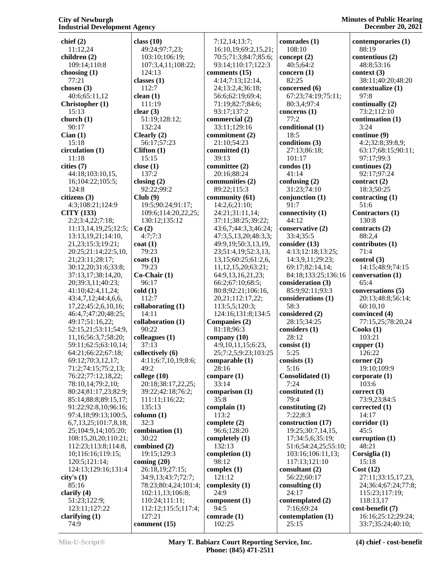**chief (2)** 11:12,24 **children (2)** 109:14;110:8 **choosing (1)** 77:21 **chosen (3)** 40:6;65:11,12 **Christopher (1)** 15:13 **church (1)** 90:17 **Cian (1)** 15:18 **circulation (1)** 11:18 **cities (7)** 44:18;103:10,15, 16;104:22;105:5; 124:8 **citizens (3)** 4:3;108:21;124:9 **CITY (133)** 2:2;3:4,22;7:18; 11:13,14,19,25;12:5; 13:13,19,21;14:10, 21,23;15:3;19:21; 20:25;21:14;22:5,10, 21;23:11;28:17; 30:12,20;31:6;33:8; 37:13,17;38:14,20, 20;39:3,11;40:23; 41:10;42:4,11,24; 43:4,7,12;44:4,6,6, 17,22;45:2,6,10,16; 46:4,7;47:20;48:25; 49:17;51:16,22; 52:15,21;53:11;54:9, 11,16;56:3,7;58:20; 59:11;62:5;63:10,14; 64:21;66:22;67:18; 69:12;70:3,12,17; 71:2;74:15;75:2,13; 76:22;77:12,18,22; 78:10,14;79:2,10; 80:24;81:17,23;82:9; 85:14;88:8;89:15,17; 91:22;92:8,10;96:16; 97:4,18;99:13;100:5, 6,7,13,25;101:7,8,18, 25;104:9,14;105:20; 108:15,20,20;110:21; 112:23;113:8;114:8, 10;116:16;119:15; 120:5;121:14; 124:13;129:16;131:4 **city's (1)** 85:16 **clarify (4)** 51:23;122:9; 123:11;127:22 **clarifying (1) class (10) classes (1)** 112:7 **clean (1) clear (3)** 15:15 **close (1)** 137:2 **closing (2) Club (9) Co (2) coat (1)** 79:23 **coats (1)** 79:23 96:17 **cold (1)** 112:7 14:11 90:22 37:13 49:2 32:3 30:22

 49:24;97:7,23; 103:10;106:19; 107:3,4,11;108:22; 124:13 111:19 51:19;128:12; 132:24 **Clearly (2)** 56:17;57:23 **Clifton (1)** 92:22;99:2 19:5;90:24;91:17; 109:6;114:20,22,25; 130:12;135:12 4:7;7:3 **Co-Chair (1) collaborating (1) collaboration (1) colleagues (1) collectively (6)** 4:11;6:7,10,19;8:6; **college (10)** 20:18;38:17,22,25; 39:22;42:18;76:2; 111:11;116:22; 135:13 **column (1) combination (1) combined (2)** 19:15;129:3 **coming (20)** 26:18,19;27:15; 34:9,13;43:7;72:7; 78:23;80:4,24;101:4; 102:11,13;106:8; 110:24;111:11; 112:12;115:5;117:4; 127:21

**comment (15)**

 7:12,14;13:7; 16:10,19;69:2,15,21; 70:5;71:3;84:7;85:6; 93:14;110:17;122:3 **comments (15)** 4:14;7:13;12:14, 24;13:2,4;36:18; 56:6;62:19;69:4; 71:19;82:7;84:6; 93:17;137:2 **commercial (2)** 33:11;129:16 **commitment (2)** 21:10;54:23 **committed (1)** 39:13 **committee (2)** 20:16;88:24 **communities (2)** 89:22;115:3 **community (61)** 14:2,6;21:10; 24:21;31:11,14; 37:11;38:25;39:22; 43:6,7;44:3,3;46:24; 47:3,5,13,20;48:3,3; 49:9,19;50:3,13,19, 23;51:4,19;52:3,13, 13,15;60:25;61:2,6, 11,12,15,20;63:21; 64:9,13,16,21,23; 66:2;67:10;68:5; 80:8;92:21;106:16, 20,21;112:17,22; 113:5,5;120:3; 124:16;131:8;134:5 **Companies (2)** 81:18;96:3 **company (10)** 4:9,10,11,15;6:23, 25;7:2,5;9:23;103:25 **comparable (1)** 28:16 **compare (1)** 33:14 **comparison (1)** 35:8 **complain (1)** 113:2 **complete (2)** 96:6;128:20 **completely (1)** 132:13 **completion (1)** 98:12 **complex (1)** 121:12 **complexity (1)** 24:9 **component (1)** 94:5 **comrade (1)** 102:25

**comrades (1)** 108:10 **concept (2)** 40:5;64:2 **concern (1)** 82:25 **concerned (6)** 67:23;74:19;75:11; 80:3,4;97:4 **concerns (1)** 77:2 **conditional (1)** 18:5 **conditions (3)** 27:13;86:18; 101:17 **condos (1)** 41:14 **confusing (2)** 31:23;74:10 **conjunction (1)** 91:7 **connectivity (1)** 44:12 **conservative (2)** 33:4;35:5 **consider (13)** 4:13;12:18;13:25; 14:3,9,11;29:23; 69:17;82:14,14; 84:18;133:25;136:16 **consideration (3)** 85:9;92:11;93:3 **considerations (1)** 58:3 **considered (2)** 28:15;34:25 **considers (1)** 28:12 **consist (1)** 5:25 **consists (1)** 5:16 **Consolidated (1)** 7:24 **constituted (1)** 79:4 **constituting (2)** 7:22;8:3 **construction (17)** 19:25;30:7,14,15, 17;34:5,6;35:19; 51:6;54:24,25;55:10; 103:16;106:11,13; 117:13;121:10 **consultant (2)** 56:22;60:17 **consulting (1)** 24:17 **contemplated (2)** 7:16;69:24 **contemplation (1)** 25:15

**Minutes of Public Hearing December 20, 2021**

> **contemporaries (1)** 88:19 **contentious (2)** 48:8;53:16 **context (3)** 38:11;40:20;48:20 **contextualize (1)** 97:8 **continually (2)** 73:2;112:10 **continuation (1)** 3:24 **continue (9)** 4:2;32:8;39:8,9; 63:17;68:15;90:11; 97:17;99:3 **continues (2)** 92:17;97:24 **contract (2)** 18:3;50:25 **contracting (1)** 51:6 **Contractors (1)** 130:8 **contracts (2)** 88:2,4 **contributes (1)** 71:4 **control (3)** 14:15;48:9;74:15 **conversation (1)** 65:4 **conversations (5)** 20:13;48:8;56:14; 60:10,10 **convinced (4)** 77:15,25;78:20,24 **Cooks (1)** 103:21 **copper (1)** 126:22 **corner (2)** 19:10;109:9 **corporate (1)** 103:6 **correct (3)** 73:9,23;84:5 **corrected (1)** 14:17 **corridor (1)** 45:5 **corruption (1)** 48:21 **Corsiglia (1)** 15:18 **Cost (12)** 27:11;33:15,17,23, 24;36:4;67:24;77:8; 115:23;117:19; 118:13,17 **cost-benefit (7)** 16:16;25:12;29:24; 33:7;35:24;40:10;

74:9

**Min-U-Script® Mary T. Babiarz Court Reporting Service, Inc. Phone: (845) 471-2511**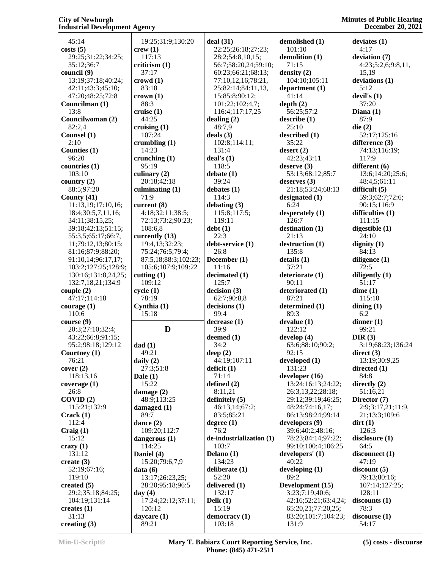| 45:14                   | 19:25;31:9;130:20      | deal(31)                 | demolished (1)               | deviates(1)            |
|-------------------------|------------------------|--------------------------|------------------------------|------------------------|
| costs(5)                | crew(1)                | 22:25;26:18;27:23;       | 101:10                       | 4:17                   |
| 29:25;31:22;34:25;      | 117:13                 |                          |                              |                        |
|                         |                        | 28:2;54:8,10,15;         | demolition (1)               | deviation (7)          |
| 35:12;36:7              | criticism(1)           | 56:7;58:20,24;59:10;     | 71:15                        | 4:23;5:2,6;9:8,11,     |
| council (9)             | 37:17                  | 60:23;66:21;68:13;       | density $(2)$                | 15,19                  |
| 13:19;37:18;40:24;      | crowd(1)               | 77:10,12,16;78:21,       | 104:10;105:11                | deviations $(1)$       |
| 42:11;43:3;45:10;       | 83:18                  | 25;82:14;84:11,13,       | department(1)                | 5:12                   |
| 47:20;48:25;72:8        | crown(1)               | 15;85:8;90:12;           | 41:14                        | devil's $(1)$          |
| Councilman (1)          | 88:3                   | 101:22;102:4,7;          | depth $(2)$                  | 37:20                  |
| 13:8                    | cruise(1)              | 116:4;117:17,25          | 56:25;57:2                   | Diana $(1)$            |
| Councilwoman (2)        | 44:25                  | dealing $(2)$            | describe(1)                  | 87:9                   |
| 82:2,4                  | cruising $(1)$         | 48:7,9                   | 25:10                        | die(2)                 |
| Counsel $(1)$           | 107:24                 | deals $(3)$              | described(1)                 | 52:17;125:16           |
| 2:10                    | crumbling $(1)$        | 102:8;114:11;            | 35:22                        | difference $(3)$       |
| Counties (1)            | 14:23                  | 131:4                    | desert $(2)$                 | 74:13;116:19;          |
| 96:20                   | crunching $(1)$        | deal's $(1)$             | 42:23;43:11                  | 117:9                  |
| countries (1)           | 95:19                  | 118:5                    | deserve $(3)$                | different (6)          |
| 103:10                  | culinary $(2)$         | debate(1)                | 53:13;68:12;85:7             | 13:6;14:20;25:6;       |
| country $(2)$           | 20:18;42:18            | 39:24                    | deserves (3)                 | 48:4,5;61:11           |
| 88:5;97:20              | culminating $(1)$      | debates $(1)$            | 21:18;53:24;68:13            | difficult $(5)$        |
| County $(41)$           | 71:9                   | 114:3                    | designated (1)               | 59:3;62:7;72:6;        |
| 11:13,19;17:10,16;      | current $(8)$          | debating (3)             | 6:24                         | 90:15;116:9            |
|                         | 4:18;32:11;38:5;       |                          |                              |                        |
| 18:4;30:5,7,11,16;      |                        | 115:8;117:5;             | desperately (1)              | difficulties $(1)$     |
| 34:11;38:15,25;         | 72:13;73:2;90:23;      | 119:11                   | 126:7                        | 111:15                 |
| 39:18;42:13;51:15;      | 108:6,8                | debt(1)                  | destination (1)              | digestible $(1)$       |
| 55:3,5;65:17;66:7,      | currently (13)         | 22:3                     | 21:13                        | 24:10                  |
| 11;79:12,13;80:15;      | 19:4,13;32:23;         | debt-service (1)         | destruction (1)              | dignity $(1)$          |
| 81:16;87:9;88:20;       | 75:24;76:5;79:4;       | 26:8                     | 135:8                        | 84:13                  |
| 91:10,14;96:17,17;      | 87:5,18;88:3;102:23;   | December (1)             | details(1)                   | diligence $(1)$        |
| 103:2;127:25;128:9;     | 105:6;107:9;109:22     | 11:16                    | 37:21                        | 72:5                   |
| 130:16;131:8,24,25;     | cutting $(1)$          | decimated (1)            | deteriorate (1)              | diligently $(1)$       |
| 132:7,18,21;134:9       | 109:12                 | 125:7                    | 90:11                        |                        |
|                         |                        |                          |                              |                        |
|                         |                        |                          |                              | 51:17                  |
| couple $(2)$            | cycle(1)               | decision(3)              | deteriorated (1)             | dime(1)                |
| 47:17;114:18            | 78:19                  | 62:7;90:8,8              | 87:21                        | 115:10                 |
| course(1)               | Cynthia (1)            | decisions(1)             | determined (1)               | dining $(1)$           |
| 110:6                   | 15:18                  | 99:4                     | 89:3                         | 6:2                    |
| course(9)               |                        | decrease(1)              | devalue(1)                   | dinner $(1)$           |
| 20:3;27:10;32:4;        | D                      | 39:9                     | 122:12                       | 99:21                  |
| 43:22;66:8;91:15;       |                        | deemed $(1)$             | develop $(4)$                | DIR(3)                 |
| 95:2;98:18;129:12       | dad(1)                 | 34:2                     | 63:6;88:10;90:2;             | 3:19;68:23;136:24      |
| Courtney $(1)$          | 49:21                  | deep $(2)$               | 92:15                        | direct(3)              |
| 76:21                   | daily $(2)$            | 44:19;107:11             | developed $(1)$              | 13:19;30:9,25          |
| cover (2)               | 27:3;51:8              | deficit (1)              | 131:23                       | directed $(1)$         |
| 118:13,16               | Dale $(1)$             | 71:14                    | developer $(16)$             | 84:8                   |
| coverage $(1)$          | 15:22                  | defined $(2)$            | 13:24;16:13;24:22;           | directly $(2)$         |
| 26:8                    | damage $(2)$           | 8:11,21                  | 26:3,13,22;28:18;            | 51:16,21               |
| COVID(2)                | 48:9;113:25            | definitely $(5)$         | 29:12;39:19;46:25;           | Director (7)           |
| 115:21;132:9            | damaged $(1)$          | 46:13,14;67:2;           | 48:24;74:16,17;              | 2:9;3:17,21;11:9,      |
| Crack(1)                | 89:7                   | 83:5;85:21               | 86:13;98:24;99:14            | 21;13:3;109:6          |
| 112:4                   |                        | degree $(1)$             | developers (9)               |                        |
|                         | dance $(2)$            | 76:2                     |                              | $\text{dirt}(1)$       |
| Craig(1)                | 109:20;112:7           |                          | 39:6;40:2;48:16;             | 126:3                  |
| 15:12                   | dangerous (1)          | de-industrialization (1) | 78:23;84:14;97:22;           | disclosure (1)         |
| $c$ razy $(1)$          | 114:25                 | 103:7                    | 99:10;100:4;106:25           | 64:5                   |
| 131:12                  | Daniel (4)             | Delano (1)               | developers' (1)              | disconnect (1)         |
| create $(3)$            | 15:20;79:6,7,9         | 134:23                   | 40:22                        | 47:19                  |
| 52:19;67:16;            | data(6)                | deliberate $(1)$         | developing $(1)$             | discount(5)            |
| 119:10                  | 13:17;26:23,25;        | 52:20                    | 89:2                         | 79:13;80:16;           |
| created $(5)$           | 28:20;95:18;96:5       | delivered (1)            | Development (15)             | 107:14;127:25;         |
| 29:2;35:18;84:25;       | day(4)                 | 132:17                   | 3:23;7:19;40:6;              | 128:11                 |
| 104:19;131:14           | 17:24;22:12;37:11;     | Delk $(1)$               | 42:16;52:21;63:4,24;         | discounts(1)           |
| creates $(1)$           | 120:12                 | 15:19                    | 65:20,21;77:20,25;           | 78:3                   |
| 31:13<br>creating $(3)$ | daycare $(1)$<br>89:21 | democracy (1)<br>103:18  | 83:20;101:7;104:23;<br>131:9 | discourse (1)<br>54:17 |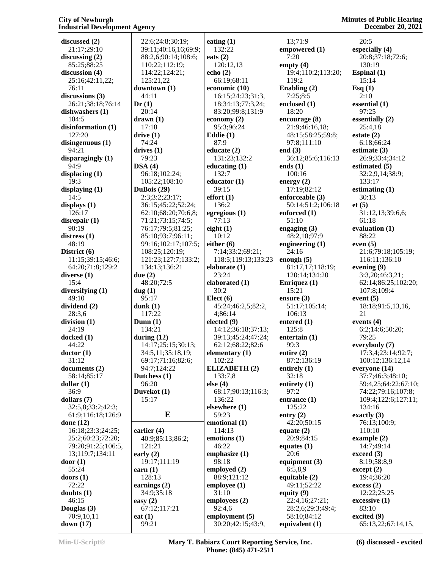#### **City of Newburgh Industrial Development Agency**

**Minutes of Public Hearing December 20, 2021**

**discussed (2)** 21:17;29:10 **discussing (2)** 85:25;88:25 **discussion (4)** 25:16;42:11,22; 76:11 **discussions (3)** 26:21;38:18;76:14 **dishwashers (1)** 104:5 **disinformation (1)** 127:20 **disingenuous (1)** 94:21 **disparagingly (1)** 94:9 **displacing (1)** 19:3 **displaying (1)** 14:5 **displays (1)** 126:17 **disrepair (1)** 90:19 **distress (1)** 48:19 **District (6)** 11:15;39:15;46:6; 64:20;71:8;129:2 **diverse (1)** 15:4 **diversifying (1)** 49:10 **dividend (2)** 28:3,6 **division (1)** 24:19 **docked (1)** 44:22 **doctor (1)** 31:12 **documents (2)** 58:14;85:17 **dollar (1)** 36:9 **dollars (7)** 32:5,8;33:2;42:3; 61:9;116:18;126:9 **done (12)** 16:18;23:3;24:25; 25:2;60:23;72:20; 79:20;91:25;106:5, 13;119:7;134:11 **door (1)** 55:24 **doors (1)** 72:22 **doubts (1)** 46:15 **Douglas (3)** 70:9,10,11 **down (17)**

 22:6;24:8;30:19; 39:11;40:16,16;69:9; 88:2,6;90:14;108:6; 110:22;112:19; 114:22;124:21; 125:21,22 **downtown (1)** 44:11 **Dr (1)** 20:14 **drawn (1)** 17:18 **drive (1)** 74:24 **drives (1)** 79:23 **DSA (4)** 96:18;102:24; 105:22;108:10 **DuBois (29)** 2:3;3:2;23:17; 36:15;45:22;52:24; 62:10;68:20;70:6,8; 71:21;73:15;74:5; 76:17;79:5;81:25; 85:10;93:7;96:11; 99:16;102:17;107:5; 108:25;120:19; 121:23;127:7;133:2; 134:13;136:21 **due (2)** 48:20;72:5 **dug (1)** 95:17 **dunk (1)** 117:22 **Dunn (1)** 134:21 **during (12)** 14:17;25:15;30:13; 34:5,11;35:18,19; 69:17;71:16;82:6; 94:7;124:22 **Dutchess (1)** 96:20 **Duvekot (1)** 15:17 **E earlier (4)** 40:9;85:13;86:2; 121:21 **early (2)** 19:17;111:19 **earn (1)** 128:13 **earnings (2)** 34:9;35:18 **easy (2)** 67:12;117:21 **eat (1)** 99:21 **eating (1)** 132:22 **eats (2)** 120:12,13 **echo (2)** 66:19;68:11 **economic (10)** 16:15;24:23;31:3, 18;34:13;77:3,24; 83:20;99:8;131:9 **economy (2)** 95:3;96:24 **Eddie (1)** 87:9 **educate (2)** 131:23;132:2 **educating (1)** 132:7 **educator (1)** 39:15 **effort (1)** 136:2 **egregious (1)** 77:13 **eight (1)** 10:12 **either (6)** 7:14;33:2;69:21; 118:5;119:13;133:23 **elaborate (1)** 23:24 **elaborated (1)** 30:2 **Elect (6)** 45:24;46:2,5;82:2, 4;86:14 **elected (9)** 14:12;36:18;37:13; 39:13;45:24;47:24; 62:12;68:22;82:6 **elementary (1)** 102:22 **ELIZABETH (2)** 133:7,8 **else (4)** 68:17;90:13;116:3; 136:22 **elsewhere (1)** 59:23 **emotional (1)** 114:13 **emotions (1)** 46:22 **emphasize (1)** 98:18 **employed (2)** 88:9;121:12 **employee (1)** 31:10 **employees (2)** 92:4,6 **employment (5)** 30:20;42:15;43:9,

 13;71:9 **empowered (1)** 7:20 **empty (4)** 19:4;110:2;113:20; 119:2 **Enabling (2)** 7:25;8:5 **enclosed (1)** 18:20 **encourage (8)** 21:9;46:16,18; 48:15;58:25;59:8; 97:8;111:10 **end (3)** 36:12;85:6;116:13 **ends (1)** 100:16 **energy (2)** 17:19;82:12 **enforceable (3)** 50:14;51:2;106:18 **enforced (1)** 51:10 **engaging (3)** 48:2,10;97:9 **engineering (1)** 24:16 **enough (5)** 81:17,17;118:19; 120:14;134:20 **Enriquez (1)** 15:21 **ensure (3)** 51:17;105:14; 106:13 **entered (1)** 125:8 **entertain (1)** 99:3 **entire (2)** 87:2;136:19 **entirely (1)** 32:18 **entirety (1)** 97:2 **entrance (1)** 125:22 **entry (2)** 42:20;50:15 **equate (2)** 20:9;84:15 **equates (1)** 20:6 **equipment (3)** 6:5,8,9 **equitable (2)** 49:11;52:22 **equity (9)** 22:4,16;27:21; 28:2,6;29:3;49:4; 58:10;84:12 **equivalent (1)**

 20:5 **especially (4)** 20:8;37:18;72:6; 130:19 **Espinal (1)** 15:14 **Esq (1)** 2:10 **essential (1)** 97:25 **essentially (2)** 25:4,18 **estate (2)** 6:18;66:24 **estimate (3)** 26:9;33:4;34:12 **estimated (5)** 32:2,9,14;38:9; 133:17 **estimating (1)** 30:13 **et (5)** 31:12,13;39:6,6; 61:18 **evaluation (1)** 88:22 **even (5)** 21:6;79:18;105:19; 116:11;136:10 **evening (9)** 3:3,20;46:3,21; 62:14;86:25;102:20; 107:8;109:4 **event (5)** 18:18;91:5,13,16, 21 **events (4)** 6:2;14:6;50:20; 79:25 **everybody (7)** 17:3,4;23:14;92:7; 100:12;136:12,14 **everyone (14)** 37:7;46:3;48:10; 59:4,25;64:22;67:10; 74:22;79:16;107:8; 109:4;122:6;127:11; 134:16 **exactly (3)** 76:13;100:9; 110:10 **example (2)** 14:7;49:14 **exceed (3)** 8:19;58:8,9 **except (2)** 19:4;36:20 **excess (2)** 12:22;25:25 **excessive (1)** 83:10 **excited (9)**

65:13,22;67:14,15,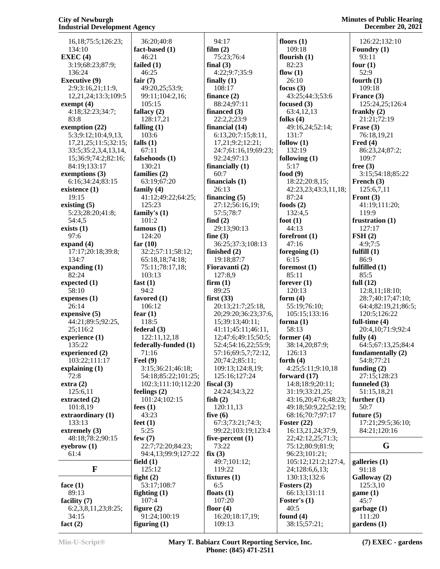| 16,18;75:5;126:23;                       | 36:2                      |
|------------------------------------------|---------------------------|
| 134:10                                   | fact-b                    |
| EXEC(4)<br>3:19;68:23;87:9;              | 46:2<br>failed            |
| 136:24                                   | 46:2                      |
| <b>Executive (9)</b>                     | fair (7                   |
| 2:9;3:16,21;11:9,<br>12,21,24;13:3;109:5 | 49:2<br>99:1              |
| exempt $(4)$                             | 105                       |
| 4:18;32:23;34:7;                         | fallacy                   |
| 83:8                                     | 128<br>falling            |
| exemption (22)<br>5:3;9:12;10:4,9,13,    | 103                       |
| 17,21,25;11:5;32:15;                     | falls (1                  |
| 33:5;35:2,3,4,13,14,                     | 67:1                      |
| 15;36:9;74:2;82:16;<br>84:19;133:17      | falseh<br>130             |
| exemptions (3)                           | famili                    |
| 6:16;34:24;83:15                         | 63:1                      |
| existence (1)<br>19:15                   | family<br>41:1            |
| existing $(5)$                           | 125                       |
| 5:23;28:20;41:8;                         | family                    |
| 54:4,5<br>exists $(1)$                   | 101<br>famou              |
| 97:6                                     | 124                       |
| expand (4)                               | far $(10$                 |
| 17:17;20:18;39:8;                        | 32:2<br>65:1              |
| 134:7<br>expanding $(1)$                 | 75:1                      |
| 82:24                                    | 103                       |
| expected (1)<br>58:10                    | fast (1<br>94:2           |
| expenses (1)<br>26:14                    | favore                    |
| expensive (5)                            | 106<br>fear (1            |
| 44:21;89:5;92:25,                        | 118                       |
| 25;116:2<br>experience (1)               | federa<br>122             |
| 135:22                                   | federa                    |
| experienced (2)                          | 71:1                      |
| 103:22;111:17                            | Feel (9                   |
| explaining (1)<br>72:8                   | 3:15<br>54:1              |
| extra(2)                                 | 102                       |
| 125:6,11                                 | feeling                   |
| extracted (2)<br>101:8,19                | 101<br>fees (1            |
| extraordinary (1)                        | 43:2                      |
| 133:13<br>extremely (3)                  | feet (1<br>5:25           |
| 48:18;78:2;90:15                         | few (7                    |
| eyebrow (1)<br>61:4                      | 22:7<br>94:4              |
| F                                        | field (                   |
|                                          | 125<br>$\mathbf{fight}$ ( |
| face $(1)$                               | 53:1                      |
| 89:13                                    | fightir                   |
| facility (7)<br>6:2,3,8,11,23;8:25;      | 107<br>figure             |
| 34:15                                    | 91:2                      |

 36:20;40:8 **fact** (1) 46:21 **failed (1)** 6:25 **fair (7)** 49:20,25;53:9; 99:11;104:2,16; 105:15 **fallacy (2)** 128:17,21 **falling (1)** 03:6 **s** (1) 67:11 **falsehoods (1)** 130:21 **families (2)** 63:19;67:20 **family (4)** 41:12;49:22;64:25; 25:23 **family's (1)** 01:2 **famous (1)** 24:20 **far (10)** 32:2;57:11;58:12; 65:18,18;74:18; 75:11;78:17,18; 03:13 **fast (1)** 94:2 *f* **f***f f f f f f f f f f f <i>f f f <i>f f f <i>f f <i>f f <i>f <i>f <i>f <i>f <i><i>f <i><i>f <i><i>f <i><i>f <i>f <i><i>f* 06:12  $f(1)$ 18:5 **feral** (3) 22:11,12,18 erally-funded (1) 1:16 **Feel (9)** 3:15;36:21;46:18; 4:18;85:22;101:25; 02:3;111:10;112:20 **feelings (2)** 01:24;102:15 **fees (1)** 43:23 **feet (1)** :25 **few (7)** 22:7;72:20;84:23; 94:4,13;99:9;127:22 **d** (1) 25:12 **fight (2)** 53:17;108:7  $\lim g(1)$ 07:4 **figure (2)** 91:24;100:19 **film (2) find (2) fine (3) fish (2) five (6) fix (3)** 6:5

 94:17 75:23;76:4 **final (3)** 4:22;9:7;35:9 **finally (1)** 108:17 **finance (2)** 88:24;97:11 **financed (3)** 22:2,2;23:9 **financial (14)** 6:13,20;7:15;8:11, 17,21;9:2;12:21; 24:7;61:16,19;69:23; 92:24;97:13 **financially (1)** 60:7 **financials (1)** 26:13 **financing (5)** 27:12;56:16,19; 57:5;78:7 29:13;90:13 36:25;37:3;108:13 **finished (2)** 19:18;87:7 **Fioravanti (2)** 127:8,9 **firm (1)** 89:25 **first (33)** 20:13;21:7;25:18, 20;29:20;36:23;37:6, 15;39:13;40:11; 41:11;45:11;46:11, 12;47:6;49:15;50:5; 52:4;54:16,22;55:9; 57:16;69:5,7;72:12, 20;74:2;85:11; 109:13;124:8,19; 125:16;127:24 **fiscal (3)** 24:24;34:3,22 120:11,13 67:3;73:21;74:3; 99:22;103:19;123:4 **five-percent (1)** 73:22 49:7;101:12; 119:22 **fixtures (1) floats (1)** 107:20 **floor (4)** 16:20;18:17,19; 109:13 **floors (1)**

 109:18 **flourish (1)** 82:23 **flow (1)** 26:10 **focus (3)** 43:25;44:3;53:6 **focused (3)** 63:4,12,13 **folks (4)** 49:16,24;52:14; 131:7 **follow (1)** 132:19 **following (1)** 5:17 **food (9)** 18:22;20:8,15; 42:23,23;43:3,11,18; 87:24 **foods (2)** 132:4,5 **foot (1)** 44:13 **forefront (1)** 47:16 **foregoing (1)** 6:15 **foremost (1)** 85:11 **forever (1)** 120:13 **form (4)** 55:19;76:10; 105:15;133:16 **forma (1)** 58:13 **former (4)** 38:14,20;87:9; 126:13 **forth (4)** 4:25;5:11;9:10,18 **forward (17)** 14:8;18:9;20:11; 31:19;33:21,25; 43:16,20;47:6;48:23; 49:18;50:9,22;52:19; 68:16;70:7;97:17 **Foster (22)** 16:13,21,24;37:9, 22;42:12,25;71:3; 75:12;80:9;81:9; 96:23;101:21; 105:12;121:2;127:4, 24;128:6,6,13; 130:13;132:6 **Fosters (2)** 66:13;131:11 **Foster's (1)** 40:5 **found (4)** 38:15;57:21;

 126:22;132:10 **Foundry (1)** 93:11 **four (1)** 52:9 **fourth (1)** 109:18 **France (3)** 125:24,25;126:4 **frankly (2)** 21:21;72:19 **Frase (3)** 76:18,19,21 **Fred (4)** 86:23,24;87:2; 109:7 **free (3)** 3:15;54:18;85:22 **French (3)** 125:6,7,11 **Front (3)** 41:19;111:20; 119:9 **frustration (1)** 127:17 **FSH (2)** 4:9;7:5 **fulfill (1)** 86:9 **fulfilled (1)** 85:5 **full (12)** 12:8,11;18:10; 28:7;40:17;47:10; 64:4;82:19,21;86:5; 120:5;126:22 **full-time (4)** 20:4,10;71:9;92:4 **fully (4)** 64:5;67:13,25;84:4 **fundamentally (2)** 54:8;77:21 **funding (2)** 27:15;128:23 **funneled (3)** 51:15,18,21 **further (1)** 50:7 **future (5)** 17:21;29:5;36:10; 84:21;120:16 **G galleries (1)** 91:18 **Galloway (2)** 125:3,10 **game (1)** 45:7 **garbage (1)** 111:20

**figuring (1)**

**fact (2)**

**gardens (1)**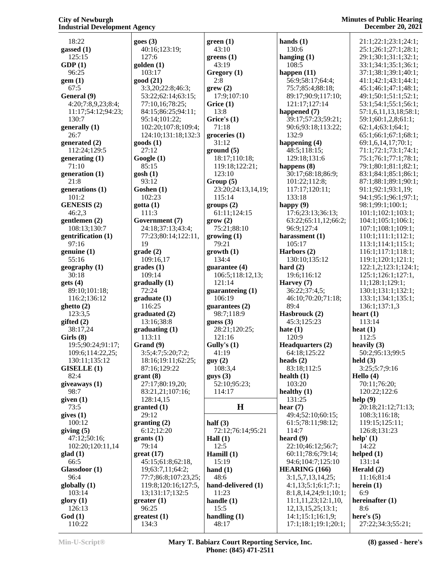18:22 **gassed (1)** 125:15 **GDP (1)**  $96.25$ **gem (1)** 67:5 **General (9)** 4:20;7:8,9,23;8:4; 11:17;54:12;94:23; 130:7 **generally (1)** 26:7 **generated (2)** 112:24;129:5 **generating (1)** 71:10 **generation (1)** 21:8 **generations (1)** 101:2 **GENESIS (2)** 46:2,3 **gentlemen (2)** 108:13;130:7 **gentrification (1)** 97:16 **genuine (1)** 55:16 **geography (1)** 30:18 **gets (4)** 89:10;101:18; 116:2;136:12 **ghetto (2)** 123:3,5 **gifted (2)** 38:17,24 **Girls (8)** 19:5;90:24;91:17; 109:6;114:22,25; 130:11;135:12 **GISELLE (1)** 82:4 **giveaways (1)** 98:7 **given (1)** 73:5 **gives (1)** 100:12 **giving (5)** 47:12;50:16; 102:20;120:11,14 **glad (1)** 66:5 **Glassdoor (1)** 96:4 **globally (1)** 103:14 **glory (1)** 126:13 **God (1)** 110:22

| goes (3)                      | green(1)           |
|-------------------------------|--------------------|
| 40:16;123:19;                 | 43:10              |
| 127:6                         |                    |
|                               | $g$ reens $(1)$    |
| golden (1)                    | 43:19              |
| 103:17                        | Gregory (1)        |
| good (21)                     | 2:8                |
| 3:3,20;22:8;46:3;             | green(2)           |
| 53:22;62:14;63:15;            | 17:9;107:10        |
| 77:10,16;78:25;               | Grice $(1)$        |
| 84:15;86:25;94:11;            | 13:8               |
| 95:14;101:22;                 | Grice's (1)        |
|                               | 71:18              |
| 102:20;107:8;109:4;           |                    |
| 124:10;131:18;132:3           | groceries (1)      |
| goods (1)                     | 31:12              |
| 27:12                         | ground(5)          |
| Google (1)                    | 18:17;110:18;      |
| 85:15                         | 119:18;122:21;     |
| gosh (1)                      | 123:10             |
| 93:12                         | Group(5)           |
| Goshen (1)                    | 23:20;24:13,14,1   |
|                               |                    |
| 102:23                        | 115:14             |
| gotta (1)                     | groups (2)         |
| 111:3                         | 61:11;124:15       |
| Government (7)                | grow(2)            |
| 24:18;37:13;43:4;             | 75:21;88:10        |
| 77:23;80:14;122:11,           | growing(1)         |
| 19                            | 79:21              |
| grade (2)                     | growth(1)          |
|                               | 134:4              |
| 109:16,17                     |                    |
| grades (1)                    | guarantee (4)      |
| 109:14                        | 106:5;118:12,13;   |
| gradually (1)                 | 121:14             |
| 72:24                         | guaranteeing (1)   |
| graduate (1)                  | 106:19             |
| 116:25                        | guarantees (2)     |
|                               |                    |
|                               |                    |
| graduated (2)                 | 98:7;118:9         |
| 13:16;38:8                    | guess $(3)$        |
| graduating (1)                | 28:21;120:25;      |
| 113:11                        | 121:16             |
| Grand (9)                     | Gully's $(1)$      |
| 3:5;4:7;5:20;7:2;             | 41:19              |
| 18:16;19:11;62:25;            | guy(2)             |
| 87:16;129:22                  | 108:3,4            |
| grant (8)                     | guys(3)            |
| 27:17;80:19,20;               | 52:10;95:23;       |
|                               |                    |
| 83:21,21;107:16;              | 114:17             |
| 128:14,15                     |                    |
| granted (1)                   | Н                  |
| 29:12                         |                    |
| granting (2)                  | half $(3)$         |
| 6:12;12:20                    | 72:12;76:14;95:2   |
| grants (1)                    | Hall $(1)$         |
| 79:14                         | 12:5               |
|                               |                    |
|                               | Hamill (1)         |
| 45:15;61:8;62:18,             | 15:19              |
| 19;63:7,11;64:2;              | hand $(1)$         |
| 77:7;86:8;107:23,25;          | 48:6               |
| 119:8;120:16;127:5,           | hand-delivered (1) |
| great (17)<br>13;131:17;132:5 | 11:23              |
| greater (1)                   | handle (1)         |
| 96:25                         | 15:5               |
| greatest (1)                  | handling $(1)$     |

**een** (1) 43:10 **greens (1)** 43:19 **Gregory (1)** 2:8 **grew (2)** 17:9;107:10 **Grice (1)** 13:8 **Grice's (1)** 71:18  $31.12$ *g* (5) 18:17;110:18; 119:18;122:21; 123:10 **Group (5)** 23:20;24:13,14,19; 115:14 **gups** (2) 61:11;124:15 **grow (2)** 75:21;88:10 **growing (1)** 79:21 **growth (1)** 134:4 **guarantee (4)** 106:5;118:12,13; 121:14 **guaranteeing (1)** 106:19 **guarantees (2)** 98:7;118:9 **guess (3)** 28:21;120:25; 121:16 **Gully's (1)** 41:19 **guy (2)** 108:3,4 **guys (3)** 52:10;95:23; 114:17  $\mathbf{df}$  (3) 72:12;76:14;95:21 **Hall (1)** 12:5 **Hamill (1)** 15:19 **hand (1)** 48:6 **hand-delivered (1)** 11:23 **handle (1)** 15:5 **handling (1)** 48:17

**H hear (7) hands (1)** 130:6 **hanging (1)** 108:5 **happen (11)** 56:9;58:17;64:4; 75:7;85:4;88:18; 89:17;90:9;117:10; 121:17;127:14 **happened (7)** 39:17;57:23;59:21; 90:6;93:18;113:22; 132:9 **happening (4)** 48:5;118:15; 129:18;131:6 **happens (8)** 30:17;68:18;86:9; 101:22;112:8; 117:17;120:11; 133:18 **happy (9)** 17:6;23:13;36:13; 63:22;65:11,12;66:2; 96:9;127:4 **harassment (1)** 105:17 **Harbors (2)** 130:10;135:12 **hard (2)** 19:6;116:12 **Harvey (7)** 36:22;37:4,5; 46:10;70:20;71:18; 89:4 **Hasbrouck (2)** 45:3;125:23 **hate (1)** 120:9 **Headquarters (2)** 64:18;125:22 **heads (2)** 83:18;112:5 **health (1)** 103:20 **healthy (1)** 131:25 49:4;52:10;60:15; 61:5;78:11;98:12; 114:7 **heard (9)** 22:10;46:12;56:7; 60:11;78:6;79:14; 94:6;104:7;125:10 **HEARING (166)** 3:1,5,7,13,14,25; 4:1,13;5:1;6:1;7:1; 8:1,8,14,24;9:1;10:1; 11:1,11,23;12:1,10, 12,13,15,25;13:1; 14:1;15:1;16:1,9; 17:1;18:1;19:1;20:1;

 21:1;22:1;23:1;24:1; 25:1;26:1;27:1;28:1; 29:1;30:1;31:1;32:1; 33:1;34:1;35:1;36:1; 37:1;38:1;39:1;40:1; 41:1;42:1;43:1;44:1; 45:1;46:1;47:1;48:1; 49:1;50:1;51:1;52:1; 53:1;54:1;55:1;56:1; 57:1,6,11,13,18;58:1; 59:1;60:1,2,8;61:1; 62:1,4;63:1;64:1; 65:1;66:1;67:1;68:1; 69:1,6,14,17;70:1; 71:1;72:1;73:1;74:1; 75:1;76:1;77:1;78:1; 79:1;80:1;81:1;82:1; 83:1;84:1;85:1;86:1; 87:1;88:1;89:1;90:1; 91:1;92:1;93:1,19; 94:1;95:1;96:1;97:1; 98:1;99:1;100:1; 101:1;102:1;103:1; 104:1;105:1;106:1; 107:1;108:1;109:1; 110:1;111:1;112:1; 113:1;114:1;115:1; 116:1;117:1;118:1; 119:1;120:1;121:1; 122:1,2;123:1;124:1; 125:1;126:1;127:1, 11;128:1;129:1; 130:1;131:1;132:1; 133:1;134:1;135:1; 136:1;137:1,3 **heart (1)** 113:14 **heat (1)** 112:5 **heavily (3)** 50:2;95:13;99:5 **held (3)** 3:25;5:7;9:16 **Hello (4)** 70:11;76:20; 120:22;122:6 **help (9)** 20:18;21:12;71:13; 108:3;116:18; 119:15;125:11; 126:8;131:23 **help' (1)** 14:22 **helped (1)** 131:14 **Herald (2)** 11:16;81:4 **herein (1)** 6:9 **hereinafter (1)** 8:6 **here's (5)** 27:22;34:3;55:21;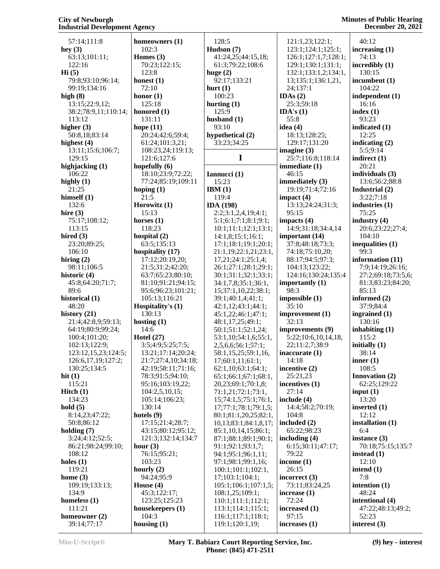57:14;111:8 **hey (3)** 63:13;101:11; 122:16 **Hi (5)** 79:8;93:10;96:14; 99:19;134:16 **high (8)** 13:15;22:9,12; 38:2;78:9,11;110:14; 113:12 **higher (3)** 50:8,18;83:14 **highest (4)** 13:11;15:6;106:7; 129:15 **highjacking (1)** 106:22 **highly (1)** 21:25 **himself (1)** 132:6 **hire (3)** 75:17;108:12; 113:15 **hired (3)** 23:20;89:25; 106:10 **hiring (2)** 98:11;106:5 **historic (4)** 45:8;64:20;71:7; 89:6 **historical (1)**  $48.20$ **history (21)** 21:4;42:8,9;59:13; 64:19;80:9;99:24; 100:4;101:20; 102:13;122:9; 123:12,15,23;124:5; 126:6,17,19;127:2; 130:25;134:5 **hit (1)** 115:21 **Hitch (1)** 134:23 **hold (5)** 8:14,23;47:22; 50:8;86:12 **holding (7)** 3:24;4:12;52:5; 86:21;98:24;99:10; 108:12 **holes (1)** 119:21 **home (3)** 109:19;133:13; 134:9 **homeless (1)** 111:21 **homeowner (2)** 39:14;77:17 **housing (1)**

**homeowners (1)** 102:3 **Homes (3)** 70:23;122:15;  $123.8$ **honest (1)** 72:10 **honor (1)** 125:18 **honored (1)** 131:11 **hope (11)** 20:24;42:6;59:4; 61:24;101:3,21; 108:23,24;119:13; 121:6;127:6 **hopefully (6)** 18:10;23:9;72:22; 77:24;85:19;109:11 **hoping (1)** 21:5 **Horowitz (1)** 15:13 **horses (1)** 118:23 **hospital (2)** 63:5;135:13 **hospitality (17)** 17:12;20:19,20; 21:5;31:2;42:20; 63:7;65:23;80:10; 81:10;91:21;94:15; 95:6;96:23;101:21; 105:13;116:21 **Hospitality's (1)** 130:13 **hosting (1)** 14:6 **Hotel (27)** 3:5;4:9;5:25;7:5; 13:21;17:14;20:24; 21:7;27:4,10;34:18; 42:19;58:11;71:16; 78:3;91:5;94:10; 95:16;103:19,22; 104:2,5,10,15; 105:14;106:23; 130:14 **hotels (9)** 17:15;21:4;28:7; 43:15;80:12;95:12; 121:3;132:14;134:7 **hour (3)** 76:15;95:21; 103:23 **hourly (2)** 94:24;95:9 **House (4)** 45:3;122:17; 123:25;125:23 **housekeepers (1)** 104:3

 128:5 **Hudson (7)** 41:24,25;44:15,18; 61:3;79:22;108:6 **huge (2)** 92:17;133:21 **hurt (1)** 100:23 **hurting (1)** 125:9 **husband (1)** 93:10 **hypothetical (2)** 33:23;34:25 **I Iannucci (1)** 15:23 **IBM (1)** 119:4 **IDA (198)** 2:2;3:1,2,4,19;4:1; 5:1;6:1;7:1;8:1;9:1; 10:1;11:1;12:1;13:1; 14:1,8;15:1;16:1; 17:1;18:1;19:1;20:1; 21:1,19;22:1,21;23:1, 17,21;24:1;25:1,4; 26:1;27:1;28:1;29:1; 30:1;31:1;32:1;33:1; 34:1,7,8;35:1;36:1, 15;37:1,10,22;38:1; 39:1;40:1,4;41:1; 42:1,12;43:1;44:1; 45:1,22;46:1;47:1; 48:1,17,25;49:1; 50:1;51:1;52:1,24; 53:1,10;54:1,6;55:1, 2,5,6,6;56:1;57:1; 58:1,15,25;59:1,16, 17;60:1,11;61:1; 62:1,10;63:1;64:1; 65:1;66:1;67:1;68:1, 20,23;69:1;70:1,8; 71:1,21;72:1;73:1, 15;74:1,5;75:1;76:1, 17;77:1;78:1;79:1,5; 80:1;81:1,20,25;82:1, 10,13;83:1;84:1,8,17; 85:1,10,14,15;86:1; 87:1;88:1;89:1;90:1; 91:1;92:1;93:1,7; 94:1;95:1;96:1,11; 97:1;98:1;99:1,16; 100:1;101:1;102:1, 17;103:1;104:1; 105:1;106:1;107:1,5; 108:1,25;109:1; 110:1;111:1;112:1; 113:1;114:1;115:1; 116:1;117:1;118:1; 119:1;120:1,19;

 121:1,23;122:1; 123:1;124:1;125:1; 126:1;127:1,7;128:1; 129:1;130:1;131:1; 132:1;133:1,2;134:1, 13;135:1;136:1,21, 24;137:1 **IDAs (2)** 25:3;59:18 **IDA's (1)** 55:8 **idea (4)** 18:13;128:25; 129:17;131:20 **imagine (3)** 25:7;116:8;118:14 **immediate (1)** 46:15 **immediately (3)** 19:19;71:4;72:16 **impact (4)** 13:13;24:24;31:3; 95:15 **impacts (4)** 14:9;31:18;34:4,14 **important (14)** 37:8;48:18;73:3; 74:18;75:10,20; 88:17;94:5;97:3; 104:13;123:22; 124:16;130:24;135:4 **importantly (1)** 98:3 **impossible (1)** 35:10 **improvement (1)** 32:13 **improvements (9)** 5:22;10:6,10,14,18, 22;11:2,7;38:9 **inaccurate (1)** 14:18 **incentive (2)** 25:21,23 **incentives (1)** 27:14 **include (4)** 14:4;58:2;70:19; 104:8 **included (2)** 65:22;98:23 **including (4)** 6:15;30:11;47:17; 79:22 **income (1)** 26:15 **incorrect (3)** 73:11;83:24,25 **increase (1)** 72:24 **increased (1)** 97:15 **increases (1)**

 40:12 **increasing (1)** 74:13 **incredibly (1)** 130:15 **incumbent (1)** 104:22 **independent (1)** 16:16 **index (1)** 93:23 **indicated (1)** 12:25 **indicating (2)** 5:5;9:14 **indirect (1)** 20:21 **individuals (3)** 13:6;56:2;88:8 **Industrial (2)** 3:22;7:18 **industries (1)** 75:25 **industry (4)** 20:6;23:22;27:4; 104:10 **inequalities (1)** 99:3 **information (11)** 7:9;14:19;26:16; 27:2;69:18;73:5,6; 81:3;83:23;84:20; 85:13 **informed (2)** 37:9;84:4 **ingrained (1)** 130:16 **inhabiting (1)** 115:2 **initially (1)** 38:14 **inner (1)** 108:5 **Innovation (2)** 62:25;129:22 **input (1)** 13:20 **inserted (1)** 12:12 **installation (1)** 6:4 **instance (3)** 70:18;75:15;135:7 **instead (1)** 12:10 **intend (1)** 7:8 **intention (1)** 48:24 **intentional (4)** 47:22;48:13;49:2; 52:23

**interest (3)**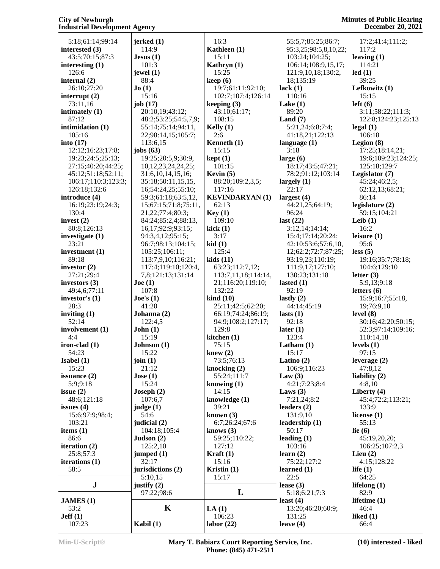#### **Minutes of Public Hearing December 20, 2021**

| 5:18;61:14;99:14           | jerked(1)                | 16:3                              | 55:5,7;85:25;86:7;               | 17:2;41:4;111:2;          |
|----------------------------|--------------------------|-----------------------------------|----------------------------------|---------------------------|
| interested (3)             | 114:9                    | Kathleen (1)                      | 95:3,25;98:5,8,10,22;            | 117:2                     |
| 43:5;70:15;87:3            | Jesus(1)                 | 15:11                             | 103:24;104:25;                   | leaving $(1)$             |
| interesting $(1)$          | 101:3                    | Kathryn (1)                       | 106:14;108:9,15,17;              | 114:21                    |
| 126:6                      | jewel $(1)$              | 15:25                             | 121:9,10,18;130:2,               | led(1)                    |
| internal (2)               | 88:4                     | keep(6)                           | 18;135:19                        | 39:25                     |
| 26:10;27:20                | Jo(1)                    | 19:7;61:11;92:10;                 | lack $(1)$                       | Lefkowitz (1)             |
| interrupt $(2)$            | 15:16                    | 102:7;107:4;126:14                | 110:16                           | 15:15                     |
| 73:11,16                   | job $(17)$               | keeping $(3)$                     | Lake $(1)$                       | left(6)                   |
| intimately (1)             | 20:10,19;43:12;          | 43:10;61:17;                      | 89:20                            | 3:11;58:22;111:3;         |
| 87:12                      | 48:2;53:25;54:5,7,9;     | 108:15                            | Land $(7)$                       | 122:8;124:23;125:13       |
| intimidation (1)           | 55:14;75:14;94:11,       | Kelly $(1)$                       | 5:21,24;6:8;7:4;                 | $\text{legal}(1)$         |
| 105:16                     | 22;98:14,15;105:7;       | 2:6                               | 41:18,21;122:13                  | 106:18                    |
| into $(17)$                | 113:6,15                 | Kenneth (1)                       | language $(1)$                   | Legion $(8)$              |
| 12:12;16:23;17:8;          | jobs $(63)$              | 15:15                             | 3:18                             | 17:25;18:14,21;           |
| 19:23;24:5;25:13;          | 19:25;20:5,9;30:9,       | kept(1)                           | large $(6)$                      | 19:6;109:23;124:25;       |
| 27:15;40:20;44:25;         | 10,12,23,24,24,25;       | 101:15                            | 18:17;43:5;47:21;                | 125:18;129:7              |
| 45:12;51:18;52:11;         | 31:6, 10, 14, 15, 16;    | Kevin (5)                         | 78:2;91:12;103:14                | Legislator (7)            |
| 106:17;110:3;123:3;        | 35:18;50:11,15,15,       | 88:20;109:2,3,5;                  | largely $(1)$                    | 45:24;46:2,5;             |
| 126:18;132:6               | 16;54:24,25;55:10;       | 117:16                            | 22:17                            | 62:12,13;68:21;           |
| introduce (4)              | 59:3;61:18;63:5,12,      | <b>KEVINDARYAN (1)</b>            | largest $(4)$                    | 86:14                     |
| 16:19;23:19;24:3;          | 15;67:15;71:8;75:11,     | 62:13                             | 44:21,25;64:19;                  | legislature $(2)$         |
| 130:4                      | 21, 22; 77: 4; 80: 3;    | Key(1)                            | 96:24                            | 59:15;104:21              |
| invest $(2)$               | 84:24;85:2,4;88:13,      | 109:10                            | last $(22)$                      | Leib $(1)$                |
| 80:8;126:13                | 16,17;92:9;93:15;        | kick(1)                           | 3:12,14;14:14;                   | 16:2                      |
| investigate $(1)$          | 94:3,4,12;95:15;         | 3:17                              | 15:4;17:14;20:24;                | leisure $(1)$             |
| 23:21                      | 96:7;98:13;104:15;       | kid(1)                            | 42:10;53:6;57:6,10,              | 95:6                      |
| investment (1)             | 105:25;106:11;           | 125:4                             | 12;62:2;72:7;87:25;              | less(5)                   |
| 89:18                      | 113:7,9,10;116:21;       | kids(11)                          | 93:19,23;110:19;                 | 19:16;35:7;78:18;         |
| investor $(2)$             | 117:4;119:10;120:4,      | 63:23;112:7,12;                   | 111:9,17;127:10;                 | 104:6;129:10              |
| 27:21;29:4                 | 7,8;121:13;131:14        | 113:7,11,18;114:14,               | 130:23;131:18                    | letter $(3)$              |
| investors $(3)$            | Joe (1)                  | 21;116:20;119:10;                 | lasted $(1)$                     | 5:9,13;9:18               |
| 49:4,6;77:11               | 107:8                    | 132:22                            | 92:19                            | letters $(6)$             |
| investor's $(1)$           | $\text{Joe's}$ (1)       | $\boldsymbol{\mathrm{kind}}$ (10) | lastly $(2)$                     | 15:9;16:7;55:18,          |
| 28:3                       | 41:20                    | 25:11;42:5;62:20;                 | 44:14;45:19                      | 19;76:9,10                |
| inviting $(1)$             | Johanna (2)              | 66:19;74:24;86:19;                | lasts $(1)$                      | level(8)                  |
| 52:14                      | 122:4,5                  | 94:9;108:2;127:17;                | 92:18                            | 30:16;42:20;50:15;        |
| involvement (1)            | John(1)                  | 129:8                             | later $(1)$                      | 52:3;97:14;109:16;        |
| 4:4                        | 15:19                    | kitchen $(1)$                     | 123:4                            | 110:14,18                 |
| iron-clad $(1)$            | Johnson (1)              | 75:15                             | Latham $(1)$                     | levels $(1)$              |
| 54:23                      | 15:22                    | knew $(2)$                        | 15:17                            | 97:15                     |
| Isabel $(1)$               | join $(1)$               | 73:5;76:13                        | Latino $(2)$                     | leverage $(2)$            |
| 15:23                      | 21:12                    | knocking $(2)$                    | 106:9;116:23                     | 47:8,12                   |
|                            |                          |                                   |                                  |                           |
| issuance $(2)$<br>5:9:9:18 | Jose(1)<br>15:24         | 55:24;111:7<br>knowing $(1)$      | Law $(3)$<br>4:21;7:23;8:4       | liability $(2)$<br>4:8,10 |
| issue $(2)$                | Joseph(2)                | 14:15                             | Laws $(3)$                       | Liberty $(4)$             |
| 48:6;121:18                | 107:6,7                  | knowledge (1)                     | 7:21,24;8:2                      | 45:4;72:2;113:21;         |
| issues $(4)$               | judge (1)                | 39:21                             | leaders $(2)$                    | 133:9                     |
| 15:6;97:9;98:4;            | 54:6                     | known $(3)$                       | 131:9,10                         | license $(1)$             |
| 103:21                     | judicial (2)             | 6:7;26:24;67:6                    | leadership $(1)$                 | 55:13                     |
| items $(1)$                | 104:18;105:4             | knows $(3)$                       | 50:17                            | lie $(6)$                 |
| 86:6                       |                          | 59:25;110:22;                     | leading $(1)$                    | 45:19,20,20;              |
| iteration (2)              | Judson $(2)$<br>125:2,10 | 127:12                            | 103:16                           | 106:25;107:2,3            |
| 25:8;57:3                  |                          | Kraft $(1)$                       | learn $(2)$                      |                           |
| iterations $(1)$           | jumped $(1)$<br>32:17    | 15:16                             | 75:22;127:2                      | Lieu $(2)$<br>4:15;128:22 |
| 58:5                       | jurisdictions (2)        | Kristin $(1)$                     | learned $(1)$                    | life $(1)$                |
|                            | 5:10,15                  | 15:17                             | 22:5                             | 64:25                     |
| $\bf J$                    | justify $(2)$            |                                   | lease $(3)$                      | lifelong $(1)$            |
|                            | 97:22;98:6               | L                                 | 5:18;6:21;7:3                    | 82:9                      |
|                            |                          |                                   |                                  | lifetime $(1)$            |
| JAMES (1)<br>53:2          | $\mathbf K$              | LA(1)                             | least $(4)$<br>13:20;46:20;60:9; | 46:4                      |
| Jeff(1)                    |                          | 106:23                            | 131:25                           | liked $(1)$               |
| 107:23                     | Kabil (1)                | labor $(22)$                      | leave $(4)$                      | 66:4                      |
|                            |                          |                                   |                                  |                           |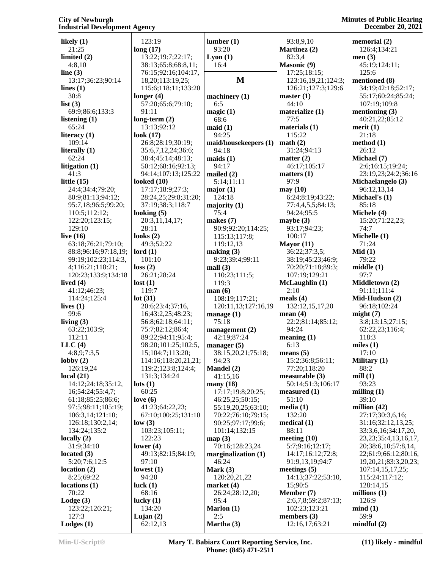| likely $(1)$         | 123:19               | lumber(1)             | 93:8,9,10           | memorial (2)               |
|----------------------|----------------------|-----------------------|---------------------|----------------------------|
| 21:25                | long(17)             | 93:20                 | Martinez (2)        | 126:4;134:21               |
| limited $(2)$        | 13:22;19:7;22:17;    | Lyon(1)               | 82:3,4              | men $(3)$                  |
| 4:8,10               | 38:13;65:8;68:8,11;  | 16:4                  | <b>Masonic (9)</b>  | 45:19;124:11;              |
| line $(3)$           | 76:15;92:16;104:17,  |                       | 17:25;18:15;        | 125:6                      |
| 13:17;36:23;90:14    | 18,20;113:19,25;     | M                     | 123:16,19,21;124:3; | mentioned (8)              |
| lines $(1)$          | 115:6;118:11;133:20  |                       | 126:21;127:3;129:6  | 34:19;42:18;52:17;         |
| 30:8                 | longer $(4)$         | machinery $(1)$       | master(1)           | 55:17;60:24;85:24;         |
| list $(3)$           | 57:20;65:6;79:10;    | 6:5                   | 44:10               | 107:19;109:8               |
| 69:9;86:6;133:3      | 91:11                | magic(1)              | materialize (1)     | mentioning $(3)$           |
| listening $(1)$      | long-term $(2)$      | 68:6                  | 77:5                | 40:21,22;85:12             |
| 65:24                | 13:13;92:12          | mid(1)                | materials (1)       | merit $(1)$                |
| literacy $(1)$       | look $(17)$          | 94:25                 | 115:22              | 21:18                      |
| 109:14               | 26:8;28:19;30:19;    | maid/housekeepers (1) | math(2)             | method $(1)$               |
| literally $(1)$      | 35:6,7,12,24;36:6;   | 94:18                 | 31:24;94:13         | 26:12                      |
| 62:24                | 38:4;45:14;48:13;    | maids(1)              | matter $(2)$        | Michael (7)                |
| litigation (1)       | 50:12;68:16;92:13;   | 94:17                 | 46:17;105:17        | 2:6;16:15;19:24;           |
| 41:3                 | 94:14;107:13;125:22  | mailed $(2)$          | matters $(1)$       | 23:19,23;24:2;36:16        |
| little $(15)$        | looked $(10)$        | 5:14;11:11            | 97:9                | Michaelangelo (3)          |
| 24:4;34:4;79:20;     | 17:17;18:9;27:3;     | major(1)              | may(10)             | 96:12,13,14                |
| 80:9;81:13;94:12;    | 28:24,25;29:8;31:20; | 124:18                | 6:24;8:19;43:22;    | Michael's (1)              |
| 95:7,18;96:5;99:20;  | 37:19;38:3;118:7     | majority $(1)$        | 77:4,4,5,5;84:13;   | 85:18                      |
| 110:5;112:12;        | looking $(5)$        | 75:4                  | 94:24;95:5          | Michele (4)                |
| 122:20;123:15;       | 20:3,11,14,17;       | makes $(7)$           | maybe $(3)$         | 15:20;71:22,23;            |
| 129:10               | 28:11                | 90:9;92:20;114:25;    | 93:17;94:23;        | 74:7                       |
| live $(16)$          | looks $(2)$          | 115:13;117:8;         | 100:17              | Michelle (1)               |
| 63:18;76:21;79:10;   | 49:3;52:22           | 119:12,13             | Mayor $(11)$        | 71:24                      |
| 88:8;96:16;97:18,19; | $\text{Iord}(1)$     | making (3)            | 36:22;37:3,5;       | Mid(1)                     |
| 99:19;102:23;114:3,  | 101:10               | 9:23;39:4;99:11       | 38:19;45:23;46:9;   | 79:22                      |
| 4;116:21;118:21;     | loss(2)              | mall(3)               | 70:20;71:18;89:3;   | middle(1)                  |
| 120:23;133:9;134:18  | 26:21;28:24          | 110:23;111:5;         | 107:19;129:21       | 97:7                       |
| lived $(4)$          | lost(1)              | 119:3                 | McLaughlin (1)      | Middletown (2)             |
| 41:12;46:23;         | 119:7                | man(6)                | 2:10                | 91:11;111:4                |
| 114:24;125:4         | lot(31)              | 108:19;117:21;        | meals $(4)$         | Mid-Hudson (2)             |
| lives $(1)$          | 20:6;23:4;37:16,     | 120:11,13;127:16,19   | 132:12,15,17,20     | 96:18;102:24               |
| 99:6                 | 16;43:2,25;48:23;    | manage $(1)$          | mean $(4)$          | might(7)                   |
| living $(3)$         | 56:8;62:18;64:11;    | 75:18                 | 22:2;81:14;85:12;   | 3:8;13:15;27:15;           |
| 63:22;103:9;         | 75:7;82:12;86:4;     | management $(2)$      | 94:24               | 62:22,23;116:4;            |
| 112:11               | 89:22;94:11;95:4;    | 42:19;87:24           | meaning(1)          | 118:3                      |
| LLC(4)               | 98:20;101:25;102:5,  | manager $(5)$         | 6:13                | miles $(1)$                |
| 4:8,9;7:3,5          | 15;104:7;113:20;     | 38:15,20,21;75:18;    | means $(5)$         | 17:10                      |
| $\text{lobby}(2)$    | 114:16;118:20,21,21; | 94:23                 | 15:2;36:8;56:11;    | Military (1)               |
| 126:19,24            | 119:2;123:8;124:4;   | Mandel (2)            | 77:20;118:20        | 88:2                       |
| local(21)            | 131:3;134:24         | 41:15,16              | measureable (3)     | mill $(1)$                 |
| 14:12;24:18;35:12,   | $\text{lots} (1)$    | many $(18)$           | 50:14;51:3;106:17   | 93:23                      |
| 16;54:24;55:4,7;     | 60:25                | 17:17;19:8;20:25;     | measured (1)        | milling $(1)$              |
| 61:18;85:25;86:6;    | love $(6)$           | 46:25,25;50:15;       | 51:10               | 39:10                      |
| 97:5;98:11;105:19;   | 41:23;64:22,23;      | 55:19,20,25;63:10;    | media(1)            | million $(42)$             |
| 106:3,14;121:10;     | 67:10;100:25;131:10  | 70:22;76:10;79:15;    | 132:20              | 27:17;30:3,6,16;           |
| 126:18;130:2,14;     | low(3)               | 90:25;97:17;99:6;     | medical $(1)$       | 31:16;32:12,13,25;         |
| 134:24;135:2         | 103:23;105:11;       | 101:14;132:15         | 88:11               | 33:3,6,16;34:17,20,        |
| locally $(2)$        | 122:23               | map(3)                | meeting $(10)$      | 23, 23; 35: 4, 13, 16, 17, |
| 31:9;34:10           | lower $(4)$          | 70:16;128:23,24       | 5:7;9:16;12:17;     | 20;38:6,10;57:8,14,        |
| located $(3)$        | 49:13;82:15;84:19;   | marginalization $(1)$ | 14:17;16:12;72:8;   | 22;61:9;66:12;80:16,       |
| 5:20;7:6;12:5        | 97:10                | 46:24                 | 91:9,13,19;94:7     | 19, 20, 21; 83: 3, 20, 23; |
| location(2)          | lowest $(1)$         | Mark $(3)$            | meetings $(5)$      | 107:14,15,17,25;           |
| 8:25;69:22           | 94:20                | 120:20,21,22          | 14:13;37:22;53:10,  | 115:24;117:12;             |
| locations(1)         | luck $(1)$           | market $(4)$          | 15;90:5             | 128:14,15                  |
| 70:22                | 68:16                | 26:24;28:12,20;       | Member (7)          | millions $(1)$             |
| $\text{Lodge}(3)$    | lucky $(1)$          | 95:4                  | 2:6,7,8;59:2;87:13; | 126:9                      |
| 123:22;126:21;       | 134:20               | Marlon (1)            | 102:23;123:21       | mind(1)                    |
| 127:3                | Lujan $(2)$          | 2:5                   | members (3)         | 59:9                       |
| Lodges(1)            | 62:12,13             | Martha (3)            | 12:16,17;63:21      | mindful(2)                 |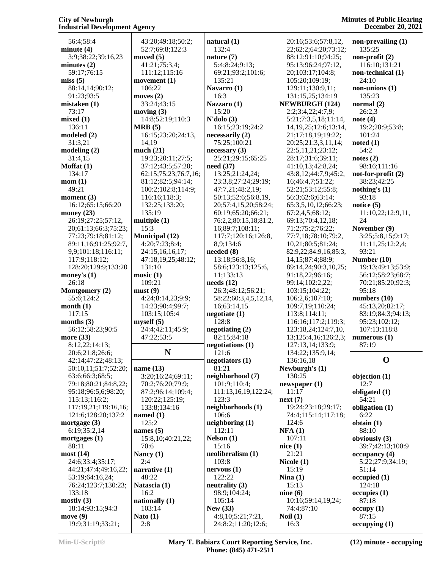| 56:4;58:4                                  | 43:20;49:18;50:2;      | natural $(1)$                            | 20:16;53:6;57:8,12,                       | non-prevailing $(1)$    |
|--------------------------------------------|------------------------|------------------------------------------|-------------------------------------------|-------------------------|
| minute $(4)$                               | 52:7;69:8;122:3        | 132:4                                    | 22;62:2;64:20;73:12;                      | 135:25                  |
| 3:9;38:22;39:16,23                         | moved $(5)$            | nature $(7)$                             | 88:12;91:10;94:25;                        | non-profit $(2)$        |
| minutes $(2)$                              | 41:21;75:3,4;          | 5:4;8:24;9:13;                           | 95:13;96:24;97:12,                        | 116:10;131:21           |
| 59:17;76:15                                | 111:12;115:16          | 69:21;93:2;101:6;                        | 20;103:17;104:8;                          | non-technical (1)       |
| miss(5)                                    | movement $(1)$         | 135:21                                   | 105:20;109:19;                            | 24:10                   |
| 88:14,14;90:12;                            | 106:22                 | Navarro (1)                              | 129:11;130:9,11;                          | non-unions (1)          |
| 91:23;93:5                                 | moves $(2)$            | 16:3                                     | 131:15,25;134:19                          | 135:23                  |
| mistaken(1)                                | 33:24;43:15            | Nazzaro (1)                              | <b>NEWBURGH (124)</b>                     | normal $(2)$            |
| 73:17                                      | moving $(3)$           | 15:20                                    | 2:2;3:4,22;4:7,9;                         | 26:2,3                  |
| mixed(1)                                   | 14:8;52:19;110:3       | $N'$ dolo $(3)$                          | 5:21;7:3,5,18;11:14,                      | note $(4)$              |
| 136:11                                     | MRB(5)                 | 16:15;23:19;24:2                         | 14, 19, 25; 12: 6; 13: 14,                | 19:2;28:9;53:8;         |
| modeled (2)                                | 16:15;23:20;24:13,     | necessaryily(2)                          | 21;17:18,19;19:22;                        | 101:24                  |
| 31:3,21                                    | 14,19                  | 75:25;100:21                             | 20:25;21:3,3,11,14;                       | noted(1)                |
| modeling(2)                                | much $(21)$            | necessary(3)                             | 22:5,11,21;23:12;                         | 54:2                    |
| 31:4,15                                    | 19:23;20:11;27:5;      | 25:21;29:15;65:25                        | 28:17;31:6;39:11;                         | notes $(2)$             |
| Moffat $(1)$                               | 37:12;43:5;57:20;      | need $(37)$                              | 41:10,13;42:8,24;                         | 98:16;111:16            |
| 134:17                                     | 62:15;75:23;76:7,16;   | 13:25;21:24,24;                          | 43:8,12;44:7,9;45:2,                      | not-for-profit $(2)$    |
| mom(1)                                     | 81:12;82:5;94:14;      | 23:3,8;27:24;29:19;                      | 16;46:4,7;51:22;                          | 38:23;42:25             |
| 49:21                                      | 100:2;102:8;114:9;     | 47:7,21;48:2,19;                         | 52:21;53:12;55:8;                         | nothing's $(1)$         |
| moment $(3)$                               | 116:16;118:3;          | 50:13;52:6;56:8,19,                      | 56:3;62:6;63:14;                          | 93:18                   |
| 16:12;65:15;66:20                          | 132:25;133:20;         | 20;57:4,15,20;58:24;                     | 65:3,5,10,12;66:23;                       | notice $(5)$            |
| money $(23)$                               | 135:19                 | 60:19;65:20;66:21;                       | 67:2,4,5;68:12;                           | 11:10,22;12:9,11,<br>24 |
| 26:19;27:25;57:12,<br>20;61:13;66:3;75:23; | multiple $(1)$<br>15:3 | 76:2,2;80:15,18;81:2,<br>16;89:7;108:11; | 69:13;70:4,12,18;<br>71:2;75:2;76:22;     | November (9)            |
| 77:23;79:18;81:12;                         | <b>Municipal</b> (12)  | 117:7;120:16;126:8,                      | 77:7,18;78:10;79:2,                       | 3:25;5:8,15;9:17;       |
| 89:11,16;91:25;92:7,                       | 4:20;7:23;8:4;         | 8,9;134:6                                | 10,21;80:5;81:24;                         | 11:11,25;12:2,4;        |
| 9,9;101:18;116:11;                         | 24:15,16,16,17;        | needed $(8)$                             | 82:9,22;84:9,16;85:3,                     | 93:21                   |
| 117:9;118:12;                              | 47:18,19,25;48:12;     | 13:18;56:8,16;                           | 14, 15; 87: 4; 88: 9;                     | Number $(10)$           |
| 128:20;129:9;133:20                        | 131:10                 | 58:6;123:13;125:6,                       | 89:14,24;90:3,10,25;                      | 19:13;49:13;53:9;       |
| money's $(1)$                              | music(1)               | 11;133:13                                | 91:18,22;96:16;                           | 56:12;58:23;68:7;       |
| 26:18                                      | 109:21                 | needs (12)                               | 99:14;102:2,22;                           | 70:21;85:20;92:3;       |
| Montgomery (2)                             | must(9)                | 26:3;48:12;56:21;                        | 103:15;104:22;                            | 95:18                   |
| 55:6;124:2                                 | 4:24;8:14,23;9:9;      | 58:22;60:3,4,5,12,14,                    | 106:2,6;107:10;                           | numbers $(10)$          |
| month(1)                                   | 14:23;90:4;99:7;       | 16;63:14,15                              | 109:7,19;110:24;                          | 45:13,20;82:17;         |
| 117:15                                     | 103:15;105:4           | negotiate(1)                             | 113:8;114:11;                             | 83:19;84:3;94:13;       |
| months $(3)$                               | myself(5)              | 128:8                                    | 116:16;117:2;119:3;                       | 95:23;102:12;           |
| 56:12;58:23;90:5                           | 24:4;42:11;45:9;       | negotiating (2)                          | 123:18,24;124:7,10,                       | 107:13;118:8            |
| more $(33)$                                | 47:22;53:5             | 82:15;84:18                              | 13;125:4,16;126:2,3;                      | numerous $(1)$          |
| 8:12,22;14:13;                             |                        | negotiations (1)                         | 127:13,14;133:9;                          | 87:19                   |
| 20:6;21:8;26:6;                            | N                      | 121:6                                    | 134:22;135:9,14;                          |                         |
| 42:14;47:22;48:13;                         |                        | negotiators (1)                          | 136:16,18                                 | $\mathbf 0$             |
| 50:10,11;51:7;52:20;                       | name $(13)$            | 81:21                                    | Newburgh's $(1)$                          |                         |
| 63:6;66:3;68:5;                            | 3:20;16:24;69:11;      | neighborhood (7)                         | 130:25                                    | objection (1)           |
| 79:18;80:21;84:8,22;                       | 70:2;76:20;79:9;       | 101:9;110:4;                             | newspaper(1)                              | 12:7                    |
| 95:18;96:5,6;98:20;                        | 87:2;96:14;109:4;      | 111:13,16,19;122:24;                     | 11:17                                     | obligated (1)           |
| 115:13;116:2;                              | 120:22;125:19;         | 123:3                                    | next(7)                                   | 54:21                   |
| 117:19,21;119:16,16;<br>121:6;128:20;137:2 | 133:8;134:16           | neighborhoods (1)<br>106:6               | 19:24;23:18;29:17;<br>74:4;115:14;117:18; | obligation (1)          |
| mortgage $(3)$                             | named $(1)$<br>125:2   | neighboring $(1)$                        | 124:6                                     | 6:22<br>obtain(1)       |
| 6:19;35:2,14                               | names $(5)$            | 112:11                                   | NFA(1)                                    | 88:10                   |
| mortgages $(1)$                            | 15:8, 10:40:21, 22;    | Nelson(1)                                | 107:11                                    | obviously (3)           |
| 88:11                                      | 70:6                   | 15:16                                    | nice(1)                                   | 39:7;42:13;100:9        |
| most(14)                                   | Nancy (1)              | neoliberalism (1)                        | 21:21                                     | occupancy(4)            |
| 24:6;33:4;35:17;                           | 2:4                    | 103:8                                    | Nicole (1)                                | 5:22;27:9;34:19;        |
| 44:21;47:4;49:16,22;                       | narrative $(1)$        | nervous(1)                               | 15:19                                     | 51:14                   |
| 53:19;64:16,24;                            | 48:22                  | 122:22                                   | Nina $(1)$                                | occupied(1)             |
| 76:24;123:7;130:23;                        | Natascia (1)           | neutrality (3)                           | 15:13                                     | 124:18                  |
| 133:18                                     | 16:2                   | 98:9;104:24;                             | nine(6)                                   | occupies(1)             |
| mostly $(3)$                               | nationally $(1)$       | 105:14                                   | 10:16;59:14,19,24;                        | 87:18                   |
| 18:14;93:15;94:3                           | 103:14                 | New $(33)$                               | 74:4;87:10                                | occupy(1)               |
| move $(9)$                                 | Nato $(1)$             | 4:8,10;5:21;7:21,                        | Noil $(1)$                                | 87:15                   |
| 19:9;31:19;33:21;                          | 2:8                    | 24;8:2;11:20;12:6;                       | 16:3                                      | occupying(1)            |

**Min-U-Script® Mary T. Babiarz Court Reporting Service, Inc. Phone: (845) 471-2511**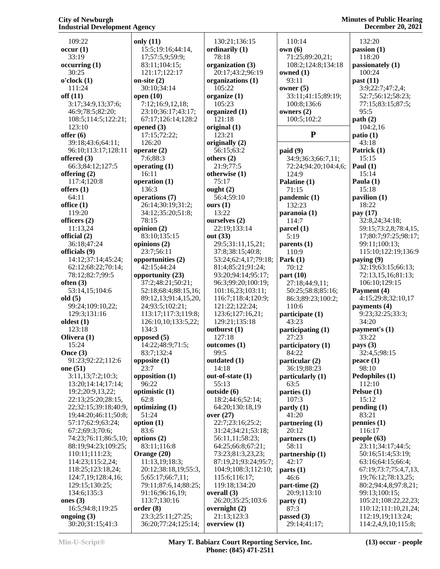**Minutes of Public Hearing December 20, 2021**

 109:22 **occur (1)** 33:19 **occurring (1)** 30:25 **o'clock (1)** 111:24 **off (11)** 3:17;34:9,13;37:6; 46:9;78:5;82:20; 108:5;114:5;122:21; 123:10 **offer (6)** 39:18;43:6;64:11; 96:10;113:17;128:11 **offered (3)** 66:3;84:12;127:5 **offering (2)** 117:4;120:8 **offers (1)** 64:11 **office (1)** 119:20 **officers (2)** 11:13,24 **official (2)** 36:18;47:24 **officials (9)** 14:12;37:14;45:24; 62:12;68:22;70:14; 78:12;82:7;99:5 **often (3)** 53:14,15;104:6 **old (5)** 99:24;109:10,22; 129:3;131:16 **oldest (1)** 123:18 **Olivera (1)** 15:24 **Once (3)** 91:23;92:22;112:6 **one (51)** 3:11,13;7:2;10:3; 13:20;14:14;17:14; 19:2;20:9,13,22; 22:13;25:20;28:15, 22;32:15;39:18;40:9, 19;44:20;46:11;50:8; 57:17;62:9;63:24; 67:2;69:3;70:6; 74:23;76:11;86:5,10; 88:19;94:23;109:25; 110:11;111:23; 114:23;115:2,24; 118:25;123:18,24; 124:7,19;128:4,16; 129:15;130:25; 134:6;135:3 **ones (3)** 16:5;94:8;119:25 **ongoing (3)** 30:20;31:15;41:3

**only (11)** 15:5;19:16;44:14, 17;57:5,9;59:9; 83:11;104:15; 121:17;122:17 **on-site (2)** 30:10;34:14 **open (10)** 7:12;16:9,12,18; 23:10;36:17;43:17; 67:17;126:14;128:2 **opened (3)** 17:15;72:22; 126:20 **operate (2)** 7:6;88:3 **operating (1)** 16:11 **operation (1)** 136:3 **operations (7)** 26:14;30:19;31:2; 34:12;35:20;51:8; 78:15 **opinion (2)** 83:10;135:15 **opinions (2)** 23:7;56:11 **opportunities (2)** 42:15;44:24 **opportunity (23)** 37:2;48:21;50:21; 52:18;68:4;88:15,16; 89:12,13;91:4,15,20, 24;93:5;102:21; 113:17;117:3;119:8; 126:10,10;133:5,22; 134:3 **opposed (5)** 14:22;48:9;71:5; 83:7;132:4 **opposite (1)** 23:7 **opposition (1)** 96:22 **optimistic (1)** 62:8 **optimizing (1)** 51:24 **option (1)** 83:6 **options (2)** 83:11;116:8 **Orange (20)** 11:13,19;18:3; 20:12;38:18,19;55:3, 5;65:17;66:7,11; 79:11;87:6,14;88:25; 91:16;96:16,19; 113:7;130:16 **order (8)** 23:3;25:11;27:25; 36:20;77:24;125:14; 130:21;136:15 **ordinarily (1)** 78:18 **organization (3) organizations (1)** 105:22 **organize (1)** 105:23 **organized (1)** 121:18 **original (1)** 123:21 **originally (2)** 56:15;63:2 **others (2)** 21:9;77:5 **otherwise (1)** 75:17 **ought (2)** 56:4;59:10 **ours (1)** 13:22 **ourselves (2)** 22:19;133:14 **out (33)** 129:21;135:18 **outburst (1)** 127:18 **outcomes (1)** 99:5 **outdated (1)** 14:18 **out-of-state (1)** 55:13 **outside (6) over (27)** 115:6;116:17; 119:18;134:20 **overall (3) overnight (2)** 21:13;123:3 **overview (1)**

 20:17;43:2;96:19 29:5;31:11,15,21; 37:8;38:15;40:8; 53:24;62:4,17;79:18; 81:4;85:21;91:24; 93:20;94:14;95:17; 96:3;99:20;100:19; 101:16,23;103:11; 116:7;118:4;120:9; 121:22;122:24; 123:6;127:16,21; 18:2;44:6;52:14; 64:20;130:18,19 22:7;23:16;25:2; 31:24;34:21;53:18; 56:11,11;58:23; 64:25;66:8;67:21; 73:23;81:3,23,23; 87:19,21;93:24;95:7; 104:9;108:3;112:10; 26:20;35:25;103:6 **own (6) paid (9)** 5:19 63:5 46:6 87:3

 110:14 71:25;89:20,21; 108:2;124:8;134:18 **owned (1)** 93:11 **owner (5)** 33:11;41:15;89:19; 100:8;136:6 **owners (2)** 100:5;102:2 **P** 34:9;36:3;66:7,11; 72:24;94:20;104:4,6; 124:9 **Palatine (1)** 71:15 **pandemic (1)** 132:23 **paranoia (1)** 114:7 **parcel (1) parents (1)** 110:9 **Park (1)** 70:12 **part (10)** 27:18;44:9,11; 50:25;58:8;85:16; 86:3;89:23;100:2; 110:6 **participate (1)** 43:23 **participating (1)** 27:23 **participatory (1)** 84:22 **particular (2)** 36:19;88:23 **particularly (1) parties (1)** 107:3 **partly (1)** 41:20 **partnering (1)** 20:12 **partners (1)** 58:11 **partnership (1)** 42:17 **parts (1) part-time (2)** 20:9;113:10 **party (1) passed (3)** 29:14;41:17;

 132:20 **passion (1)** 118:20 **passionately (1)** 100:24 **past (11)** 3:9;22:7;47:2,4; 52:7;56:12;58:23; 77:15;83:15;87:5; 95:5 **path (2)** 104:2,16 **patio (1)** 43:18 **Patrick (1)** 15:15 **Paul (1)** 15:14 **Paula (1)** 15:18 **pavilion (1)** 18:22 **pay (17)** 32:8,24;34:18; 59:15;73:2,8;78:4,15, 17;80:7;97:25;98:17; 99:11;100:13; 115:10;122:19;136:9 **paying (9)** 32:19;63:15;66:13; 72:13,15,16;81:13; 106:10;129:15 **Payment (4)** 4:15;29:8;32:10,17 **payments (4)** 9:23;32:25;33:3; 34:20 **payment's (1)** 33:22 **pays (3)** 32:4,5;98:15 **peace (1)** 98:10 **Pedophiles (1)** 112:10 **Pelsue (1)** 15:12 **pending (1)** 83:21 **pennies (1)** 116:17 **people (63)** 23:11;34:17;44:5; 50:16;51:4;53:19; 63:16;64:15;66:4; 67:19;73:7;75:4,7,13, 19;76:12;78:13,25; 80:2;94:4,8;97:8,21; 99:13;100:15; 105:21;108:22,22,23; 110:12;111:10,21,24; 112:19,19;113:24; 114:2,4,9,10;115:8;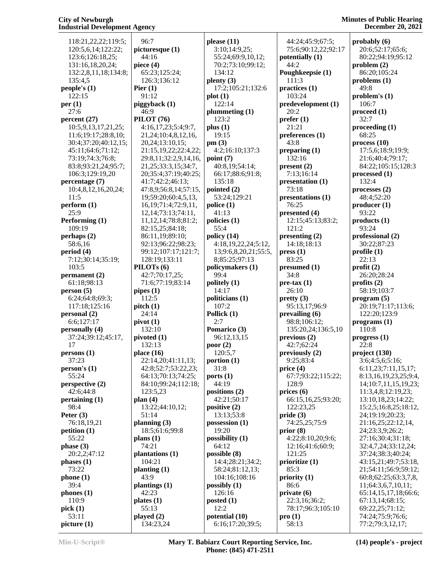#### **Minutes of Public Hearing December 20, 2021**

 118:21,22,22;119:5; 120:5,6,14;122:22; 123:6;126:18,25; 131:16,18,20,24; 132:2,8,11,18;134:8; 135:4,5 **people's (1)** 122:15 **per (1)** 27:6 **percent (27)** 10:5,9,13,17,21,25; 11:6;19:17;28:8,10; 30:4;37:20;40:12,15; 45:11;64:6;71:12; 73:19;74:3;76:8; 83:8;93:21,24;95:7; 106:3;129:19,20 **percentage (7)** 10:4,8,12,16,20,24; 11:5 **perform (1)** 25:9 **Performing (1)** 109:19 **perhaps (2)** 58:6,16 **period (4)** 7:12;30:14;35:19; 103:5 **permanent (2)** 61:18;98:13 **person (5)** 6:24;64:8;69:3; 117:18;125:16 **personal (2)** 6:6;127:17 **personally (4)** 37:24;39:12;45:17, 17 **persons (1)** 37:23 **person's (1)** 55:24 **perspective (2)** 42:6;44:8 **pertaining (1)** 98:4 **Peter (3)** 76:18,19,21 **petition (1)** 55:22 **phase (3)** 20:2,2;47:12 **phases (1)** 73:22 **phone (1)** 39:4 **phones (1)** 110:9 **pick (1)** 53:11 **picture (1)**

 96:7 **picturesque (1)** 44:16 **piece (4)** 65:23;125:24; 126:3;136:12 **Pier (1)** 91:12 **piggyback (1)** 46:9 **PILOT (76)** 4:16,17,23;5:4;9:7, 21,24;10:4,8,12,16, 20,24;13:10,15; 21:15,19,22;22:4,22; 29:8,11;32:2,9,14,16, 21,25;33:3,15;34:7, 20;35:4;37:19;40:25; 41:7;42:2;46:13; 47:8,9;56:8,14;57:15, 19;59:20;60:4,5,13, 16,19;71:4;72:9,11, 12,14;73:13;74:11, 11,12,14;78:8;81:2; 82:15,25;84:18; 86:11,19;89:10; 92:13;96:22;98:23; 99:12;107:17;121:7; 128:19;133:11 **PILOTs (6)** 42:7;70:17,25; 71:6;77:19;83:14 **pipes (1)** 112:5 **pitch (1)** 24:14 **pivot (1)** 132:10 **pivoted (1)** 132:13 **place (16)** 22:14,20;41:11,13; 42:8;52:7;53:22,23; 64:13;70:13;74:25; 84:10;99:24;112:18; 123:5,23 **plan (4)** 13:22;44:10,12; 51:14 **planning (3)** 18:5;61:6;99:8 **plans (1)** 74:21 **plantations (1)** 104:21 **planting (1)** 43:9 **plantings (1)** 42:23 **plates (1)** 55:13 **played (2)** 134:23,24 55:4 2:7 12:2

**please (11)** 3:10;14:9,25; 55:24;69:9,10,12; 70:2;73:10;99:12; 134:12 **plenty (3)** 17:2;105:21;132:6 **plot (1)** 122:14 **plummeting (1)** 123:2 **plus (1)** 19:15 **pm (3)** 4:2;16:10;137:3 **point (7)** 40:8,19;54:14; 66:17;88:6;91:8; 135:18 **pointed (2)** 53:24;129:21 **police (1)** 41:13 **policies (1) policy (14)** 4:18,19,22,24;5:12, 13;9:6,8,20,21;55:5, 8;85:25;97:13 **policymakers (1)** 99:4 **politely (1)** 14:17 **politicians (1)** 107:2 **Pollick (1) Pomarico (3)** 96:12,13,15 **poor (2)** 120:5,7 **portion (1)** 31:8 **ports (1)** 44:19 **positions (2)** 42:21;50:17 **positive (2)** 13:13;53:8 **possession (1)** 19:20 **possibility (1)** 64:12 **possible (8)** 14:4;28:21;34:2; 58:24;81:12,13; 104:16;108:16 **possibly (1)** 126:16 **posted (1) potential (10)** 6:16;17:20;39:5;

 44:24;45:9;67:5; 75:6;90:12,22;92:17 **potentially (1)** 44:2 **Poughkeepsie (1)** 111:3 **practices (1)** 103:24 **predevelopment (1)** 20:2 **prefer (1)** 21:21 **preferences (1)** 43:8 **preparing (1)** 132:16 **present (2)** 7:13;16:14 **presentation (1)** 73:18 **presentations (1)** 76:25 **presented (4)** 12:15;45:13;83:2; 121:2 **presenting (2)** 14:18;18:13 **press (1)** 83:25 **presumed (1)** 34:8 **pre-tax (1)** 26:10 **pretty (3)** 95:13,17;96:9 **prevailing (6)** 98:8;106:12; 135:20,24;136:5,10 **previous (2)** 42:7;62:24 **previously (2)** 9:25;83:4 **price (4)** 67:7;93:22;115:22; 128:9 **prices (6)** 66:15,16,25;93:20; 122:23,25 **pride (3)** 74:25,25;75:9 **prior (8)** 4:22;8:10,20;9:6; 12:16;41:6;60:9; 121:25 **prioritize (1)** 85:3 **priority (1)** 86:6 **private (6)** 22:3,16;36:2; 78:17;96:3;105:10 **pro (1)** 58:13

**probably (6)** 20:6;52:17;65:6; 80:22;94:19;95:12 **problem (2)** 86:20;105:24 **problems (1)** 49:8 **problem's (1)** 106:7 **proceed (1)** 32:7 **proceeding (1)** 68:25 **process (10)** 17:5,6;18:9;19:9; 21:6;40:4;79:17; 84:22;105:15;128:3 **processed (1)** 132:4 **processes (2)** 48:4;52:20 **producer (1)** 93:22 **products (1)** 93:24 **professional (2)** 30:22;87:23 **profile (1)** 22:13 **profit (2)** 26:20;28:24 **profits (2)** 58:19;103:7 **program (5)** 20:19;71:17;113:6; 122:20;123:9 **programs (1)** 110:8 **progress (1)** 22:8 **project (130)** 3:6;4:5,6;5:16; 6:11,23;7:11,15,17; 8:13,16,19,23,25;9:4, 14;10:7,11,15,19,23; 11:3,4,8;12:19,23; 13:10,18,23;14:22; 15:2,5;16:8,25;18:12, 24;19:19;20:23; 21:16,25;22:12,14, 24;23:3,9;26:2; 27:16;30:4;31:18; 32:4,7,24;33:12,24; 37:24;38:3;40:24; 43:15,21;49:7;53:18, 21;54:11;56:9;59:12; 60:8;62:25;63:3,7,8, 11;64:3,6,7,10,11; 65:14,15,17,18;66:6; 67:13,14;68:15; 69:22,25;71:12; 74:24;75:9;76:6;

77:2;79:3,12,17;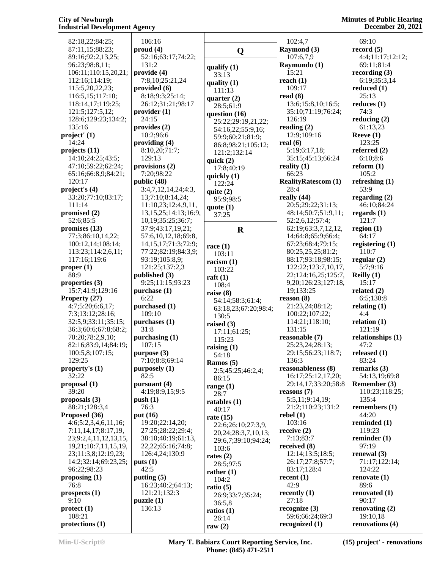**Minutes of Public Hearing December 20, 2021**

 82:18,22;84:25; 87:11,15;88:23; 89:16;92:2,13,25; 96:23;98:8,11; 106:11;110:15,20,21; 112:16;114:19; 115:5,20,22,23; 116:5,15;117:10; 118:14,17;119:25; 121:5;127:5,12; 128:6;129:23;134:2; 135:16 **project' (1)** 14:24 **projects (11)** 14:10;24:25;43:5; 47:10;59:22;62:24; 65:16;66:8,9;84:21; 120:17 **project's (4)** 33:20;77:10;83:17; 111:14 **promised (2)** 52:6;85:5 **promises (13)** 77:3;86:10,14,22; 100:12,14;108:14; 113:23;114:2,6,11; 117:16;119:6 **proper (1)** 88:9 **properties (3)** 15:7;41:9;129:16 **Property (27)** 4:7;5:20;6:6,17; 7:3;13:12;28:16; 32:5,9;33:11;35:15; 36:3;60:6;67:8;68:2; 70:20;78:2,9,10; 82:16;83:9,14;84:19; 100:5,8;107:15; 129:25 **property's (1)** 32:22 **proposal (1)** 39:20 **proposals (3)** 88:21;128:3,4 **Proposed (36)** 4:6;5:2,3,4,6,11,16; 7:11,14,17;8:17,19, 23;9:2,4,11,12,13,15, 19,21;10:7,11,15,19, 23;11:3,8;12:19,23; 14:2;32:14;69:23,25; 96:22;98:23 **proposing (1)** 76:8 **prospects (1)** 9:10 **protect (1)** 108:21 **protections (1)** 106:16 **proud (4)** 131:2 **provide (4) provided (6) provider (1)** 24:15 **provides (2)** 10:2;96:6 **providing (4)** 129:13 **provisions (2)** 7:20;98:22 **public (48) published (3) purchase (1)** 6:22 **purchased (1)** 109:10 **purchases (1)** 31:8 **purchasing (1)** 107:15 **purpose (3) purposely (1)** 82:5 **pursuant (4) push (1)** 76:3 **put (16) puts (1)** 42:5 **putting (5) puzzle (1)** 136:13

 52:16;63:17;74:22; 7:8,10;25:21,24 8:18;9:3;25:14; 26:12;31:21;98:17 8:10,20;71:7; 3:4,7,12,14,24;4:3, 13;7:10;8:14,24; 11:10,23;12:4,9,11, 13,15,25;14:13;16:9, 10,19;35:25;36:7; 37:9;43:17,19,21; 57:6,10,12,18;69:8, 14,15,17;71:3;72:9; 77:22;82:19;84:3,9; 93:19;105:8,9; 121:25;137:2,3 9:25;11:15;93:23 7:10;8:8;69:14 4:19;8:9,15;9:5 19:20;22:14,20; 27:25;28:22;29:4; 38:10;40:19;61:13, 22,22;65:16;74:8; 126:4,24;130:9 16:23;40:2;64:13; 121:21;132:3 **qualify (1)** 33:13 **quality (1)** 111:13 **quarter (2)** 28:5;61:9 **question (16)** 25:22;29:19,21,22; 54:16,22;55:9,16; 59:9;60:21;81:9; 86:8;98:21;105:12; 121:2;132:14 **quick (2)** 17:8;40:19 **quickly (1)** 122:24 **quite (2)** 95:9;98:5 **quote (1)** 37:25 **race (1)** 103:11 **racism (1)** 103:22 **raft (1)** 108:4 **raise (8)** 54:14;58:3;61:4; 63:18,23;67:20;98:4; 130:5 **raised (3)** 17:11;61:25; 115:23 **raising (1)** 54:18 **Ramos (5)** 2:5;45:25;46:2,4; 86:15 **range (1)** 28:7 **ratables (1)** 40:17 **rate (15)** 22:6;26:10;27:3,9, 20,24;28:3,7,10,13; 29:6,7;39:10;94:24; 103:6 **rates (2)** 28:5;97:5 **rather (1)** 104:2 **ratio (5)** 26:9;33:7;35:24; 36:5,8 **ratios (1)** 26:14 **raw (2)**

 $\mathbf{Q}$  **Raymond** (3)  $\mathbf{R}$   $\begin{array}{ccc} \mathbf{R} & \mathbf{R} \\ \mathbf{R} & \mathbf{R} \end{array}$  102:4,7 107:6,7,9 **Raymundo (1)** 15:21 **reach (1)** 109:17 **read (8)** 13:6;15:8,10;16:5; 35:10;71:19;76:24; 126:19 **reading (2)** 12:9;109:16 **real (6)** 5:19;6:17,18; 35:15;45:13;66:24 **reality (1)** 66:23 **RealityRatescom (1)** 28:4 **really (44)** 20:5;29:22;31:13; 48:14;50:7;51:9,11; 52:2,6,12;57:4; 62:19;63:3,7,12,12, 14;64:8;65:9;66:4; 67:23;68:4;79:15; 80:25,25,25;81:2; 88:17;93:18;98:15; 122:22;123:7,10,17, 22;124:16,25;125:7, 9,20;126:23;127:18, 19;133:25 **reason (8)** 21:23,24;88:12; 100:22;107:22; 114:21;118:10; 131:15 **reasonable (7)** 25:23,24;28:13; 29:15;56:23;118:7; 136:3 **reasonableness (8)** 16:17;25:12,17,20; 29:14,17;33:20;58:8 **reasons (7)** 5:5,11;9:14,19; 21:2;110:23;131:2 **rebel (1)** 103:16 **receive (2)** 7:13;83:7 **received (8)** 12:14;13:5;18:5; 26:17;27:8;57:7; 83:17;128:4 **recent (1)** 42:9 **recently (1)** 27:18 **recognize (3)** 59:6;66:24;69:3 **recognized (1)**

 69:10 **record (5)** 4:4;11:17;12:12; 69:11;81:4 **recording (3)** 6:19;35:3,14 **reduced (1)** 25:13 **reduces (1)** 74:3 **reducing (2)** 61:13,23 **Reeve (1)** 123:25 **referred (2)** 6:10;8:6 **reform (1)** 105:2 **refreshing (1)** 53:9 **regarding (2)** 46:10;84:24 **regards (1)** 121:7 **region (1)** 64:17 **registering (1)** 110:7 **regular (2)** 5:7;9:16 **Reilly (1)** 15:17 **related (2)** 6:5;130:8 **relating (1)** 4:4 **relation (1)** 121:19 **relationships (1)** 47:2 **released (1)** 83:24 **remarks (3)** 54:13,19;69:8 **Remember (3)** 110:23;118:25; 135:4 **remembers (1)** 44:20 **reminded (1)** 119:23 **reminder (1)** 97:19 **renewal (3)** 71:17;122:14; 124:22 **renovate (1)** 89:6 **renovated (1)** 90:17 **renovating (2)** 19:10,18 **renovations (4)**

**Min-U-Script® Mary T. Babiarz Court Reporting Service, Inc. Phone: (845) 471-2511**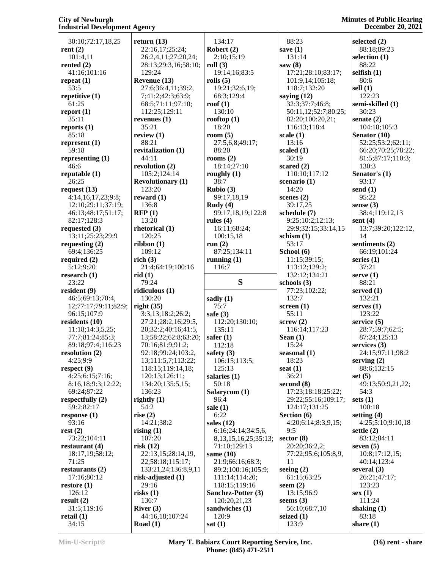| 30:10;72:17,18,25                     | return $(13)$            | 134:17                     | 88:23                 | selected (2)         |
|---------------------------------------|--------------------------|----------------------------|-----------------------|----------------------|
| rent $(2)$                            | 22:16,17;25:24;          | Robert $(2)$               | save $(1)$            | 88:18;89:23          |
| 101:4,11                              | 26:2,4,11;27:20,24;      | 2:10;15:19                 | 131:14                | selection (1)        |
| rented $(2)$                          | 28:13;29:3,16;58:10;     | roll(3)                    | saw $(8)$             | 88:22                |
| 41:16;101:16                          | 129:24                   | 19:14,16;83:5              | 17:21;28:10;83:17;    | selfish $(1)$        |
| repeat $(1)$                          | Revenue (13)             | rolls $(5)$                | 101:9,14;105:18;      | 80:6                 |
| 53:5                                  | 27:6;36:4,11;39:2,       | 19:21;32:6,19;             | 118:7;132:20          | sell $(1)$           |
| repetitive $(1)$                      | 7;41:2;42:3;63:9;        | 68:3;129:4                 | saying $(12)$         | 122:23               |
| 61:25                                 | 68:5;71:11;97:10;        | roof $(1)$                 | 32:3;37:7;46:8;       | semi-skilled (1)     |
| report $(1)$                          | 112:25;129:11            | 130:10                     | 50:11,12;52:7;80:25;  | 30:23                |
| 35:11                                 | revenues $(1)$           | rooftop $(1)$              | 82:20;100:20,21;      | senate $(2)$         |
|                                       |                          |                            |                       |                      |
| reports $(1)$                         | 35:21                    | 18:20                      | 116:13;118:4          | 104:18;105:3         |
| 85:18                                 | review $(1)$             | room $(5)$                 | scale $(1)$           | Senator (10)         |
| represent (1)                         | 88:21                    | 27:5,6,8;49:17;            | 13:16                 | 52:25;53:2;62:11;    |
| 59:18                                 | revitalization (1)       | 88:20                      | scaled (1)            | 66:20;70:25;78:22;   |
| representing $(1)$                    | 44:11                    | rooms $(2)$                | 30:19                 | 81:5;87:17;110:3;    |
| 46:6                                  | revolution $(2)$         | 18:14;27:10                | scared $(2)$          | 130:3                |
| reputable $(1)$                       | 105:2;124:14             | roughly $(1)$              | 110:10;117:12         | Senator's (1)        |
| 26:25                                 | <b>Revolutionary (1)</b> | 38:7                       | scenario $(1)$        | 93:17                |
| request $(13)$                        | 123:20                   | Rubio (3)                  | 14:20                 | send $(1)$           |
| 4:14,16,17,23;9:8;                    | reward $(1)$             | 99:17,18,19                | scenes $(2)$          | 95:22                |
| 12:10;29:11;37:19;                    | 136:8                    | Rudy(4)                    | 39:17,25              | sense $(3)$          |
| 46:13;48:17;51:17;                    | RFP(1)                   | 99:17,18,19;122:8          | schedule (7)          | 38:4;119:12,13       |
| 82:17;128:3                           | 13:20                    | rules $(4)$                | 9:25;10:2;12:13;      | sent $(4)$           |
|                                       |                          |                            | 29:9;32:15;33:14,15   |                      |
| requested $(3)$                       | rhetorical (1)           | 16:11;68:24;               |                       | 13:7;39:20;122:12,   |
| 13:11;25:23;29:9                      | 120:25                   | 100:15,18                  | schism $(1)$          | 14                   |
| requesting $(2)$                      | ribbon(1)                | run $(2)$                  | 53:17                 | sentiments (2)       |
| 69:4;136:25                           | 109:12                   | 87:25;134:11               | School (6)            | 66:19;101:24         |
| required $(2)$                        | rich $(3)$               | running $(1)$              | 11:15;39:15;          | series $(1)$         |
| 5:12;9:20                             | 21:4;64:19;100:16        | 116:7                      | 113:12;129:2;         | 37:21                |
| research $(1)$                        | rid(1)                   |                            | 132:12;134:21         | serve $(1)$          |
| 23:22                                 |                          |                            |                       |                      |
|                                       | 79:24                    | S                          | schools $(3)$         | 88:21                |
| resident $(9)$                        | ridiculous $(1)$         |                            | 77:23;102:22;         | served (1)           |
| 46:5;69:13;70:4,                      | 130:20                   | sadly $(1)$                | 132:7                 | 132:21               |
| 12;77:17;79:11;82:9;                  | right $(35)$             | 75:7                       | screen $(1)$          | serves $(1)$         |
| 96:15;107:9                           | 3:3,13;18:2;26:2;        | safe $(3)$                 | 55:11                 | 123:22               |
| residents $(10)$                      | 27:21;28:2,16;29:5,      | 112:20;130:10;             | screw(2)              | service $(5)$        |
| 11:18;14:3,5,25;                      | 20;32:2;40:16;41:5,      | 135:11                     | 116:14;117:23         | 28:7;59:7;62:5;      |
|                                       | 13;58:22;62:8;63:20;     | safer $(1)$                |                       | 87:24;125:13         |
| 77:7;81:24;85:3;<br>89:18;97:4;116:23 |                          | 112:18                     | Sean $(1)$<br>15:24   | services $(3)$       |
|                                       | 70:16;81:9;91:2;         |                            |                       | 24:15;97:11;98:2     |
| resolution $(2)$                      | 92:18;99:24;103:2,       | safety $(3)$               | seasonal $(1)$        |                      |
| 4:25;9:9                              | 13;111:5,7;113:22;       | 106:15;113:5;              | 18:23                 | serving $(2)$        |
| respect $(9)$                         | 118:15;119:14,18;        | 125:13                     | seat $(1)$            | 88:6;132:15          |
| 4:25;6:15;7:16;                       | 120:13;126:11;           | salaries $(1)$             | 36:21                 | set $(5)$            |
| 8:16,18;9:3;12:22;                    | 134:20;135:5,15;         | 50:18                      | second $(8)$          | 49:13;50:9,21,22;    |
| 69:24;87:22                           | 136:23                   | Salarycom (1)              | 17:23;18:18;25:22;    | 54:3                 |
| respectfully $(2)$                    | rightly $(1)$            | 96:4                       | 29:22;55:16;109:17;   | sets $(1)$           |
| 59:2;82:17                            | 54:2                     | sale $(1)$                 | 124:17;131:25         | 100:18               |
| response $(1)$                        | rise $(2)$               | 6:22                       | Section $(6)$         | setting $(4)$        |
| 93:16                                 | 14:21;38:2               | sales $(12)$               | 4:20;6:14;8:3,9,15;   | 4:25;5:10;9:10,18    |
| rest(2)                               | rising $(1)$             | 6:16;24:14;34:5,6,         | 9:5                   | settle $(2)$         |
| 73:22;104:11                          | 107:20                   | 8, 13, 15, 16, 25; 35: 13; | sector $(8)$          | 83:12;84:11          |
| restaurant $(4)$                      | risk(12)                 | 71:10;129:13               | 20:20;36:2,2;         | seven $(5)$          |
| 18:17,19;58:12;                       | 22:13,15;28:14,19,       | same $(10)$                | 77:22;95:6;105:8,9,   | 10:8;17:12,15;       |
| 71:25                                 | 22;58:18;115:17;         | 21:9;66:16;68:3;           | 11                    | 40:14;123:4          |
| restaurants $(2)$                     | 133:21,24;136:8,9,11     | 89:2;100:16;105:9;         | seeing $(2)$          | several $(3)$        |
| 17:16;80:12                           | risk-adjusted (1)        | 111:14;114:20;             | 61:15;63:25           | 26:21;47:17;         |
| restore $(1)$                         | 29:16                    | 118:15;119:16              | seem $(2)$            | 123:23               |
| 126:12                                | risks(1)                 | Sanchez-Potter (3)         | 13:15;96:9            | sex(1)               |
| result $(2)$                          | 136:7                    | 120:20,21,23               | seems $(3)$           | 111:24               |
| 31:5;119:16                           | River $(3)$              | sandwiches (1)             | 56:10;68:7,10         | shaking $(1)$        |
| retail $(1)$<br>34:15                 | 44:16,18;107:24          | 120:9<br>sat(1)            | seized $(1)$<br>123:9 | 83:18<br>share $(1)$ |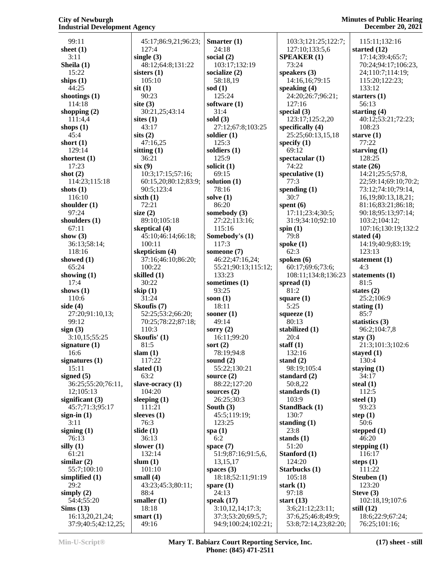| 99:11              | 45:17;86:9,21;96:23; | Smarter $(1)$       | 103:3;121:25;122:7;           | 115:11;132:16           |
|--------------------|----------------------|---------------------|-------------------------------|-------------------------|
| sheet $(1)$        | 127:4                | 24:18               | 127:10;133:5,6                | started (12)            |
| 3:11               | single $(3)$         | social $(2)$        | <b>SPEAKER (1)</b>            | 17:14;39:4;65:7;        |
| Sheila (1)         | 48:12;64:8;131:22    | 103:17;132:19       | 73:24                         | 70:24;94:17;106:23,     |
| 15:22              | sisters $(1)$        | socialize $(2)$     | speakers $(3)$                | 24;110:7;114:19;        |
| ships $(1)$        | 105:10               | 58:18,19            | 14:16.16:79:15                | 115:20;122:23;          |
| 44:25              | $s$ it $(1)$         | sod $(1)$           | speaking $(4)$                | 133:12                  |
|                    | 90:23                | 125:24              | 24:20;26:7;96:21;             |                         |
| shootings $(1)$    |                      |                     |                               | starters $(1)$          |
| 114:18             | site $(3)$           | software $(1)$      | 127:16                        | 56:13                   |
| shopping $(2)$     | 30:21,25;43:14       | 31:4                | special $(3)$                 | starting $(4)$          |
| 111:4,4            | sites $(1)$          | sold $(3)$          | 123:17;125:2,20               | 40:12;53:21;72:23;      |
| shops $(1)$        | 43:17                | 27:12;67:8;103:25   | specifically (4)              | 108:23                  |
| 45:4               | sits(2)              | soldier $(1)$       | 25:25;60:13,15,18             | starve $(1)$            |
| short $(1)$        | 47:16,25             | 125:3               | specify $(1)$                 | 77:22                   |
| 129:14             | sitting $(1)$        | soldiers $(1)$      | 69:12                         | starving $(1)$          |
| shortest $(1)$     | 36:21                | 125:9               | spectacular $(1)$             | 128:25                  |
| 17:23              | six(9)               | solicit $(1)$       | 74:22                         | state $(26)$            |
| shot $(2)$         | 10:3;17:15;57:16;    | 69:15               | speculative (1)               | 14:21;25:5;57:8,        |
| 114:23;115:18      | 60:15,20;80:12;83:9; | solution $(1)$      | 77:3                          | 22;59:14;69:10;70:2;    |
| shots $(1)$        | 90:5;123:4           | 78:16               | spending $(1)$                | 73:12;74:10;79:14,      |
| 116:10             | sixth(1)             | solve $(1)$         | 30:7                          | 16, 19; 80: 13, 18, 21; |
| shoulder $(1)$     | 72:21                | 86:20               | spent $(6)$                   | 81:16;83:21;86:18;      |
| 97:24              | size $(2)$           | somebody $(3)$      | 17:11;23:4;30:5;              | 90:18;95:13;97:14;      |
| shoulders $(1)$    | 89:10;105:18         | 27:22;113:16;       | 31:9;34:10;92:10              | 103:2;104:12;           |
| 67:11              | skeptical (4)        | 115:16              | spin $(1)$                    | 107:16;130:19;132:2     |
| show $(3)$         | 45:10;46:14;66:18;   | Somebody's (1)      | 79:8                          | stated $(4)$            |
| 36:13;58:14;       | 100:11               | 117:3               | spoke $(1)$                   | 14:19;40:9;83:19;       |
|                    | skepticism (4)       |                     | 62:3                          |                         |
| 118:16             |                      | someone (7)         |                               | 123:13                  |
| showed $(1)$       | 37:16;46:10;86:20;   | 46:22;47:16,24;     | spoken $(6)$                  | statement $(1)$         |
| 65:24              | 100:22               | 55:21;90:13;115:12; | 60:17;69:6;73:6;              | 4:3                     |
| showing $(1)$      | skilled (1)          | 133:23              | 108:11;134:8;136:23           | statements $(1)$        |
|                    |                      |                     |                               |                         |
| 17:4               | 30:22                | sometimes (1)       | spread $(1)$                  | 81:5                    |
| shows $(1)$        | skip $(1)$           | 93:25               | 81:2                          | states $(2)$            |
| 110:6              | 31:24                | soon $(1)$          | square $(1)$                  | 25:2;106:9              |
| side $(4)$         | Skoufis (7)          | 18:11               | 5:25                          | stating $(1)$           |
| 27:20;91:10,13;    | 52:25;53:2;66:20;    | sooner $(1)$        | squeeze $(1)$                 | 85:7                    |
| 99:12              | 70:25;78:22;87:18;   | 49:14               | 80:13                         | statistics $(3)$        |
| sign(3)            | 110:3                | sorry $(2)$         | stabilized (1)                | 96:2;104:7,8            |
| 3:10,15;55:25      | Skoufis' (1)         | 16:11;99:20         | 20:4                          | stay $(3)$              |
| signature $(1)$    | 81:5                 | sort $(2)$          | staff $(1)$                   | 21:3;101:3;102:6        |
| 16:6               | slam(1)              | 78:19;94:8          | 132:16                        | stayed $(1)$            |
|                    | 117:22               | sound $(2)$         | stand $(2)$                   | 130:4                   |
| signatures $(1)$   |                      |                     |                               |                         |
| 15:11              | slated $(1)$<br>63:2 | 55:22;130:21        | 98:19;105:4<br>standard $(2)$ | staying $(1)$<br>34:17  |
| signed (5)         |                      | source $(2)$        |                               |                         |
| 36:25;55:20;76:11, | slave-ocracy (1)     | 88:22;127:20        | 50:8,22                       | steal $(1)$             |
| 12;105:13          | 104:20               | sources $(2)$       | standards $(1)$               | 112:5                   |
| significant $(3)$  | sleeping $(1)$       | 26:25;30:3          | 103:9                         | steel $(1)$             |
| 45:7;71:3;95:17    | 111:21               | South $(3)$         | <b>StandBack (1)</b>          | 93:23                   |
| sign-in $(1)$      | sleeves $(1)$        | 45:5;119:19;        | 130:7                         | step $(1)$              |
| 3:11               | 76:3                 | 123:25              | standing $(1)$                | 50:6                    |
| signing $(1)$      | slide $(1)$          | spa $(1)$           | 23:8                          | stepped $(1)$           |
| 76:13              | 36:13                | 6:2                 | stands $(1)$                  | 46:20                   |
| silly $(1)$        | slower $(1)$         | space $(7)$         | 51:20                         | stepping $(1)$          |
| 61:21              | 132:14               | 51:9;87:16;91:5,6,  | Stanford (1)                  | 116:17                  |
| similar $(2)$      | slum $(1)$           | 13, 15, 17          | 124:20                        | steps $(1)$             |
| 55:7;100:10        | 101:10               | spaces $(3)$        | Starbucks (1)                 | 111:22                  |
| simplified $(1)$   | small $(4)$          | 18:18;52:11;91:19   | 105:18                        | Steuben (1)             |
| 29:2               | 43:23;45:3;80:11;    | spare $(1)$         | stark $(1)$                   | 123:20                  |
| simply $(2)$       | 88:4                 | 24:13               | 97:18                         | Steve $(3)$             |
| 54:4;55:20         | smaller $(1)$        | speak $(17)$        | start $(13)$                  | 102:18,19;107:6         |
| Sims(13)           | 18:18                | 3:10,12,14;17:3;    | 3:6;21:12;23:11;              | still $(12)$            |
| 16:13,20,21,24;    | smart $(1)$          | 37:3;53:20;69:5,7;  | 37:6,25;46:8;49:9;            | 18:6;22:9;67:24;        |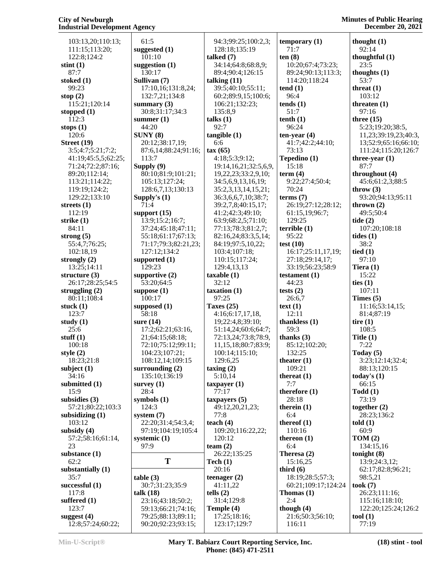103:13,20;110:13; 111:15;113:20; 122:8;124:2 **stint (1)** 87:7 **stoked (1)** 99:23 **stop (2)** 115:21;120:14 **stopped (1)** 112:3 **stops (1)** 120:6 **Street (19)** 3:5;4:7;5:21;7:2; 41:19;45:5,5;62:25; 71:24;72:2;87:16; 89:20;112:14; 113:21;114:22; 119:19;124:2; 129:22;133:10 **streets (1)** 112:19 **strike (1)** 84:11 **strong (5)** 55:4,7;76:25; 102:18,19 **strongly (2)** 13:25;14:11 **structure (3)** 26:17;28:25;54:5 **struggling (2)** 80:11;108:4 **stuck (1)** 123:7 **study (1)** 25:6 **stuff (1)** 100:18 **style (2)** 18:23;21:8 **subject (1)** 34:16 **submitted (1)** 15:9 **subsidies (3)** 57:21;80:22;103:3 **subsidizing (1)** 103:12 **subsidy (4)** 57:2;58:16;61:14,  $23$ **substance (1)** 62:2 **substantially (1)** 35:7 **successful (1)** 117:8 **suffered (1)** 123:7 **suggest (4)** 12:8;57:24;60:22;

 61:5 **suggested (1)** 101:10 **suggestion (1)** 130:17 **Sullivan (7)** 17:10,16;131:8,24; 132:7,21;134:8 **summary (3)** 30:8;31:17;34:3 **summer (1)** 44:20 **SUNY (8)** 20:12;38:17,19; 87:6,14;88:24;91:16; 113:7 **Supply (9)** 80:10;81:9;101:21; 105:13;127:24; 128:6,7,13;130:13 **Supply's (1)** 71:4 **support (15)** 13:9;15:2;16:7; 37:24;45:18;47:11; 55:18;61:17;67:13; 71:17;79:3;82:21,23; 127:12;134:2 **supported (1)** 129:23 **supportive (2)** 53:20;64:5 **suppose (1)** 100:17 **supposed (1)** 58:18 **sure (14)** 17:2;62:21;63:16, 21;64:15;68:18; 72:10;75:12;99:11; 104:23;107:21; 108:12,14;109:15 **surrounding (2)** 135:10;136:19 **survey (1)**  $28:4$ **symbols (1)** 124:3 **system (7)** 22:20;31:4;54:3,4; 97:19;104:19;105:4 **systemic (1)** 97:9 **table (3)** 30:7;31:23;35:9 **talk (18)** 23:16;43:18;50:2; 59:13;66:21;74:16; 79:25;88:13;89:11;

**T Tech (1)** 90:20;92:23;93:15; 94:3;99:25;100:2,3; 128:18;135:19 **talked (7)** 34:14;64:8;68:8,9; 89:4;90:4;126:15 **talking (11)** 39:5;40:10;55:11; 60:2;89:9,15;100:6; 106:21;132:23; 135:8,9 **talks (1)** 92:7 **tangible (1)** 6:6 **tax (65)** 4:18;5:3;9:12; 19:14,16,21;32:5,6,9, 19,22,23;33:2,9,10; 34:5,6,9,13,16,19; 35:2,3,13,14,15,21; 36:3,6,6,7,10;38:7; 39:2,7,8;40:15,17; 41:2;42:3;49:10; 63:9;68:2,5;71:10; 77:13;78:3;81:2,7; 82:16,24;83:3,5,14; 84:19;97:5,10,22; 103:4;107:18; 110:15;117:24; 129:4,13,13 **taxable (1)** 32:12 **taxation (1)** 97:25 **Taxes (25)** 4:16;6:17,17,18, 19;22:4,8;39:10; 51:14,24;60:6;64:7; 72:13,24;73:8;78:9, 11,15,18;80:7;83:9; 100:14;115:10; 129:6,25 **taxing (2)** 5:10,14 **taxpayer (1)** 77:17 **taxpayers (5)** 49:12,20,21,23; 77:8 **teach (4)** 109:20;116:22,22; 120:12 **team (2)** 26:22;135:25 20:16 **teenager (2)** 41:11,22 **tells (2)** 31:4;129:8 **Temple (4)** 17:25;18:16; 123:17;129:7

**temporary (1)** 71:7 **ten (8)** 10:20;67:4;73:23; 89:24;90:13;113:3; 114:20;118:24 **tend (1)** 96:4 **tends (1)** 51:7 **tenth (1)** 96:24 **ten-year (4)** 41:7;42:2;44:10; 73:13 **Tepedino (1)** 15:18 **term (4)** 9:22;27:4;50:4; 70:24 **terms (7)** 26:19;27:12;28:12; 61:15,19;96:7; 129:25 **terrible (1)** 95:22 **test (10)** 16:17;25:11,17,19; 27:18;29:14,17; 33:19;56:23;58:9 **testament (1)** 44:23 **tests (2)** 26:6,7 **text (1)** 12:11 **thankless (1)** 59:3 **thanks (3)** 85:12;102:20; 132:25 **theater (1)** 109:21 **thereat (1)** 7:7 **therefore (1)** 28:18 **therein (1)** 6:4 **thereof (1)** 110:16 **thereon (1)** 6:4 **Theresa (2)** 15:16,25 **third (6)** 18:19;28:5;57:3; 60:21;109:17;124:24 **Thomas (1)**  $2:4$ **though (4)** 21:6;50:3;56:10; 116:11

**thought (1)** 92:14 **thoughtful (1)** 23:5 **thoughts (1)** 53:7 **threat (1)** 103:12 **threaten (1)** 97:16 **three (15)** 5:23;19:20;38:5, 11,23;39:19,23;40:3, 13;52:9;65:16;66:10; 111:24;115:20;126:7 **three-year (1)** 87:7 **throughout (4)** 45:6;61:2,3;88:5 **throw (3)** 93:20;94:13;95:11 **thrown (2)** 49:5;50:4 **tide (2)** 107:20;108:18 **tides (1)** 38:2 **tied (1)** 97:10 **Tiera (1)** 15:22 **ties (1)** 107:11 **Times (5)** 11:16;53:14,15; 81:4;87:19 **tire (1)** 108:5 **Title (1)** 7:22 **Today (5)** 3:23;12:14;32:4; 88:13;120:15 **today's (1)** 66:15 **Todd (1)** 73:19 **together (2)** 28:23;136:2 **told (1)** 60:9 **TOM (2)** 134:15,16 **tonight (8)** 13:9;24:3,12; 62:17;82:8;96:21; 98:5,21 **took (7)** 26:23;111:16; 115:16;118:10; 122:20;125:24;126:2 **tool (1)** 77:19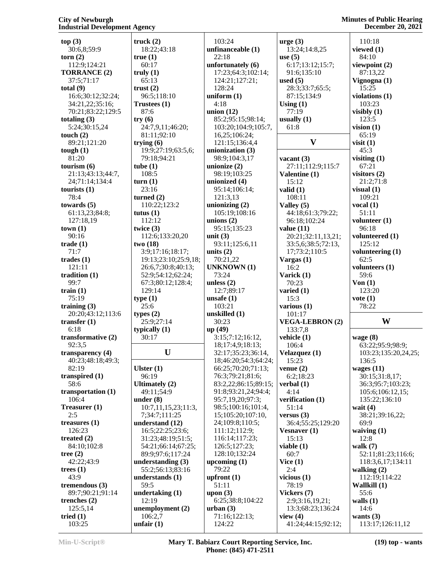**top (3)** 30:6,8;59:9 **torn (2)** 112:9;124:21 **TORRANCE (2)** 37:5;71:17 **total (9)** 16:6;30:12;32:24; 34:21,22;35:16; 70:21;83:22;129:5 **totaling (3)** 5:24;30:15,24 **touch (2)** 89:21;121:20 **tough (1)** 81:20 **tourism (6)** 21:13;43:13;44:7, 24;71:14;134:4 **tourists (1)** 78:4 **towards (5)** 61:13,23;84:8; 127:18,19 **town (1)** 90:16 **trade (1)** 71:7 **trades (1)** 121:11 **tradition (1)** 99:7 **train (1)** 75:19 **training (3)** 20:20;43:12;113:6 **transfer (1)** 6:18 **transformative (2)** 92:3,5 **transparency (4)** 40:23;48:18;49:3; 82:19 **transpired (1)** 58:6 **transportation (1)** 106:4 **Treasurer (1)** 2:5 **treasures (1)** 126:23 **treated (2)** 84:10;102:8 **tree (2)** 42:22;43:9 **trees (1)** 43:9 **tremendous (3)** 89:7;90:21;91:14 **trenches (2)** 125:5,14 **tried (1)** 103:25 **truck (2)** 18:22;43:18 **true (1)** 60:17 **truly (1)** 65:13 **trust (2)** 96:5;118:10 **Trustees (1)** 87:6 **try (6)** 24:7,9,11;46:20; 81:11;92:10 **trying (6)** 19:9;27:19;63:5,6; 79:18;94:21 **tube (1)** 108:5 **turn (1)** 23:16 **turned (2)** 110:22;123:2 **tutus (1)** 112:12 **twice (3)** 112:6;133:20,20 **two (18)** 3:9;17:16;18:17; 19:13;23:10;25:9,18; 26:6,7;30:8;40:13; 52:9;54:12;62:24; 67:3;80:12;128:4; 129:14 **type (1)** 25:6 **types (2)** 25:9;27:14 **typically (1)** 30:17 **U Ulster (1)** 96:19 **Ultimately (2)** 49:11;54:9 **under (8)** 10:7,11,15,23;11:3, 7;34:7;111:25 **understand (12)** 16:5;22:25;23:6; 31:23;48:19;51:5; 54:21;66:14;67:25; 89:9;97:6;117:24 **understanding (3)** 55:2;56:13;83:16 **understands (1)** 59:5 **undertaking (1)** 12:19 **unemployment (2)** 106:2,7 **unfair (1)** 103:24 **unfinanceable (1)** 22:18 **unfortunately (6)** 17:23;64:3;102:14; 124:21;127:21; 128:24 **uniform (1)** 4:18 **union (12)** 85:2;95:15;98:14; 103:20;104:9;105:7, 16,25;106:24; 121:15;136:4,4 **unionization (3)** 98:9;104:3,17 **unionize (2)** 98:19;103:25 **unionized (4)** 95:14;106:14; 121:3,13 **unionizing (2)** 105:19;108:16 **unions (2)** 95:15;135:23 **unit (3)** 93:11;125:6,11 **units (2)** 70:21,22 **UNKNOWN (1)** 73:24 **unless (2)** 12:7;89:17 **unsafe (1)** 103:21 **unskilled (1)** 30:23 **up (49)** 3:15;7:12;16:12, 18;17:4,9;18:13; 32:17;35:23;36:14, 18;46:20;54:3;64:24; 66:25;70:20;71:13; 76:3;79:21;81:6; 83:2,22;86:15;89:15; 91:8;93:21,24;94:4; 95:7,19,20;97:3; 98:5;100:16;101:4, 15;105:20;107:10, 24;109:8;110:5; 111:12;112:9; 116:14;117:23; 126:5;127:23; 128:10;132:24 **upcoming (1)** 79:22 **upfront (1)** 51:11 **upon (3)** 6:25;38:8;104:22 **urban (3)** 71:16;122:13; 124:22

|                        | <b>December 20, 2021</b>            |
|------------------------|-------------------------------------|
| $\text{urge} (3)$      | 110:18                              |
| 13:24;14:8,25          | viewed $(1)$                        |
| use $(5)$              | 84:10                               |
| 6:17;13:12;15:7;       | viewpoint $(2)$                     |
| 91:6;135:10            | 87:13,22                            |
| used $(5)$             | Vignogna (1)                        |
| 28:3;33:7;65:5;        | 15:25                               |
| 87:15;134:9            | violations (1)                      |
| Using $(1)$            | 103:23                              |
| 77:19                  | visibly $(1)$                       |
| usually $(1)$          | 123:5                               |
| 61:8                   | vision $(1)$                        |
|                        | 65:19                               |
| $\bar{\mathbf{V}}$     | visit(1)                            |
|                        | 45:3                                |
| vacant (3)             | visiting $(1)$                      |
| 27:11;112:9;115:7      | 67:21                               |
| Valentine (1)          | visitors $(2)$                      |
| 15:12                  | 21:2;71:8                           |
| valid (1)              | visual $(1)$                        |
| 108:11                 | 109:21                              |
| Valley (5)             | vocal $(1)$                         |
| 44:18;61:3;79:22;      | 51:11                               |
| 96:18;102:24           | volunteer $(1)$                     |
| value (11)             | 96:18                               |
| 20:21;32:11,13,21;     | volunteered (1)                     |
| 33:5,6;38:5;72:13,     | 125:12                              |
| 17;73:2;110:5          | volunteering (1)                    |
| Vargas (1)             | 62:5                                |
| 16:2                   | volunteers (1)                      |
| Varick (1)             | 59:6                                |
| 70:23                  | Von(1)                              |
| varied (1)             | 123:20                              |
| 15:3                   | $\mathbf{vote}$ (1)                 |
| various (1)            | 78:22                               |
| 101:17                 |                                     |
| <b>VEGA-LEBRON (2)</b> | W                                   |
| 133:7,8                |                                     |
| vehicle (1)            | wage (8)                            |
| 106:4                  | 63:22;95:9;98:9;                    |
| Velazquez (1)          | 103:23;135:20,24,25;                |
| 15:23                  | 136:5                               |
| venue $(2)$            | wages $(11)$                        |
| 6:2;18:23              | 30:15;31:8,17;<br>36:3;95:7;103:23; |
| verbal (1)<br>4:14     |                                     |
| verification (1)       | 105:6;106:12,15;<br>135:22;136:10   |
| 51:14                  | wait $(4)$                          |
| versus (3)             | 38:21;39:16,22;                     |
| 36:4;55:25;129:20      | 69:9                                |
| Vesnaver (1)           | waiving $(1)$                       |
| 15:13                  | 12:8                                |
|                        |                                     |
|                        |                                     |
| viable (1)             | walk $(7)$                          |
| 60:7                   | 52:11;81:23;116:6;                  |
| Vice(1)<br>2:4         | 118:3,6,17;134:11                   |
|                        | walking $(2)$                       |
| vicious $(1)$<br>78:19 | 112:19;114:22<br>Wallkill (1)       |
| Vickers (7)            | 55:6                                |
| 2:9;3:16,19,21;        | walls $(1)$                         |
| 13:3;68:23;136:24      | 14:6                                |
| view $(4)$             | wants $(3)$                         |
| 41:24;44:15;92:12;     | 113:17;126:11,12                    |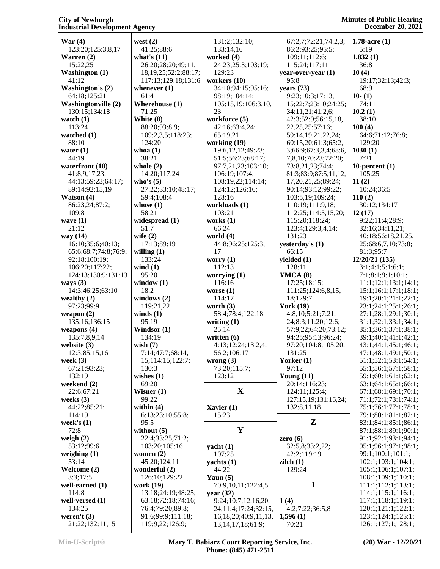| War(4)                                | west $(2)$                 | 131:2;132:10;              | 67:2,7;72:21;74:2,3;     | 1.78-acre $(1)$             |
|---------------------------------------|----------------------------|----------------------------|--------------------------|-----------------------------|
| 123:20;125:3,8,17                     | 41:25;88:6                 | 133:14,16                  | 86:2;93:25;95:5;         | 5:19                        |
| Warren (2)                            | what's $(11)$              | worked (4)                 | 109:11;112:6;            | 1.832(1)                    |
| 15:22,25                              | 26:20;28:20;49:11,         | 24:23;25:3;103:19;         | 115:24;117:11            | 36:8                        |
| <b>Washington (1)</b>                 | 18, 19, 25; 52: 2; 88: 17; | 129:23                     | year-over-year (1)       | 10(4)                       |
| 41:12                                 | 117:13;129:18;131:6        | workers (10)               | 95:8                     | 19:17;32:13;42:3;           |
| <b>Washington's (2)</b>               | whenever $(1)$             | 34:10;94:15;95:16;         | years $(73)$             | 68:9                        |
| 64:18;125:21                          | 61:4                       | 98:19;104:14;              | 9:23;10:3;17:13,         | $10-(1)$                    |
| <b>Washingtonville (2)</b>            | Wherehouse (1)             | 105:15,19;106:3,10,        | 15;22:7;23:10;24:25;     | 74:11                       |
| 130:15;134:18                         | 71:25                      | 23                         | 34:11,21;41:2,6;         | 10.2(1)                     |
| watch (1)                             | White (8)                  | workforce (5)              | 42:3;52:9;56:15,18,      | 38:10                       |
| 113:24                                | 88:20;93:8,9;              | 42:16;63:4,24;             | 22, 25, 25; 57: 16;      | 100(4)                      |
| watched (1)                           | 109:2,3,5;118:23;          | 65:19,21                   | 59:14,19,21,22,24;       | 64:6;71:12;76:8;            |
| 88:10                                 | 124:20                     | working $(19)$             | 60:15,20;61:3;65:2,      | 129:20                      |
| water (1)                             | whoa $(1)$                 | 19:6, 12, 12; 49: 23;      | 3;66:9;67:3,3,4;68:6,    | 1030(1)                     |
| 44:19                                 | 38:21                      | 51:5;56:23;68:17;          | 7,8,10;70:23;72:20;      | 7:21                        |
| waterfront (10)                       | whole $(2)$                | 97:7,21,23;103:10;         | 73:8,21,23;74:4;         | 10-percent $(1)$            |
| 41:8,9,17,23;                         | 14:20;117:24               | 106:19;107:4;              | 81:3;83:9;87:5,11,12,    | 105:25                      |
| 44:13;59:23;64:17;                    | who's $(5)$                | 108:19,22;114:14;          | 17, 20, 21, 25; 89: 24;  | 11(2)                       |
| 89:14;92:15,19                        | 27:22;33:10;48:17;         | 124:12;126:16;             | 90:14;93:12;99:22;       | 10:24:36:5                  |
| Watson (4)                            | 59:4;108:4                 | 128:16                     | 103:5,19;109:24;         | 110(2)                      |
| 86:23,24;87:2;                        | whose $(1)$                | workloads (1)              | 110:19;111:9,18;         | 30:12;134:17                |
| 109:8                                 | 58:21                      | 103:21                     | 112:25;114:5,15,20;      | 12(17)                      |
| wave $(1)$                            | widespread (1)             | works $(1)$                | 115:20:118:24:           | 9:22;11:4;28:9;             |
| 21:12                                 | 51:7                       | 66:24                      | 123:4;129:3,4,14;        | 32:16:34:11.21;             |
| way (14)                              | wife $(2)$                 | world (4)                  | 131:23                   | 40:18:56:18.21.25.          |
| 16:10;35:6;40:13;                     | 17:13;89:19                | 44:8;96:25;125:3,<br>17    | yesterday's (1)<br>66:15 | 25;68:6,7,10;73:8;          |
| 65:6;68:7;74:8;76:9;<br>92:18;100:19; | willing $(1)$<br>133:24    |                            | yielded $(1)$            | 81:3;95:7<br>12/20/21 (135) |
| 106:20;117:22;                        | wind $(1)$                 | worry $(1)$<br>112:13      | 128:11                   | 3:1;4:1;5:1;6:1;            |
| 124:13;130:9;131:13                   | 95:20                      | worrying $(1)$             | YMCA (8)                 | 7:1;8:1;9:1;10:1;           |
| ways $(3)$                            | window $(1)$               | 116:16                     | 17:25;18:15;             | 11:1;12:1;13:1;14:1;        |
| 14:3;46:25;63:10                      | 18:2                       | worse $(1)$                | 111:25;124:6,8,15,       | 15:1;16:1;17:1;18:1;        |
| wealthy (2)                           | windows $(2)$              | 114:17                     | 18;129:7                 | 19:1;20:1;21:1;22:1;        |
| 97:23;99:9                            | 119:21,22                  | worth $(3)$                | York $(19)$              | 23:1;24:1;25:1;26:1;        |
| weapon (2)                            | winds $(1)$                | 58:4;78:4;122:18           | 4:8,10;5:21;7:21,        | 27:1;28:1;29:1;30:1;        |
| 135:16;136:15                         | 95:19                      | writing $(1)$              | 24;8:3;11:20;12:6;       | 31:1;32:1;33:1;34:1;        |
| weapons (4)                           | Windsor (1)                | 25:14                      | 57:9,22;64:20;73:12;     | 35:1;36:1;37:1;38:1;        |
| 135:7,8,9,14                          | 134:19                     | written $(6)$              | 94:25;95:13;96:24;       | 39:1;40:1;41:1;42:1;        |
| website (3)                           | wish $(7)$                 | 4:13;12:24;13:2,4;         | 97:20;104:8;105:20;      | 43:1;44:1;45:1;46:1;        |
| 12:3;85:15,16                         | 7:14;47:7;68:14,           | 56:2;106:17                | 131:25                   | 47:1;48:1;49:1;50:1;        |
| week (3)                              | 15;114:15;122:7;           | wrong $(3)$                | Yorker $(1)$             | 51:1;52:1;53:1;54:1;        |
| 67:21;93:23;                          | 130:3                      | 73:20;115:7;               | 97:12                    | 55:1;56:1;57:1;58:1;        |
| 132:19                                | wishes $(1)$               | 123:12                     | Young $(11)$             | 59:1;60:1;61:1;62:1;        |
| weekend (2)                           | 69:20                      |                            | 20:14;116:23;            | 63:1;64:1;65:1;66:1;        |
| 22:6;67:21                            | Wisner $(1)$               | $\mathbf X$                | 124:11;125:4;            | 67:1;68:1;69:1;70:1;        |
| weeks (3)                             | 99:22                      |                            | 127:15,19;131:16,24;     | 71:1;72:1;73:1;74:1;        |
| 44:22;85:21;                          | within $(4)$               | Xavier $(1)$               | 132:8,11,18              | 75:1;76:1;77:1;78:1;        |
| 114:19                                | 6:13;23:10;55:8;           | 15:23                      |                          | 79:1;80:1;81:1;82:1;        |
| week's (1)                            | 95:5                       |                            | Z                        | 83:1;84:1;85:1;86:1;        |
| 72:8                                  | without $(5)$              | $\mathbf Y$                |                          | 87:1;88:1;89:1;90:1;        |
| weigh $(2)$                           | 22:4;33:25;71:2;           |                            | zero $(6)$               | 91:1;92:1;93:1;94:1;        |
| 53:12;99:6                            | 103:20;105:16              | yacht $(1)$                | 32:5,8;33:2,22;          | 95:1;96:1;97:1;98:1;        |
| weighing (1)                          | women $(2)$                | 107:25                     | 42:2;119:19              | 99:1;100:1;101:1;           |
| 53:14                                 | 45:20;124:11               | yachts $(1)$               | $\mathbf{zilch}$ (1)     | 102:1;103:1;104:1;          |
| Welcome (2)                           | wonderful (2)              | 44:22                      | 129:24                   | 105:1;106:1;107:1;          |
| 3:3;17:5                              | 126:10;129:22              | Yaun $(5)$                 |                          | 108:1;109:1;110:1;          |
| well-earned (1)                       | work (19)                  | 70:9,10,11;122:4,5         | $\mathbf{1}$             | 111:1;112:1;113:1;          |
| 114:8                                 | 13:18;24:19;48:25;         | year $(32)$                |                          | 114:1;115:1;116:1;          |
| well-versed (1)                       | 63:18;72:18;74:16;         | 9:24;10:7,12,16,20,        | 1(4)                     | 117:1;118:1;119:1;          |
| 134:25                                | 76:4;79:20;89:8;           | 24;11:4;17:24;32:15,       | 4:2;7:22;36:5,8          | 120:1;121:1;122:1;          |
| weren't $(3)$                         | 91:6;99:9;111:18;          | 16, 18, 20; 40: 9, 11, 13, | 1,596(1)                 | 123:1;124:1;125:1;          |
| 21:22;132:11,15                       | 119:9,22;126:9;            | 13, 14, 17, 18; 61: 9;     | 70:21                    | 126:1;127:1;128:1;          |